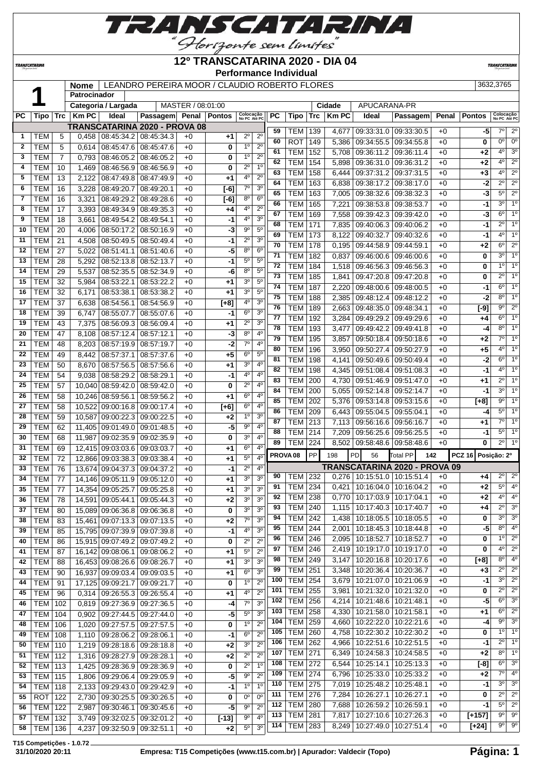

#### **12º TRANSCATARINA 2020 - DIA 04**

**Nome** LEANDRO PEREIRA MOOR / CLAUDIO ROBERTO FLORES 3632,3765

 TEM 256 4,214 10:21:48.6 10:21:48.1 +0 **-5** 6º 3º TEM 258 4,330 10:21:58.0 10:21:58.1 +0 **+1** 6º 2º TEM 259 4,660 10:22:22.0 10:22:21.6 +0 **-4** 9º 3º TEM 260 4,758 10:22:30.2 10:22:30.2 +0 **0** 1º 1º TEM 262 4,966 10:22:51.6 10:22:51.5 +0 **-1** 2º 1º TEM 271 6,349 10:24:58.3 10:24:58.5 +0 **+2** 8º 1º TEM 272 6,544 10:25:14.1 10:25:13.3 +0 **[-8]** 6º 3º TEM 274 6,796 10:25:33.0 10:25:33.2 +0 **+2** 7º 4º TEM 275 7,019 10:25:48.2 10:25:48.1 +0 **-1** 3º 3º TEM 276 7,284 10:26:27.1 10:26:27.1 +0 **0** 2º 2º TEM 280 7,688 10:26:59.2 10:26:59.1 +0 **-1** 5º 2º TEM 281 7,817 10:27:10.6 10:27:26.3 +0 **[+157]** 9º 9º TEM 283 8,249 10:27:49.0 10:27:51.4 +0 **[+24]** 9º 9º

**Performance Individual**

**TRANSCATARI** 

*TRANSCATARIN* 

|                | П           |                 | <b>Patrocinador</b> |                     |                                      |                   |                         |                                    |                 |                |            |                |                       |                                       |                 |               |                           |                        |
|----------------|-------------|-----------------|---------------------|---------------------|--------------------------------------|-------------------|-------------------------|------------------------------------|-----------------|----------------|------------|----------------|-----------------------|---------------------------------------|-----------------|---------------|---------------------------|------------------------|
|                |             |                 |                     | Categoria / Largada |                                      | MASTER / 08:01:00 |                         |                                    |                 |                |            | Cidade         | APUCARANA-PR          |                                       |                 |               |                           |                        |
| <b>PC</b>      | <b>Tipo</b> | <b>Trc</b>      | <b>KmPC</b>         | Ideal               | Passagem Penal Pontos                |                   |                         | Colocação<br>No PC Até PC          | <b>PC</b>       | <b>Tipo</b>    | $\sf{Trc}$ | <b>Km PC</b>   | <b>Ideal</b>          | Passagem                              | Penal           | <b>Pontos</b> | Colocação<br>No PC Até PC |                        |
|                |             |                 |                     |                     | <b>TRANSCATARINA 2020 - PROVA 08</b> |                   |                         |                                    | 59              | <b>TEM</b>     | 139        | 4.677          | 09:33:31.0            | 09:33:30.5                            | $+0$            | -5            |                           | $7°$ 2°                |
| -1             | <b>TEM</b>  | 5               | 0.458               |                     | 08:45:34.2 08:45:34.3                | $+0$              | $+1$                    | $2^{\circ}$<br>$2^{\circ}$         | 60              | <b>ROT</b>     | 149        |                | 09:34:55.5            | 09:34:55.8                            |                 |               | $0^{\circ}$               | $\overline{0}$         |
| $\overline{2}$ | <b>TEM</b>  | 5               | 0.614               | 08:45:47.6          | 08:45:47.6                           | $+0$              | $\mathbf{0}$            | $2^{\circ}$<br>1 <sup>0</sup>      | 61              | <b>TEM</b>     | 152        | 5.386<br>5.708 | 09:36:11.2            | 09:36:11.4                            | $+0$            | 0<br>$+2$     | 4 <sup>0</sup>            | $\overline{3^0}$       |
| 3              | <b>TEM</b>  | $\overline{7}$  | 0.793               | 08:46:05.2          | 08:46:05.2                           | $+0$              | 0                       | $2^{\circ}$<br>1 <sup>0</sup>      | 62              | <b>TEM</b>     | 154        |                | 09:36:31.0            | 09:36:31.2                            | $+0$<br>$+0$    | $+2$          | $4^{\circ}$               | $\overline{2^0}$       |
| 4              | <b>TEM</b>  | 10 <sup>1</sup> | 1.469               | 08:46:56.9          | 08:46:56.9                           | $+0$              | 0                       | 1 <sup>0</sup><br>$2^{\circ}$      | 63              |                |            | 5,898          |                       |                                       |                 |               | $4^{\circ}$               | $\overline{2^0}$       |
| 5              | <b>TEM</b>  | 13              | 2.122               | 08:47:49.8          | 08:47:49.9                           | $+0$              | $+1$                    | $2^{\circ}$<br>4 <sup>0</sup>      | 64              | <b>TEM</b>     | 158        | 6.444          | 09:37:31.2            | 09:37:31.5                            | $+0$            | $+3$          | $2^{\circ}$               | $\overline{2^0}$       |
| 6              | <b>TEM</b>  | 16              | 3,228               | 08:49:20.7          | 08:49:20.1                           | $+0$              | $[-6]$                  | 3 <sup>o</sup><br>$7^\circ$        | 65              | <b>TEM</b>     | 163        | 6.838          | 09:38:17.2            | 09:38:17.0                            | $+0$            | $-2$          | $5^\circ$                 | $\overline{2^0}$       |
| 7              | <b>TEM</b>  | 16              | 3.321               | 08:49:29.2          | 08:49:28.6                           | $+0$              | $\overline{[-6]}$       | 6 <sup>o</sup><br>8 <sup>o</sup>   | 66              | <b>TEM</b>     | 163        | 7,005          | 09:38:32.6            | 09:38:32.3                            | $+0$            | $-3$          | $3^{\circ}$               | $\overline{10}$        |
| 8              | <b>TEM</b>  | 17              | 3.393               | 08:49:34.9          | 08:49:35.3                           | $+0$              | $+4$                    | $2^{\circ}$<br>$4^{\circ}$         |                 | <b>TEM</b>     | 165        | 7,221          | 09:38:53.8            | 09:38:53.7                            | $+0$            | $-1$          | $6^\circ$                 | $\overline{10}$        |
| 9              | <b>TEM</b>  | 18              | 3.661               | 08:49:54.2          | 08:49:54.1                           | $+0$              | $-1$                    | 4 <sup>0</sup><br>3 <sup>o</sup>   | 67              | <b>TEM</b>     | 169        | 7,558          | 09:39:42.3            | 09:39:42.0                            | $+0$            | $-3$          | $2^{\circ}$               | $\overline{1^0}$       |
| 10             | <b>TEM</b>  | 20              | 4.006               | 08:50:17.2          | 08:50:16.9                           | $+0$              | J,                      | $5^{\circ}$<br>$9^{\circ}$         | 68              | <b>TEM</b>     | 171        | 7,835          | 09:40:06.3            | 09:40:06.2                            | $+0$            | $-1$          | 4 <sup>0</sup>            | $\overline{1^0}$       |
| 11             | <b>TEM</b>  | 21              | 4.508               | 08:50:49.5          | 08:50:49.4                           | $+0$              | $-1$                    | $2^{\circ}$<br>3 <sup>0</sup>      | 69              | <b>TEM</b>     | 173        | 8.122          | 09:40:32.7            | 09:40:32.6                            | $+0$            | $-1$          |                           |                        |
| 12             | <b>TEM</b>  | 27              | 5.022               | 08:51:41.1          | 08:51:40.6                           | $+0$              | -5                      | 8 <sup>o</sup><br>6 <sup>o</sup>   | $\overline{70}$ | <b>TEM</b>     | 178        | 0,195          | 09:44:58.9            | 09:44:59.1                            | $+0$            | $+2$          | $6^{\circ}$               | $\overline{2^{\circ}}$ |
| 13             | <b>TEM</b>  | 28              | 5.292               | 08:52:13.8          | 08:52:13.7                           | $+0$              | $-1$                    | $5^{\circ}$<br>5 <sup>0</sup>      | $\overline{71}$ | <b>TEM</b>     | 182        | 0.837          | 09:46:00.6            | 09:46:00.6                            | $+0$            | $\bf{0}$      | $3^\circ$                 | $\overline{1^0}$       |
| 14             | <b>TEM</b>  | 29              | 5.537               | 08:52:35.5          | 08:52:34.9                           | $+0$              | -6                      | 5 <sup>0</sup><br>8 <sup>o</sup>   | 72              | <b>TEM</b>     | 184        | 1,518          | 09:46:56.3            | 09:46:56.3                            | $+0$            | $\mathbf 0$   | 10                        | $\overline{1^0}$       |
| 15             | <b>TEM</b>  | 32              | 5.984               | 08:53:22.1          | 08:53:22.2                           | $+0$              | $+1$                    | 3 <sup>o</sup><br>5 <sup>o</sup>   | $\overline{73}$ | <b>TEM</b>     | 185        | 1,841          | 09:47:20.8            | 09:47:20.8                            | $+0$            | $\bf{0}$      | $2^{\circ}$               | $\overline{1^0}$       |
| 16             | <b>TEM</b>  | 32              | 6.171               | 08:53:38.1          | 08:53:38.2                           | $+0$              | $+1$                    | 3 <sup>o</sup><br>5 <sup>0</sup>   | 74              | <b>TEM</b>     | 187        | 2.220          | 09:48:00.6            | 09:48:00.5                            | $+0$            | $-1$          | $6^{\circ}$               | $\overline{1^0}$       |
| 17             | <b>TEM</b>  | 37              | 6.638               | 08:54:56.1          | 08:54:56.9                           | $+0$              | $[t+8]$                 | 4 <sup>o</sup><br>3 <sup>o</sup>   | 75              | <b>TEM</b>     | 188        | 2,385          | 09:48:12.4            | 09:48:12.2                            | $+0$            | $-2$          | $8^\circ$                 | $\overline{1^0}$       |
| 18             | <b>TEM</b>  | 39              | 6.747               | 08:55:07.7          | 08:55:07.6                           | $+0$              | $-1$                    | 3 <sup>0</sup><br>$6^{\circ}$      | 76              | <b>TEM</b>     | 189        | 2,663          | 09:48:35.0            | 09:48:34.1                            | $+0$            | $[-9]$        | $9^{\circ}$               | $\overline{2^{\circ}}$ |
| 19             | <b>TEM</b>  | 43              | 7.375               | 08:56:09.3          | 08:56:09.4                           | $+0$              | $+1$                    | $2^{\circ}$<br>3 <sup>o</sup>      | 77              | <b>TEM</b>     | 192        | 3,284          | 09:49:29.2            | 09:49:29.6                            | $+0$            | $+4$          | $6^{\circ}$               | $\overline{1^0}$       |
| 20             | <b>TEM</b>  | 47              | 8.108               | 08:57:12.4          | 08:57:12.1                           | $+0$              | $-3$                    | 4 <sup>0</sup><br>8 <sup>o</sup>   | $\overline{78}$ | <b>TEM</b>     | 193        | 3.477          | 09:49:42.2            | 09:49:41.8                            | $+0$            | $-4$          | $\overline{8^0}$          | $\overline{1^0}$       |
| 21             | <b>TEM</b>  | 48              | 8.203               | 08:57:19.9          | 08:57:19.7                           | $+0$              | $-2$                    | $7^\circ$<br>4 <sup>0</sup>        | 79              | <b>TEM</b>     | 195        | 3.857          | 09:50:18.4            | 09:50:18.6                            | $+0$            | $+2$          | $7^\circ$                 | $\overline{1^0}$       |
| 22             | <b>TEM</b>  | 49              | 8.442               | 08:57:37.1          | 08:57:37.6                           | $+0$              | $\overline{+5}$         | $\overline{5^0}$<br>6 <sup>o</sup> | 80              | <b>TEM</b>     | 196        | 3,950          | 09:50:27.4            | 09:50:27.9                            | $+0$            | $+5$          | 4 <sup>0</sup>            | $\overline{1^0}$       |
| 23             | <b>TEM</b>  | 50              | 8.670               | 08:57:56.5          | 08:57:56.6                           | $+0$              | $+1$                    | 3 <sup>0</sup><br>4 <sup>0</sup>   | 81              | <b>TEM</b>     | 198        | 4.141          | 09:50:49.6            | 09:50:49.4                            | $+0$            | $-2$          | $6^{\circ}$               | $\overline{1^0}$       |
| 24             | <b>TEM</b>  | 54              | 9.038               | 08:58:29.2          | 08:58:29.1                           | $+0$              | $-1$                    | 4 <sup>0</sup><br>$4^{\circ}$      | 82              | <b>TEM</b>     | 198        | 4,345          |                       | 09:51:08.4 09:51:08.3                 | $+0$            | $-1$          | 4 <sup>0</sup>            | $\overline{1^0}$       |
| 25             | <b>TEM</b>  | 57              |                     | 10,040 08:59:42.0   | 08:59:42.0                           | $+0$              | $\overline{\mathbf{0}}$ | $2^{\circ}$<br>4 <sup>0</sup>      | 83              | <b>TEM</b>     | 200        | 4.730          | 09:51:46.9            | 09:51:47.0                            | $+0$            | $+1$          | $2^{\circ}$               | $\overline{1^0}$       |
| 26             | <b>TEM</b>  | 58              |                     | 10.246 08:59:56.1   | 08:59:56.2                           | $+0$              | $+1$                    | 6 <sup>o</sup><br>4 <sup>0</sup>   | 84              | <b>TEM</b>     | 200        | 5.055          | 09:52:14.8 09:52:14.7 |                                       | $+0$            | $-1$          | $3^{\circ}$               | $\overline{1^0}$       |
|                |             |                 |                     |                     |                                      |                   |                         |                                    | 85              | <b>TEM 202</b> |            |                |                       | $5.376$ $0.633.14$ $8$ $0.633.15$ $6$ | $\overline{10}$ | LRT           |                           | 90110                  |

 TEM 96 0,314 09:26:55.3 09:26:55.4 +0 **+1** 4º 2º TEM 102 0,819 09:27:36.9 09:27:36.5 +0 **-4** 7º 3º TEM 104 0,902 09:27:44.5 09:27:44.0 +0 **-5** 5º 3º TEM 106 1,020 09:27:57.5 09:27:57.5 +0 **0** 1º 2º TEM 108 1,110 09:28:06.2 09:28:06.1 +0 **-1** 6º 2º TEM 110 1,219 09:28:18.6 09:28:18.8 +0 **+2** 3º 2º TEM 112 1,316 09:28:27.9 09:28:28.1 +0 **+2** 2º 2º TEM 113 1,425 09:28:36.9 09:28:36.9 +0 **0** 2º 1º TEM 115 1,806 09:29:06.4 09:29:05.9 +0 **-5** 9º 2º TEM 118 2,133 09:29:43.0 09:29:42.9 +0 **-1** 1º 1º ROT 122 2,730 09:30:25.5 09:30:26.5 +0 **0** 0º 0º TEM 122 2,987 09:30:46.1 09:30:45.6 +0 **-5** 9º 2º TEM 132 3,749 09:32:02.5 09:32:01.2 +0 **[-13]** 9º 4º TEM 136 4,237 09:32:50.9 09:32:51.1 +0 **+2** 5º 3º

|    | $\cdots$   | . .             |       | 0,000,000.000.000.000.000.000       |            | $\cdot$ $\sim$  |                         |                  | 62                                |                     | TEM   154      |       | 5,898   09:36:31.0   09:36:31.2       |          | +0   | +2                      | $4^{\circ}$            | $2^{\circ}$              |
|----|------------|-----------------|-------|-------------------------------------|------------|-----------------|-------------------------|------------------|-----------------------------------|---------------------|----------------|-------|---------------------------------------|----------|------|-------------------------|------------------------|--------------------------|
| 4  | TEM        | 10              |       | 1,469 08:46:56.9 08:46:56.9         |            | $+0$            | 0                       | $2^{\circ}$      | 1 <sup>0</sup><br>63              | <b>TEM</b>          | 158            | 6.444 | 09:37:31.2 09:37:31.5                 |          | $+0$ | +3                      | $4^{\circ}$            | $\overline{2^{\circ}}$   |
| 5  | <b>TEM</b> | 13              |       | 2,122 08:47:49.8                    | 08:47:49.9 | $+0$            | +1                      | 4 <sup>0</sup>   | $2^{\circ}$<br>64                 | <b>TEM</b>          | 163            | 6,838 | 09:38:17.2 09:38:17.0                 |          | $+0$ | $-2$                    | $2^{\circ}$            | $\overline{2^{\circ}}$   |
| 6  | <b>TEM</b> | 16              |       | 3,228 08:49:20.7                    | 08:49:20.1 | $+0$            | $F6$ ]                  | $\overline{7^0}$ | $\overline{3^0}$<br>65            | <b>TEM</b>          | 163            |       | 7,005 09:38:32.6 09:38:32.3           |          | $+0$ | $\overline{\cdot}$ 3    | $5^{\circ}$            | $\overline{2^{\circ}}$   |
| 7  | <b>TEM</b> | 16              |       | 3,321 08:49:29.2                    | 08:49:28.6 | $+0$            | $\overline{[-6]}$       | 8 <sup>o</sup>   | 6 <sup>o</sup><br>66              | <b>TEM</b>          | 165            | 7,221 | 09:38:53.8 09:38:53.7                 |          | $+0$ | $-1$                    | $3^{\circ}$            | $\overline{1^{\circ}}$   |
| 8  | <b>TEM</b> | 17              |       | 3,393 08:49:34.9                    | 08:49:35.3 | $+0$            | $+4$                    | 4 <sup>0</sup>   | $2^{\circ}$<br>67                 | <b>TEM</b>          | 169            |       | 7,558 09:39:42.3 09:39:42.0           |          | $+0$ | $\overline{-3}$         | $6^{\circ}$            | $\overline{1^{\circ}}$   |
| 9  | <b>TEM</b> | 18              | 3,661 | 08:49:54.2                          | 08:49:54.1 | $+0$            | $-1$                    | 4 <sup>0</sup>   | 3 <sup>0</sup><br>68              | <b>TEM</b>          | 171            | 7,835 | 09:40:06.3 09:40:06.2                 |          | $+0$ | $-1$                    | $\overline{2^{\circ}}$ | $\overline{1}$           |
| 10 | <b>TEM</b> | 20              |       | 4,006 08:50:17.2                    | 08:50:16.9 | $+0$            | $-3$                    | $9^{\circ}$      | $5^{\circ}$<br>69                 | <b>TEM</b>          | 173            | 8,122 | 09:40:32.7 09:40:32.6                 |          | $+0$ | $-1$                    | $4^{\circ}$            | $\overline{1^{\circ}}$   |
| 11 | <b>TEM</b> | $\overline{21}$ |       | 4,508 08:50:49.5                    | 08:50:49.4 | $+0$            | $-1$                    | $2^{\circ}$      | 3 <sup>o</sup><br>70              | <b>TEM</b>          | 178            |       | $0,195$ 09:44:58.9 09:44:59.1         |          | $+0$ | +2                      | $6^{\circ}$            | $\overline{2^{\circ}}$   |
| 12 | <b>TEM</b> | 27              |       | 5,022 08:51:41.1                    | 08:51:40.6 | $+0$            | $-5$                    | 8 <sup>0</sup>   | 6 <sup>0</sup><br>71              | <b>TEM</b>          | 182            | 0,837 | 09:46:00.6 09:46:00.6                 |          | $+0$ | 0                       | $3^{\circ}$            | $\overline{1^{\circ}}$   |
| 13 | <b>TEM</b> | 28              |       | 5,292 08:52:13.8 08:52:13.7         |            | $+0$            | $-1$                    | 5 <sup>0</sup>   | 5 <sup>0</sup><br>$\overline{72}$ | <b>TEM</b>          | 184            |       | 1,518 09:46:56.3 09:46:56.3           |          | $+0$ | 0                       | $1^{\circ}$            | $\overline{1^{\circ}}$   |
| 14 | <b>TEM</b> | 29              |       | 5,537 08:52:35.5                    | 08:52:34.9 | $+0$            | -6                      | 8 <sup>o</sup>   | $5^{\circ}$<br>73                 | <b>TEM</b>          | 185            | 1,841 | 09:47:20.8 09:47:20.8                 |          | $+0$ | 0                       | $\overline{2^{\circ}}$ | $\overline{1}^{\circ}$   |
| 15 | <b>TEM</b> | 32              |       | 5,984 08:53:22.1                    | 08:53:22.2 | $+0$            | +1                      | 3 <sup>0</sup>   | $5^{\circ}$<br>74                 | <b>TEM</b>          | 187            |       | 2,220 09:48:00.6 09:48:00.5           |          | $+0$ | $-1$                    | $6^{\circ}$            | 1 <sup>c</sup>           |
| 16 | <b>TEM</b> | $\overline{32}$ |       | 6,171 08:53:38.1                    | 08:53:38.2 | $+0$            | $+1$                    | 3 <sup>0</sup>   | $5^{\circ}$<br>75                 | <b>TEM</b>          | 188            |       | 2,385   09:48:12.4   09:48:12.2       |          | $+0$ | $-2$                    | $8^{\circ}$            | $\overline{1^{\circ}}$   |
| 17 | <b>TEM</b> | 37              |       | 6,638 08:54:56.1                    | 08:54:56.9 | $+0$            | $[t+8]$                 | 4 <sup>0</sup>   | 3 <sup>o</sup><br>76              | <b>TEM</b>          | 189            | 2,663 | $\vert$ 09:48:35.0 $\vert$ 09:48:34.1 |          | $+0$ | $\overline{[-9]}$       | $9^{\circ}$            | $\overline{2^{\circ}}$   |
| 18 | <b>TEM</b> | 39              | 6,747 | 08:55:07.7                          | 08:55:07.6 | $+0$            | $-1$                    | $6^{\circ}$      | 3 <sup>0</sup><br>$\overline{77}$ | <b>TEM</b>          | 192            |       | 3,284 09:49:29.2 09:49:29.6           |          | $+0$ | $+4$                    | $6^{\circ}$            | $\overline{1^{\circ}}$   |
| 19 | <b>TEM</b> | 43              |       | 7,375 08:56:09.3                    | 08:56:09.4 | $+0$            | +1                      | $2^{\circ}$      | 3 <sup>0</sup><br>78              | <b>TEM</b>          | 193            | 3,477 | 09:49:42.2 09:49:41.8                 |          | $+0$ | $-4$                    | $8^{\circ}$            | $\overline{1^{\circ}}$   |
| 20 | <b>TEM</b> | 47              |       | 8,108 08:57:12.4                    | 08:57:12.1 | $+0$            | $-3$                    | 8 <sup>o</sup>   | 4 <sup>0</sup><br>79              | <b>TEM</b>          | 195            |       | 3,857 09:50:18.4 09:50:18.6           |          | $+0$ | $+2$                    | 7°                     | $\overline{1^{\circ}}$   |
| 21 | <b>TEM</b> | 48              |       | 8,203 08:57:19.9                    | 08:57:19.7 | $+0$            | $\overline{-2}$         | $7^\circ$        | 4 <sup>0</sup><br>80              | <b>TEM</b>          | 196            |       | 3,950 09:50:27.4 09:50:27.9           |          | $+0$ | $+5$                    | $4^{\circ}$            | $\overline{1^{\circ}}$   |
| 22 | <b>TEM</b> | 49              |       | 8,442 08:57:37.1                    | 08:57:37.6 | $+0$            | $+5$                    | $6^{\circ}$      | $5^{\rm o}$<br>81                 | <b>TEM</b>          | 198            |       | 4,141 09:50:49.6 09:50:49.4           |          | $+0$ | $-2$                    | $6^{\circ}$            | $\overline{1^{\circ}}$   |
| 23 | <b>TEM</b> | 50              |       | 8,670 08:57:56.5                    | 08:57:56.6 | $+0$            | $+1$                    | 3 <sup>0</sup>   | $4^{\rm o}$<br>82                 | <b>TEM</b>          | 198            |       | 4,345 09:51:08.4 09:51:08.3           |          | $+0$ | $-1$                    | $4^{\circ}$            | $\overline{1}^{\circ}$   |
| 24 | <b>TEM</b> | 54              |       | 9,038 08:58:29.2                    | 08:58:29.1 | $+0$            | $-1$                    | 4 <sup>0</sup>   | 4 <sup>0</sup><br>83              | <b>TEM</b>          | 200            |       | 4,730 09:51:46.9 09:51:47.0           |          | $+0$ | $+1$                    | $2^{\circ}$            | $\overline{1^{\circ}}$   |
| 25 | <b>TEM</b> | 57              |       | 10,040 08:59:42.0                   | 08:59:42.0 | $+0$            | 0                       | $2^{\circ}$      | 4 <sup>0</sup><br>84              | <b>TEM</b>          | 200            |       | 5,055 09:52:14.8 09:52:14.7           |          | $+0$ | $-1$                    | $3^{\circ}$            | 1 <sup>c</sup>           |
| 26 | <b>TEM</b> | 58              |       | 10,246 08:59:56.1                   | 08:59:56.2 | $+0$            | $+1$                    | $6^{\circ}$      | 4°<br>85                          | <b>TEM</b>          | 202            |       | 5,376 09:53:14.8 09:53:15.6           |          | $+0$ | $\overline{[+8]}$       | $9^{\circ}$            | $\overline{1^{\circ}}$   |
| 27 | <b>TEM</b> | 58              |       | 10,522 09:00:16.8                   | 09:00:17.4 | $+0$            | $[t+6]$                 | 6 <sup>o</sup>   | 4 <sup>0</sup><br>86              | <b>TEM</b>          | 209            |       | 6,443 09:55:04.5 09:55:04.1           |          | $+0$ | $-4$                    | $5^{\circ}$            | $\overline{1^{\circ}}$   |
| 28 | <b>TEM</b> | 59              |       | 10,587 09:00:22.3                   | 09:00:22.5 | $+0$            | $+2$                    | 1 <sup>0</sup>   | 3 <sup>0</sup><br>87              | <b>TEM</b>          | 213            |       | 7,113 09:56:16.6 09:56:16.7           |          | $+0$ | $+1$                    | $7^\circ$              | $\overline{1^{\circ}}$   |
| 29 | <b>TEM</b> | 62              |       | 11,405 09:01:49.0                   | 09:01:48.5 | $+0$            | $-5$                    | 9 <sup>o</sup>   | 4 <sup>0</sup><br>88              |                     | <b>TEM 214</b> |       | 7,209 09:56:25.6 09:56:25.5           |          | $+0$ | $-1$                    |                        | $5^\circ$ 1 <sup>°</sup> |
| 30 | <b>TEM</b> | 68              |       | 11,987 09:02:35.9                   | 09:02:35.9 | $+0$            | 0                       | 3 <sup>o</sup>   | 4 <sup>0</sup><br>89              |                     | <b>TEM 224</b> |       | 8,502 09:58:48.6 09:58:48.6           |          | $+0$ | 0                       | $\overline{2^{\circ}}$ | $\overline{1^{\circ}}$   |
| 31 | <b>TEM</b> | 69              |       | 12,415 09:03:03.6                   | 09:03:03.7 | $+0$            | $+1$                    | 6 <sup>o</sup>   | 4 <sup>0</sup>                    |                     |                |       |                                       |          |      |                         |                        |                          |
| 32 | <b>TEM</b> | 72              |       | 12,866 09:03:38.3 09:03:38.4        |            | $+0$            | $+1$                    | $5^{\circ}$      | 4 <sup>0</sup>                    | PROVA <sub>08</sub> | PP             | 198   | PD<br>56                              | Total PP | 142  | PCZ 16 Posição: 2º      |                        |                          |
| 33 | <b>TEM</b> | $\overline{76}$ |       | 13,674 09:04:37.3                   | 09:04:37.2 | $+0$            | $-1$                    | $2^{\circ}$      | 4 <sup>0</sup>                    |                     |                |       | TRANSCATARINA 2020 - PROVA 09         |          |      |                         |                        |                          |
| 34 | <b>TEM</b> | 77              |       | 14,146 09:05:11.9                   | 09:05:12.0 | $+0$            | $+1$                    | 3 <sup>o</sup>   | 90<br>3 <sup>o</sup>              |                     | <b>TEM 232</b> |       | $0,276$ 10:15:51.0 10:15:51.4         |          | $+0$ | $+4$                    | $2^{\circ}$            | 2 <sup>o</sup>           |
| 35 | <b>TEM</b> | $\overline{77}$ |       | 14,354 09:05:25.7                   | 09:05:25.8 | $+0$            | $+1$                    | 3 <sup>0</sup>   | 91<br>3 <sup>0</sup>              |                     | <b>TEM 234</b> |       | 0,421 10:16:04.0 10:16:04.2           |          | $+0$ | $+2$                    | $5^{\circ}$            | 4 <sup>o</sup>           |
| 36 | <b>TEM</b> | $\overline{78}$ |       | 14,591 09:05:44.1                   | 09:05:44.3 | $+0$            | $+2$                    | 3 <sup>o</sup>   | 92<br>3 <sup>o</sup>              | <b>TEM</b>          | 238            |       | 0,770   10:17:03.9   10:17:04.1       |          | $+0$ | $+2$                    | $4^{\circ}$            | 4 <sup>°</sup>           |
| 37 | <b>TEM</b> | 80              |       | 15,089 09:06:36.8                   | 09:06:36.8 | $+0$            | 0                       | 3 <sup>o</sup>   | 93<br>3 <sup>o</sup>              |                     | <b>TEM 240</b> |       | 1,115   10:17:40.3   10:17:40.7       |          | $+0$ | $+4$                    | $2^{\circ}$            | $\overline{3^{\circ}}$   |
| 38 | <b>TEM</b> | 83              |       | 15,461 09:07:13.3                   | 09:07:13.5 | $+0$            | $+2$                    | 7 <sup>o</sup>   | 94<br>3 <sup>0</sup>              |                     | <b>TEM</b> 242 |       | 1,438 10:18:05.5 10:18:05.5           |          | $+0$ | $\overline{\mathbf{0}}$ | $3^{\circ}$            | 3 <sup>o</sup>           |
| 39 | <b>TEM</b> | 85              |       | 15,795 09:07:39.9                   | 09:07:39.8 | $+0$            | $-1$                    | 4 <sup>0</sup>   | 95<br>3 <sup>0</sup>              |                     | <b>TEM 244</b> | 2,001 | 10:18:45.3 10:18:44.8                 |          | $+0$ | $-5$                    | $8^{\circ}$            | 4 <sup>°</sup>           |
| 40 | <b>TEM</b> | 86              |       | 15,915 09:07:49.2                   | 09:07:49.2 | $+0$            | 0                       | $2^{\circ}$      | 96<br>$2^{\circ}$                 | <b>TEM</b>          | 246            |       | 2,095 10:18:52.7 10:18:52.7           |          | $+0$ | 0                       | 10                     | $\overline{2^{\circ}}$   |
| 41 | <b>TEM</b> | 87              |       | 16,142 09:08:06.1                   | 09:08:06.2 | $+0$            | $+1$                    | $5^{\circ}$      | 97<br>$\overline{2^0}$            | <b>TEM</b>          | 246            |       | 2,419   10:19:17.0   10:19:17.0       |          | $+0$ | 0                       | $4^{\circ}$            | $\overline{2^0}$         |
| 42 | <b>TEM</b> | 88              |       | 16,453 09:08:26.6                   | 09:08:26.7 | $+0$            | $+1$                    | 3 <sup>o</sup>   | 98<br>3 <sup>0</sup>              |                     | <b>TEM 249</b> |       | 3,147 10:20:16.8 10:20:17.6           |          | $+0$ | $[t+8]$                 | $8^{\circ}$            | 4 <sup>o</sup>           |
| 43 | <b>TEM</b> | 90              |       | 16,937 09:09:03.4                   | 09:09:03.5 | $\overline{+0}$ | $+1$                    | $6^{\circ}$      | 99<br>3 <sup>0</sup>              | <b>TEM</b>          | 251            |       | 3,348 10:20:36.4 10:20:36.7           |          | $+0$ | $+3$                    | $2^{\circ}$            | 2 <sup>o</sup>           |
| 44 | <b>TEM</b> | 91              |       | 17,125 09:09:21.7 09:09:21.7        |            | $+0$            | $\overline{\mathbf{0}}$ | 1 <sup>0</sup>   | 100<br>$2^{\circ}$                |                     | <b>TEM 254</b> |       | 3,679 10:21:07.0 10:21:06.9           |          | $+0$ | $-1$                    | 3 <sup>o</sup>         | $\overline{2^{\circ}}$   |
|    | $45$ TEM   | $\alpha$        |       | $0.314$ $0.96.55$ $3$ $0.96.55$ $4$ |            | $\overline{10}$ | $\overline{14}$         | $40^{0}$ 20      |                                   | $101$ TEM 255       |                |       | 3,981 10:21:32.0 10:21:32.0           |          | $+0$ | $\overline{\mathbf{0}}$ | $2^{\circ}$            | $\overline{2^0}$         |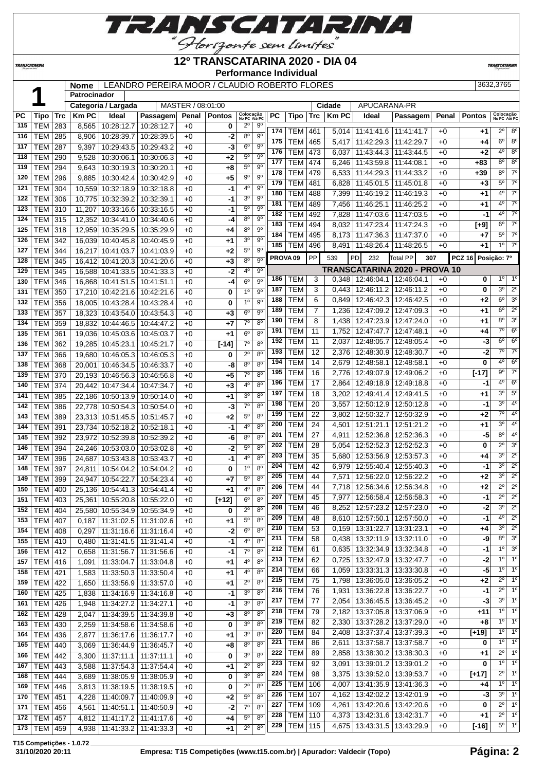

#### **12º TRANSCATARINA 2020 - DIA 04**

**Performance Individual**

**TRANSCATAR** 

 **Nome** LEANDRO PEREIRA MOOR / CLAUDIO ROBERTO FLORES 3632,3765 **Patrocinador Categoria / Largada** MASTER / 08:01:00 **Cidade** APUCARANA-PR **PC Tipo Trc Km PC Ideal Passagem Penal Pontos Colocação No PC Até PC PC Tipo Trc Km PC Ideal Passagem Penal Pontos Colocação No PC Até PC** TEM 283 8,565 10:28:12.7 10:28:12.7 +0 **0** 2º 9º TEM 285 8,906 10:28:39.7 10:28:39.5 +0 **-2** 8º 9º TEM 287 9,397 10:29:43.5 10:29:43.2 +0 **-3** 6º 9º TEM 290 9,528 10:30:06.1 10:30:06.3 +0 **+2** 5º 9º | **TEM** | 294 | 9,643 | 10:30:19.3 | 10:30:20.1 | +0 | +8 | 5<sup>°</sup> 9<sup>°</sup> | TEM | 296 | 9,885 | 10:30:42.4 | 10:30:42.9 | +0 | +5 | 9<sup>o</sup> | 9<sup>o</sup> TEM 304 10,559 10:32:18.9 10:32:18.8 +0 **-1** 4º 9º TEM 306 10,775 10:32:39.2 10:32:39.1 +0 **-1** 3º 9º TEM 310 11,207 10:33:16.6 10:33:16.5 +0 **-1** 5º 9º TEM 315 12,352 10:34:41.0 10:34:40.6 +0 **-4** 8º 9º | TEM | 318 | 12,959 | 10:35:29.5 | 10:35:29.9 | +0 | +4 | 8<sup>o</sup> | 9<sup>o</sup> TEM 342 16,039 10:40:45.8 10:40:45.9 +0 **+1** 3º 9º TEM 344 16,217 10:41:03.7 10:41:03.9 +0 **+2** 5º 9º TEM 345 16,412 10:41:20.3 10:41:20.6 +0 **+3** 8º 9º TEM 345 16,588 10:41:33.5 10:41:33.3 +0 **-2** 4º 9º TEM 346 16,868 10:41:51.5 10:41:51.1 +0 **-4** 6º 9º TEM 350 17,210 10:42:21.6 10:42:21.6 +0 **0** 1º 9º TEM 356 18,005 10:43:28.4 10:43:28.4 +0 **0** 1º 9º TEM 357 18,323 10:43:54.0 10:43:54.3 +0 **+3** 6º 9º TEM 359 18,832 10:44:46.5 10:44:47.2 +0 **+7** 7º 8º TEM 361 19,036 10:45:03.6 10:45:03.7 +0 **+1** 6º 8º TEM 362 19,285 10:45:23.1 10:45:21.7 +0 **[-14]** 7º 8º TEM 366 19,680 10:46:05.3 10:46:05.3 +0 **0** 2º 8º TEM 368 20,001 10:46:34.5 10:46:33.7 +0 **-8** 8º 8º TEM 370 20,193 10:46:56.3 10:46:56.8 +0 **+5** 7º 8º TEM 374 20,442 10:47:34.4 10:47:34.7 +0 **+3** 4º 8º TEM 385 22,186 10:50:13.9 10:50:14.0 +0 **+1** 3º 8º TEM 386 22,778 10:50:54.3 10:50:54.0 +0 **-3** 7º 8º TEM 389 23,313 10:51:45.5 10:51:45.7 +0 **+2** 5º 8º TEM 391 23,734 10:52:18.2 10:52:18.1 +0 **-1** 4º 8º TEM 392 23,972 10:52:39.8 10:52:39.2 +0 **-6** 8º 8º TEM 394 24,246 10:53:03.0 10:53:02.8 +0 **-2** 5º 8º TEM 396 24,687 10:53:43.8 10:53:43.7 +0 **-1** 4º 8º TEM 397 24,811 10:54:04.2 10:54:04.2 +0 **0** 1º 8º TEM 399 24,947 10:54:22.7 10:54:23.4 +0 **+7** 5º 8º TEM 400 25,136 10:54:41.3 10:54:41.4 +0 **+1** 4º 8º | TEM | 403 | 25,361 | 10:55:20.8 | 10:55:22.0 | +0 | **[+12]** | 6<sup>°</sup> | 8<sup>°</sup> | TEM | 404 | 25,580 | 10:55:34.9 | 10:55:34.9 | +0 | **0** | 2<sup>°</sup> 8<sup>°</sup> TEM 407 0,187 11:31:02.5 11:31:02.6 +0 **+1** 5º 8º TEM 408 0,297 11:31:16.6 11:31:16.4 +0 **-2** 6º 8º TEM 410 0,480 11:31:41.5 11:31:41.4 +0 **-1** 4º 8º TEM 412 0,658 11:31:56.7 11:31:56.6 +0 **-1** 7º 8º TEM 416 1,091 11:33:04.7 11:33:04.8 +0 **+1** 4º 8º TEM 421 1,583 11:33:50.3 11:33:50.4 +0 **+1** 4º 8º TEM 422 1,650 11:33:56.9 11:33:57.0 +0 **+1** 2º 8º TEM 425 1,838 11:34:16.9 11:34:16.8 +0 **-1** 3º 8º TEM 426 1,948 11:34:27.2 11:34:27.1 +0 **-1** 3º 8º | TEM | 428 | 2,047 | 11:34:39.5 | 11:34:39.8 | +0 | +3 | 8<sup>o</sup> | 8<sup>o</sup> TEM 430 2,259 11:34:58.6 11:34:58.6 +0 **0** 3º 8º TEM 436 2,877 11:36:17.6 11:36:17.7 +0 **+1** 3º 8º TEM 440 3,069 11:36:44.9 11:36:45.7 +0 **+8** 8º 8º TEM 442 3,300 11:37:11.1 11:37:11.1 +0 **0** 3º 8º TEM 443 3,588 11:37:54.3 11:37:54.4 +0 **+1** 2º 8º TEM 444 3,689 11:38:05.9 11:38:05.9 +0 **0** 3º 8º TEM 446 3,813 11:38:19.5 11:38:19.5 +0 **0** 2º 8º TEM 451 4,228 11:40:09.7 11:40:09.9 +0 **+2** 5º 8º TEM 456 4,561 11:40:51.1 11:40:50.9 +0 **-2** 7º 8º TEM 461 5,014 11:41:41.6 11:41:41.7 +0 **+1** 2º 8º TEM 465 5,417 11:42:29.3 11:42:29.7 +0 **+4** 6º 8º | TEM | 473 | 6,037 | 11:43:44.3 | 11:43:44.5 | +0 | +2 | 4<sup>o</sup> | 8<sup>o</sup> TEM 474 6,246 11:43:59.8 11:44:08.1 +0 **+83** 8º 8º TEM 479 6,533 11:44:29.3 11:44:33.2 +0 **+39** 8º 7º TEM 481 6,828 11:45:01.5 11:45:01.8 +0 +3 5° 7° TEM 488 7,399 11:46:19.2 11:46:19.3 +0 **+1** 4º 7º TEM 489 7,456 11:46:25.1 11:46:25.2 +0 **+1** 4º 7º TEM 492 7,828 11:47:03.6 11:47:03.5 +0 **-1** 4º 7º TEM 494 8,032 11:47:23.4 11:47:24.3 +0 **[+9]** 6º 7º | TEM | 495 | 8,173 | 11:47:36.3 | 11:47:37.0 | +0 | +7 | 5<sup>°</sup> | 7<sup>°</sup> | TEM | 496 | 8,491 | 11:48:26.4 | 11:48:26.5 | +0 | +1 | <sup>10</sup> | 7<sup>0</sup> **PROVA 09** PP 539 PD 232 Total PP **307 PCZ 16 Posição: 7º TRANSCATARINA 2020 - PROVA 10** TEM 3 0,348 12:46:04.1 12:46:04.1 +0 **0** 1º 1º TEM 3 0,443 12:46:11.2 12:46:11.2 +0 **0** 3<sup>°</sup> 2<sup>°</sup> TEM 6 0,849 12:46:42.3 12:46:42.5 +0 **+2** 6º 3º TEM 7 1,236 12:47:09.2 12:47:09.3 +0 **+1** 6º 2º TEM 8 1,438 12:47:23.9 12:47:24.0 +0 +1 8° 3 TEM 11 1,752 12:47:47.7 12:47:48.1 +0 **+4** 7º 6º TEM 11 2,037 12:48:05.7 12:48:05.4 +0 **-3** 6º 6º TEM 12 2,376 12:48:30.9 12:48:30.7 +0 **-2** 7º 7º TEM 14 2,679 12:48:58.1 12:48:58.1 +0 **0** 4º 6º TEM 16 2,776 12:49:07.9 12:49:06.2 +0 **[-17]** 9º 7º TEM 17 2,864 12:49:18.9 12:49:18.8 +0 **-1** 4º 6º TEM 18 3,202 12:49:41.4 12:49:41.5 +0 **+1** 3º 5º TEM 20 3,557 12:50:12.9 12:50:12.8 +0 **-1** 3º 4º TEM 22 3,802 12:50:32.7 12:50:32.9 +0 **+2** 7º 4º TEM 24 4,501 12:51:21.1 12:51:21.2 +0 **+1** 3º 4º TEM 27 4,911 12:52:36.8 12:52:36.3 +0 **-5** 8º 4º TEM 28 5,054 12:52:52.3 12:52:52.3 +0 **0** 2º 3º TEM 35 5,680 12:53:56.9 12:53:57.3 +0 **+4** 3º 2º TEM 42 6,979 12:55:40.4 12:55:40.3 +0 **-1** 3º 2º TEM 44 7,571 12:56:22.0 12:56:22.2 +0 **+2** 3º 2º TEM 44 7,718 12:56:34.6 12:56:34.8 +0 **+2** 2º 2º TEM 45 7,977 12:56:58.4 12:56:58.3 +0 **-1** 2º 2º TEM 46 8,252 12:57:23.2 12:57:23.0 +0 **-2** 3º 2º TEM 48 8,610 12:57:50.1 12:57:50.0 +0 **-1**  $4^{\circ}$  2 TEM 53 0,159 13:31:22.7 13:31:23.1 +0 **+4** 3º 2º TEM 58 0,438 13:32:11.9 13:32:11.0 +0 -9 8<sup>o</sup> 3<sup>o</sup> TEM 61 0,635 13:32:34.9 13:32:34.8 +0 **-1** 1º 3º TEM 62 0.725 13:32:47.9 13:32:47.7 +0 -2 1<sup>o</sup> 1 TEM 66 1,059 13:33:31.3 13:33:30.8 +0 **-5** 1<sup>o</sup> 1 TEM 75 1,798 13:36:05.0 13:36:05.2 +0 +2 2<sup>°</sup> 1 TEM 76 1,931 13:36:22.8 13:36:22.7 +0 **-1** 2<sup>°</sup> 1 TEM 77 2,054 13:36:45.5 13:36:45.2 +0 -3 3<sup>°</sup> 1 TEM 79 2,182 13:37:05.8 13:37:06.9 +0 **+11** 1º 1º TEM 82 2,330 13:37:28.2 13:37:29.0 +0 +8 1<sup>o</sup> 1 TEM 84 2,408 13:37:37.4 13:37:39.3 +0 **[+19]** 1º 1º TEM 86 2,611 13:37:58.7 13:37:58.7 +0 **0** 1<sup>o</sup> 1 TEM 89 2,858 13:38:30.2 13:38:30.3 +0 **+1** 2º 1º TEM 92 3,091 13:39:01.2 13:39:01.2 +0 **0** 1º 1º TEM 98 3,375 13:39:52.0 13:39:53.7 +0 **[+17]** 2º 1º TEM 106 4,007 13:41:35.9 13:41:36.3 +0 **+4** 1º 1º TEM 107 4,162 13:42:02.2 13:42:01.9 +0 **-3** 3<sup>°</sup> 1 TEM 109 4,261 13:42:20.6 13:42:20.6 +0 **0** 2º 1º

**T15 Competições - 1.0.72**

*TRANSCATARINA* 

 TEM 457 4,812 11:41:17.2 11:41:17.6 +0 **+4** 5º 8º TEM 459 4,938 11:41:33.2 11:41:33.3 +0 **+1** 2º 8º  TEM 110 4,373 13:42:31.6 13:42:31.7 +0 **+1** 2º 1º TEM 115 4,675 13:43:31.5 13:43:29.9 +0 **[-16]** 5º 1º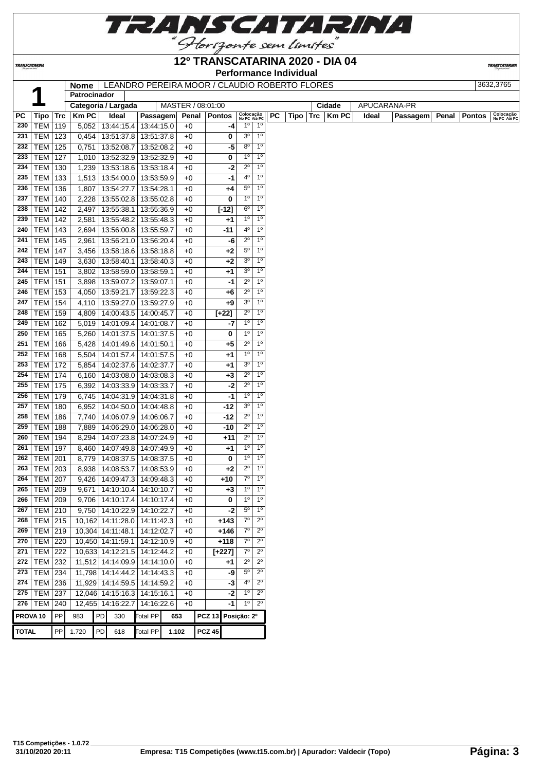

**TRANSCATARINA** 

#### **12º TRANSCATARINA 2020 - DIA 04 Performance Individual**

**TRANSCATARIN** 

**Nome LEANDRO PEREIRA MOOR / CLAUDIO ROBERTO FLORES** 

|                     | Й               |            | norme<br>Patrocinador |            |                                 |       |      | LEAINDRU FEREIRA MUUR / ULAUDIU RUBERTU FLURES |                |                           |           |      |     |        |       |                 |       |               | ວບວ∠,ວ≀ບວ                 |
|---------------------|-----------------|------------|-----------------------|------------|---------------------------------|-------|------|------------------------------------------------|----------------|---------------------------|-----------|------|-----|--------|-------|-----------------|-------|---------------|---------------------------|
|                     |                 |            |                       |            |                                 |       |      |                                                |                |                           |           |      |     |        |       | APUCARANA-PR    |       |               |                           |
|                     |                 |            | Categoria / Largada   |            |                                 |       |      | MASTER / 08:01:00                              |                |                           |           |      |     | Cidade |       |                 |       |               |                           |
| <b>PC</b>           | <b>Tipo</b>     | <b>Trc</b> | <b>Km PC</b>          | Ideal      | Passagem                        |       |      | Penal   Pontos                                 |                | Colocação<br>No PC Até PC | <b>PC</b> | Tipo | Trc | Km PC  | Ideal | <b>Passagem</b> | Penal | <b>Pontos</b> | Colocação<br>No PC Até PC |
| 230                 | <b>TEM</b>      | 119        | 5,052                 |            | 13:44:15.4   13:44:15.0         |       | $+0$ | -4                                             | $1^{\circ}$    | 1 <sup>0</sup>            |           |      |     |        |       |                 |       |               |                           |
| 231                 | <b>TEM</b>      | 123        | 0,454                 |            | 13:51:37.8   13:51:37.8         |       | $+0$ | 0                                              | 3 <sup>o</sup> | 1 <sup>0</sup>            |           |      |     |        |       |                 |       |               |                           |
| 232                 | <b>TEM</b>      | 125        | 0,751                 | 13:52:08.7 | 13:52:08.2                      |       | $+0$ | -5                                             | $8^{\circ}$    | 1 <sup>0</sup>            |           |      |     |        |       |                 |       |               |                           |
| 233                 | <b>TEM</b>      | 127        | 1,010                 |            | 13:52:32.9 13:52:32.9           |       | $+0$ | 0                                              | $1^{\circ}$    | 1 <sup>0</sup>            |           |      |     |        |       |                 |       |               |                           |
| 234                 | TEM             | 130        | 1,239                 |            | 13:53:18.6   13:53:18.4         |       | $+0$ | -2                                             | $2^{\circ}$    | 1 <sup>0</sup>            |           |      |     |        |       |                 |       |               |                           |
| 235                 | <b>TEM</b>      | 133        |                       |            | 1,513   13:54:00.0   13:53:59.9 |       | $+0$ | $-1$                                           | 4 <sup>0</sup> | $1^{\circ}$               |           |      |     |        |       |                 |       |               |                           |
| 236                 | TEM             | 136        | 1,807                 | 13:54:27.7 | 13:54:28.1                      |       | $+0$ | +4                                             | $5^{\circ}$    | 1 <sup>0</sup>            |           |      |     |        |       |                 |       |               |                           |
| 237                 | TEM             | 140        | 2,228                 | 13:55:02.8 | 13:55:02.8                      |       | $+0$ | 0                                              | 1 <sup>0</sup> | 1 <sup>0</sup>            |           |      |     |        |       |                 |       |               |                           |
| 238                 | <b>TEM</b>      | 142        | 2,497                 | 13:55:38.1 | 13:55:36.9                      |       | $+0$ | $[-12]$                                        | $6^{\circ}$    | $1^{\circ}$               |           |      |     |        |       |                 |       |               |                           |
| 239                 | <b>TEM</b>      | 142        | 2,581                 | 13:55:48.2 | 13:55:48.3                      |       | $+0$ | +1                                             | 1 <sup>0</sup> | 1 <sup>0</sup>            |           |      |     |        |       |                 |       |               |                           |
| 240                 | <b>TEM</b>      | 143        | 2,694                 |            | 13:56:00.8   13:55:59.7         |       | $+0$ | -11                                            | 40             | 1 <sup>0</sup>            |           |      |     |        |       |                 |       |               |                           |
| 241                 | <b>TEM</b>      | 145        | 2,961                 | 13:56:21.0 | 13:56:20.4                      |       | $+0$ | -6                                             | $2^{\circ}$    | 1 <sup>0</sup>            |           |      |     |        |       |                 |       |               |                           |
| 242                 | <b>TEM</b>      | 147        | 3,456                 |            | 13:58:18.6   13:58:18.8         |       | $+0$ | $+2$                                           | $5^{\circ}$    | 1 <sup>0</sup>            |           |      |     |        |       |                 |       |               |                           |
| 243                 | TEM             | 149        | 3,630                 | 13:58:40.1 | 13:58:40.3                      |       | $+0$ | +2                                             | 3 <sup>o</sup> | 1 <sup>0</sup>            |           |      |     |        |       |                 |       |               |                           |
| 244                 | <b>TEM</b>      | 151        | 3,802                 | 13:58:59.0 | 13:58:59.1                      |       | $+0$ | +1                                             | 3 <sup>0</sup> | $1^{\circ}$               |           |      |     |        |       |                 |       |               |                           |
| 245                 | TEM             | 151        | 3,898                 |            | 13:59:07.2 13:59:07.1           |       | $+0$ | -1                                             | $2^{\circ}$    | $1^{\circ}$               |           |      |     |        |       |                 |       |               |                           |
| 246                 | TEM             | 153        | 4,050                 | 13:59:21.7 | 13:59:22.3                      |       | $+0$ | $+6$                                           | $2^{\circ}$    | 1 <sup>0</sup>            |           |      |     |        |       |                 |       |               |                           |
| 247                 | TEM             | 154        | 4,110                 |            | 13:59:27.0   13:59:27.9         |       | $+0$ | $+9$                                           | 3 <sup>o</sup> | 1 <sup>0</sup>            |           |      |     |        |       |                 |       |               |                           |
| 248                 | <b>TEM</b>      | 159        | 4,809                 |            | 14:00:43.5   14:00:45.7         |       | $+0$ | $[+22]$                                        | $2^{\circ}$    | 1 <sup>0</sup>            |           |      |     |        |       |                 |       |               |                           |
| 249                 | <b>TEM</b>      | 162        | 5,019                 |            | 14:01:09.4   14:01:08.7         |       | $+0$ | -7                                             | $1^{\circ}$    | 1 <sup>0</sup>            |           |      |     |        |       |                 |       |               |                           |
| 250                 | <b>TEM</b>      | 165        | 5,260                 |            | 14:01:37.5   14:01:37.5         |       | $+0$ | 0                                              | $1^{\circ}$    | 1 <sup>0</sup>            |           |      |     |        |       |                 |       |               |                           |
| 251                 | <b>TEM</b>      | 166        | 5,428                 |            | 14:01:49.6   14:01:50.1         |       | $+0$ | +5                                             | $2^{\circ}$    | $1^{\circ}$               |           |      |     |        |       |                 |       |               |                           |
| 252                 | TEM             | 168        | 5,504                 |            | 14:01:57.4   14:01:57.5         |       | $+0$ | $^{+1}$                                        | 1 <sup>0</sup> | 1 <sup>0</sup>            |           |      |     |        |       |                 |       |               |                           |
| 253                 | TEM             | 172        | 5,854                 |            | 14:02:37.6   14:02:37.7         |       | $+0$ | $^{+1}$                                        | 3 <sup>0</sup> | 1 <sup>0</sup>            |           |      |     |        |       |                 |       |               |                           |
| 254                 | TEM             | 174        |                       |            | 6,160   14:03:08.0   14:03:08.3 |       | $+0$ | +3                                             | $2^{\circ}$    | 1 <sup>0</sup>            |           |      |     |        |       |                 |       |               |                           |
| 255                 | <b>TEM 175</b>  |            | 6,392                 |            | 14:03:33.9 14:03:33.7           |       | $+0$ | $-2$                                           | $2^{\circ}$    | 1 <sup>0</sup>            |           |      |     |        |       |                 |       |               |                           |
| 256                 | TEM             | 179        | 6,745                 |            | 14:04:31.9 14:04:31.8           |       | $+0$ | -1                                             | 1 <sup>0</sup> | 1 <sup>o</sup>            |           |      |     |        |       |                 |       |               |                           |
| 257                 | TEM             | 180        | 6,952                 |            | 14:04:50.0   14:04:48.8         |       | $+0$ | -12                                            | 3 <sup>o</sup> | 1 <sup>0</sup>            |           |      |     |        |       |                 |       |               |                           |
| 258                 | <b>TEM</b>      | 186        | 7,740                 |            | 14:06:07.9 14:06:06.7           |       | $+0$ | $-12$                                          | $2^{\circ}$    | 1 <sup>0</sup>            |           |      |     |        |       |                 |       |               |                           |
| 259                 | <b>TEM</b>      | 188        | 7,889                 |            | 14:06:29.0 14:06:28.0           |       | $+0$ | -10                                            | $2^{\circ}$    | 1 <sup>0</sup>            |           |      |     |        |       |                 |       |               |                           |
| 260                 | <b>TEM</b>      | 194        | 8,294                 | 14:07:23.8 | 14:07:24.9                      |       | $+0$ | +11                                            | $2^{\circ}$    | $1^{\circ}$               |           |      |     |        |       |                 |       |               |                           |
| 261                 | TEM             | 197        | 8,460                 |            | 14:07:49.8   14:07:49.9         |       | $+0$ | +1                                             | 1 <sup>0</sup> | 1 <sup>0</sup>            |           |      |     |        |       |                 |       |               |                           |
| 262                 | TEM             | 201        | 8,779                 |            | 14:08:37.5   14:08:37.5         |       | $+0$ | 0                                              | 1 <sup>0</sup> | 1 <sup>0</sup>            |           |      |     |        |       |                 |       |               |                           |
| 263                 | TEM             | 203        | 8,938                 | 14:08:53.7 | 14:08:53.9                      |       | $+0$ | +2                                             | $2^{\circ}$    | $1^{\circ}$               |           |      |     |        |       |                 |       |               |                           |
| 264                 | TEM             | 207        | 9,426                 | 14:09:47.3 | 14:09:48.3                      |       | $+0$ | +10                                            | $7^\circ$      | $1^{\circ}$               |           |      |     |        |       |                 |       |               |                           |
| 265                 | TEM             | 209        | 9,671                 |            | 14:10:10.4 14:10:10.7           |       | $+0$ | $+3$                                           | $1^{\circ}$    | 1 <sup>0</sup>            |           |      |     |        |       |                 |       |               |                           |
|                     | 266   TEM   209 |            |                       |            | 9,706   14:10:17.4   14:10:17.4 |       | $+0$ | 0                                              | $\overline{6}$ | 1 <sup>0</sup>            |           |      |     |        |       |                 |       |               |                           |
| 267                 | <b>TEM 210</b>  |            |                       |            | 9,750 14:10:22.9 14:10:22.7     |       | $+0$ | $-2$                                           | $5^{\circ}$    | $1^{\circ}$               |           |      |     |        |       |                 |       |               |                           |
| 268                 | <b>TEM 215</b>  |            | 10,162 14:11:28.0     |            | 14:11:42.3                      |       | $+0$ | $+143$                                         | 70             | $2^{\circ}$               |           |      |     |        |       |                 |       |               |                           |
|                     | 269   TEM   219 |            | 10,304 14:11:48.1     |            | 14:12:02.7                      |       | $+0$ | +146                                           | 70             | $2^{\circ}$               |           |      |     |        |       |                 |       |               |                           |
|                     | 270   TEM   220 |            | 10,450 14:11:59.1     |            | 14:12:10.9                      |       | $+0$ | $+118$                                         | 7 <sup>o</sup> | $2^{\circ}$               |           |      |     |        |       |                 |       |               |                           |
|                     | 271   TEM   222 |            |                       |            | 10,633 14:12:21.5 14:12:44.2    |       | $+0$ | $[+227]$                                       | $7^\circ$      | $2^{\circ}$               |           |      |     |        |       |                 |       |               |                           |
|                     | 272   TEM   232 |            |                       |            | 11,512 14:14:09.9 14:14:10.0    |       | $+0$ | +1                                             | $2^{\circ}$    | $2^{\circ}$               |           |      |     |        |       |                 |       |               |                           |
|                     | 273 TEM 234     |            |                       |            | 11,798 14:14:44.2 14:14:43.3    |       | $+0$ | -9                                             | $5^{\circ}$    | $2^{\circ}$               |           |      |     |        |       |                 |       |               |                           |
|                     | 274 TEM 236     |            |                       |            | 11,929 14:14:59.5 14:14:59.2    |       | $+0$ | $-3$                                           | $4^{\circ}$    | $2^{\circ}$               |           |      |     |        |       |                 |       |               |                           |
|                     | 275   TEM   237 |            |                       |            | 12,046 14:15:16.3 14:15:16.1    |       | $+0$ | -2                                             | $1^{\circ}$    | $2^{\circ}$               |           |      |     |        |       |                 |       |               |                           |
|                     | 276   TEM       | 240        | 12,455 14:16:22.7     |            | 14:16:22.6                      |       | $+0$ | -1                                             | 1 <sup>0</sup> | $2^{\circ}$               |           |      |     |        |       |                 |       |               |                           |
|                     |                 |            |                       |            |                                 |       |      |                                                |                |                           |           |      |     |        |       |                 |       |               |                           |
| PROVA <sub>10</sub> |                 | PP         | 983                   | PD<br>330  | <b>Total PP</b>                 | 653   |      | PCZ 13 Posição: 2º                             |                |                           |           |      |     |        |       |                 |       |               |                           |
| <b>TOTAL</b>        |                 | PP         | 1.720                 | PD<br>618  | <b>Total PP</b>                 | 1.102 |      | <b>PCZ 45</b>                                  |                |                           |           |      |     |        |       |                 |       |               |                           |
|                     |                 |            |                       |            |                                 |       |      |                                                |                |                           |           |      |     |        |       |                 |       |               |                           |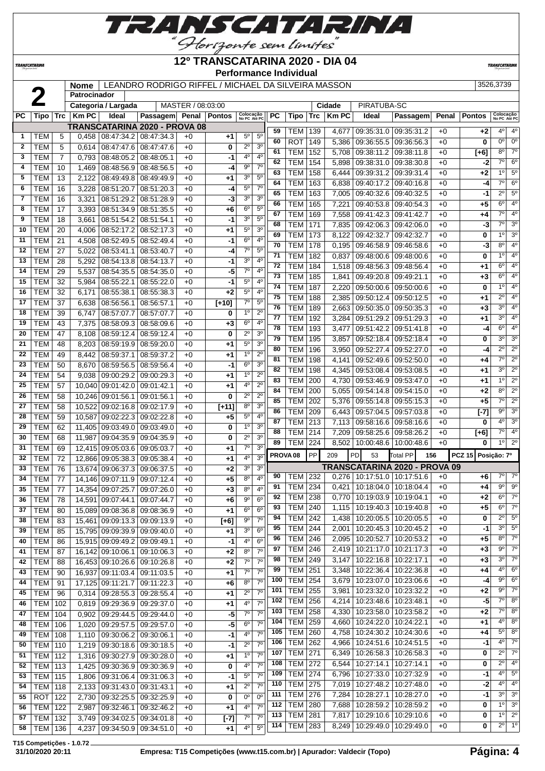

### **12º TRANSCATARINA 2020 - DIA 04**

**TRANSCATARIN** 

**TRANSCATARINA** 

 $\Omega$ 

#### **Performance Individual**

| <b>Nome</b> | LEANDRO RODRIGO RIFFEL / MICHAEL DA SILVEIRA MASSON | 3526.3739 |
|-------------|-----------------------------------------------------|-----------|

|           |                  |                | Patrocinador |                     |                                      |                   |         |                                  |                                  |                     |                |     |              |                                          |                                 |       |                    |                           |                  |
|-----------|------------------|----------------|--------------|---------------------|--------------------------------------|-------------------|---------|----------------------------------|----------------------------------|---------------------|----------------|-----|--------------|------------------------------------------|---------------------------------|-------|--------------------|---------------------------|------------------|
|           |                  |                |              | Categoria / Largada |                                      | MASTER / 08:03:00 |         |                                  |                                  |                     |                |     | Cidade       | PIRATUBA-SC                              |                                 |       |                    |                           |                  |
| <b>PC</b> | Tipo             | Trc            | <b>Km PC</b> | Ideal               | Passagem Penal Pontos                |                   |         | Colocação<br>No PC Até PC        |                                  | <b>PC</b>           | Tipo           | Trc | <b>Km PC</b> | Ideal                                    | Passagem                        | Penal | <b>Pontos</b>      | Colocação<br>No PC Até PC |                  |
|           |                  |                |              |                     | <b>TRANSCATARINA 2020 - PROVA 08</b> |                   |         |                                  |                                  |                     |                |     |              |                                          |                                 |       |                    |                           |                  |
| 1         | TEM              | 5              | 0,458        | 08:47:34.2          | 08:47:34.3                           | $+0$              | +1      | $5^{\circ}$                      | 5 <sup>0</sup>                   | 59                  | <b>TEM</b>     | 139 | 4,677        | 09:35:31.0                               | 09:35:31.2                      | $+0$  | $+2$               | $4^{\circ}$               | 4 <sup>0</sup>   |
| 2         | TEM              | 5              | 0,614        | 08:47:47.6          | 08:47:47.6                           | $+0$              | 0       | $2^{\circ}$                      | 3 <sup>o</sup>                   | 60                  | <b>ROT</b>     | 149 | 5,386        | 09:36:55.5                               | 09:36:56.3                      | $+0$  | 0                  | 0 <sup>o</sup>            | $0^{\circ}$      |
| 3         | TEM              | $\overline{7}$ | 0,793        | 08:48:05.2          | 08:48:05.1                           | $+0$              | -1      | $4^{\circ}$                      | 4 <sup>0</sup>                   | 61                  | <b>TEM</b>     | 152 | 5,708        | 09:38:11.2                               | 09:38:11.8                      | $+0$  | [+6]               | $8^{\circ}$               | $7^\circ$        |
| 4         | <b>TEM</b>       | 10             | 1,469        | 08:48:56.9          | 08:48:56.5                           | $+0$              | -4      | $9^{\circ}$                      | 7 <sup>0</sup>                   | 62                  | <b>TEM</b>     | 154 | 5,898        | 09:38:31.0                               | 09:38:30.8                      | $+0$  | -2                 | 7°                        | $6^{\circ}$      |
| 5         | <b>TEM</b>       | 13             | 2,122        | 08:49:49.8          | 08:49:49.9                           | $+0$              | +1      | 3 <sup>o</sup>                   | 5 <sup>0</sup>                   | 63                  | <b>TEM</b>     | 158 | 6,444        | 09:39:31.2                               | 09:39:31.4                      | $+0$  | +2                 | $1^{\circ}$               | $5^{\circ}$      |
| 6         | <b>TEM</b>       | 16             | 3,228        | 08:51:20.7          | 08:51:20.3                           | $+0$              | -4      | $5^{\rm o}$                      | 7 <sup>0</sup>                   | 64                  | <b>TEM</b>     | 163 | 6,838        | 09:40:17.2                               | 09:40:16.8                      | $+0$  | -4                 | $7^{\circ}$               | $6^{\circ}$      |
| 7         | <b>TEM</b>       | 16             | 3,321        | 08:51:29.2          | 08:51:28.9                           | $+0$              | -3      | 3 <sup>o</sup>                   | 3 <sup>o</sup>                   | 65                  | <b>TEM</b>     | 163 |              | 7,005   09:40:32.6   09:40:32.5          |                                 | $+0$  | -1                 | 20                        | $5^{\circ}$      |
| 8         | <b>TEM</b>       | 17             | 3,393        | 08:51:34.9          | 08:51:35.5                           | $+0$              | $+6$    | $6^{\circ}$                      | $5^{\circ}$                      | 66                  | <b>TEM</b>     | 165 | 7,221        | 09:40:53.8 09:40:54.3                    |                                 | $+0$  | $+5$               | $6^{\circ}$               | 4 <sup>o</sup>   |
| 9         | <b>TEM</b>       | 18             | 3,661        | 08:51:54.2          | 08:51:54.1                           | $+0$              | -1      | 3 <sup>o</sup>                   | $5^{\circ}$                      | 67                  | <b>TEM</b>     | 169 | 7,558        | 09:41:42.3 09:41:42.7                    |                                 | $+0$  | +4                 | $7^{\circ}$               | 4 <sup>o</sup>   |
| 10        | <b>TEM</b>       |                |              |                     |                                      |                   |         | $5^{\rm o}$                      | 3 <sup>o</sup>                   | 68                  | <b>TEM</b>     | 171 | 7,835        | 09:42:06.3 09:42:06.0                    |                                 | $+0$  | -3                 | $\overline{7^\circ}$      | 3 <sup>o</sup>   |
| 11        |                  | 20             | 4,006        | 08:52:17.2          | 08:52:17.3<br>08:52:49.4             | $+0$              | +1      | $6^{\circ}$                      | $4^{\circ}$                      | 69                  | <b>TEM</b>     | 173 | 8,122        | 09:42:32.7                               | 09:42:32.7                      | $+0$  | 0                  | 1°                        | 3 <sup>o</sup>   |
|           | TEM              | 21             | 4,508        | 08:52:49.5          |                                      | $+0$              | -1      | $7^\circ$                        | $5^{\circ}$                      | 70                  | <b>TEM</b>     | 178 | 0,195        | 09:46:58.9 09:46:58.6                    |                                 | $+0$  | -3                 | $8^{\circ}$               | 4 <sup>0</sup>   |
| 12        | <b>TEM</b>       | 27             | 5,022        | 08:53:41.1          | 08:53:40.7                           | $+0$              | -4      |                                  |                                  | 71                  | <b>TEM</b>     | 182 | 0,837        | 09:48:00.6   09:48:00.6                  |                                 | $+0$  | 0                  | $1^{\circ}$               | 4 <sup>0</sup>   |
| 13        | <b>TEM</b>       | 28             | 5,292        | 08:54:13.8          | 08:54:13.7                           | $+0$              | -1      | 3 <sup>o</sup><br>7 <sup>o</sup> | 4 <sup>0</sup><br>4 <sup>0</sup> | 72                  | <b>TEM</b>     | 184 | 1,518        | 09:48:56.3 09:48:56.4                    |                                 | $+0$  | +1                 | $6^{\circ}$               | $4^{\circ}$      |
| 14        | <b>TEM</b>       | 29             | 5,537        | 08:54:35.5          | 08:54:35.0                           | $+0$              | -5      |                                  |                                  | 73                  | <b>TEM</b>     | 185 | 1,841        | $\overline{09:49:20.8}$                  | 09:49:21.1                      | $+0$  | $+3$               | $6^{\circ}$               | 4 <sup>0</sup>   |
| 15        | <b>TEM</b>       | 32             | 5,984        | 08:55:22.1          | 08:55:22.0                           | $+0$              | $-1$    | $5^{\rm o}$                      | 4 <sup>0</sup>                   | 74                  | <b>TEM</b>     | 187 | 2,220        | 09:50:00.6 09:50:00.6                    |                                 | $+0$  | 0                  | 1 <sup>°</sup>            | $4^{\circ}$      |
| 16        | <b>TEM</b>       | 32             | 6,171        | 08:55:38.1          | 08:55:38.3                           | $+0$              | +2      | $5^{\circ}$                      | $4^{\circ}$                      | 75                  | <b>TEM</b>     | 188 | 2,385        | 09:50:12.4 09:50:12.5                    |                                 | $+0$  | $+1$               | $2^{\circ}$               | $4^{\circ}$      |
| 17        | <b>TEM</b>       | 37             | 6,638        | 08:56:56.1          | 08:56:57.1                           | $+0$              | $[+10]$ | $7^\circ$                        | 5 <sup>0</sup>                   | 76                  | <b>TEM</b>     | 189 | 2,663        | 09:50:35.0 09:50:35.3                    |                                 | $+0$  | $+3$               | $3^{\circ}$               | 4 <sup>o</sup>   |
| 18        | <b>TEM</b>       | 39             | 6,747        | 08:57:07.7          | 08:57:07.7                           | $+0$              | 0       | 1 <sup>0</sup>                   | $2^{\circ}$                      | $7\overline{7}$     | <b>TEM</b>     | 192 | 3,284        | 09:51:29.2 09:51:29.3                    |                                 | $+0$  | +1                 | $3^{\circ}$               | 4 <sup>o</sup>   |
| 19        | <b>TEM</b>       | 43             | 7,375        | 08:58:09.3          | 08:58:09.6                           | $+0$              | $+3$    | $6^{\circ}$                      | $4^{\circ}$                      | 78                  | <b>TEM</b>     | 193 | 3,477        | 09:51:42.2                               | 09:51:41.8                      | $+0$  | -4                 | $6^{\circ}$               | $4^{\circ}$      |
| 20        | <b>TEM</b>       | 47             | 8,108        | 08:59:12.4          | 08:59:12.4                           | $+0$              | 0       | $2^{\circ}$                      | 3 <sup>o</sup>                   | 79                  | <b>TEM</b>     | 195 | 3,857        | 09:52:18.4 09:52:18.4                    |                                 | $+0$  | 0                  | 3º                        | 3 <sup>o</sup>   |
| 21        | <b>TEM</b>       | 48             | 8,203        | 08:59:19.9          | 08:59:20.0                           | $+0$              | +1      | $5^{\circ}$                      | 3 <sup>o</sup>                   | 80                  | <b>TEM</b>     | 196 | 3,950        | 09:52:27.4                               | 09:52:27.0                      | $+0$  | -4                 | $2^{\circ}$               | $\overline{2^0}$ |
| 22        | <b>TEM</b>       | 49             | 8,442        | 08:59:37.1          | 08:59:37.2                           | $+0$              | +1      | 1 <sup>0</sup>                   | $2^{\circ}$                      | 81                  | <b>TEM</b>     | 198 | 4,141        | 09:52:49.6 09:52:50.0                    |                                 | $+0$  | +4                 | 7°                        | $\overline{2^0}$ |
| 23        | <b>TEM</b>       | 50             | 8,670        | 08:59:56.5          | 08:59:56.4                           | $+0$              | -1      | $6^{\circ}$                      | 3 <sup>o</sup>                   | 82                  | <b>TEM</b>     | 198 | 4,345        | 09:53:08.4                               | 09:53:08.5                      | $+0$  | +1                 | 3 <sup>o</sup>            | $2^{\circ}$      |
| 24        | <b>TEM</b>       | 54             | 9,038        | 09:00:29.2          | 09:00:29.3                           | $+0$              | +1      | 1 <sup>0</sup>                   | 2 <sup>0</sup>                   | 83                  | <b>TEM</b>     | 200 | 4,730        | 09:53:46.9                               | 09:53:47.0                      | $+0$  | +1                 | 1°                        | $\overline{2^0}$ |
| 25        | <b>TEM</b>       | 57             | 10,040       | 09:01:42.0          | 09:01:42.1                           | $+0$              | +1      | 4°                               | $2^{\circ}$                      | 84                  | <b>TEM</b>     | 200 |              | 5,055   09:54:14.8   09:54:15.0          |                                 | $+0$  | $+2$               | $8^{\circ}$               | $2^{\circ}$      |
| 26        | <b>TEM</b>       | 58             | 10,246       | 09:01:56.1          | 09:01:56.1                           | $+0$              | 0       | $2^{\circ}$                      | $2^{\circ}$                      | 85                  | <b>TEM</b>     | 202 |              | 5,376 09:55:14.8                         | 09:55:15.3                      | $+0$  | +5                 | $7^\circ$                 | $\overline{2^0}$ |
| 27        | <b>TEM</b>       | 58             | 10,522       | 09:02:16.8          | 09:02:17.9                           | $+0$              | $[+11]$ | $8^{\circ}$                      | 3 <sup>o</sup>                   | 86                  | <b>TEM</b>     | 209 | 6,443        | 09:57:04.5 09:57:03.8                    |                                 | $+0$  | $[-7]$             | $9^{\circ}$               | $\overline{3^0}$ |
| 28        | <b>TEM</b>       | 59             | 10,587       | 09:02:22.3          | 09:02:22.8                           | $+0$              | +5      | $5^{\rm o}$                      | $4^{\circ}$                      | 87                  | <b>TEM</b>     | 213 | 7,113        | 09:58:16.6                               | 09:58:16.6                      | $+0$  | 0                  | 4 <sup>o</sup>            | 3 <sup>o</sup>   |
| 29        | <b>TEM</b>       | 62             | 11,405       | 09:03:49.0          | 09:03:49.0                           | $+0$              | 0       | 1 <sup>0</sup>                   | 3 <sup>o</sup>                   | 88                  | <b>TEM</b>     | 214 | 7,209        | 09:58:25.6 09:58:26.2                    |                                 | $+0$  | $[+6]$             | 7°                        | $4^{\circ}$      |
| 30        | <b>TEM</b>       | 68             | 11,987       | 09:04:35.9          | 09:04:35.9                           | $+0$              | 0       | $2^{\circ}$                      | 3 <sup>o</sup>                   | 89                  | <b>TEM</b>     | 224 |              |                                          |                                 | $+0$  | 0                  | 1 <sup>°</sup>            | $2^{\circ}$      |
| 31        | <b>TEM</b>       | 69             | 12.415       | 09:05:03.6          | 09:05:03.7                           | $+0$              | +1      | $7^\circ$                        | 3 <sup>o</sup>                   |                     |                |     |              | 8,502   10:00:48.6   10:00:48.6          |                                 |       |                    |                           |                  |
| 32        | <b>TEM</b>       | 72             | 12,866       | 09:05:38.3          | 09:05:38.4                           | $+0$              | +1      | $4^{\circ}$                      | 3 <sup>0</sup>                   | PROVA <sub>08</sub> |                | PP  | 209          | <b>PD</b><br>53                          | <b>Total PP</b><br>156          |       | PCZ 15 Posição: 7º |                           |                  |
| 33        | <b>TEM</b>       | 76             |              | 13,674 09:06:37.3   | 09:06:37.5                           | $+0$              | +2      | 3 <sup>o</sup>                   | 3 <sup>o</sup>                   |                     |                |     |              |                                          | TRANSCATARINA 2020 - PROVA 09   |       |                    |                           |                  |
| 34        | <b>TEM</b>       | 77             | 14,146       | 09:07:11.9          | 09:07:12.4                           | $+0$              | $+5$    | $8^{\circ}$                      | $4^{\circ}$                      | 90                  | <b>TEM</b>     | 232 |              | $0.276$   10:17:51.0   10:17:51.6        |                                 | $+0$  | +6                 | 7°                        | $7^\circ$        |
| 35        | <b>TEM</b>       | 77             |              | 14,354 09:07:25.7   | 09:07:26.0                           | $+0$              | $+3$    | $8^{\circ}$                      | 4 <sup>0</sup>                   | 91                  | <b>TEM</b>     | 234 | 0,421        | 10:18:04.0   10:18:04.4                  |                                 | $+0$  | $+4$               | $9^{\circ}$               | $9^{\circ}$      |
| 36        | TEM              | 78             |              |                     | 14,591 09:07:44.1 09:07:44.7         | $+0$              | $+6$    | qo                               | 6 <sup>o</sup>                   | 92                  | <b>TEM</b>     | 238 |              | $\overline{0,770}$ 10:19:03.9 10:19:04.1 |                                 | $+0$  | +2                 | $6^{\circ}$               | $7^\circ$        |
| 37        | TEM              | 80             |              |                     | 15,089 09:08:36.8 09:08:36.9         | $+0$              | +1      | 6 <sup>o</sup>                   | 6 <sup>o</sup>                   | 93                  | <b>TEM 240</b> |     |              | 1,115   10:19:40.3   10:19:40.8          |                                 | $+0$  | $+5$               | $6^{\circ}$               | $7^\circ$        |
| 38        | TEM              | 83             | 15,461       | 09:09:13.3          | 09:09:13.9                           | $+0$              | $[+6]$  | 9 <sup>o</sup>                   | $7^\circ$                        | 94                  | <b>TEM 242</b> |     |              | 1,438 10:20:05.5 10:20:05.5              |                                 | $+0$  | 0                  | $2^{\circ}$               | $5^{\circ}$      |
| 39        | <b>TEM</b>       | 85             |              | 15,795 09:09:39.9   | 09:09:40.0                           | $+0$              | +1      | 3 <sup>o</sup>                   | 6 <sup>o</sup>                   | 95                  | <b>TEM 244</b> |     |              | 2,001   10:20:45.3   10:20:45.2          |                                 | $+0$  | -1                 | $3^{\circ}$               | $5^{\circ}$      |
| 40        | <b>TEM</b>       | 86             |              | 15,915 09:09:49.2   | 09:09:49.1                           | $+0$              | $-1$    | 4 <sup>0</sup>                   | $6^{\circ}$                      | 96                  | TEM            | 246 |              | 2,095   10:20:52.7   10:20:53.2          |                                 | $+0$  | +5                 | $8^{\circ}$               | $7^\circ$        |
| 41        | <b>TEM</b>       | 87             |              | 16,142 09:10:06.1   | 09:10:06.3                           | $+0$              | $+2$    | $8^{\circ}$                      | $7^\circ$                        | 97                  | <b>TEM</b>     | 246 |              | 2,419   10:21:17.0   10:21:17.3          |                                 | $+0$  | $+3$               | $9^{\circ}$               | $7^\circ$        |
| 42        | TEM              | 88             |              |                     | 16,453 09:10:26.6 09:10:26.8         | $+0$              | $+2$    | $7^\circ$                        | $7^\circ$                        | 98                  | <b>TEM</b>     | 249 | 3,147        | 10:22:16.8   10:22:17.1                  |                                 | $+0$  | $+3$               | $3^{\circ}$               | $7^\circ$        |
| 43        | TEM              | 90             | 16,937       | 09:11:03.4          | 09:11:03.5                           | $+0$              | $+1$    | $7^\circ$                        | $7^{\circ}$                      | 99                  | <b>TEM</b>     | 251 | 3,348        | 10:22:36.4   10:22:36.8                  |                                 | $+0$  | +4                 | $4^{\circ}$               | 6 <sup>o</sup>   |
| 44        | TEM              | 91             |              | 17,125 09:11:21.7   | 09:11:22.3                           | $+0$              | $+6$    | $8^{\circ}$                      | $7^\circ$                        | 100                 | <b>TEM</b>     | 254 |              | 3,679   10:23:07.0   10:23:06.6          |                                 | $+0$  | -4                 | $9^{\circ}$               | $6^{\circ}$      |
| 45        | TEM              | 96             | 0,314        | 09:28:55.3          | 09:28:55.4                           | $+0$              | $+1$    | $2^{\circ}$                      | $7^{\circ}$                      | 101                 | <b>TEM</b>     | 255 | 3,981        | 10:23:32.0   10:23:32.2                  |                                 | $+0$  | +2                 | 9º                        | $7^\circ$        |
| 46        | <b>TEM   102</b> |                | 0,819        | 09:29:36.9          | 09:29:37.0                           | $+0$              | +1      | $4^{\circ}$                      | $7^\circ$                        | 102                 | <b>TEM</b>     | 256 |              | 4,214   10:23:48.6   10:23:48.1          |                                 | $+0$  | -5                 | $7^\circ$                 | $8^{\circ}$      |
| 47        | <b>TEM 104</b>   |                | 0,902        |                     | 09:29:44.5   09:29:44.0              | $+0$              | $-5$    | $7^\circ$                        | $7^{\circ}$                      | 103                 | <b>TEM</b>     | 258 | 4,330        | 10:23:58.0   10:23:58.2                  |                                 | $+0$  | +2                 | $7^\circ$                 | 8 <sup>o</sup>   |
| 48        | <b>TEM   106</b> |                | 1,020        | 09:29:57.5          | 09:29:57.0                           | $+0$              | -5      | $6^{\circ}$                      | $7^\circ$                        | 104                 | <b>TEM</b>     | 259 |              | 4,660   10:24:22.0   10:24:22.1          |                                 | $+0$  | $+1$               | $4^{\circ}$               | $8^{\circ}$      |
| 49        | TEM              | 108            | 1,110        | 09:30:06.2          | 09:30:06.1                           | $+0$              | -1      | 4°                               | $7^\circ$                        | 105                 | <b>TEM</b>     | 260 |              | 4,758   10:24:30.2   10:24:30.6          |                                 | $+0$  | +4                 | $5^{\circ}$               | $8^{\circ}$      |
| 50        | TEM              | 110            | 1,219        |                     | 09:30:18.6 09:30:18.5                | $+0$              | -1      | $2^{\circ}$                      | $7^\circ$                        | 106                 | <b>TEM</b>     | 262 |              | 4,966   10:24:51.6   10:24:51.5          |                                 | $+0$  | -1                 | $4^{\circ}$               | $7^\circ$        |
| 51        | <b>TEM 112</b>   |                | 1,316        |                     | 09:30:27.9 09:30:28.0                | $+0$              | +1      | $1^{\circ}$                      | 7 <sup>0</sup>                   | 107                 | <b>TEM</b>     | 271 | 6,349        | 10:26:58.3   10:26:58.3                  |                                 | $+0$  | 0                  | $2^{\circ}$               | $7^\circ$        |
| 52        | <b>TEM 113</b>   |                | 1,425        |                     | 09:30:36.9 09:30:36.9                | $+0$              | 0       | 4°                               | $7^\circ$                        | 108                 | <b>TEM</b>     | 272 | 6,544        | 10:27:14.1   10:27:14.1                  |                                 | $+0$  | 0                  | $2^{\circ}$               | $4^{\circ}$      |
| 53        | <b>TEM 115</b>   |                | 1,806        | 09:31:06.4          | 09:31:06.3                           | $+0$              | -1      | $5^{\circ}$                      | $7^\circ$                        | 109                 | <b>TEM</b>     | 274 |              | 6,796   10:27:33.0   10:27:32.9          |                                 | $+0$  | -1                 | $4^{\circ}$               | $5^{\circ}$      |
| 54        | <b>TEM 118</b>   |                | 2,133        | 09:31:43.0          | 09:31:43.1                           | $+0$              | +1      | $2^{\circ}$                      | $7^\circ$                        | 110                 | <b>TEM</b>     | 275 | 7,019        | 10:27:48.2   10:27:48.0                  |                                 | $+0$  | -2                 | $4^{\circ}$               | $4^{\circ}$      |
| 55        | ROT              | 122            | 2,730        | 09:32:25.5          | 09:32:25.9                           | $+0$              | 0       | $0^{\circ}$                      | $0^{\circ}$                      | 111                 | <b>TEM</b>     | 276 | 7,284        | 10:28:27.1   10:28:27.0                  |                                 | $+0$  | -1                 | $3^{\circ}$               | 3 <sup>o</sup>   |
| 56        | <b>TEM 122</b>   |                | 2,987        | 09:32:46.1          | 09:32:46.2                           | $+0$              | $+1$    | 4 <sup>0</sup>                   | $7^{\circ}$                      | 112                 | <b>TEM</b>     | 280 | 7,688        | 10:28:59.2   10:28:59.2                  |                                 | $+0$  | 0                  | $1^{\circ}$               | 3 <sup>o</sup>   |
| 57        | TEM   132        |                | 3,749        | 09:34:02.5          | 09:34:01.8                           | $+0$              | $[-7]$  | $7^\circ$                        | $7^\circ$                        | 113                 | TEM            | 281 |              | 7,817   10:29:10.6   10:29:10.6          |                                 | $+0$  | 0                  | $1^{\circ}$               | $2^{\circ}$      |
|           |                  |                |              |                     |                                      |                   |         |                                  |                                  | 114                 |                | 283 |              |                                          | 8,249   10:29:49.0   10:29:49.0 | $+0$  | 0                  | $2^{\circ}$               | $1^{\circ}$      |
| 58        | <b>TEM 136</b>   |                | 4,237        | 09:34:50.9          | 09:34:51.0                           | $+0$              | +1      | $4^{\circ}$                      | $5^{\circ}$                      |                     | TEM            |     |              |                                          |                                 |       |                    |                           |                  |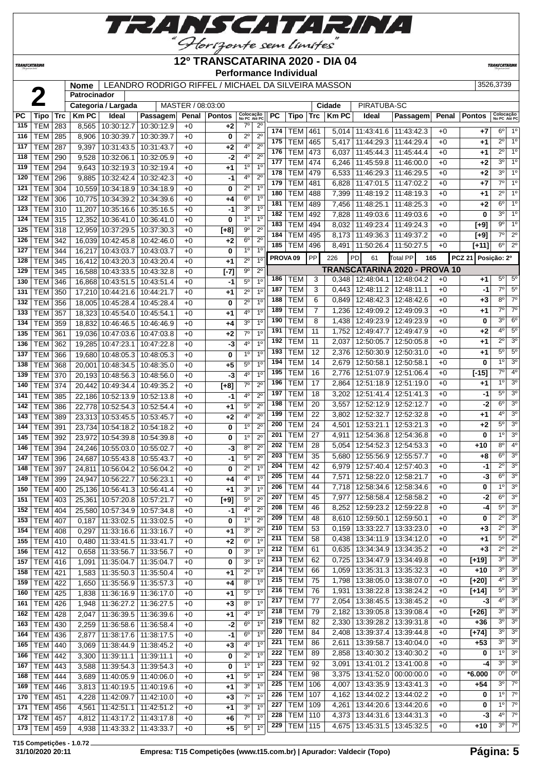

### **12º TRANSCATARINA 2020 - DIA 04**

**Performance Individual**

**TRANSCATARIN** 

**TRANSCATARINA** 

### **Nome** LEANDRO RODRIGO RIFFEL / MICHAEL DA SILVEIRA MASSON 3526,3739 3526,3739

|           |                |            | <b>NOME</b>    |                                  | LEAINDRO RODRIGO RIFFEL/ MIIONAEL DA SILVEIRA MASSON |                   |            |                            |                  |                     |                |                |             |                                 |                               |       |                              | ວວ∠ບ,ວ≀ ວອ                 |                |
|-----------|----------------|------------|----------------|----------------------------------|------------------------------------------------------|-------------------|------------|----------------------------|------------------|---------------------|----------------|----------------|-------------|---------------------------------|-------------------------------|-------|------------------------------|----------------------------|----------------|
|           |                |            | Patrocinador   |                                  |                                                      | MASTER / 08:03:00 |            |                            |                  |                     |                |                |             | PIRATUBA-SC                     |                               |       |                              |                            |                |
|           |                |            |                | Categoria / Largada              |                                                      |                   |            |                            |                  |                     |                |                | Cidade      |                                 |                               |       |                              |                            |                |
| <b>PC</b> | <b>Tipo</b>    | <b>Trc</b> | <b>Km PC</b>   | Ideal                            | Passagem                                             | Penal             | Pontos     | Colocação<br>No PC Até PC  |                  | <b>PC</b>           | Tipo           |                | $Trc$ Km PC | Ideal                           | Passagem                      | Penal | <b>Pontos</b>                | Colocação<br>No PC Até PC  |                |
| 115       | <b>TEM</b>     | 283        | 8,565          | 10:30:12.7                       | 10:30:12.9                                           | $+0$              | $+2$       | $7^\circ$                  | $2^{\circ}$      | 174                 | TEM            | 461            | 5,014       | 11:43:41.6   11:43:42.3         |                               | $+0$  | +7                           | $6^{\circ}$                | $1^{\circ}$    |
| 116       | <b>TEM</b>     | 285        | 8,906          | 10:30:39.7                       | 10:30:39.7                                           | $+0$              | 0          | $2^{\circ}$                | $2^{\circ}$      | 175                 | <b>TEM</b>     | 465            | 5,417       | 11:44:29.3                      | 11:44:29.4                    | $+0$  | +1                           | $2^{\circ}$                | 1 <sup>°</sup> |
| 117       | <b>TEM</b>     | 287        | 9,397          | 10:31:43.5                       | 10:31:43.7                                           | $+0$              | +2         | 4 <sup>0</sup>             | $\overline{2^0}$ | 176                 | <b>TEM</b>     | 473            | 6,037       | 11:45:44.3                      | 11:45:44.4                    | $+0$  | +1                           | $2^{\circ}$                | $1^{\circ}$    |
| 118       | <b>TEM</b>     | 290        | 9,528          | 10:32:06.1                       | 10:32:05.9                                           | $+0$              | $-2$       | 40                         | 2 <sup>0</sup>   | 177                 | <b>TEM</b>     | 474            | 6,246       | 11:45:59.8   11:46:00.0         |                               | $+0$  | +2                           | $3^\circ$                  | 1 <sup>0</sup> |
| 119       | <b>TEM</b>     | 294        | 9,643          | 10:32:19.3 10:32:19.4            |                                                      | $+0$              | $+1$       | 1 <sup>0</sup>             | 1 <sup>0</sup>   | 178                 | TEM            | 479            | 6,533       | 11:46:29.3   11:46:29.5         |                               | $+0$  | +2                           | $3^{\circ}$                | 1 <sup>°</sup> |
| 120       | <b>TEM</b>     | 296        | 9,885          | 10:32:42.4                       | 10:32:42.3                                           | $+0$              | -1         | 4°                         | 2 <sup>0</sup>   | 179                 | <b>TEM</b>     | 481            | 6,828       | 11:47:01.5   11:47:02.2         |                               | $+0$  | $+7$                         | 7°                         | 1 <sup>°</sup> |
| 121       | <b>TEM</b>     | 304        |                | 10,559 10:34:18.9                | 10:34:18.9                                           | $+0$              | 0          | $2^{\circ}$                | 1 <sup>0</sup>   | 180                 | <b>TEM</b>     | 488            | 7,399       | 11:48:19.2 11:48:19.3           |                               | $+0$  | +1                           | $2^{\circ}$                | 1 <sup>°</sup> |
| 122       | <b>TEM</b>     | 306        |                | 10,775 10:34:39.2                | 10:34:39.6                                           | $+0$              | +4         | $6^{\circ}$                | $1^{\circ}$      | 181                 | <b>TEM</b>     | 489            | 7,456       | 11:48:25.1                      | 11:48:25.3                    | $+0$  | $+2$                         | $6^{\circ}$                | 1 <sup>0</sup> |
| 123       | <b>TEM</b>     | 310        | 11,207         | 10:35:16.6                       | 10:35:16.5                                           | $+0$              | -1         | 3 <sup>o</sup>             | 1 <sup>0</sup>   | 182                 | <b>TEM</b>     | 492            | 7,828       | 11:49:03.6                      | 11:49:03.6                    | $+0$  | 0                            | $3^{\circ}$                | 1 <sup>0</sup> |
| 124       | <b>TEM</b>     | 315        |                | 12,352 10:36:41.0                | 10:36:41.0                                           | $+0$              | 0          | 1 <sup>0</sup>             | 1 <sup>0</sup>   | 183                 | <b>TEM</b>     | 494            | 8,032       | 11:49:23.4                      | 11:49:24.3                    | $+0$  | $[+9]$                       | $9^{\circ}$                | 1 <sup>°</sup> |
| 125       | <b>TEM</b>     | 318        |                | 12,959 10:37:29.5                | 10:37:30.3                                           | $+0$              | $[+8]$     | $9^{\rm o}$                | $\overline{2^0}$ | 184                 | <b>TEM</b>     | 495            | 8,173       | 11:49:36.3                      | 11:49:37.2                    | $+0$  | $[+9]$                       | $7^\circ$                  | $2^{\circ}$    |
| 126       | <b>TEM</b>     | 342        |                | 16,039 10:42:45.8                | 10:42:46.0                                           | $+0$              | $+2$       | $6^{\circ}$                | $2^{\circ}$      | 185                 | <b>TEM</b>     | 496            | 8,491       | 11:50:26.4   11:50:27.5         |                               | $+0$  | $[+11]$                      | $6^{\circ}$                | $2^{\circ}$    |
| 127       | <b>TEM</b>     | 344        | 16,217         | 10:43:03.7                       | 10:43:03.7                                           | $+0$              | 0          | 1 <sup>0</sup>             | 1 <sup>0</sup>   | PROVA <sub>09</sub> |                | PP             | 226         | PD<br>61                        | <b>Total PP</b><br>165        |       | <b>PCZ 21</b><br>Posição: 2º |                            |                |
| 128       | <b>TEM</b>     | 345        |                | 16,412 10:43:20.3 10:43:20.4     |                                                      | $+0$              | $+1$       | $2^{\circ}$                | 10               |                     |                |                |             |                                 |                               |       |                              |                            |                |
| 129       | <b>TEM</b>     | 345        |                | 16,588 10:43:33.5 10:43:32.8     |                                                      | $+0$              | $[ -7]$    | 90                         | $2^{\circ}$      |                     |                |                |             |                                 | TRANSCATARINA 2020 - PROVA 10 |       |                              | $5^{\circ}$                | $5^{\circ}$    |
| 130       | <b>TEM</b>     | 346        |                | 16,868 10:43:51.5                | 10:43:51.4                                           | $+0$              | -1         | 50                         | 1 <sup>0</sup>   | 186                 | TEM            | 3              | 0,348       | 12:48:04.1 12:48:04.2           |                               | $+0$  | +1                           |                            |                |
| 131       | <b>TEM</b>     | 350        |                | 17,210 10:44:21.6                | 10:44:21.7                                           | $+0$              | $+1$       | $2^{\circ}$                | 1 <sup>0</sup>   | 187                 | <b>TEM</b>     | 3              | 0,443       | 12:48:11.2                      | 12:48:11.1                    | $+0$  | -1                           | $7^\circ$                  | $5^\circ$      |
| 132       | <b>TEM</b>     | 356        |                | 18,005 10:45:28.4                | 10:45:28.4                                           | $+0$              | 0          | $2^{\circ}$                | 1 <sup>0</sup>   | 188                 | <b>TEM</b>     | 6              | 0,849       | 12:48:42.3   12:48:42.6         |                               | $+0$  | +3                           | $8^{\circ}$                | $7^\circ$      |
| 133       | <b>TEM</b>     | 357        |                | 18,323 10:45:54.0                | 10:45:54.1                                           | $+0$              | $+1$       | 4 <sup>0</sup>             | 1 <sup>0</sup>   | 189                 | TEM            | $\overline{7}$ | 1,236       | 12:49:09.2   12:49:09.3         |                               | $+0$  | +1                           | $7^{\circ}$                | $7^\circ$      |
| 134       | <b>TEM</b>     | 359        |                | 18,832 10:46:46.5                | 10:46:46.9                                           | $+0$              | $+4$       | 30                         | 1 <sup>0</sup>   | 190                 | <b>TEM</b>     | 8              | 1,438       |                                 | 12:49:23.9   12:49:23.9       | $+0$  | 0                            | $3^{\circ}$                | $6^{\circ}$    |
| 135       | <b>TEM</b>     | 361        |                | 19,036 10:47:03.6 10:47:03.8     |                                                      | $+0$              | +2         | $7^\circ$                  | 1 <sup>0</sup>   | 191                 | <b>TEM</b>     | 11             | 1,752       |                                 | 12:49:47.7   12:49:47.9       | $+0$  | +2                           | $4^{\circ}$                | $5^\circ$      |
| 136       | <b>TEM</b>     | 362        |                | 19,285 10:47:23.1                | 10:47:22.8                                           | $+0$              | -3         | 4°                         | 1 <sup>0</sup>   | 192                 | <b>TEM</b>     | 11             | 2,037       | 12:50:05.7                      | 12:50:05.8                    | $+0$  | +1                           | $2^{\circ}$                | $3^{\circ}$    |
| 137       | <b>TEM</b>     | 366        |                | 19,680 10:48:05.3                | 10:48:05.3                                           | $+0$              | 0          | 1 <sup>0</sup>             | 1 <sup>0</sup>   | 193                 | <b>TEM</b>     | 12             | 2,376       |                                 | 12:50:30.9   12:50:31.0       | $+0$  | +1                           | $5^{\circ}$                | 5 <sup>0</sup> |
| 138       | <b>TEM</b>     | 368        |                | 20,001 10:48:34.5 10:48:35.0     |                                                      | $+0$              | $+5$       | $5^{\rm o}$                | 1 <sup>0</sup>   | 194                 | <b>TEM</b>     | 14             | 2,679       | 12:50:58.1                      | 12:50:58.1                    | $+0$  | 0                            | 1 <sup>°</sup>             | 3 <sup>o</sup> |
| 139       | <b>TEM</b>     | 370        |                | 20,193 10:48:56.3                | 10:48:56.0                                           | $+0$              | -3         | 4°                         | 1 <sup>0</sup>   | 195                 | <b>TEM</b>     | 16             | 2,776       |                                 | 12:51:07.9 12:51:06.4         | $+0$  | $[-15]$                      | $7^\circ$                  | $4^{\circ}$    |
| 140       | <b>TEM</b>     | 374        |                | 20,442 10:49:34.4                | 10:49:35.2                                           | $+0$              | $[+8]$     | $7^\circ$                  | $2^{\circ}$      | 196                 | <b>TEM</b>     | 17             | 2,864       |                                 | 12:51:18.9   12:51:19.0       | $+0$  | +1                           | $1^{\circ}$                | 3 <sup>o</sup> |
| 141       | <b>TEM</b>     | 385        |                | 22,186 10:52:13.9                | 10:52:13.8                                           | $+0$              | -1         | 4 <sup>0</sup>             | $2^{\circ}$      | 197                 | <b>TEM</b>     | 18             | 3,202       |                                 | 12:51:41.4   12:51:41.3       | $+0$  | -1                           | $5^\circ$                  | 3 <sup>o</sup> |
| 142       | <b>TEM</b>     | 386        |                | 22,778 10:52:54.3 10:52:54.4     |                                                      | $+0$              | $+1$       | 50                         | $\overline{2^0}$ | 198                 | <b>TEM</b>     | 20             | 3,557       | 12:52:12.9   12:52:12.7         |                               | $+0$  | -2                           | $6^{\circ}$                | 3 <sup>0</sup> |
| 143       | <b>TEM</b>     | 389        |                | 23,313 10:53:45.5                | 10:53:45.7                                           | $+0$              | $+2$       | 40                         | $2^{\circ}$      | 199                 | <b>TEM</b>     | 22             | 3,802       |                                 | 12:52:32.7   12:52:32.8       | $+0$  | +1                           | $4^{\circ}$                | 3 <sup>o</sup> |
| 144       | <b>TEM</b>     | 391        |                | 23,734 10:54:18.2                | 10:54:18.2                                           | $+0$              | 0          | 1 <sup>0</sup>             | 2 <sup>0</sup>   | 200                 | <b>TEM</b>     | 24             | 4,501       |                                 | 12:53:21.1   12:53:21.3       | $+0$  | +2                           | $5^\circ$                  | 3 <sup>o</sup> |
| 145       | <b>TEM</b>     | 392        | 23,972         | 10:54:39.8                       | 10:54:39.8                                           | $+0$              | 0          | 1 <sup>0</sup>             | $\overline{2^0}$ | 201                 | <b>TEM</b>     | 27             | 4,911       | 12:54:36.8                      | 12:54:36.8                    | $+0$  | 0                            | 1 <sup>0</sup>             | 3 <sup>o</sup> |
| 146       | <b>TEM</b>     | 394        |                | 24.246 10:55:03.0                | 10:55:02.7                                           | $+0$              | -3         | $8^{\circ}$                | $2^{\circ}$      | 202                 | <b>TEM</b>     | 28             | 5,054       |                                 | 12:54:52.3 12:54:53.3         | $+0$  | +10                          | $8^{\circ}$                | 4 <sup>0</sup> |
| 147       | <b>TEM</b>     | 396        | 24,687         | 10:55:43.8                       | 10:55:43.7                                           | $+0$              | $-1$       | $5^{\circ}$                | 2 <sup>0</sup>   | 203                 | <b>TEM</b>     | 35             | 5,680       | 12:55:56.9                      | 12:55:57.7                    | $+0$  | +8                           | $6^{\circ}$                | 3 <sup>o</sup> |
| 148       | <b>TEM</b>     | 397        | 24,811         | 10:56:04.2                       | 10:56:04.2                                           | $+0$              | 0          | $2^{\circ}$                | 1 <sup>0</sup>   | 204                 | <b>TEM</b>     | 42             | 6,979       | 12:57:40.4                      | 12:57:40.3                    | $+0$  | -1                           | $2^{\circ}$                | 3 <sup>o</sup> |
| 149       | <b>TEM</b>     | 399        | 24,947         | 10:56:22.7                       | 10:56:23.1                                           | $+0$              | +4         | 4º                         | 1 <sup>0</sup>   | 205                 | <b>TEM</b>     | 44             | 7,571       | 12:58:22.0                      | 12:58:21.7                    | $+0$  | -3                           | $6^{\circ}$                | 3 <sup>0</sup> |
| 150       | <b>TEM 400</b> |            |                | 25,136 10:56:41.3 10:56:41.4     |                                                      | $+0$              | $+1$       | 30                         | 1 <sup>0</sup>   | 206                 | <b>TEM</b>     | 44             | 7,718       | 12:58:34.6   12:58:34.6         |                               | $+0$  | 0                            | 1 <sup>0</sup>             | 3 <sup>o</sup> |
| 151       | TEM   403      |            |                | 25,361   10:57:20.8   10:57:21.7 |                                                      | $+0$              | $[+9]$     | $5^{\circ}$                | $2^{\circ}$      | 207                 | <b>TEM</b>     | 45             | 7,977       | 12:58:58.4 12:58:58.2           |                               | $+0$  | $-2$                         |                            | $6^{\circ}$ 3° |
| 152       | <b>TEM 404</b> |            |                | 25,580 10:57:34.9 10:57:34.8     |                                                      | $+0$              | -1         | 4°                         | $2^{\circ}$      | 208                 | <b>TEM</b>     | 46             |             | 8,252   12:59:23.2   12:59:22.8 |                               | $+0$  | $-4$                         | $5^{\circ}$                | $3^{\circ}$    |
| 153       | <b>TEM 407</b> |            |                | 11:33:02.5                       | 11:33:02.5                                           | $+0$              | 0          | $1^{\circ}$                | $2^{\circ}$      | 209                 | <b>TEM</b>     | 48             |             | 8,610   12:59:50.1   12:59:50.1 |                               | +0    | 0                            | $2^{\circ}$                | 3 <sup>o</sup> |
| 154       | <b>TEM 408</b> |            | 0,187          | 11:33:16.6                       |                                                      |                   |            | 30                         | $\overline{2^0}$ | 210                 | <b>TEM</b>     | 53             | 0,159       | 13:33:22.7   13:33:23.0         |                               | +0    | +3                           | $2^{\circ}$                | 3 <sup>o</sup> |
| 155       | TEM 410        |            | 0,297<br>0,480 | 11:33:41.5                       | 11:33:16.7<br>11:33:41.7                             | $+0$<br>$+0$      | +1<br>$+2$ | 6 <sup>o</sup>             | 1 <sup>0</sup>   | 211                 | TEM            | 58             | 0,438       |                                 | 13:34:11.9   13:34:12.0       | $+0$  | +1                           | $5^{\circ}$                | $2^{\circ}$    |
| 156       | TEM 412        |            |                | 11:33:56.7 11:33:56.7            |                                                      |                   | 0          | 3 <sup>o</sup>             | 1 <sup>0</sup>   | 212                 | <b>TEM</b>     | 61             | 0,635       | 13:34:34.9 13:34:35.2           |                               | $+0$  | +3                           | $2^{\circ}$                | $2^{\circ}$    |
| 157       |                |            | 0,658          |                                  |                                                      | $+0$              |            | 3 <sup>o</sup>             | 1 <sup>0</sup>   | 213                 | <b>TEM</b>     | 62             | 0,725       | 13:34:47.9   13:34:49.8         |                               | $+0$  | $[+19]$                      | $3^{\circ}$                | 3 <sup>o</sup> |
|           | <b>TEM 416</b> |            | 1,091          | 11:35:04.7                       | 11:35:04.7                                           | $+0$              | 0          | $2^{\circ}$                | 1 <sup>0</sup>   | 214                 | TEM            | 66             | 1,059       | 13:35:31.3   13:35:32.3         |                               | +0    | $+10$                        | $3^{\circ}$                | 3 <sup>o</sup> |
| 158       | TEM   421      |            | 1,583          | 11:35:50.3   11:35:50.4          |                                                      | $+0$              | $+1$       |                            | 1 <sup>0</sup>   | 215                 | <b>TEM</b>     | 75             | 1,798       | 13:38:05.0   13:38:07.0         |                               | +0    | $[+20]$                      | $4^{\circ}$                | $3^{\circ}$    |
| 159       | $TEM$ 422      |            | 1,650          | 11:35:56.9                       | 11:35:57.3                                           | $+0$              | +4         | $8^{\circ}$<br>$5^{\circ}$ | 1 <sup>0</sup>   | 216                 | <b>TEM</b>     | 76             | 1,931       | 13:38:22.8   13:38:24.2         |                               | $+0$  | $[+14]$                      | $5^{\circ}$                | $3^\circ$      |
| 160       | TEM 425        |            | 1,838          | 11:36:16.9   11:36:17.0          |                                                      | $+0$              | $+1$       |                            |                  | 217                 | <b>TEM</b>     | 77             | 2,054       | 13:38:45.5   13:38:45.2         |                               | $+0$  | -3                           | $4^{\circ}$                | $3^{\circ}$    |
| 161       | <b>TEM 426</b> |            | 1,948          | 11:36:27.2 11:36:27.5            |                                                      | $+0$              | $+3$       | $8^{\circ}$                | 1 <sup>0</sup>   | 218                 | <b>TEM</b>     | 79             |             | 2,182   13:39:05.8   13:39:08.4 |                               | $+0$  | $[+26]$                      | $3^{\circ}$                | 3 <sup>o</sup> |
| 162       | <b>TEM 428</b> |            | 2,047          | 11:36:39.5                       | 11:36:39.6                                           | $+0$              | +1         | 40                         | 1 <sup>0</sup>   | 219                 | <b>TEM</b>     | 82             | 2,330       | 13:39:28.2   13:39:31.8         |                               | $+0$  | +36                          | $3^{\circ}$                | $3^{\circ}$    |
| 163       | TEM 430        |            | 2,259          | 11:36:58.6                       | 11:36:58.4                                           | $+0$              | $-2$       | $6^{\circ}$                | 1 <sup>0</sup>   | 220                 | <b>TEM</b>     | 84             | 2,408       |                                 | 13:39:37.4   13:39:44.8       | $+0$  | $[+74]$                      | $3^{\circ}$                | 3 <sup>o</sup> |
| 164       | <b>TEM 436</b> |            | 2,877          | 11:38:17.6                       | 11:38:17.5                                           | $+0$              | $-1$       | $6^{\circ}$                | 1 <sup>0</sup>   | 221                 | <b>TEM</b>     | 86             | 2,611       |                                 | 13:39:58.7   13:40:04.0       | $+0$  | $+53$                        | $3^{\circ}$                | 3 <sup>o</sup> |
| 165       | <b>TEM 440</b> |            | 3,069          | 11:38:44.9   11:38:45.2          |                                                      | $+0$              | $+3$       | 4°                         | 1 <sup>0</sup>   | 222                 |                |                |             |                                 |                               |       |                              | $1^{\circ}$                | 3 <sup>o</sup> |
| 166       | <b>TEM 442</b> |            | 3,300          | 11:39:11.1   11:39:11.1          |                                                      | $+0$              | 0          | $2^{\circ}$                | 1 <sup>0</sup>   |                     | <b>TEM</b>     | 89             | 2,858       | 13:40:30.2   13:40:30.2         |                               | $+0$  | 0                            | 3 <sup>0</sup>             | 3 <sup>o</sup> |
| 167       | $TEM$ 443      |            | 3,588          | 11:39:54.3                       | 11:39:54.3                                           | $+0$              | 0          | $1^{\circ}$                | 1 <sup>0</sup>   | 223                 | TEM            | 92             | 3,091       |                                 | 13:41:01.2   13:41:00.8       | $+0$  | -4                           | 0 <sup>0</sup>             | 0 <sup>o</sup> |
| 168       | <b>TEM 444</b> |            | 3,689          | 11:40:05.9   11:40:06.0          |                                                      | $+0$              | $+1$       | $5^{\circ}$                | 1 <sup>0</sup>   | 224                 | <b>TEM</b>     | 98             | 3,375       | 13:41:52.0   00:00:00.0         |                               | $+0$  | *6.000                       |                            |                |
| 169       | TEM 446        |            | 3,813          | 11:40:19.5   11:40:19.6          |                                                      | $+0$              | $+1$       | 3 <sup>o</sup>             | 1 <sup>0</sup>   | 225                 | TEM            | 106            | 4,007       |                                 | 13:43:35.9   13:43:41.3       | +0    | +54                          | $3^{\circ}$<br>$1^{\circ}$ | $7^\circ$      |
| 170       | TEM   451      |            | 4,228          | 11:42:09.7                       | 11:42:10.0                                           | $+0$              | $+3$       | $7^\circ$                  | 1 <sup>0</sup>   | 226                 | <b>TEM</b>     | 107            | 4,162       | 13:44:02.2   13:44:02.2         |                               | $+0$  | 0                            |                            | $7^\circ$      |
| 171       | <b>TEM 456</b> |            | 4,561          | 11:42:51.1   11:42:51.2          |                                                      | $+0$              | +1         | 30                         | 1 <sup>0</sup>   | 227                 | <b>TEM</b>     | 109            |             | 4,261   13:44:20.6   13:44:20.6 |                               | $+0$  | 0                            | $1^{\circ}$                | $7^\circ$      |
| 172       | <b>TEM 457</b> |            | 4,812          | 11:43:17.2                       | 11:43:17.8                                           | $+0$              | +6         | 70                         | 1 <sup>0</sup>   | 228                 | <b>TEM</b>     | 110            | 4,373       | 13:44:31.6   13:44:31.3         |                               | +0    | -3                           | $4^{\circ}$                | $7^\circ$      |
| 173       | <b>TEM 459</b> |            |                | 4,938   11:43:33.2   11:43:33.7  |                                                      | $+0$              | $+5$       | $5^{\circ}$                | 10               | 229                 | <b>TEM 115</b> |                |             | 4,675   13:45:31.5   13:45:32.5 |                               | $+0$  | $+10$                        | $3^{\circ}$                | $7^\circ$      |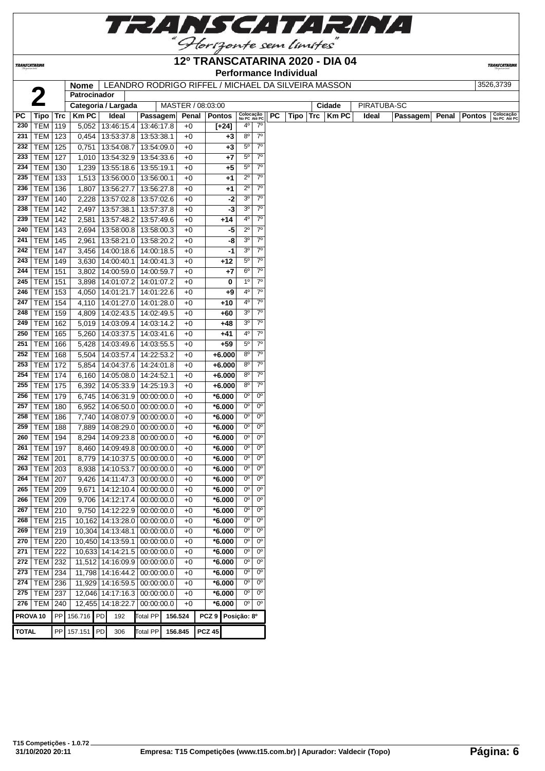

TRANSCATARINA

#### **12º TRANSCATARINA 2020 - DIA 04 Performance Individual**

**TRANSCATARINA** 

**Nome** LEANDRO RODRIGO RIFFEL / MICHAEL DA SILVEIRA MASSON

| 26,3739 |
|---------|
|         |

|              |                     |            | Nome l<br>Patrocinador | LEAINDRO RODRIGO RIFFEL/ MIIGHAEL DA SILVEIRA MASSON |            |                   |                   |       |                                  |             |    |      |     |        |             |          |       |               | ວວ∠ບ,ວ <i>≀</i> ວອ        |
|--------------|---------------------|------------|------------------------|------------------------------------------------------|------------|-------------------|-------------------|-------|----------------------------------|-------------|----|------|-----|--------|-------------|----------|-------|---------------|---------------------------|
|              | $\overline{2}$      |            |                        |                                                      |            |                   |                   |       |                                  |             |    |      |     |        |             |          |       |               |                           |
|              |                     |            |                        | Categoria / Largada                                  |            | MASTER / 08:03:00 |                   |       |                                  |             |    |      |     | Cidade | PIRATUBA-SC |          |       |               |                           |
| PC           | <b>Tipo</b>         | <b>Trc</b> | <b>KmPC</b>            | Ideal                                                | Passagem   | Penal             | <b>Pontos</b>     |       | Colocação<br>No PC Até PC        |             | PC | Tipo | Trc | Km PC  | Ideal       | Passagem | Penal | <b>Pontos</b> | Colocação<br>No PC Até PC |
| 230          | <b>TEM</b>          | 119        |                        | 5,052   13:46:15.4   13:46:17.8                      |            | $+0$              | $[+24]$           |       | $4^{\circ}$                      | $7^\circ$   |    |      |     |        |             |          |       |               |                           |
| 231          | <b>TEM</b>          | 123        |                        | 0,454 13:53:37.8                                     | 13:53:38.1 | +0                |                   | +3    | $8^{\circ}$                      | $7^\circ$   |    |      |     |        |             |          |       |               |                           |
| 232          | <b>TEM</b>          | 125        | 0,751                  | 13:54:08.7                                           | 13:54:09.0 | +0                |                   | $+3$  | $5^{\circ}$                      | $7^\circ$   |    |      |     |        |             |          |       |               |                           |
| 233          | <b>TEM</b>          | 127        |                        | 1,010 13:54:32.9                                     | 13:54:33.6 | $+0$              |                   | $+7$  | $5^{\circ}$                      | $7^{\circ}$ |    |      |     |        |             |          |       |               |                           |
| 234          | TEM                 | 130        |                        | 1,239 13:55:18.6                                     | 13:55:19.1 | $+0$              |                   | +5    | 5 <sup>o</sup><br>7 <sup>o</sup> |             |    |      |     |        |             |          |       |               |                           |
| 235          | TEM                 | 133        |                        | 1,513   13:56:00.0   13:56:00.1                      |            | $+0$              |                   | $+1$  | $2^{\circ}$                      | $7^\circ$   |    |      |     |        |             |          |       |               |                           |
| 236          | TEM                 | 136        |                        | 1,807 13:56:27.7                                     | 13:56:27.8 | $+0$              |                   | +1    | $2^{\circ}$                      | $7^{\circ}$ |    |      |     |        |             |          |       |               |                           |
| 237          | <b>TEM</b>          | 140        |                        | 2,228 13:57:02.8                                     | 13:57:02.6 | $+0$              |                   | $-2$  | 3 <sup>o</sup>                   | $7^{\circ}$ |    |      |     |        |             |          |       |               |                           |
| 238          | <b>TEM</b>          | 142        |                        | 2,497 13:57:38.1                                     | 13:57:37.8 | $+0$              |                   | -3    | 3 <sup>o</sup>                   | $7^\circ$   |    |      |     |        |             |          |       |               |                           |
| 239          | <b>TEM</b>          | 142        | 2,581                  | 13:57:48.2                                           | 13:57:49.6 | $+0$              |                   | $+14$ | 4°                               | $7^{\circ}$ |    |      |     |        |             |          |       |               |                           |
| 240          | <b>TEM</b>          | 143        | 2,694                  | 13:58:00.8                                           | 13:58:00.3 | $+0$              |                   | -5    | $2^{\circ}$                      | $7^{\circ}$ |    |      |     |        |             |          |       |               |                           |
| 241          | <b>TEM</b>          | 145        | 2,961                  | 13:58:21.0                                           | 13:58:20.2 | $+0$              |                   | -8    | 3 <sup>o</sup>                   | $7^{\circ}$ |    |      |     |        |             |          |       |               |                           |
| 242          | <b>TEM</b>          | 147        | 3,456                  | 14:00:18.6                                           | 14:00:18.5 | $+0$              |                   | -1    | 3 <sup>o</sup>                   | $7^{\circ}$ |    |      |     |        |             |          |       |               |                           |
| 243          | TEM                 | 149        |                        | 3,630 14:00:40.1                                     | 14:00:41.3 | $+0$              |                   | +12   | $5^{\circ}$                      | $7^\circ$   |    |      |     |        |             |          |       |               |                           |
| 244          | TEM                 | 151        |                        | 3,802 14:00:59.0                                     | 14:00:59.7 | $+0$              |                   | $+7$  | $6^{\circ}$                      | $7^\circ$   |    |      |     |        |             |          |       |               |                           |
| 245          | <b>TEM</b>          | 151        |                        | 3,898 14:01:07.2                                     | 14:01:07.2 | $+0$              |                   | 0     | 1 <sup>0</sup>                   | $7^{\circ}$ |    |      |     |        |             |          |       |               |                           |
| 246          | <b>TEM</b>          | 153        |                        | 4,050 14:01:21.7                                     | 14:01:22.6 | $+0$              |                   | +9    | 4°                               | $7^{\circ}$ |    |      |     |        |             |          |       |               |                           |
| 247          | <b>TEM</b>          | 154        |                        | 4,110 14:01:27.0                                     | 14:01:28.0 | $+0$              |                   | $+10$ | $4^{\circ}$                      | $7^\circ$   |    |      |     |        |             |          |       |               |                           |
| 248          | TEM                 | 159        | 4,809                  | 14:02:43.5                                           | 14:02:49.5 | $+0$              |                   | $+60$ | 3 <sup>o</sup>                   | $7^{\circ}$ |    |      |     |        |             |          |       |               |                           |
| 249          | <b>TEM</b>          | 162        |                        | $5,019$   14:03:09.4                                 | 14:03:14.2 | $+0$              |                   | $+48$ | 3 <sup>o</sup>                   | $7^{\circ}$ |    |      |     |        |             |          |       |               |                           |
| 250          | <b>TEM</b>          | 165        | 5,260                  | 14:03:37.5                                           | 14:03:41.6 | +0                |                   | +41   | 40                               | $7^\circ$   |    |      |     |        |             |          |       |               |                           |
| 251          | <b>TEM</b>          | 166        |                        | 5,428 14:03:49.6                                     | 14:03:55.5 | $+0$              |                   | $+59$ | $5^{\circ}$                      | $7^\circ$   |    |      |     |        |             |          |       |               |                           |
| 252          | <b>TEM</b>          | 168        |                        | 5,504 14:03:57.4                                     | 14:22:53.2 | +0                | $+6.000$          |       | $8^{\circ}$                      | $7^{\circ}$ |    |      |     |        |             |          |       |               |                           |
| 253          | TEM                 | 172        |                        | 5,854   14:04:37.6                                   | 14:24:01.8 | $+0$              | $+6.000$          |       | 8 <sup>0</sup>                   | $7^\circ$   |    |      |     |        |             |          |       |               |                           |
| 254          | TEM                 | 174        |                        | 6,160 14:05:08.0                                     | 14:24:52.1 | $+0$              | $+6.000$          |       | $8^{\circ}$                      | $7^\circ$   |    |      |     |        |             |          |       |               |                           |
| 255          | TEM                 | 175        |                        | 6,392 14:05:33.9                                     | 14:25:19.3 | $+0$              | $+6.000$          |       | $8^{\circ}$                      | $7^\circ$   |    |      |     |        |             |          |       |               |                           |
| 256          |                     |            |                        |                                                      |            |                   |                   |       | $0^{\circ}$                      | $0^{\circ}$ |    |      |     |        |             |          |       |               |                           |
|              | <b>TEM</b>          | 179        |                        | 6,745 14:06:31.9                                     | 00:00:00.0 | $+0$              | $*6.000$          |       | $0^{\circ}$                      | $0^{\circ}$ |    |      |     |        |             |          |       |               |                           |
| 257          | <b>TEM</b>          | 180        | 6,952                  | 14:06:50.0                                           | 00:00:00.0 | $+0$              | $*6.000$          |       | $0^{\circ}$                      | $0^{\circ}$ |    |      |     |        |             |          |       |               |                           |
| 258          | <b>TEM</b>          | 186        | 7,740                  | 14:08:07.9                                           | 00:00:00.0 | $+0$              | $*6.000$          |       | $0^{\circ}$                      | $0^{\circ}$ |    |      |     |        |             |          |       |               |                           |
| 259          | <b>TEM</b>          | 188        | 7,889                  | 14:08:29.0                                           | 00:00:00.0 | $+0$              | $*6.000$          |       |                                  |             |    |      |     |        |             |          |       |               |                           |
| 260          | <b>TEM</b>          | 194        | 8,294                  | 14:09:23.8                                           | 00:00:00.0 | +0                | $*6.000$          |       | $0^{\circ}$                      | $0^{\circ}$ |    |      |     |        |             |          |       |               |                           |
| 261          | <b>TEM</b>          | 197        | 8,460                  | 14:09:49.8                                           | 00:00:00.0 | $+0$              | $*6.000$          |       | $0^{\circ}$                      | $0^{\circ}$ |    |      |     |        |             |          |       |               |                           |
| 262          | <b>TEM</b>          | 201        | $\overline{8,779}$     | 14:10:37.5                                           | 00:00:00.0 | $+0$              | $*6.000$          |       | $0^{\circ}$                      | $0^{\circ}$ |    |      |     |        |             |          |       |               |                           |
| 263          | TEM 203             |            | 8,938                  | 14:10:53.7                                           | 00:00:00.0 | $+0$              | $*6.000$          |       | 0°                               | 0°          |    |      |     |        |             |          |       |               |                           |
| 264          | TEM                 | 207        |                        | 9,426   14:11:47.3                                   | 00:00:00.0 | $+0$              | $*6.000$          |       | 0°                               | $0^{\circ}$ |    |      |     |        |             |          |       |               |                           |
| 265          | $TEM$ 209           |            |                        | $9,671$   14:12:10.4   00:00:00.0                    |            | $+0$              | $*6.000$          |       | 0°                               | $0^{\circ}$ |    |      |     |        |             |          |       |               |                           |
| 266          | TEM   209           |            |                        | $9,706$   14:12:17.4   00:00:00.0                    |            | $+0$              | *6.000            |       | $0^{\circ}$                      | $0^{\circ}$ |    |      |     |        |             |          |       |               |                           |
| 267          | <b>TEM 210</b>      |            |                        | 9,750 14:12:22.9                                     | 00:00:00.0 | +0                | $*6.000$          |       | 0°                               | $0^{\circ}$ |    |      |     |        |             |          |       |               |                           |
| 268          | <b>TEM 215</b>      |            |                        | 10,162 14:13:28.0                                    | 00:00:00.0 | +0                | $*6.000$          |       | 0°                               | 0°          |    |      |     |        |             |          |       |               |                           |
| 269          | TEM 219             |            |                        | 10,304 14:13:48.1                                    | 00:00:00.0 | $+0$              | $*6.000$          |       | 0°                               | 0°          |    |      |     |        |             |          |       |               |                           |
| 270          | <b>TEM 220</b>      |            |                        | 10,450 14:13:59.1                                    | 00:00:00.0 | $+0$              | $*6.000$          |       | 0°<br>$0^{\circ}$                |             |    |      |     |        |             |          |       |               |                           |
|              | 271   TEM   222     |            |                        | 10,633 14:14:21.5                                    | 00:00:00.0 | $+0$              | $*6.000$          |       | 0°                               | $0^{\circ}$ |    |      |     |        |             |          |       |               |                           |
|              | 272   TEM   232     |            |                        | 11,512 14:16:09.9                                    | 00:00:00.0 | $+0$              | $*6.000$          |       | $0^{\circ}$                      | 0°          |    |      |     |        |             |          |       |               |                           |
|              | 273   TEM $ $       | 234        |                        | 11,798 14:16:44.2                                    | 00:00:00.0 | $+0$              | $*6.000$          |       | $0^{\circ}$                      | $0^{\circ}$ |    |      |     |        |             |          |       |               |                           |
|              | <b>274 TEM</b>      | 236        |                        | 11,929 14:16:59.5                                    | 00:00:00.0 | $+0$              | $*6.000$          |       | $0^{\circ}$<br>$0^{\circ}$       |             |    |      |     |        |             |          |       |               |                           |
|              | 275 TEM 237         |            |                        | 12,046 14:17:16.3                                    | 00:00:00.0 | $+0$              | $*6.000$          |       | $0^{\circ}$                      | $0^{\circ}$ |    |      |     |        |             |          |       |               |                           |
|              | 276   TEM $ $       | 240        |                        | 12,455 14:18:22.7                                    | 00:00:00.0 | $+0$              | *6.000            |       | 0°                               | 0°          |    |      |     |        |             |          |       |               |                           |
|              | PROVA <sub>10</sub> |            | PP 156.716 PD          | 192                                                  | Total PP   | 156.524           | PCZ 9 Posição: 8º |       |                                  |             |    |      |     |        |             |          |       |               |                           |
|              |                     |            |                        |                                                      |            |                   |                   |       |                                  |             |    |      |     |        |             |          |       |               |                           |
| <b>TOTAL</b> |                     |            | PP 157.151             | PD<br>306                                            | Total PP   | 156.845           | <b>PCZ 45</b>     |       |                                  |             |    |      |     |        |             |          |       |               |                           |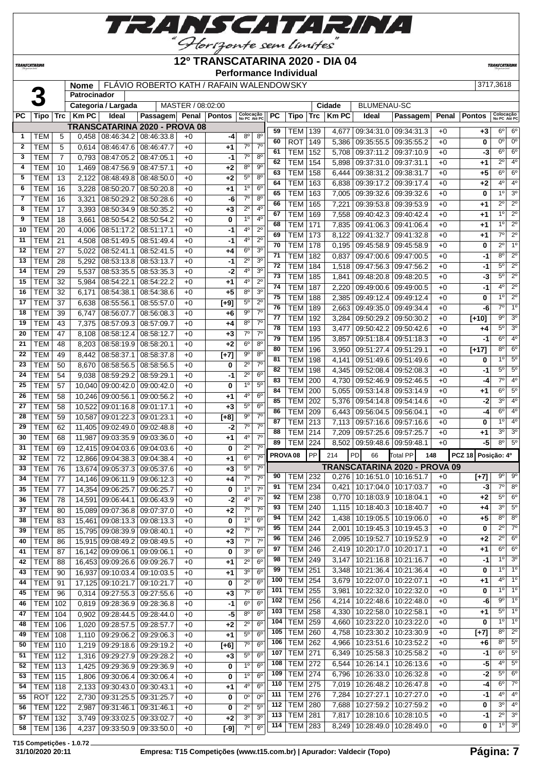

#### **12º TRANSCATARINA 2020 - DIA 04**

**Performance Individual**

**TRANSCATARI** 

**TRANSCATARINA** 

|              |                          |                 | Nome           |                              | FLAVIO ROBERTO KATH / RAFAIN WALENDOWSKY |                   |                   |                           |                               |     |                     |     |        |                                       |                                       |       |               | 3717,3618                 |                        |
|--------------|--------------------------|-----------------|----------------|------------------------------|------------------------------------------|-------------------|-------------------|---------------------------|-------------------------------|-----|---------------------|-----|--------|---------------------------------------|---------------------------------------|-------|---------------|---------------------------|------------------------|
|              |                          |                 | Patrocinador   |                              |                                          |                   |                   |                           |                               |     |                     |     |        |                                       |                                       |       |               |                           |                        |
|              |                          |                 |                | Categoria / Largada          |                                          | MASTER / 08:02:00 |                   |                           |                               |     |                     |     | Cidade | <b>BLUMENAU-SC</b>                    |                                       |       |               |                           |                        |
| РC           | Tipo                     | Trc             | <b>KmPC</b>    | Ideal                        | <b>Passagem</b>                          |                   | Penal   Pontos    | Colocação<br>No PC Até PC |                               | PC  | Tipo                | Trc | Km PC  | Ideal                                 | Passagem                              | Penal | <b>Pontos</b> | Colocação<br>No PC Até PC |                        |
|              |                          |                 |                |                              | TRANSCATARINA 2020 - PROVA 08            |                   |                   |                           |                               | 59  | <b>TEM 139</b>      |     | 4,677  |                                       | 09:34:31.0 09:34:31.3                 | $+0$  | $+3$          | $6^{\circ}$               | $6^{\circ}$            |
| 1            | <b>TEM</b>               | 5               | 0,458          | 08:46:34.2                   | 08:46:33.8                               | $+0$              | -4                | $8^{\circ}$               | $8^{\circ}$                   | 60  | <b>ROT</b>          | 149 | 5,386  |                                       | 09:35:55.509:35:55.2                  | $+0$  | 0             | 0°                        | $0^{\circ}$            |
| $\mathbf{2}$ | <b>TEM</b>               | 5               | 0,614          | 08:46:47.6                   | 08:46:47.7                               | $+0$              | +1                | $7^\circ$                 | 7 <sup>0</sup>                | 61  | <b>TEM</b>          | 152 | 5,708  |                                       | 09:37:11.2 09:37:10.9                 | $+0$  | -3            | $6^{\circ}$               | 6 <sup>o</sup>         |
| 3            | <b>TEM</b>               | $\overline{7}$  | 0,793          | 08:47:05.2                   | 08:47:05.1                               | $+0$              | $-1$              | 7 <sup>0</sup>            | 8 <sup>0</sup>                | 62  | <b>TEM</b>          | 154 | 5,898  |                                       | 09:37:31.0 09:37:31.1                 | $+0$  | $+1$          | $2^{\circ}$               | 4 <sup>o</sup>         |
| 4            | <b>TEM</b>               | 10              | 1,469          | 08:47:56.9                   | 08:47:57.1                               | $+0$              | $+2$              | $8^{\circ}$               | 9 <sup>o</sup><br>$8^{\circ}$ | 63  | <b>TEM</b>          | 158 | 6,444  |                                       | 09:38:31.2 09:38:31.7                 | $+0$  | $+5$          | $6^{\circ}$               | $6^{\circ}$            |
| 5            | <b>TEM</b>               | 13              | 2,122          | 08:48:49.8                   | 08:48:50.0                               | $+0$              | $+2$              | $5^{\circ}$               |                               | 64  | <b>TEM</b>          | 163 | 6,838  | 09:39:17.2                            | 09:39:17.4                            | $+0$  | $+2$          | 4 <sup>0</sup>            | $\overline{4^0}$       |
| 6            | <b>TEM</b>               | 16              | 3,228          | 08:50:20.7                   | 08:50:20.8<br>08:50:28.6                 | $+0$              | $+1$              | $1^{\circ}$<br>$7^\circ$  | 6 <sup>o</sup><br>$8^{\circ}$ | 65  | <b>TEM</b>          | 163 | 7,005  |                                       | 09:39:32.6 09:39:32.6                 | $+0$  | 0             | 1 <sup>0</sup>            | $\overline{3^0}$       |
| 7<br>8       | <b>TEM</b><br><b>TEM</b> | 16<br>17        | 3,321          | 08:50:29.2                   |                                          | $+0$<br>$+0$      | -6                | $2^{\circ}$               | 4 <sup>0</sup>                | 66  | <b>TEM</b>          | 165 | 7,221  | 09:39:53.8                            | 09:39:53.9                            | $+0$  | $+1$          | $\overline{2^0}$          | $\overline{2^{\circ}}$ |
| 9            | <b>TEM</b>               | 18              | 3,393<br>3,661 | 08:50:34.9<br>08:50:54.2     | 08:50:35.2<br>08:50:54.2                 | $+0$              | $+3$<br>0         | $1^{\circ}$               | 4 <sup>0</sup>                | 67  | <b>TEM</b>          | 169 | 7,558  | 09:40:42.3                            | 09:40:42.4                            | $+0$  | $+1$          | 10                        | $\overline{2^0}$       |
| 10           | <b>TEM</b>               | 20              | 4,006          | 08:51:17.2                   | 08:51:17.1                               | $+0$              | $-1$              | 40                        | $2^{\circ}$                   | 68  | <b>TEM</b>          | 171 | 7,835  |                                       | 09:41:06.3   09:41:06.4               | $+0$  | $+1$          | 1 <sup>0</sup>            | $\overline{2^0}$       |
| 11           | <b>TEM</b>               | $\overline{21}$ | 4,508          | 08:51:49.5                   | 08:51:49.4                               | $+0$              | $-1$              | 4°                        | $2^{\circ}$                   | 69  | <b>TEM</b>          | 173 | 8,122  | 09:41:32.7                            | 09:41:32.8                            | $+0$  | $+1$          | $\overline{7^0}$          | $\overline{2^0}$       |
| 12           | <b>TEM</b>               | 27              | 5,022          | 08:52:41.1                   | 08:52:41.5                               | $+0$              | +4                | $6^{\circ}$               | 3 <sup>o</sup>                | 70  | <b>TEM</b>          | 178 | 0,195  |                                       | 09:45:58.9 09:45:58.9                 | $+0$  | 0             | $2^{\circ}$               | 1 <sup>0</sup>         |
| 13           | <b>TEM</b>               | 28              | 5,292          | 08:53:13.8                   | 08:53:13.7                               | $+0$              | $-1$              | $2^{\circ}$               | 3 <sup>0</sup>                | 71  | <b>TEM</b>          | 182 | 0,837  |                                       | 09:47:00.6 09:47:00.5                 | $+0$  | -1            | 8 <sup>o</sup>            | $2^{\circ}$            |
| 14           | <b>TEM</b>               | 29              | 5,537          | 08:53:35.5                   | 08:53:35.3                               | $+0$              | $-2$              | 4 <sup>0</sup>            | 3 <sup>0</sup>                | 72  | <b>TEM</b>          | 184 | 1,518  |                                       | 09:47:56.3 09:47:56.2                 | $+0$  | $-1$          | $5^{\circ}$               | $\overline{2^0}$       |
| 15           | <b>TEM</b>               | 32              | 5,984          | 08:54:22.1                   | 08:54:22.2                               | $+0$              | $+1$              | 4º                        | $2^{\circ}$                   | 73  | <b>TEM</b>          | 185 | 1,841  |                                       | 09:48:20.8 09:48:20.5                 | $+0$  | -3            | $5^{\circ}$               | $\overline{2^0}$       |
| 16           | <b>TEM</b>               | 32              | 6,171          | 08:54:38.1                   | 08:54:38.6                               | $+0$              | $+5$              | $8^{\circ}$               | 3 <sup>0</sup>                | 74  | <b>TEM</b>          | 187 | 2,220  |                                       | 09:49:00.6 09:49:00.5                 | $+0$  | $-1$          | 4 <sup>0</sup>            | $\overline{2^{\circ}}$ |
| 17           | <b>TEM</b>               | 37              | 6,638          | 08:55:56.1                   | 08:55:57.0                               | $+0$              | $[+9]$            | $5^{\circ}$               | $2^{\circ}$                   | 75  | <b>TEM</b>          | 188 | 2,385  |                                       | 09:49:12.4 09:49:12.4                 | $+0$  | 0             | 1 <sup>0</sup>            | $\overline{2^{\circ}}$ |
| 18           | <b>TEM</b>               | 39              | 6,747          | 08:56:07.7                   | 08:56:08.3                               | $+0$              | $+6$              | $9^{\circ}$               | 7 <sup>o</sup>                | 76  | <b>TEM</b>          | 189 | 2,663  |                                       | 09:49:35.0 09:49:34.4                 | +0    | -6            | $7^\circ$                 | $\overline{1^0}$       |
| 19           | <b>TEM</b>               | 43              | 7,375          | 08:57:09.3                   | 08:57:09.7                               | $+0$              | $+4$              | 8 <sup>o</sup>            | $7^\circ$                     | 77  | <b>TEM</b>          | 192 | 3,284  |                                       | $\vert$ 09:50:29.2 $\vert$ 09:50:30.2 | $+0$  | $[+10]$       | $9^{\circ}$               | $\overline{3^0}$       |
| 20           | <b>TEM</b>               | 47              | 8,108          | 08:58:12.4                   | 08:58:12.7                               | $+0$              | $+3$              | $7^\circ$                 | 7 <sup>o</sup>                | 78  | <b>TEM</b>          | 193 | 3,477  |                                       | 09:50:42.2 09:50:42.6                 | $+0$  | $+4$          | 5°                        | 3 <sup>o</sup>         |
| 21           | <b>TEM</b>               | 48              | 8,203          | 08:58:19.9                   | 08:58:20.1                               | $+0$              | $+2$              | 6 <sup>o</sup>            | 8 <sup>o</sup>                | 79  | <b>TEM</b>          | 195 | 3,857  |                                       | 09:51:18.4 09:51:18.3                 | $+0$  | -1            | $6^{\circ}$               | 4 <sup>0</sup>         |
| 22           | <b>TEM</b>               | 49              | 8,442          | 08:58:37.1                   | 08:58:37.8                               | $+0$              | $\overline{[+7]}$ | 90                        | $8^{\circ}$                   | 80  | <b>TEM</b>          | 196 | 3,950  |                                       | 09:51:27.4 09:51:29.1                 | $+0$  | $\boxed{+17}$ | 8 <sup>o</sup>            | 6 <sup>o</sup>         |
| 23           | <b>TEM</b>               | 50              | 8,670          | 08:58:56.5                   | 08:58:56.5                               | $+0$              | 0                 | $2^{\circ}$               | 7 <sup>0</sup>                | 81  | <b>TEM</b>          | 198 | 4,141  |                                       | 09:51:49.6 09:51:49.6                 | $+0$  | 0             | $1^{\circ}$               | $\overline{5^0}$       |
| 24           | <b>TEM</b>               | 54              | 9,038          | 08:59:29.2                   | 08:59:29.1                               | $+0$              | $-1$              | $2^{\circ}$               | 6 <sup>o</sup>                | 82  | <b>TEM</b>          | 198 |        | 4,345 09:52:08.4 09:52:08.3           |                                       | $+0$  | -1            | $5^{\circ}$               | $\overline{5^0}$       |
| 25           | <b>TEM</b>               | 57              |                | 10,040 09:00:42.0            | 09:00:42.0                               | $+0$              | 0                 | 1 <sup>0</sup>            | 5 <sup>0</sup>                | 83  | <b>TEM</b>          | 200 | 4,730  |                                       | 09:52:46.9 09:52:46.5                 | $+0$  | -4            | $7^\circ$                 | $\overline{4^0}$       |
| 26           | <b>TEM</b>               | 58              |                | 10,246 09:00:56.1            | 09:00:56.2                               | $+0$              | +1                | 4°                        | 6 <sup>o</sup>                | 84  | <b>TEM</b>          | 200 | 5,055  | 09:53:14.8                            | 09:53:14.9                            | $+0$  | $+1$          | $6^{\circ}$               | $\overline{5^0}$       |
| 27           | <b>TEM</b>               | 58              |                | 10,522 09:01:16.8            | 09:01:17.1                               | $+0$              | $+3$              | $5^{\circ}$               | 6 <sup>o</sup>                | 85  | <b>TEM</b>          | 202 | 5,376  | 09:54:14.8                            | 09:54:14.6                            | $+0$  | $-2$          | 3 <sup>0</sup>            | $\overline{4^0}$       |
| 28           | <b>TEM</b>               | 59              |                | 10,587 09:01:22.3            | 09:01:23.1                               | $+0$              | $[t+8]$           | 9 <sup>o</sup>            | $7^\circ$                     | 86  | <b>TEM</b>          | 209 | 6,443  |                                       | 09:56:04.5 09:56:04.1                 | $+0$  | $-4$          | $6^{\circ}$               | $\overline{4^0}$       |
| 29           | <b>TEM</b>               | 62              |                | 11,405 09:02:49.0            | 09:02:48.8                               | $+0$              | $-2$              | $7^\circ$                 | $7^\circ$                     | 87  | TEM                 | 213 | 7,113  |                                       | 09:57:16.6 09:57:16.6                 | $+0$  | 0             | $1^{\circ}$               | 4 <sup>0</sup>         |
| 30           | <b>TEM</b>               | 68              | 11,987         | 09:03:35.9                   | 09:03:36.0                               | $+0$              | +1                | 4 <sup>0</sup>            | $7^\circ$                     | 88  | <b>TEM 214</b>      |     |        | 7,209 09:57:25.6 09:57:25.7           |                                       | $+0$  | $+1$          | 3 <sup>0</sup>            | 3 <sup>o</sup>         |
| 31           | <b>TEM</b>               | 69              |                | 12,415 09:04:03.6            | 09:04:03.6                               | $+0$              | 0                 | $2^{\circ}$               | 7 <sup>0</sup>                | 89  | TEM                 | 224 | 8,502  | $\vert$ 09:59:48.6 $\vert$ 09:59:48.1 |                                       | $+0$  | -5            | $8^{\circ}$               | $5^{\circ}$            |
| 32           | <b>TEM</b>               | 72              |                | 12.866 09:04:38.3            | 09:04:38.4                               | $+0$              | $+1$              | 6 <sup>o</sup>            | 7 <sup>0</sup>                |     | PROVA <sub>08</sub> | PP  | 214    | PD<br>66                              | <b>Total PP</b><br>148                |       | <b>PCZ 18</b> | Posição: 4º               |                        |
| 33           | <b>TEM</b>               | 76              |                | 13,674 09:05:37.3            | 09:05:37.6                               | $+0$              | $+3$              | $5^{\circ}$               | $7^\circ$                     |     |                     |     |        |                                       | TRANSCATARINA 2020 - PROVA 09         |       |               |                           |                        |
| 34           | <b>TEM</b>               | 77              |                | 14,146 09:06:11.9            | 09:06:12.3                               | $+0$              | $+4$              | $7^\circ$                 | $7^\circ$                     | 90  | <b>TEM 232</b>      |     |        | 0,276 10:16:51.0 10:16:51.7           |                                       | $+0$  | $[t+7]$       | $9^{\circ}$               | $\overline{9^0}$       |
| 35           | <b>TEM</b>               | 77              |                | 14,354 09:06:25.7 09:06:25.7 |                                          | $+0$              | $\mathbf{0}$      | 10                        | $7^\circ$                     | 91  | <b>TEM 234</b>      |     |        | $0,421$   10:17:04.0   10:17:03.7     |                                       | $+0$  | -31           | $7^\circ$                 | 8 <sup>o</sup>         |
| 36           | <b>TEM</b>               | 78              |                | 14,591 09:06:44.1 09:06:43.9 |                                          | $+0$              | $-2$              | $4^{\circ}$               | 7 <sup>0</sup>                | 92  | <b>TEM 238</b>      |     |        | $0,770$   10:18:03.9   10:18:04.1     |                                       | $+0$  | $+2$          | 5°                        | 6 <sup>o</sup>         |
| 37           | TEM                      | 80              |                | 15,089 09:07:36.8 09:07:37.0 |                                          | $+0$              | $+2$              | $7^\circ$                 | 7 <sup>o</sup>                | 93  | <b>TEM 240</b>      |     |        | 1,115   10:18:40.3   10:18:40.7       |                                       | $+0$  | $+4$          | 3 <sup>0</sup>            | $5^{\circ}$            |
| 38           | <b>TEM</b>               | 83              |                | 15,461 09:08:13.3 09:08:13.3 |                                          | $+0$              | 0                 | 1 <sup>°</sup>            | 6 <sup>o</sup>                | 94  | <b>TEM 242</b>      |     |        | 1,438 10:19:05.5 10:19:06.0           |                                       | $+0$  | $+5$          | $8^{\circ}$               | 8 <sup>o</sup>         |
| 39           | <b>TEM</b>               | 85              |                | 15,795 09:08:39.9            | 09:08:40.1                               | $+0$              | $+2$              | $7^\circ$                 | $7^\circ$                     | 95  | <b>TEM 244</b>      |     |        |                                       | 2,001   10:19:45.3   10:19:45.3       | $+0$  | 0             | $2^{\circ}$               | $\overline{7}^{\circ}$ |
| 40           | <b>TEM</b>               | 86              |                | 15,915 09:08:49.2            | 09:08:49.5                               | $+0$              | $+3$              | $7^\circ$                 | 7 <sup>o</sup>                | 96  | <b>TEM 246</b>      |     | 2,095  |                                       | 10:19:52.7   10:19:52.9               | $+0$  | $+2$          | $2^{\circ}$               | $6^{\circ}$            |
| 41           | <b>TEM</b>               | 87              |                | 16,142 09:09:06.1            | 09:09:06.1                               | $+0$              | 0                 | 3 <sup>o</sup>            | 6 <sup>o</sup>                | 97  | <b>TEM 246</b>      |     |        | 2,419   10:20:17.0   10:20:17.1       |                                       | $+0$  | $+1$          | $6^{\circ}$               | $6^{\circ}$            |
| 42           | <b>TEM</b>               | 88              |                | 16,453 09:09:26.6            | 09:09:26.7                               | $+0$              | $+1$              | $2^{\circ}$               | 6 <sup>o</sup>                | 98  | <b>TEM 249</b>      |     | 3,147  |                                       | 10:21:16.8 10:21:16.7                 | $+0$  | -1            | 1 <sup>0</sup>            | 3 <sup>o</sup>         |
| 43           | <b>TEM</b>               | 90              |                | 16,937 09:10:03.4            | 09:10:03.5                               | $+0$              | $+1$              | 3 <sup>o</sup>            | $6^{\circ}$                   | 99  | <b>TEM 251</b>      |     | 3,348  |                                       | 10:21:36.4   10:21:36.4               | $+0$  | 0             | $1^{\circ}$               | 1 <sup>0</sup>         |
| 44           | <b>TEM</b>               | 91              |                | 17,125 09:10:21.7            | 09:10:21.7                               | $+0$              | 0                 | $2^{\circ}$               | 6 <sup>o</sup>                | 100 | <b>TEM 254</b>      |     |        | 3,679   10:22:07.0   10:22:07.1       |                                       | $+0$  | $+1$          | $4^{\circ}$               | 1 <sup>0</sup>         |
| 45           | <b>TEM</b>               | 96              |                | 0,314 09:27:55.3             | 09:27:55.6                               | $+0$              | $+3$              | $7^\circ$                 | 6 <sup>o</sup>                | 101 | <b>TEM 255</b>      |     | 3,981  |                                       | 10:22:32.0   10:22:32.0               | $+0$  | 0             | $1^{\circ}$               | 1 <sup>0</sup>         |
| 46           | <b>TEM</b>               | 102             |                | $0.819$ 09:28:36.9           | 09:28:36.8                               | $+0$              | $-1$              | $6^{\circ}$               | $6^{\circ}$                   | 102 | <b>TEM 256</b>      |     |        | 4,214   10:22:48.6   10:22:48.0       |                                       | $+0$  | -6            | $9^{\circ}$               | $\overline{1^0}$       |
| 47           | <b>TEM</b>               | 104             |                | 0,902 09:28:44.5             | 09:28:44.0                               | $+0$              | $-5$              | $8^{\circ}$               | 6 <sup>o</sup>                | 103 | <b>TEM 258</b>      |     | 4,330  |                                       | 10:22:58.0   10:22:58.1               | $+0$  | +1            | $5^{\circ}$               | 1 <sup>0</sup>         |
| 48           | <b>TEM</b>               | 106             |                | 1,020 09:28:57.5             | 09:28:57.7                               | $+0$              | $+2$              | $2^{\circ}$               | $6^{\circ}$                   | 104 | TEM 259             |     |        | 4,660   10:23:22.0   10:23:22.0       |                                       | $+0$  | 0             | $1^{\circ}$               | 1 <sup>0</sup>         |
| 49           | <b>TEM</b>               | 108             |                | 1,110 09:29:06.2             | 09:29:06.3                               | $+0$              | $+1$              | $5^{\circ}$               | 6 <sup>o</sup>                | 105 | <b>TEM 260</b>      |     | 4,758  |                                       | 10:23:30.2   10:23:30.9               | $+0$  | $[+7]$        | $8^{\circ}$               | $2^{\circ}$            |
| 50           | <b>TEM 110</b>           |                 |                | 1,219 09:29:18.6             | 09:29:19.2                               | $+0$              | $F$ [+6]          | $7^\circ$                 | 6 <sup>o</sup>                | 106 | <b>TEM 262</b>      |     | 4,966  |                                       | 10:23:51.6   10:23:52.2               | $+0$  | +6            | $8^{\circ}$               | $\overline{5^0}$       |
| 51           | <b>TEM 112</b>           |                 |                | 1,316 09:29:27.9             | 09:29:28.2                               | $+0$              | $+3$              | $5^\circ$                 | 6 <sup>o</sup>                | 107 | TEM 271             |     |        | 6,349   10:25:58.3   10:25:58.2       |                                       | $+0$  | -1            | $6^{\circ}$               | $5^{\circ}$            |
| 52           | <b>TEM 113</b>           |                 |                | 1,425 09:29:36.9             | 09:29:36.9                               | $+0$              | 0                 | 1 <sup>0</sup>            | 6 <sup>o</sup>                | 108 | <b>TEM</b> 272      |     | 6,544  |                                       | 10:26:14.1   10:26:13.6               | $+0$  | $-5$          | 4°                        | 5 <sup>o</sup>         |
| 53           | <b>TEM 115</b>           |                 | 1,806          | 09:30:06.4                   | 09:30:06.4                               | $+0$              | 0                 | 1 <sup>0</sup>            | 6 <sup>o</sup>                | 109 | <b>TEM 274</b>      |     |        |                                       | 6,796   10:26:33.0   10:26:32.8       | $+0$  | $-2$          | $5^{\circ}$               | 6 <sup>o</sup>         |
| 54           | <b>TEM 118</b>           |                 |                | 2,133 09:30:43.0             | 09:30:43.1                               | $+0$              | +1                | $4^{\circ}$               | $6^{\circ}$                   | 110 | <b>TEM 275</b>      |     |        |                                       | 7,019   10:26:48.2   10:26:47.8       | $+0$  | -4            | $6^{\circ}$               | $7^\circ$              |
| 55           | ROT 122                  |                 |                | 2,730 09:31:25.5             | 09:31:25.7                               | $+0$              | 0                 | 0 <sup>0</sup>            | 0 <sup>o</sup>                | 111 | <b>TEM 276</b>      |     | 7,284  |                                       | 10:27:27.1   10:27:27.0               | $+0$  | -1            | $4^{\circ}$               | 4 <sup>0</sup>         |
| 56           | <b>TEM 122</b>           |                 |                | 2,987   09:31:46.1           | 09:31:46.1                               | $+0$              | 0                 | $2^{\circ}$               | $5^{\circ}$                   | 112 | <b>TEM 280</b>      |     | 7,688  |                                       | 10:27:59.2 10:27:59.2                 | $+0$  | 0             | $3^{\circ}$               | 4 <sup>0</sup>         |
| 57           | TEM 132                  |                 |                | 3,749 09:33:02.5 09:33:02.7  |                                          | $+0$              | $+2$              | 3 <sup>0</sup>            | 3 <sup>o</sup>                | 113 | <b>TEM 281</b>      |     |        |                                       | 7,817   10:28:10.6   10:28:10.5       | $+0$  | -1            | $2^{\circ}$               | 3 <sup>o</sup>         |
| 58           | TFM 136                  |                 |                |                              | 4.237 09:33:50.9 09:33:50.0              | $+0$              | $1-91$            | $7^\circ$                 | $6^{\circ}$                   |     | 114   TEM   283     |     |        |                                       | 8,249   10:28:49.0   10:28:49.0       | $+0$  | 0             | $1^{\circ}$               | 3 <sup>o</sup>         |

**T15 Competições - 1.0.72**

TEM 136 4,237 09:33:50.9 09:33:50.0 +0 **[-9]** 7º 6º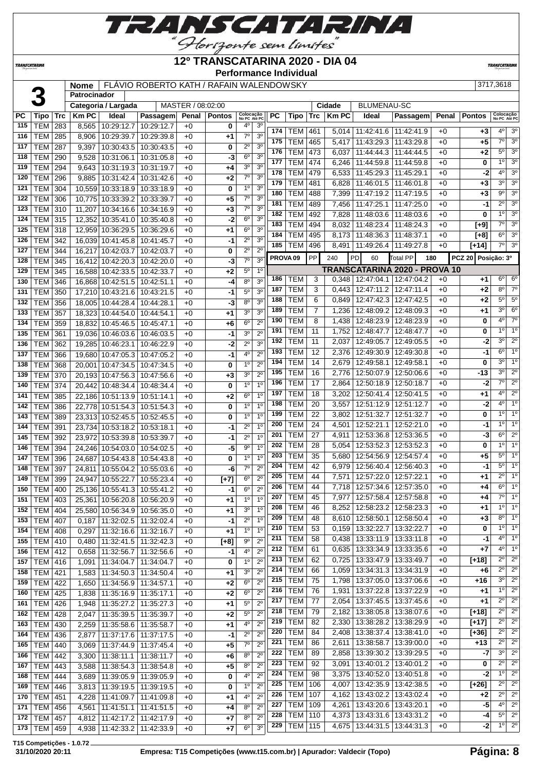

#### **12º TRANSCATARINA 2020 - DIA 04**

**Performance Individual**

**TRANSCATARIN** 

**TRANSCATARINA** 

**Nome** FLÁVIO ROBERTO KATH / RAFAIN WALENDOWSKY 3717,3618 **Patrocinador Categoria / Largada** MASTER / 08:02:00 **Cidade** BLUMENAU-SC

| PC  | Tipo            | Trc | <b>Km PC</b> | Ideal                             | Passagem   |      | Penal   Pontos | Colocação<br>No PC Até PC  |                                  | РC                  | Tipo       | Trc            | <b>Km PC</b> | Ideal                             | <b>Passagem</b>               |      | Penal   Pontos   | Colocação<br>No PC Até PC |                            |
|-----|-----------------|-----|--------------|-----------------------------------|------------|------|----------------|----------------------------|----------------------------------|---------------------|------------|----------------|--------------|-----------------------------------|-------------------------------|------|------------------|---------------------------|----------------------------|
| 115 | <b>TEM</b>      | 283 | 8,565        | 10:29:12.7                        | 10:29:12.7 | $+0$ | 0              | $4^{\circ}$                | 3 <sup>o</sup>                   | 174                 | <b>TEM</b> | 461            |              | 5,014   11:42:41.6   11:42:41.9   |                               | $+0$ |                  | $4^{\circ}$               | 3 <sup>o</sup>             |
| 116 | <b>TEM</b>      | 285 | 8,906        | 10:29:39.7                        | 10:29:39.8 | $+0$ | +1             | $7^\circ$                  | 3 <sup>0</sup>                   | 175                 | <b>TEM</b> | 465            |              | 11:43:29.3                        | 11:43:29.8                    | $+0$ | $+3$<br>$+5$     | $7^{\circ}$               | 3 <sup>o</sup>             |
| 117 | TEM             | 287 | 9,397        | 10:30:43.5                        | 10:30:43.5 | $+0$ | 0              | $2^{\circ}$                | 3 <sup>o</sup>                   | 176                 | <b>TEM</b> |                | 5,417        |                                   |                               |      |                  | $5^{\circ}$               | 3 <sup>o</sup>             |
| 118 | TEM             | 290 | 9,528        | 10:31:06.1                        | 10:31:05.8 | $+0$ | -3             | 6 <sup>o</sup>             | 3 <sup>0</sup>                   | 177                 |            | 473            | 6.037        | 11:44:44.3                        | 11:44:44.5                    | $+0$ | +2               | $1^{\circ}$               | 3 <sup>o</sup>             |
| 119 | <b>TEM</b>      | 294 | 9,643        | 10:31:19.3 10:31:19.7             |            | $+0$ | +4             | 3 <sup>o</sup>             | 3 <sup>0</sup>                   |                     | <b>TEM</b> | 474            | 6,246        | 11:44:59.8                        | 11:44:59.8                    | $+0$ | 0                | 4 <sup>o</sup>            | 3 <sup>0</sup>             |
| 120 | <b>TEM</b>      | 296 |              | $9,885$ 10:31:42.4                | 10:31:42.6 | $+0$ | $+2$           | $7^\circ$                  | 3 <sup>o</sup>                   | 178                 | <b>TEM</b> | 479            | 6,533        | 11:45:29.3   11:45:29.1           |                               | $+0$ | -2               |                           |                            |
| 121 | <b>TEM</b>      | 304 |              | 10,559 10:33:18.9                 | 10:33:18.9 | $+0$ | 0              | $1^{\circ}$                | 3 <sup>o</sup>                   | 179                 | <b>TEM</b> | 481            | 6,828        | 11:46:01.5   11:46:01.8           |                               | $+0$ | $+3$             | 3 <sup>o</sup>            | 3 <sup>o</sup>             |
| 122 | <b>TEM</b>      | 306 |              | 10,775 10:33:39.2                 | 10:33:39.7 | $+0$ | $+5$           | $7^\circ$                  | 3 <sup>o</sup>                   | 180                 | <b>TEM</b> | 488            | 7,399        | 11:47:19.2                        | 11:47:19.5                    | $+0$ | +3               | $9^{\circ}$               | 3 <sup>o</sup>             |
| 123 | <b>TEM</b>      | 310 |              | 11,207 10:34:16.6 10:34:16.9      |            | +0   | $+3$           | $7^\circ$                  | 3 <sup>0</sup>                   | 181                 | <b>TEM</b> | 489            | 7,456        | 11:47:25.1                        | 11:47:25.0                    | $+0$ | -1               | $\overline{2^{\circ}}$    | 3 <sup>0</sup>             |
| 124 | TEM             | 315 |              | 12,352 10:35:41.0                 | 10:35:40.8 | $+0$ | $-2$           | 6 <sup>o</sup>             | 3 <sup>o</sup>                   | 182                 | <b>TEM</b> | 492            | 7,828        | 11:48:03.6 11:48:03.6             |                               | $+0$ | 0                | $1^{\circ}$               | 3 <sup>0</sup>             |
| 125 | <b>TEM</b>      | 318 |              | 12,959 10:36:29.5                 | 10:36:29.6 | $+0$ | +1             | $6^{\circ}$                | 3 <sup>o</sup>                   | 183                 | <b>TEM</b> | 494            | 8,032        | 11:48:23.4   11:48:24.3           |                               | $+0$ | $[+9]$           | $7^\circ$                 | 3 <sup>0</sup>             |
| 126 | <b>TEM</b>      | 342 |              | 16,039 10:41:45.8                 | 10:41:45.7 | $+0$ | -1             | $2^{\circ}$                | 3 <sup>0</sup>                   | 184                 | <b>TEM</b> | 495            | 8,173        | 11:48:36.3 11:48:37.1             |                               | $+0$ | [+8]             | $6^{\circ}$               | 3 <sup>o</sup>             |
| 127 | <b>TEM</b>      | 344 |              | 16,217 10:42:03.7                 | 10:42:03.7 | $+0$ | 0              | $2^{\circ}$                | $2^{\circ}$                      | 185                 | <b>TEM</b> | 496            | 8,491        | 11:49:26.4   11:49:27.8           |                               | $+0$ | $[+14]$          | $7^{\circ}$               | $\overline{3^0}$           |
| 128 | <b>TEM</b>      | 345 |              | 16,412 10:42:20.3 10:42:20.0      |            | $+0$ | $-3$           | 7 <sup>0</sup>             | 3 <sup>0</sup>                   | PROVA <sub>09</sub> |            | PP             | 240          | PD<br>60                          | Total PP                      | 180  | <b>PCZ 20</b>    | Posição: 3º               |                            |
| 129 | <b>TEM</b>      | 345 |              | 16,588 10:42:33.5                 | 10:42:33.7 | $+0$ | +2             | $5^{\circ}$                | 1 <sup>0</sup>                   |                     |            |                |              |                                   | TRANSCATARINA 2020 - PROVA 10 |      |                  |                           |                            |
| 130 | <b>TEM</b>      | 346 |              | 16,868 10:42:51.5                 | 10:42:51.1 | $+0$ | $-4$           | 8 <sup>0</sup>             | 3 <sup>o</sup>                   | 186                 | <b>TEM</b> | 3              |              | 0.348   12:47:04.1   12:47:04.2   |                               | $+0$ | +1               | $6^{\circ}$               | $6^{\circ}$                |
| 131 | <b>TEM</b>      | 350 |              | 17,210 10:43:21.6                 | 10:43:21.5 | $+0$ | $-1$           | $5^{\circ}$                | 3 <sup>o</sup>                   | 187                 | <b>TEM</b> | 3              | 0,443        | 12:47:11.2                        | 12:47:11.4                    | $+0$ | +2               | $8^{\circ}$               | $7^\circ$                  |
| 132 | <b>TEM</b>      | 356 |              | 18,005 10:44:28.4                 | 10:44:28.1 | $+0$ | $-3$           | 8 <sup>o</sup>             | 3 <sup>0</sup>                   | 188                 | <b>TEM</b> | 6              | 0,849        | 12:47:42.3 12:47:42.5             |                               | $+0$ | +2               | $5^{\circ}$               | $5^\circ$                  |
| 133 | <b>TEM</b>      | 357 |              | 18,323 10:44:54.0                 | 10:44:54.1 | $+0$ | +1             | 3 <sup>o</sup>             | 3 <sup>0</sup>                   | 189                 | <b>TEM</b> | $\overline{7}$ | 1,236        | 12:48:09.2 12:48:09.3             |                               | $+0$ | +1               | $3^{\circ}$               | 6 <sup>o</sup>             |
| 134 | <b>TEM</b>      | 359 |              | 18,832 10:45:46.5                 | 10:45:47.1 | $+0$ | +6             | $6^{\circ}$                | $2^{\circ}$                      | 190                 | <b>TEM</b> | 8              | 1,438        | 12:48:23.9 12:48:23.9             |                               | $+0$ | 0                | 4 <sup>0</sup>            | $7^\circ$                  |
| 135 | <b>TEM</b>      | 361 |              | 19,036 10:46:03.6                 | 10:46:03.5 | $+0$ | -1             | 3 <sup>0</sup>             | $2^{\circ}$                      | 191                 | <b>TEM</b> | 11             | 1,752        | 12:48:47.7                        | 12:48:47.7                    | $+0$ | 0                | 1 <sup>0</sup>            | 1 <sup>0</sup>             |
| 136 | <b>TEM</b>      | 362 |              | 19,285 10:46:23.1                 | 10:46:22.9 | $+0$ | $-2$           | $2^{\circ}$                | 3 <sup>0</sup>                   | 192                 | <b>TEM</b> | 11             | 2,037        | 12:49:05.7                        | 12:49:05.5                    | $+0$ | $-2$             | 3 <sup>0</sup>            | $2^{\circ}$                |
| 137 | <b>TEM</b>      | 366 |              | 19,680 10:47:05.3                 | 10:47:05.2 | $+0$ | -1             | 4 <sup>0</sup>             | $2^{\circ}$                      | 193                 | <b>TEM</b> | 12             | 2,376        | 12:49:30.9   12:49:30.8           |                               | $+0$ | -1               | $6^{\circ}$               | 1 <sup>0</sup>             |
| 138 | TEM             | 368 |              | 20,001 10:47:34.5                 | 10:47:34.5 | $+0$ | 0              | 1 <sup>0</sup>             | $2^{\circ}$                      | 194                 | <b>TEM</b> | 14             | 2,679        | 12:49:58.1   12:49:58.1           |                               | $+0$ | 0                | 3 <sup>o</sup>            | 1 <sup>0</sup>             |
| 139 | <b>TEM</b>      | 370 |              | 20,193 10:47:56.3                 | 10:47:56.6 | $+0$ | $+3$           | 3 <sup>0</sup>             | $2^{\circ}$                      | 195                 | <b>TEM</b> | 16             | 2,776        | 12:50:07.9 12:50:06.6             |                               | $+0$ | -13              | 3 <sup>o</sup>            | $2^{\circ}$                |
| 140 | <b>TEM</b>      | 374 |              | 20,442 10:48:34.4                 | 10:48:34.4 | $+0$ | 0              | 1 <sup>0</sup>             | 1 <sup>0</sup>                   | 196                 | <b>TEM</b> | 17             | 2,864        | 12:50:18.9   12:50:18.7           |                               | $+0$ | -2               | $7^\circ$                 | $2^{\circ}$                |
| 141 | <b>TEM</b>      | 385 |              | 22,186 10:51:13.9                 | 10:51:14.1 | $+0$ | $+2$           | $6^{\circ}$                | 1 <sup>0</sup>                   | 197                 | <b>TEM</b> | 18             | 3,202        | 12:50:41.4   12:50:41.5           |                               | $+0$ | +1               | $4^{\circ}$               | $2^{\circ}$                |
| 142 |                 |     |              |                                   |            |      | 0              | 1 <sup>0</sup>             | 1 <sup>0</sup>                   | 198                 | <b>TEM</b> | 20             | 3,557        | 12:51:12.9 12:51:12.7             |                               | $+0$ | -2               | $4^{\circ}$               | 1 <sup>o</sup>             |
|     | <b>TEM</b>      | 386 |              | 22,778 10:51:54.3 10:51:54.3      |            | $+0$ |                | $1^{\circ}$                | 1 <sup>0</sup>                   | 199                 | <b>TEM</b> | 22             | 3,802        | 12:51:32.7   12:51:32.7           |                               | $+0$ | 0                | 1 <sup>°</sup>            | 1 <sup>o</sup>             |
| 143 | <b>TEM</b>      | 389 |              | 23,313 10:52:45.5                 | 10:52:45.5 | $+0$ | 0              | $2^{\circ}$                | 1 <sup>0</sup>                   | 200                 | <b>TEM</b> | 24             | 4,501        | 12:52:21.1   12:52:21.0           |                               | $+0$ | -1               | 1 <sup>°</sup>            | 1 <sup>o</sup>             |
| 144 | <b>TEM</b>      | 391 |              | 23,734 10:53:18.2                 | 10:53:18.1 | $+0$ | -1             |                            |                                  | 201                 | <b>TEM</b> | 27             | 4,911        | 12:53:36.8 12:53:36.5             |                               | $+0$ | -3               | 6 <sup>o</sup>            | $2^{\circ}$                |
| 145 | <b>TEM</b>      | 392 |              | 23,972 10:53:39.8                 | 10:53:39.7 | $+0$ | -1             | $2^{\circ}$<br>$9^{\circ}$ | 1 <sup>0</sup><br>1 <sup>0</sup> | 202                 | <b>TEM</b> | 28             | 5,054        | 12:53:52.3   12:53:52.3           |                               | $+0$ | 0                | 10                        | 1 <sup>0</sup>             |
| 146 | <b>TEM</b>      | 394 |              | 24,246 10:54:03.0                 | 10:54:02.5 | $+0$ | $-5$           |                            |                                  | 203                 | <b>TEM</b> | 35             | 5,680        | 12:54:56.9   12:54:57.4           |                               | $+0$ | +5               | 5 <sup>o</sup>            | 1 <sup>0</sup>             |
| 147 | <b>TEM</b>      | 396 |              | 24,687 10:54:43.8 10:54:43.8      |            | $+0$ | 0              | 1 <sup>0</sup>             | 1 <sup>0</sup>                   | 204                 | <b>TEM</b> | 42             | 6,979        | 12:56:40.4   12:56:40.3           |                               | $+0$ | $-1$             | $5^{\circ}$               | 1 <sup>o</sup>             |
| 148 | <b>TEM</b>      | 397 |              | 24,811 10:55:04.2                 | 10:55:03.6 | $+0$ | -6             | $7^\circ$                  | $2^{\circ}$                      | 205                 | <b>TEM</b> | 44             | 7,571        | 12:57:22.0 12:57:22.1             |                               | $+0$ | +1               | $2^{\circ}$               | 1 <sup>0</sup>             |
| 149 | <b>TEM</b>      | 399 |              | 24,947 10:55:22.7                 | 10:55:23.4 | +0   | $[+7]$         | $6^{\circ}$                | $2^{\circ}$                      | 206                 | <b>TEM</b> | 44             | 7,718        | 12:57:34.6   12:57:35.0           |                               | $+0$ | +4               | $6^{\circ}$               | 1 <sup>0</sup>             |
| 150 | <b>TEM</b>      | 400 |              | 25,136 10:55:41.3                 | 10:55:41.2 | $+0$ | $-1$           | $6^{\circ}$                | $2^{\circ}$                      | 207                 | <b>TEM</b> | 45             | 7,977        | 12:57:58.4   12:57:58.8           |                               | $+0$ | $+4$             | $7^\circ$                 | 1 <sup>o</sup>             |
| 151 | TEM             | 403 |              | 25,361 10:56:20.8                 | 10:56:20.9 | $+0$ | $+1$           | 1 <sup>0</sup>             | 1 <sup>0</sup>                   | 208                 | <b>TEM</b> | 46             | 8,252        | 12:58:23.2   12:58:23.3           |                               | $+0$ | $+1$             | 1°                        | 1 <sup>o</sup>             |
| 152 | <b>TEM</b>      | 404 |              | 25,580 10:56:34.9 10:56:35.0      |            | $+0$ | +1             | 3 <sup>o</sup>             | 1 <sup>0</sup>                   | 209                 | <b>TEM</b> | 48             | 8,610        | 12:58:50.1   12:58:50.4           |                               | $+0$ | +3               | $8^{\circ}$               | 1 <sup>o</sup>             |
|     | 153 TEM 407     |     |              | 0,187   11:32:02.5   11:32:02.4   |            | $+0$ | $-1$           | $2^{\circ}$                | 1 <sup>o</sup>                   | 210                 | TEM        | 53             |              | $0,159$   13:32:22.7   13:32:22.7 |                               | $+0$ | 0                | 1 <sup>0</sup>            | $1^{\circ}$                |
|     | 154   TEM   408 |     | 0,297        | 11:32:16.6   11:32:16.7           |            | +0   | +1             | 1 <sup>0</sup>             | 1 <sup>0</sup>                   | 211                 | <b>TEM</b> | 58             | 0,438        | 13:33:11.9                        | 13:33:11.8                    | $+0$ | -1               | $4^{\circ}$               | 1 <sup>0</sup>             |
|     | 155   TEM   410 |     | 0,480        | 11:32:41.5                        | 11:32:42.3 | $+0$ | $[+8]$         | $9^{\circ}$                | $2^{\circ}$                      | 212                 | <b>TEM</b> | 61             | 0,635        | 13:33:34.9   13:33:35.6           |                               | +0   | $+7$             | $4^{\circ}$               | 1 <sup>0</sup>             |
|     | 156   TEM   412 |     |              | $0,658$   11:32:56.7   11:32:56.6 |            | $+0$ | $-1$           | $4^{\circ}$                | $2^{\circ}$                      | 213                 | <b>TEM</b> | 62             | 0,725        | 13:33:47.9   13:33:49.7           |                               | $+0$ | $[+18]$          | $2^{\circ}$               | $2^{\circ}$                |
| 157 | <b>TEM 416</b>  |     | 1,091        | 11:34:04.7                        | 11:34:04.7 | $+0$ | 0              | 1 <sup>0</sup>             | $2^{\circ}$                      | 214                 | <b>TEM</b> | 66             | 1,059        | 13:34:31.3   13:34:31.9           |                               | $+0$ | +6               | $2^{\circ}$               | $2^{\circ}$                |
| 158 | TEM 421         |     | 1,583        | 11:34:50.3                        | 11:34:50.4 | $+0$ | +1             | 3 <sup>o</sup>             | $2^{\circ}$                      | 215                 | <b>TEM</b> | 75             | 1,798        | 13:37:05.0   13:37:06.6           |                               | +0   | +16              | $3^{\circ}$               | $2^{\circ}$                |
| 159 | <b>TEM 422</b>  |     | 1,650        | 11:34:56.9                        | 11:34:57.1 | $+0$ | $+2$           | 6 <sup>o</sup>             | $2^{\circ}$                      | 216                 | <b>TEM</b> | 76             | 1,931        | 13:37:22.8   13:37:22.9           |                               | $+0$ | +1               | 1 <sup>0</sup>            | $2^{\circ}$                |
| 160 | <b>TEM 425</b>  |     | 1,838        | 11:35:16.9                        | 11:35:17.1 | $+0$ | $+2$           | 6 <sup>o</sup>             | $2^{\circ}$                      | 217                 | <b>TEM</b> | 77             | 2,054        | 13:37:45.5   13:37:45.6           |                               | $+0$ | +1               | $2^{\circ}$               | $2^{\circ}$                |
| 161 | <b>TEM 426</b>  |     |              | 1,948   11:35:27.2                | 11:35:27.3 | $+0$ | +1             | $5^{\circ}$                | $2^{\circ}$                      | 218                 | <b>TEM</b> | 79             | 2,182        | 13:38:05.8 13:38:07.6             |                               | $+0$ | $[+18]$          | $2^{\circ}$               | $2^{\circ}$                |
| 162 | <b>TEM</b>      | 428 | 2,047        | 11:35:39.5                        | 11:35:39.7 | $+0$ | $+2$           | $5^{\circ}$                | $2^{\circ}$                      | 219                 | <b>TEM</b> | 82             | 2,330        | 13:38:28.2   13:38:29.9           |                               | $+0$ |                  | $2^{\circ}$               | $2^{\circ}$                |
| 163 | TEM             | 430 | 2,259        | 11:35:58.6                        | 11:35:58.7 | +0   | +1             | 4°                         | $2^{\circ}$                      | 220                 | <b>TEM</b> | 84             | 2,408        | 13:38:37.4   13:38:41.0           |                               | $+0$ | [+17]<br>$[+36]$ | $2^{\circ}$               | $2^{\circ}$                |
| 164 | TEM 436         |     | 2,877        | 11:37:17.6                        | 11:37:17.5 | $+0$ | -1             | $2^{\circ}$                | $2^{\circ}$                      | 221                 | <b>TEM</b> |                |              |                                   |                               |      |                  | $2^{\circ}$               | $\overline{2^0}$           |
| 165 | <b>TEM 440</b>  |     | 3,069        | 11:37:44.9                        | 11:37:45.4 | $+0$ | $+5$           | $7^\circ$                  | $2^{\circ}$                      | 222                 |            | 86             | 2,611        | 13:38:58.7   13:39:00.0           |                               | $+0$ | $+13$            | $3^{\circ}$               | $2^{\circ}$                |
| 166 | <b>TEM 442</b>  |     | 3,300        | 11:38:11.1                        | 11:38:11.7 | $+0$ | $+6$           | $8^{\circ}$                | $2^{\circ}$                      |                     | <b>TEM</b> | 89             | 2,858        | 13:39:30.2   13:39:29.5           |                               | $+0$ | $-7$             | $2^{\circ}$               | $2^{\circ}$                |
| 167 | <b>TEM 443</b>  |     | 3,588        | 11:38:54.3                        | 11:38:54.8 | $+0$ | $+5$           | $8^{\circ}$                | $2^{\circ}$                      | 223<br>224          | <b>TEM</b> | 92             | $3,091$      | 13:40:01.2   13:40:01.2           |                               | $+0$ | 0                | $1^{\circ}$               | $2^{\circ}$                |
| 168 | <b>TEM 444</b>  |     | 3,689        | 11:39:05.9                        | 11:39:05.9 | $+0$ | 0              | $4^{\circ}$                | $2^{\circ}$                      |                     | <b>TEM</b> | 98             | 3,375        | 13:40:52.0   13:40:51.8           |                               | +0   | -2               | $2^{\circ}$               | $2^{\circ}$                |
| 169 | <b>TEM 446</b>  |     |              | 3,813   11:39:19.5                | 11:39:19.5 | +0   | 0              | 1 <sup>0</sup>             | $2^{\circ}$                      | 225                 | <b>TEM</b> | 106            | 4,007        | 13:42:35.9 13:42:38.5             |                               | $+0$ | $[+26]$          | $2^{\circ}$               |                            |
| 170 | TEM             | 451 | 4,228        | 11:41:09.7                        | 11:41:09.8 | $+0$ | +1             | 4 <sup>0</sup>             | $2^{\circ}$                      | 226                 | <b>TEM</b> | 107            |              | 4,162   13:43:02.2   13:43:02.4   |                               | $+0$ | +2               | $4^{\circ}$               | $2^{\circ}$<br>$2^{\circ}$ |
| 171 | <b>TEM</b>      | 456 | 4,561        | 11:41:51.1                        | 11:41:51.5 | +0   | +4             | $8^{\circ}$                | $2^{\circ}$                      | 227                 | <b>TEM</b> | 109            |              | 4,261   13:43:20.6   13:43:20.1   |                               | $+0$ | $-5$             | $5^{\circ}$               | $2^{\circ}$                |
| 172 | <b>TEM</b>      | 457 |              | 4,812 11:42:17.2                  | 11:42:17.9 | +0   | +7             | $8^{\circ}$                | $2^{\circ}$                      | 228                 | <b>TEM</b> | 110            | 4,373        | 13:43:31.6   13:43:31.2           |                               | $+0$ | $-4$             |                           |                            |
|     | 173   TEM   459 |     |              | 4,938 11:42:33.2                  | 11:42:33.9 | $+0$ | $+7$           | 6 <sup>o</sup>             | 3 <sup>o</sup>                   | 229                 | <b>TEM</b> | 115            |              | 4,675   13:44:31.5   13:44:31.3   |                               | $+0$ | $-2$             | 1 <sup>0</sup>            | $2^{\circ}$                |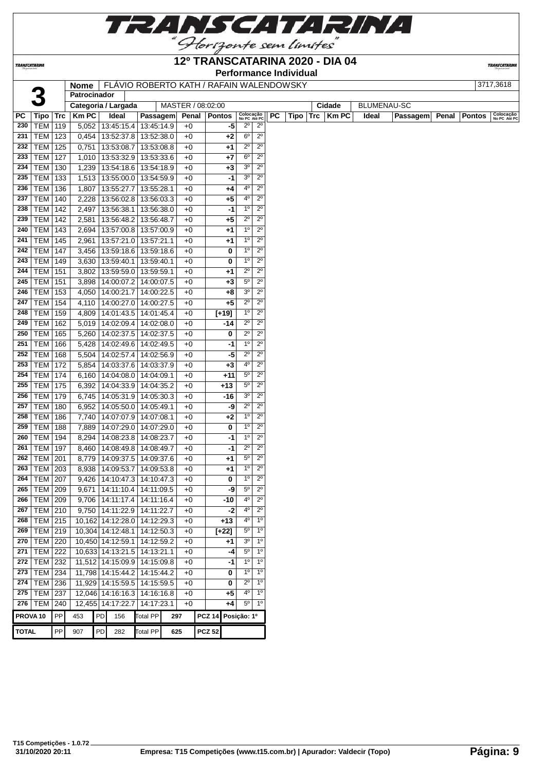

|                     |                     |            |                |                              |                                          |                   | <b>Performance Individual</b> |                               |                            |           |      |     |              |                    |          |       |               |                           |
|---------------------|---------------------|------------|----------------|------------------------------|------------------------------------------|-------------------|-------------------------------|-------------------------------|----------------------------|-----------|------|-----|--------------|--------------------|----------|-------|---------------|---------------------------|
|                     |                     |            | <b>Nome</b>    |                              | FLÁVIO ROBERTO KATH / RAFAIN WALENDOWSKY |                   |                               |                               |                            |           |      |     |              |                    |          |       |               | 3717,3618                 |
|                     |                     |            | Patrocinador   |                              |                                          |                   |                               |                               |                            |           |      |     |              |                    |          |       |               |                           |
|                     |                     |            |                | Categoria / Largada          |                                          | MASTER / 08:02:00 |                               |                               |                            |           |      |     | Cidade       | <b>BLUMENAU-SC</b> |          |       |               |                           |
| PС                  | Tipo                | Trc        | <b>Km PC</b>   | Ideal                        | Passagem                                 | Penal             | <b>Pontos</b>                 | Colocação<br>No PC Até PC     |                            | <b>PC</b> | Tipo | Trc | <b>Km PC</b> | Ideal              | Passagem | Penal | <b>Pontos</b> | Colocação<br>No PC Até PO |
| 230                 | TEM                 | 119        | 5.052          | 13:45:15.4                   | 13:45:14.9                               | $+0$              | -5                            | $2^{\circ}$                   | $2^{\circ}$                |           |      |     |              |                    |          |       |               |                           |
| 231                 | <b>TEM</b>          | 123        | 0,454          |                              | 13:52:37.8   13:52:38.0                  | $+0$              | +2                            | $6^{\circ}$<br>$2^{\circ}$    | $2^{\circ}$<br>$2^{\circ}$ |           |      |     |              |                    |          |       |               |                           |
| 232                 | TEM  <br><b>TEM</b> | 125        | 0,751          | 13:53:08.7                   | 13:53:08.8                               | $+0$              | +1                            | $6^{\circ}$                   | $2^{\circ}$                |           |      |     |              |                    |          |       |               |                           |
| 233<br>234          | <b>TEM</b>          | 127<br>130 | 1,010<br>1,239 | 13:53:32.9<br>13:54:18.6     | 13:53:33.6<br>13:54:18.9                 | $+0$              | +7                            | 3 <sup>o</sup>                | $2^{\circ}$                |           |      |     |              |                    |          |       |               |                           |
| 235                 | <b>TEM</b>          | 133        | 1,513          | 13:55:00.0                   | 13:54:59.9                               | $+0$<br>$+0$      | $+3$<br>-1                    | 3 <sup>o</sup>                | $2^{\circ}$                |           |      |     |              |                    |          |       |               |                           |
| 236                 | TEM                 | 136        | 1,807          | 13:55:27.7                   | 13:55:28.1                               | $+0$              | +4                            | $4^{\circ}$                   | $2^{\circ}$                |           |      |     |              |                    |          |       |               |                           |
| 237                 | TEM                 | 140        | 2,228          | 13:56:02.8                   | 13:56:03.3                               | $+0$              | +5                            | $4^{\rm o}$                   | $2^{\circ}$                |           |      |     |              |                    |          |       |               |                           |
| 238                 | <b>TEM</b>          | 142        | 2,497          | 13:56:38.1                   | 13:56:38.0                               | +0                | -1                            | $1^{\circ}$                   | $2^{\circ}$                |           |      |     |              |                    |          |       |               |                           |
| 239                 | <b>TEM</b>          | 142        | 2,581          | 13:56:48.2                   | 13:56:48.7                               | $+0$              | +5                            | $2^{\circ}$                   | $2^{\circ}$                |           |      |     |              |                    |          |       |               |                           |
| 240                 | TEM                 | 143        | 2,694          | 13:57:00.8                   | 13:57:00.9                               |                   | +1                            | 1 <sup>0</sup>                | $2^{\circ}$                |           |      |     |              |                    |          |       |               |                           |
| 241                 | <b>TEM</b>          | 145        | 2,961          | 13:57:21.0                   | 13:57:21.1                               | $+0$<br>$+0$      |                               | $1^{\circ}$                   | $2^{\circ}$                |           |      |     |              |                    |          |       |               |                           |
| 242                 | <b>TEM</b>          | 147        | 3,456          | 13:59:18.6                   | 13:59:18.6                               | $+0$              | +1<br>0                       | $1^{\circ}$                   | $2^{\circ}$                |           |      |     |              |                    |          |       |               |                           |
| 243                 | <b>TEM</b>          | 149        |                | 13:59:40.1                   | 13:59:40.1                               | $+0$              | 0                             | 1 <sup>0</sup>                | $2^{\circ}$                |           |      |     |              |                    |          |       |               |                           |
| 244                 |                     |            | 3,630          |                              |                                          |                   |                               | $2^{\circ}$                   | $2^{\circ}$                |           |      |     |              |                    |          |       |               |                           |
| 245                 | TEM                 | 151        | 3,802          | 13:59:59.0                   | 13:59:59.1                               | $+0$              | +1                            | $5^{\circ}$                   | $2^{\circ}$                |           |      |     |              |                    |          |       |               |                           |
|                     | TEM                 | 151        | 3,898          |                              | 14:00:07.2   14:00:07.5                  | $+0$              | $+3$                          | 3 <sup>o</sup>                | $2^{\circ}$                |           |      |     |              |                    |          |       |               |                           |
| 246<br>247          | <b>TEM</b>          | 153        | 4,050          | 14:00:21.7                   | 14:00:22.5                               | $+0$              | +8                            | $2^{\circ}$                   | $2^{\circ}$                |           |      |     |              |                    |          |       |               |                           |
|                     | TEM                 | 154        | 4,110          | 14:00:27.0                   | 14:00:27.5                               | +0                | +5                            | 1 <sup>0</sup>                | $2^{\circ}$                |           |      |     |              |                    |          |       |               |                           |
| 248                 | TEM                 | 159        | 4,809          | 14:01:43.5                   | 14:01:45.4                               | $+0$              | $[+19]$                       | $2^{\circ}$                   | $2^{\circ}$                |           |      |     |              |                    |          |       |               |                           |
| 249                 | <b>TEM</b>          | 162        | 5,019          | 14:02:09.4                   | 14:02:08.0                               | $+0$              | -14                           | $2^{\circ}$                   | $2^{\circ}$                |           |      |     |              |                    |          |       |               |                           |
| 250                 | TEM                 | 165        | 5,260          |                              | 14:02:37.5   14:02:37.5                  | $+0$              | 0                             | 1 <sup>0</sup>                |                            |           |      |     |              |                    |          |       |               |                           |
| 251                 | TEM                 | 166        | 5,428          | 14:02:49.6                   | 14:02:49.5                               | $+0$              | -1                            |                               | $2^{\circ}$                |           |      |     |              |                    |          |       |               |                           |
| 252                 | <b>TEM</b>          | 168        | 5,504          | 14:02:57.4                   | 14:02:56.9                               | $+0$              | -5                            | $2^{\circ}$                   | $2^{\circ}$                |           |      |     |              |                    |          |       |               |                           |
| 253                 | <b>TEM</b>          | 172        | 5,854          |                              | 14:03:37.6   14:03:37.9                  | $+0$              | $+3$                          | $4^{\circ}$                   | $2^{\circ}$                |           |      |     |              |                    |          |       |               |                           |
| 254                 | TEM                 | 174        | 6,160          |                              | 14:04:08.0   14:04:09.1                  | $+0$              | $+11$                         | $5^{\circ}$                   | $2^{\circ}$                |           |      |     |              |                    |          |       |               |                           |
| 255                 | <b>TEM</b>          | 175        | 6,392          |                              | 14:04:33.9   14:04:35.2                  | $+0$              | +13                           | $5^{\circ}$                   | $2^{\circ}$                |           |      |     |              |                    |          |       |               |                           |
| 256                 | TEM                 | 179        | 6,745          | 14:05:31.9                   | 14:05:30.3                               | $+0$              | -16                           | 3 <sup>o</sup>                | $2^{\circ}$                |           |      |     |              |                    |          |       |               |                           |
| 257                 | TEM                 | 180        | 6,952          |                              | 14:05:50.0   14:05:49.1                  | $+0$              | -9                            | $2^{\circ}$                   | $2^{\circ}$                |           |      |     |              |                    |          |       |               |                           |
| 258                 | <b>TEM</b>          | 186        | 7,740          | 14:07:07.9                   | 14:07:08.1                               | $+0$              | +2                            | $1^{\circ}$                   | $2^{\circ}$                |           |      |     |              |                    |          |       |               |                           |
| 259                 | <b>TEM</b>          | 188        | 7,889          | 14:07:29.0                   | 14:07:29.0                               | $+0$              | 0                             | $1^{\circ}$                   | $2^{\circ}$                |           |      |     |              |                    |          |       |               |                           |
| 260                 | <b>TEM</b>          | 194        | 8,294          | 14:08:23.8                   | 14:08:23.7                               | $+0$              | -1                            | 1 <sup>0</sup>                | $2^{\circ}$                |           |      |     |              |                    |          |       |               |                           |
| 261                 | <b>TEM</b>          | 197        | 8,460          |                              | 14:08:49.8 14:08:49.7                    | $+0$              | $-1$                          | $2^{\circ}$                   | $2^{\circ}$                |           |      |     |              |                    |          |       |               |                           |
| 262                 | TEM                 | 201        | 8,779          |                              | 14:09:37.5   14:09:37.6                  | $+0$              | +1                            | $5^{\circ}$<br>1 <sup>0</sup> | $2^{\circ}$                |           |      |     |              |                    |          |       |               |                           |
| 263                 | <b>TEM 203</b>      |            |                |                              | 8,938   14:09:53.7   14:09:53.8          | $+0$              | $+1$                          |                               | $2^{\circ}$                |           |      |     |              |                    |          |       |               |                           |
| 264                 | <b>TEM   207</b>    |            |                |                              | 9,426   14:10:47.3   14:10:47.3          | +0                | 0                             | $1^{\circ}$                   | $2^{\circ}$                |           |      |     |              |                    |          |       |               |                           |
| 265                 | <b>TEM 209</b>      |            |                | $9,671$   14:11:10.4         | 14:11:09.5                               | +0                | -9                            | $5^{\circ}$                   | $2^{\circ}$                |           |      |     |              |                    |          |       |               |                           |
| 266                 | <b>TEM 209</b>      |            |                |                              | 9,706   14:11:17.4   14:11:16.4          | +0                | $-10$                         | $4^{\circ}$                   | $2^{\circ}$                |           |      |     |              |                    |          |       |               |                           |
| 267                 | $TEM$ 210           |            |                | $9,750$   14:11:22.9         | 14:11:22.7                               | +0                | $-2$                          | $4^{\circ}$                   | $2^{\circ}$                |           |      |     |              |                    |          |       |               |                           |
| 268                 | <b>TEM 215</b>      |            |                |                              | 10,162 14:12:28.0 14:12:29.3             | +0                | +13                           | $4^{\circ}$                   | $1^{\circ}$                |           |      |     |              |                    |          |       |               |                           |
| 269                 | <b>TEM 219</b>      |            |                | 10,304 14:12:48.1            | 14:12:50.3                               | $+0$              | $[+22]$                       | $5^{\circ}$                   | $1^{\circ}$                |           |      |     |              |                    |          |       |               |                           |
| 270                 | TEM                 | 220        |                | 10,450 14:12:59.1            | 14:12:59.2                               | $+0$              | +1                            | 3 <sup>o</sup>                | $1^{\circ}$                |           |      |     |              |                    |          |       |               |                           |
| 271                 | TEM                 | 222        |                | 10,633 14:13:21.5 14:13:21.1 |                                          | $+0$              | -4                            | $5^{\circ}$                   | $1^{\circ}$                |           |      |     |              |                    |          |       |               |                           |
| 272                 | TEM                 | 232        |                |                              | 11,512 14:15:09.9 14:15:09.8             | $+0$              | -1                            | $1^{\circ}$                   | $1^{\circ}$                |           |      |     |              |                    |          |       |               |                           |
| 273                 | <b>TEM 234</b>      |            |                |                              | 11,798 14:15:44.2 14:15:44.2             | $+0$              | 0                             | $1^{\circ}$                   | $1^{\circ}$                |           |      |     |              |                    |          |       |               |                           |
| 274                 | <b>TEM 236</b>      |            |                |                              | 11,929 14:15:59.5 14:15:59.5             | +0                | 0                             | $2^{\circ}$                   | $1^{\circ}$                |           |      |     |              |                    |          |       |               |                           |
|                     | 275   TEM   237     |            |                |                              | 12,046 14:16:16.3 14:16:16.8             | $+0$              | +5                            | 4°                            | 1 <sup>0</sup>             |           |      |     |              |                    |          |       |               |                           |
|                     | 276   TEM   240     |            |                | 12,455 14:17:22.7            | 14:17:23.1                               | $+0$              | +4                            | $5^{\circ}$                   | $1^{\circ}$                |           |      |     |              |                    |          |       |               |                           |
| PROVA <sub>10</sub> |                     | PP         | 453            | PD<br>156                    | Total PP                                 | 297               | PCZ 14                        | Posição: 1º                   |                            |           |      |     |              |                    |          |       |               |                           |
|                     |                     |            |                |                              |                                          |                   |                               |                               |                            |           |      |     |              |                    |          |       |               |                           |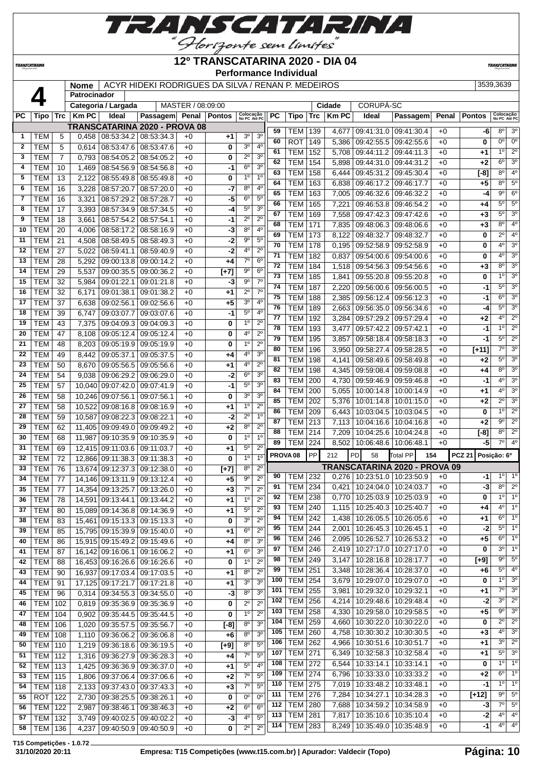

#### **12º TRANSCATARINA 2020 - DIA 04**

**TRANSCATARIN** 

**TRANSCATARINA** 

#### **Performance Individual**

|              |                          |                | <b>Nome</b>    |                                            | ACYR HIDEKI RODRIGUES DA SILVA / RENAN P. MEDEIROS |                   |            |                               |                            |                     |                |     |              |                                   |                                                         |       |                    | 3539,3639                 |                            |
|--------------|--------------------------|----------------|----------------|--------------------------------------------|----------------------------------------------------|-------------------|------------|-------------------------------|----------------------------|---------------------|----------------|-----|--------------|-----------------------------------|---------------------------------------------------------|-------|--------------------|---------------------------|----------------------------|
|              |                          |                | Patrocinador   |                                            |                                                    |                   |            |                               |                            |                     |                |     |              |                                   |                                                         |       |                    |                           |                            |
|              |                          |                |                | Categoria / Largada                        |                                                    | MASTER / 08:09:00 |            |                               |                            |                     |                |     | Cidade       | CORUPÁ-SC                         |                                                         |       |                    |                           |                            |
| <b>PC</b>    | Tipo                     |                | $Trc$   Km PC  | Ideal                                      | Passagem Penal Pontos                              |                   |            | Colocação<br>No PC Até PC     |                            | РC                  | Tipo           | Trc | <b>Km PC</b> | Ideal                             | Passagem                                                | Penal | <b>Pontos</b>      | Colocação<br>No PC Até PC |                            |
|              |                          |                |                | <b>TRANSCATARINA 2020 - PROVA 08</b>       |                                                    |                   |            |                               |                            | 59                  | <b>TEM</b>     | 139 | 4,677        | 09:41:31.0 09:41:30.4             |                                                         | $+0$  | -6                 | $8^{\circ}$               | 3 <sup>o</sup>             |
| 1            | <b>TEM</b>               | 5              | 0,458          | 08:53:34.2 08:53:34.3                      |                                                    | $+0$              | $+1$       | 3 <sup>o</sup>                | 3 <sup>o</sup>             | 60                  | <b>ROT</b>     | 149 | 5,386        | 09:42:55.5   09:42:55.6           |                                                         | $+0$  | $\bf{0}$           | 0 <sub>0</sub>            | 0 <sup>o</sup>             |
| $\mathbf{2}$ | <b>TEM</b>               | 5              | 0.614          | 08:53:47.6                                 | 08:53:47.6                                         | $+0$              | 0          | 3 <sup>o</sup>                | 4 <sup>0</sup>             | 61                  | <b>TEM</b>     | 152 | 5,708        | 09:44:11.2 09:44:11.3             |                                                         | $+0$  | $+1$               | $1^{\circ}$               | $2^{\circ}$                |
| 3            | TEM                      | $\overline{7}$ | 0,793          | 08:54:05.2                                 | 08:54:05.2                                         | $+0$              | 0          | $2^{\circ}$                   | 3 <sup>o</sup>             | 62                  | <b>TEM</b>     | 154 | 5,898        | 09:44:31.0 09:44:31.2             |                                                         | $+0$  | $+2$               | $6^{\circ}$               | 3 <sup>o</sup>             |
| 4            | <b>TEM</b>               | 10             | 1,469          | 08:54:56.9                                 | 08:54:56.8                                         | $+0$              | -1         | $6^{\circ}$                   | 3 <sup>o</sup>             | 63                  | <b>TEM</b>     | 158 | 6,444        | 09:45:31.2 09:45:30.4             |                                                         | $+0$  | [-8]               | $8^{\circ}$               | 4 <sup>o</sup>             |
| 5            | <b>TEM</b>               | 13             | 2,122          | 08:55:49.8                                 | 08.55.49.8                                         | $+0$              | 0          | 1 <sup>0</sup>                | 1 <sup>0</sup>             | 64                  | <b>TEM</b>     | 163 | 6,838        | 09:46:17.2 09:46:17.7             |                                                         | $+0$  | $+5$               | 8°                        | $5^{\circ}$                |
| 6            | <b>TEM</b>               | 16             | 3,228          | 08:57:20.7                                 | 08:57:20.0                                         | $+0$              | -7         | $8^{\circ}$                   | 4 <sup>0</sup>             | 65                  | <b>TEM</b>     | 163 | 7,005        | 09:46:32.6   09:46:32.2           |                                                         | $+0$  | -4                 | $9^{\circ}$               | $6^{\circ}$                |
| 7            | <b>TEM</b>               | 16             | 3,321          | 08:57:29.2                                 | 08:57:28.7                                         | $+0$              | -5         | $6^{\circ}$                   | $5^{\circ}$                | 66                  | <b>TEM</b>     | 165 | 7,221        | 09:46:53.8 09:46:54.2             |                                                         | $+0$  | +4                 | $5^{\circ}$               | $5^{\circ}$                |
| 8            | <b>TEM</b>               | 17             | 3,393          | 08:57:34.9 08:57:34.5                      |                                                    | $+0$              | -4         | $5^{\circ}$                   | 3 <sup>o</sup>             | 67                  | <b>TEM</b>     | 169 |              | 7,558   09:47:42.3   09:47:42.6   |                                                         | $+0$  | $+3$               | $5^{\circ}$               | 3 <sup>o</sup>             |
| 9            | <b>TEM</b>               | 18             | 3,661          | 08:57:54.2 08:57:54.1                      |                                                    | $+0$              | -1         | $2^{\circ}$                   | $2^{\circ}$                | 68                  | <b>TEM</b>     | 171 | 7,835        | 09:48:06.3 09:48:06.6             |                                                         | $+0$  | $+3$               | $8^{\circ}$               | 4 <sup>0</sup>             |
| 10           | <b>TEM</b>               | 20             | 4,006          | 08:58:17.2                                 | 08:58:16.9                                         | $+0$              | $-3$       | $8^{\circ}$                   | $4^{\circ}$                | 69                  | <b>TEM</b>     | 173 | 8,122        | 09:48:32.7 09:48:32.7             |                                                         | $+0$  | 0                  | $2^{\circ}$               | 4 <sup>0</sup>             |
| 11           | <b>TEM</b>               | 21             | 4,508          | 08:58:49.5                                 | 08:58:49.3                                         | $+0$              | -2         | $9^{\rm o}$<br>4°             | $5^{\circ}$<br>$2^{\circ}$ | 70                  | <b>TEM</b>     | 178 | 0,195        | 09:52:58.9 09:52:58.9             |                                                         | $+0$  | $\bf{0}$           | $4^{\circ}$               | 3 <sup>o</sup>             |
| 12           | <b>TEM</b>               | 27             | 5,022          | 08:59:41.1                                 | 08:59:40.9                                         | $+0$              | $-2$       | $7^\circ$                     | 6 <sup>o</sup>             | 71                  | <b>TEM</b>     | 182 | 0,837        | 09:54:00.6   09:54:00.6           |                                                         | $+0$  | 0                  | $4^{\circ}$               | 3 <sup>o</sup>             |
| 13<br>14     | <b>TEM</b>               | 28             | 5,292          | 09:00:13.8                                 | 09:00:14.2                                         | $+0$              | +4         | $9^{\circ}$                   | 6 <sup>o</sup>             | 72                  | <b>TEM</b>     | 184 |              | 1.518 09:54:56.3 09:54:56.6       |                                                         | $+0$  | $+3$               | $8^{\circ}$               | 3 <sup>o</sup>             |
| 15           | <b>TEM</b><br><b>TEM</b> | 29             | 5,537          | 09:00:35.5<br>09:01:22.1                   | 09:00:36.2                                         | $+0$              | $[+7]$     | $9^{\rm o}$                   | $7^\circ$                  | 73                  | <b>TEM</b>     | 185 | 1,841        | 09:55:20.8 09:55:20.8             |                                                         | $+0$  | 0                  | $1^{\circ}$               | 3 <sup>o</sup>             |
| 16           | <b>TEM</b>               | 32             | 5,984          |                                            | 09:01:21.8                                         | $+0$              | -3<br>$+1$ | $2^{\circ}$                   | 7 <sup>0</sup>             | 74                  | <b>TEM</b>     | 187 | 2,220        | 09:56:00.6   09:56:00.5           |                                                         | $+0$  | -1                 | $5^{\circ}$               | 3 <sup>o</sup>             |
| 17           | <b>TEM</b>               | 32<br>37       | 6,171          | 09:01:38.1                                 | 09:01:38.2                                         | $+0$<br>$+0$      |            | 3 <sup>o</sup>                | $4^{\circ}$                | 75                  | <b>TEM</b>     | 188 | 2,385        | 09:56:12.4   09:56:12.3           |                                                         | $+0$  | -1                 | $6^{\circ}$               | 3 <sup>o</sup>             |
| 18           |                          |                | 6,638          | 09:02:56.1                                 | 09:02:56.6                                         |                   | +5         | $5^{\circ}$                   | $4^{\circ}$                | 76                  | <b>TEM</b>     | 189 |              | 2,663   09:56:35.0   09:56:34.6   |                                                         | $+0$  | -4                 | $5^{\circ}$               | 3 <sup>o</sup>             |
|              | <b>TEM</b>               | 39             | 6,747          | 09:03:07.7                                 | 09:03:07.6                                         | $+0$              | -1         |                               | $2^{\circ}$                | 77                  | <b>TEM</b>     | 192 | 3,284        | 09:57:29.2 09:57:29.4             |                                                         | $+0$  | +2                 | $4^{\circ}$               | $\overline{2^{\circ}}$     |
| 19<br>20     | <b>TEM</b><br><b>TEM</b> | 43             | 7,375          | 09:04:09.3                                 | 09:04:09.3                                         | $+0$              | 0          | 1 <sup>0</sup><br>$4^{\circ}$ | $2^{\circ}$                | 78                  | <b>TEM</b>     | 193 | 3,477        | 09:57:42.2 09:57:42.1             |                                                         | $+0$  | -1                 | 10                        | $\overline{2^{\circ}}$     |
| 21           | <b>TEM</b>               | 47<br>48       | 8,108          | 09:05:12.4<br>09:05:19.9                   | 09:05:12.4<br>09:05:19.9                           | $+0$<br>$+0$      | 0<br>0     | 1 <sup>0</sup>                | $2^{\circ}$                | 79                  | <b>TEM</b>     | 195 | 3.857        | 09:58:18.4   09:58:18.3           |                                                         | $+0$  | -1                 | $5^{\circ}$               | $2^{\circ}$                |
| 22           | <b>TEM</b>               |                | 8,203          | 09:05:37.1                                 | 09:05:37.5                                         |                   |            | 4°                            | 3 <sup>o</sup>             | 80                  | <b>TEM</b>     | 196 | 3,950        | 09:58:27.4 09:58:28.5             |                                                         | $+0$  | [+11]              | 7°                        | 3 <sup>o</sup>             |
| 23           | <b>TEM</b>               | 49<br>50       | 8,442<br>8,670 | 09:05:56.5                                 | 09:05:56.6                                         | $+0$<br>$+0$      | +4         | 4 <sup>0</sup>                | $2^{\circ}$                | 81                  | <b>TEM</b>     | 198 | 4,141        | 09:58:49.6   09:58:49.8           |                                                         | $+0$  | $+2$               | $5^{\circ}$               | 3 <sup>o</sup>             |
| 24           | <b>TEM</b>               | 54             | 9,038          | 09:06:29.2                                 | 09:06:29.0                                         | $+0$              | +1<br>-2   | $6^{\circ}$                   | 3 <sup>0</sup>             | 82                  | <b>TEM</b>     | 198 | 4,345        | 09:59:08.4 09:59:08.8             |                                                         | $+0$  | +4                 | $8^{\circ}$               | 3 <sup>o</sup>             |
| 25           | <b>TEM</b>               | 57             |                | 10,040 09:07:42.0 09:07:41.9               |                                                    | $+0$              | $-1$       | $5^{\circ}$                   | 3 <sup>0</sup>             | 83                  | <b>TEM</b>     | 200 | 4,730        | 09:59:46.9 09:59:46.8             |                                                         | $+0$  | -1                 | $4^{\circ}$               | 3 <sup>o</sup>             |
| 26           | <b>TEM</b>               |                |                |                                            |                                                    |                   |            | 3 <sup>0</sup>                | 3 <sup>o</sup>             | 84                  | <b>TEM</b>     | 200 | 5,055        | 10:00:14.8   10:00:14.9           |                                                         | $+0$  | +1                 | $4^{\circ}$               | 3 <sup>o</sup>             |
| 27           | <b>TEM</b>               | 58<br>58       |                | 10,246 09:07:56.1                          | 09:07:56.1                                         | $+0$<br>$+0$      | 0          | 1 <sup>0</sup>                | $2^{\circ}$                | 85                  | <b>TEM</b>     | 202 | 5,376        | 10:01:14.8   10:01:15.0           |                                                         | $+0$  | $+2$               | $2^{\circ}$               | 3 <sup>o</sup>             |
| 28           | <b>TEM</b>               | 59             | 10,587         | 10,522 09:08:16.8 09:08:16.9<br>09:08:22.3 | 09:08:22.1                                         | $+0$              | +1<br>-2   | $2^{\circ}$                   | 1 <sup>0</sup>             | 86                  | <b>TEM</b>     | 209 | 6.443        | 10:03:04.5   10:03:04.5           |                                                         | $+0$  | 0                  | 10                        | $2^{\circ}$                |
| 29           | <b>TEM</b>               | 62             |                | 11,405   09:09:49.0   09:09:49.2           |                                                    | $+0$              | $+2$       | 8 <sup>o</sup>                | $2^{\circ}$                | 87                  | <b>TEM</b>     | 213 | 7,113        | 10:04:16.6   10:04:16.8           |                                                         | $+0$  | $+2$               | $9^{\circ}$               | $\overline{2^0}$           |
| 30           | <b>TEM</b>               | 68             | 11.987         | 09:10:35.900:10:35.9                       |                                                    | $+0$              | 0          | 1 <sup>0</sup>                | 1 <sup>0</sup>             | 88                  | <b>TEM</b>     | 214 | 7,209        | 10:04:25.6   10:04:24.8           |                                                         | $+0$  | $[-8]$             | $8^{\circ}$               | $2^{\circ}$                |
| 31           | <b>TEM</b>               | 69             |                | 12,415 09:11:03.6                          | 09:11:03.7                                         | $+0$              | $^{+1}$    | $5^{\circ}$                   | $2^{\circ}$                | 89                  | <b>TEM</b>     | 224 |              | 8,502   10:06:48.6   10:06:48.1   |                                                         | $+0$  | -5                 | 7°                        | $4^{\circ}$                |
| 32           | <b>TEM</b>               | 72             |                | 12,866 09:11:38.3                          | 09:11:38.3                                         | $+0$              | 0          | 1 <sup>0</sup>                | 1 <sup>0</sup>             | PROVA <sub>08</sub> |                | PP  | 212          | <b>PD</b><br>58                   | <b>Total PP</b><br>154                                  |       | PCZ 21 Posição: 6º |                           |                            |
| 33           | <b>TEM</b>               | 76             |                | 13,674 09:12:37.3                          | 09:12:38.0                                         | $+0$              | $[+7]$     | 8 <sup>o</sup>                | $2^{\circ}$                |                     |                |     |              |                                   | TRANSCATARINA 2020 - PROVA 09                           |       |                    |                           |                            |
| 34           | <b>TEM</b>               | 77             |                | 14,146 09:13:11.9 09:13:12.4               |                                                    | $+0$              | $+5$       | $\overline{9^{\circ}}$        | $2^{\circ}$                | 90                  | <b>TEM</b>     | 232 |              | $0,276$   10:23:51.0   10:23:50.9 |                                                         | $+0$  | -1                 | $1^{\circ}$               | $1^{\circ}$                |
| 35           | <b>TEM</b>               |                |                | 77   14,354 09:13:25.7 09:13:26.0          |                                                    | $+0$              | $+3$       |                               | $7^\circ$ 2°               |                     | 91   TEM   234 |     |              |                                   | $0,421$ $\overline{10:24:04.0}$ $\overline{10:24:03.7}$ | $+0$  | -31                |                           | $8^{\circ}$ 2°             |
| 36           | <b>TEM</b>               | 78             |                | 14,591 09:13:44.1 09:13:44.2               |                                                    | $+0$              | $+1$       | $1^{\circ}$                   | $2^{\circ}$                | 92                  | TEM            | 238 | 0,770        | 10:25:03.9   10:25:03.9           |                                                         | $+0$  | 0                  | $1^{\circ}$               | $1^{\circ}$                |
| 37           | <b>TEM</b>               | 80             |                | 15,089 09:14:36.8 09:14:36.9               |                                                    | +0                | $+1$       | $5^{\circ}$                   | $2^{\circ}$                | 93                  | <b>TEM</b>     | 240 | 1,115        |                                   | 10:25:40.3   10:25:40.7                                 | $+0$  | +4                 |                           | $4^{\circ}$ 1°             |
| 38           | <b>TEM</b>               | 83             |                | 15,461 09:15:13.3 09:15:13.3               |                                                    | $+0$              | 0          | 3 <sup>o</sup>                | $2^{\circ}$                | 94                  | <b>TEM</b>     | 242 | 1,438        |                                   | 10:26:05.5   10:26:05.6                                 | $+0$  | +1                 |                           | $6^{\circ}$ 1°             |
| 39           | <b>TEM</b>               | 85             |                | 15,795 09:15:39.9 09:15:40.0               |                                                    | $+0$              | $+1$       | 6 <sup>o</sup>                | $2^{\circ}$                | 95                  | TEM            | 244 | 2,001        | 10:26:45.3   10:26:45.1           |                                                         | $+0$  | -2                 |                           | $5^{\circ}$ 1°             |
| 40           | <b>TEM</b>               | 86             |                | 15,915 09:15:49.2 09:15:49.6               |                                                    | $+0$              | +4         | $8^{\circ}$                   | 3 <sup>o</sup>             | 96                  | <b>TEM</b>     | 246 | 2,095        | 10:26:52.7   10:26:53.2           |                                                         | $+0$  | $+5$               | 6°                        | 1 <sup>°</sup>             |
| 41           | <b>TEM</b>               | 87             |                | 16,142 09:16:06.1 09:16:06.2               |                                                    | +0                | +1         | $6^{\circ}$                   | 3 <sup>o</sup>             | 97                  | TEM            | 246 | 2,419        | 10:27:17.0   10:27:17.0           |                                                         | $+0$  | 0                  | $3^{\circ}$               | 1 <sup>°</sup>             |
| 42           | <b>TEM</b>               | 88             |                | 16,453 09:16:26.6 09:16:26.6               |                                                    | +0                | 0          | 1 <sup>0</sup>                | $2^{\circ}$                | 98                  | <b>TEM</b>     | 249 | 3,147        | 10:28:16.8   10:28:17.7           |                                                         | $+0$  | $[+9]$             | $9^{\circ}$               | $5^{\circ}$                |
| 43           | <b>TEM</b>               | 90             |                | 16,937 09:17:03.4 09:17:03.5               |                                                    | $+0$              | +1         | 8 <sup>o</sup>                | $2^{\circ}$                | 99                  | <b>TEM</b>     | 251 | 3,348        |                                   | 10:28:36.4   10:28:37.0                                 | $+0$  | $+6$               | $5^{\circ}$               | $4^{\circ}$                |
| 44           | <b>TEM</b>               | 91             |                | 17,125 09:17:21.7 09:17:21.8               |                                                    | $+0$              | $+1$       | 3 <sup>0</sup>                | 3 <sup>0</sup>             | 100                 | <b>TEM</b>     | 254 | 3,679        |                                   | 10:29:07.0   10:29:07.0                                 | $+0$  | 0                  | $1^{\circ}$               | 3 <sup>o</sup>             |
| 45           | <b>TEM</b>               | 96             |                | $0,314$   09:34:55.3   09:34:55.0          |                                                    | $+0$              | -3         | $8^{\circ}$                   | 3 <sup>o</sup>             | 101                 | <b>TEM</b>     | 255 | 3,981        | 10:29:32.0   10:29:32.1           |                                                         | $+0$  | +1                 | 7º                        | 3 <sup>o</sup>             |
| 46           | TEM                      | 102            | 0,819          | 09:35:36.9 09:35:36.9                      |                                                    | $+0$              | 0          | $2^{\circ}$                   | $2^{\circ}$                | 102                 | <b>TEM</b>     | 256 | 4,214        |                                   | 10:29:48.6   10:29:48.4                                 | $+0$  | -2                 | $3^{\circ}$               | $2^{\circ}$                |
| 47           | TEM                      | 104            | 0,902          | 09:35:44.5 09:35:44.5                      |                                                    | $+0$              | 0          | 1 <sup>0</sup>                | $2^{\circ}$                | 103                 | <b>TEM</b>     | 258 | 4,330        |                                   | 10:29:58.0   10:29:58.5                                 | $+0$  | +5                 | 9º                        | 3 <sup>o</sup>             |
| 48           | TEM                      | 106            | 1,020          | 09:35:57.5 09:35:56.7                      |                                                    | $+0$              | $[-8]$     | 8 <sup>o</sup>                | 3 <sup>o</sup>             | 104                 | <b>TEM</b>     | 259 | 4,660        |                                   | 10:30:22.0   10:30:22.0                                 | $+0$  | 0                  | $2^{\circ}$               | $2^{\circ}$                |
| 49           | TEM                      | 108            | 1,110          | 09:36:06.2 09:36:06.8                      |                                                    | $+0$              | +6         | $8^{\circ}$                   | 3 <sup>o</sup>             | 105                 | <b>TEM</b>     | 260 | 4,758        | 10:30:30.2   10:30:30.5           |                                                         | $+0$  | $+3$               | 4º                        | 3 <sup>o</sup>             |
| 50           | <b>TEM</b>               | 110            | 1,219          | 09:36:18.6   09:36:19.5                    |                                                    | $+0$              | $[+9]$     | $8^{\circ}$                   | $5^{\circ}$                | 106                 | <b>TEM</b>     | 262 | 4,966        | 10:30:51.6   10:30:51.7           |                                                         | $+0$  | $+1$               | $3^{\circ}$               | $2^{\circ}$                |
| 51           | <b>TEM</b>               | 112            | 1,316          | 09:36:27.9 09:36:28.3                      |                                                    | $+0$              | +4         | $7^{\circ}$                   | $5^{\circ}$                | 107                 | <b>TEM</b>     | 271 | 6,349        | 10:32:58.3   10:32:58.4           |                                                         | $+0$  | $+1$               | $5^{\circ}$               | 3 <sup>o</sup>             |
| 52           | TEM                      | 113            | 1,425          | 09:36:36.9 09:36:37.0                      |                                                    | $+0$              | $+1$       | $5^{\circ}$                   | $4^{\rm o}$                | 108                 | <b>TEM</b>     | 272 | 6,544        | 10:33:14.1   10:33:14.1           |                                                         | $+0$  | 0                  | $1^{\circ}$               | 1 <sup>°</sup>             |
| 53           | <b>TEM 115</b>           |                | 1,806          | 09:37:06.4 09:37:06.6                      |                                                    | $+0$              | $+2$       | $7^\circ$                     | $5^{\circ}$                | 109                 | <b>TEM</b>     | 274 | 6,796        | 10:33:33.0   10:33:33.2           |                                                         | $+0$  | $+2$               | 6°                        | $1^{\circ}$                |
| 54           | <b>TEM 118</b>           |                | 2,133          | 09:37:43.0 09:37:43.3                      |                                                    | $+0$              | $+3$       | $7^\circ$                     | $5^{\circ}$                | 110                 | <b>TEM</b>     | 275 | 7,019        | 10:33:48.2   10:33:48.1           |                                                         | $+0$  | $-1$               | $1^{\circ}$               | 1 <sup>0</sup>             |
| 55           | ROT   122                |                | 2,730          | 09:38:25.5 09:38:26.1                      |                                                    | +0                | 0          | $0^{\circ}$                   | $0^{\rm o}$                | 111                 | TEM            | 276 | 7,284        | 10:34:27.1   10:34:28.3           |                                                         | $+0$  | $[+12]$            | 9º                        | $5^{\circ}$                |
| 56           | TEM                      | 122            | 2,987          | 09:38:46.1                                 | 09:38:46.3                                         | +0                | $+2$       | $6^{\circ}$                   | 6 <sup>o</sup>             | 112                 | <b>TEM</b>     | 280 | 7,688        |                                   | 10:34:59.2   10:34:58.9                                 | $+0$  | -3                 | 7º                        | $5^{\circ}$                |
| 57           | <b>TEM 132</b>           |                | 3,749          | 09:40:02.5 09:40:02.2                      |                                                    | $+0$              | $-3$       | $4^{\circ}$                   | $5^{\circ}$                | 113                 | <b>TEM</b>     | 281 | 7,817        |                                   | 10:35:10.6   10:35:10.4                                 | $+0$  | -2                 |                           | $4^{\circ}$ 4 <sup>°</sup> |
| 58           | <b>TEM 136</b>           |                | 4,237          | 09:40:50.9 09:40:50.9                      |                                                    | $+0$              | 0          | $2^{\circ}$                   | $2^{\circ}$                | 114                 | <b>TEM</b>     | 283 | 8,249        | 10:35:49.0   10:35:48.9           |                                                         | $+0$  | -1                 |                           | $4^{\circ}$ 4°             |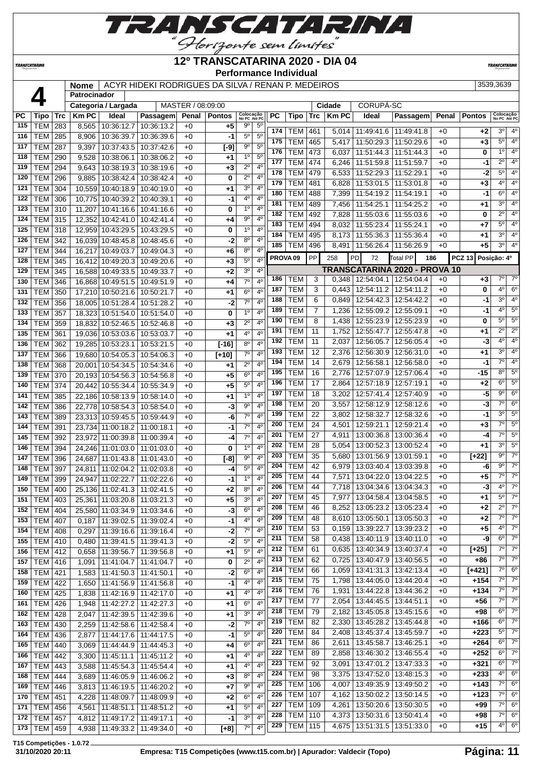

#### **12º TRANSCATARINA 2020 - DIA 04**

**Performance Individual**

**TRANSCATARIN** 

 **Patrocinador**

**TRANSCATARINA** 

**Nome** | ACYR HIDEKI RODRIGUES DA SILVA / RENAN P. MEDEIROS | 3539,3639 | 3539,3639

|           |                |     |              | Categoria / Largada          |                       | MASTER / 08:09:00 |               |                                  |     |                     |                | Cidade       | CORUPÁ-SC                         |                               |              |               |                           |                          |
|-----------|----------------|-----|--------------|------------------------------|-----------------------|-------------------|---------------|----------------------------------|-----|---------------------|----------------|--------------|-----------------------------------|-------------------------------|--------------|---------------|---------------------------|--------------------------|
| <b>PC</b> | Tipo           | Trc | <b>Km PC</b> | Ideal                        | Passagem              | Penal             | <b>Pontos</b> | Colocação<br>No PC Até PC        | PC. | Tipo                | Trc            | <b>Km PC</b> | Ideal                             | Passagem                      | Penal        | Pontos        | Colocação<br>No PC Até PC |                          |
| 115       | <b>TEM</b>     | 283 | 8,565        | 10:36:12.7                   | 10:36:13.2            | $+0$              | $+5$          | $9^{\circ}$<br>5 <sup>c</sup>    | 174 | <b>TEM</b>          | 461            | 5.014        | 11:49:41.6   11:49:41.8           |                               |              | $+2$          | 3°                        | $4^{\circ}$              |
| 116       | <b>TEM</b>     | 285 | 8,906        | 10:36:39.7                   | 10:36:39.6            | $+0$              | -1            | 5 <sup>0</sup><br>$5^{\circ}$    | 175 | <b>TEM</b>          | 465            | 5,417        | 11:50:29.3   11:50:29.6           |                               | $+0$<br>$+0$ | +3            | $5^\circ$                 | 4 <sup>o</sup>           |
| 117       | TEM            | 287 | 9,397        | 10:37:43.5                   | 10:37:42.6            | $+0$              | $[-9]$        | $9^{\circ}$<br>$5^{\circ}$       | 176 | <b>TEM</b>          | 473            |              |                                   |                               |              |               | $1^{\circ}$               | $4^{\circ}$              |
| 118       | <b>TEM</b>     | 290 | 9,528        | 10:38:06.1                   | 10:38:06.2            | $+0$              | +1            | 1 <sup>0</sup><br>$5^{\circ}$    | 177 |                     |                | 6,037        | 11:51:44.3   11:51:44.3           |                               | +0           | 0             | $2^{\circ}$               | $4^{\circ}$              |
| 119       | <b>TEM</b>     | 294 | 9,643        |                              | 10:38:19.3 10:38:19.6 | $+0$              | $+3$          | $2^{\circ}$<br>4 <sup>0</sup>    |     | <b>TEM</b>          | 474            | 6,246        | 11:51:59.8                        | 11:51:59.7                    | $+0$         | -1            | 5 <sup>0</sup>            |                          |
| 120       | <b>TEM</b>     | 296 | 9,885        | 10:38:42.4                   | 10:38:42.4            | $+0$              | 0             | $2^{\circ}$<br>$4^{\circ}$       | 178 | <b>TEM</b>          | 479            | 6,533        | 11:52:29.3   11:52:29.1           |                               | $+0$         | -2            |                           | $4^{\circ}$              |
| 121       | <b>TEM</b>     | 304 |              | 10,559 10:40:18.9            | 10:40:19.0            | $+0$              | +1            | 3 <sup>0</sup><br>$4^{\circ}$    | 179 | <b>TEM</b>          | 481            | 6,828        | 11:53:01.5 11:53:01.8             |                               | $+0$         | +3            | $4^{\circ}$               | 4 <sup>o</sup>           |
| 122       | <b>TEM</b>     | 306 |              | 10,775 10:40:39.2            | 10:40:39.1            | $+0$              | $-1$          | 4°<br>$4^{\circ}$                | 180 | <b>TEM</b>          | 488            | 7,399        | 11:54:19.2 11:54:19.1             |                               | $+0$         | -1            | $6^{\circ}$               | $4^{\circ}$              |
| 123       | <b>TEM</b>     | 310 | 11,207       | 10:41:16.6                   | 10:41:16.6            | $+0$              | 0             | $1^{\circ}$<br>4 <sup>0</sup>    | 181 | <b>TEM</b>          | 489            | 7,456        | 11:54:25.1                        | 11:54:25.2                    | $+0$         | +1            | 3 <sup>0</sup>            | $4^{\circ}$              |
| 124       | TEM            | 315 |              | 12,352 10:42:41.0            | 10:42:41.4            | $+0$              | +4            | $9^{\circ}$<br>4 <sup>0</sup>    | 182 | <b>TEM</b>          | 492            | 7,828        | 11:55:03.6   11:55:03.6           |                               | $+0$         | 0             | $\overline{2^{\circ}}$    | $4^{\circ}$              |
| 125       | <b>TEM</b>     | 318 |              | 12,959 10:43:29.5            | 10:43:29.5            | $+0$              | 0             | 1 <sup>0</sup><br>$4^{\circ}$    | 183 | <b>TEM</b>          | 494            | 8,032        | 11:55:23.4   11:55:24.1           |                               | $+0$         | $+7$          | $5^{\circ}$               | $4^{\circ}$              |
| 126       | TEM            | 342 |              | 16,039 10:48:45.8            | 10:48:45.6            | $+0$              | -2            | $8^{\circ}$<br>4 <sup>0</sup>    | 184 | <b>TEM</b>          | 495            | 8,173        | 11:55:36.3 11:55:36.4             |                               | $+0$         | +1            | 3 <sup>0</sup>            | $4^{\circ}$              |
| 127       | <b>TEM</b>     | 344 |              | 16,217 10:49:03.7            | 10:49:04.3            | $+0$              | +6            | 4 <sup>0</sup><br>$8^{\circ}$    | 185 | <b>TEM</b>          | 496            | 8,491        | 11:56:26.4   11:56:26.9           |                               | +0           | +5            | $3^{\circ}$               | $4^{\circ}$              |
| 128       | <b>TEM</b>     | 345 |              | 16,412 10:49:20.3 10:49:20.6 |                       | $+0$              | $+3$          | 5 <sup>0</sup><br>4 <sup>0</sup> |     | PROVA <sub>09</sub> | PP             | 258          | PD<br>72                          | Total PP<br>186               |              | <b>PCZ 13</b> | Posição: 4º               |                          |
| 129       | <b>TEM</b>     | 345 |              | 16,588 10:49:33.5            | 10:49:33.7            | $+0$              | $+2$          | 3 <sup>o</sup><br>$4^{\circ}$    |     |                     |                |              |                                   | TRANSCATARINA 2020 - PROVA 10 |              |               |                           |                          |
| 130       | <b>TEM</b>     | 346 |              | 16,868 10:49:51.5            | 10:49:51.9            | $+0$              | +4            | $7^\circ$<br>$4^{\circ}$         | 186 | <b>TEM</b>          | 3              |              | $0,348$   12:54:04.1   12:54:04.4 |                               | $+0$         | +3            | 7°                        | $7^\circ$                |
| 131       | <b>TEM</b>     | 350 |              | 17,210 10:50:21.6            | 10:50:21.7            | $+0$              | +1            | $6^{\circ}$<br>4 <sup>0</sup>    | 187 | <b>TEM</b>          | 3              | 0.443        | 12:54:11.2 12:54:11.2             |                               | $+0$         | 0             | $4^{\circ}$               | $6^{\circ}$              |
| 132       | <b>TEM</b>     | 356 |              | 18,005 10:51:28.4            | 10:51:28.2            | $+0$              | $-2$          | 7 <sup>0</sup><br>4 <sup>0</sup> | 188 | <b>TEM</b>          | 6              | 0,849        | 12:54:42.3   12:54:42.2           |                               | $+0$         | -1            | $3^{\circ}$               | 4 <sup>0</sup>           |
| 133       | TEM            | 357 |              | 18,323 10:51:54.0            | 10:51:54.0            | $+0$              | 0             | 1 <sup>0</sup><br>4 <sup>0</sup> | 189 | <b>TEM</b>          | $\overline{7}$ | 1,236        | 12:55:09.2   12:55:09.1           |                               | $+0$         | -1            | 4 <sup>o</sup>            | 5 <sup>o</sup>           |
| 134       | <b>TEM</b>     | 359 |              | 18,832 10:52:46.5            | 10:52:46.8            | $+0$              | $+3$          | 4 <sup>0</sup><br>$2^{\circ}$    | 190 | <b>TEM</b>          | 8              | 1,438        | 12:55:23.9   12:55:23.9           |                               | $+0$         | 0             | 5 <sup>0</sup>            | $5^\circ$                |
| 135       | TEM            | 361 |              | 19,036 10:53:03.6            | 10:53:03.7            | $+0$              | +1            | $4^{\circ}$<br>4 <sup>0</sup>    | 191 | <b>TEM</b>          | 11             | 1,752        | 12:55:47.7   12:55:47.8           |                               | $+0$         | +1            | $2^{\circ}$               | $2^{\circ}$              |
| 136       | <b>TEM</b>     | 362 |              | 19,285 10:53:23.1            | 10:53:21.5            | $+0$              | $[-16]$       | 8 <sup>o</sup><br>4 <sup>0</sup> | 192 | <b>TEM</b>          | 11             | 2,037        | 12:56:05.7   12:56:05.4           |                               | $+0$         | $-3$          | 4 <sup>°</sup>            | 4 <sup>o</sup>           |
| 137       | <b>TEM</b>     | 366 |              | 19,680 10:54:05.3            | 10:54:06.3            | $+0$              | $[+10]$       | 7 <sup>o</sup><br>4 <sup>0</sup> | 193 | <b>TEM</b>          | 12             | 2,376        | 12:56:30.9 12:56:31.0             |                               | $+0$         | +1            | 3 <sup>0</sup>            | $4^{\circ}$              |
| 138       | <b>TEM</b>     | 368 |              | 20,001 10:54:34.5            | 10:54:34.6            | $+0$              | $+1$          | $2^{\circ}$<br>4 <sup>0</sup>    | 194 | <b>TEM</b>          | 14             | 2,679        | 12:56:58.1   12:56:58.0           |                               | +0           | -1            | $7^\circ$                 | $4^{\circ}$              |
| 139       | <b>TEM</b>     | 370 |              | 20,193 10:54:56.3            | 10:54:56.8            | $+0$              | +5            | $6^{\circ}$<br>4 <sup>0</sup>    | 195 | <b>TEM</b>          | 16             | 2,776        | 12:57:07.9   12:57:06.4           |                               | +0           | -15           | $8^{\circ}$               | $5^\circ$                |
| 140       | <b>TEM</b>     |     |              |                              |                       |                   | $+5$          | $5^{\circ}$<br>4 <sup>0</sup>    | 196 | <b>TEM</b>          | 17             | 2,864        | 12:57:18.9   12:57:19.1           |                               | $+0$         | +2            | $6^{\circ}$               | $5^\circ$                |
|           |                | 374 |              | 20,442 10:55:34.4            | 10:55:34.9            | $+0$              |               | 1 <sup>0</sup><br>4 <sup>0</sup> | 197 | <b>TEM</b>          | 18             | 3,202        | 12:57:41.4   12:57:40.9           |                               | $+0$         | -5            | $9^{\circ}$               | $6^{\circ}$              |
| 141       | <b>TEM</b>     | 385 |              | 22,186 10:58:13.9            | 10:58:14.0            | $+0$              | +1            | 9 <sup>o</sup><br>$4^{\circ}$    | 198 | <b>TEM</b>          | 20             | 3,557        | 12:58:12.9   12:58:12.6           |                               | $+0$         | -3            | 7°                        | $6^{\circ}$              |
| 142       | <b>TEM</b>     | 386 |              | 22,778 10:58:54.3 10:58:54.0 |                       | $+0$              | $-3$          | $7^\circ$                        | 199 | <b>TEM</b>          | 22             | 3,802        | 12:58:32.7   12:58:32.6           |                               | $+0$         | -1            | 3 <sup>0</sup>            | $5^{\circ}$              |
| 143       | <b>TEM</b>     | 389 |              | 23,313 10:59:45.5            | 10:59:44.9            | $+0$              | -6            | $4^{\circ}$                      | 200 | <b>TEM</b>          | 24             | 4,501        | 12:59:21.1   12:59:21.4           |                               | $+0$         | +3            | $7^\circ$                 | $5^\circ$                |
| 144       | TEM            | 391 |              | 23,734 11:00:18.2            | 11:00:18.1            | $+0$              | -1            | $7^\circ$<br>4 <sup>0</sup>      | 201 | <b>TEM</b>          | 27             | 4,911        | 13:00:36.8   13:00:36.4           |                               | $+0$         | $-4$          | $7^\circ$                 | 5 <sup>o</sup>           |
| 145       | <b>TEM</b>     | 392 |              | 23,972 11:00:39.8            | 11:00:39.4            | $+0$              | -4            | $7^\circ$<br>4 <sup>0</sup>      | 202 | <b>TEM</b>          | 28             | 5,054        | 13:00:52.3   13:00:52.4           |                               | $+0$         | +1            | 3 <sup>0</sup>            | 5 <sup>0</sup>           |
| 146       | <b>TEM</b>     | 394 |              | 24,246 11:01:03.0            | 11:01:03.0            | $+0$              | 0             | 1 <sup>0</sup><br>4 <sup>0</sup> | 203 | <b>TEM</b>          | 35             | 5,680        | 13:01:56.9   13:01:59.1           |                               | +0           | $[+22]$       | $9^{\circ}$               | $7^\circ$                |
| 147       | TEM            | 396 |              | 24,687 11:01:43.8            | 11:01:43.0            | $+0$              | $[-8]$        | $9^{\rm o}$<br>4 <sup>0</sup>    | 204 | <b>TEM</b>          | 42             | 6,979        | 13:03:40.4   13:03:39.8           |                               | +0           | -6            | $9^{\circ}$               | $7^\circ$                |
| 148       | <b>TEM</b>     | 397 |              | 24,811 11:02:04.2            | 11:02:03.8            | $+0$              | -4            | $5^{\circ}$<br>4 <sup>0</sup>    | 205 | <b>TEM</b>          | 44             | 7,571        | 13:04:22.0 13:04:22.5             |                               | $+0$         | +5            | $7^\circ$                 | $7^\circ$                |
| 149       | TEM            | 399 |              | 24,947 11:02:22.7            | 11:02:22.6            | $+0$              | -1            | 4 <sup>0</sup><br>1 <sup>0</sup> | 206 | <b>TEM</b>          | 44             | 7,718        | 13:04:34.6   13:04:34.3           |                               | +0           | -3            | $4^{\circ}$               | $7^\circ$                |
| 150       | <b>TEM</b>     | 400 |              | 25,136 11:02:41.3            | 11:02:41.5            | $+0$              | $+2$          | $8^{\circ}$<br>$4^{\rm o}$       | 207 | <b>TEM</b>          | 45             | 7,977        | 13:04:58.4   13:04:58.5           |                               | $+0$         |               | 5 <sup>0</sup>            | $7^\circ$                |
| 151       | <b>TEM</b>     | 403 |              | 25,361 11:03:20.8            | 11:03:21.3            | $+0$              | $+5$          | 3 <sup>0</sup><br>4 <sup>0</sup> | 208 | <b>TEM</b>          | 46             | 8,252        | 13:05:23.2   13:05:23.4           |                               | $+0$         | +1<br>$+2$    | $2^{\circ}$               | $7^\circ$                |
| 152       | <b>TEM 404</b> |     |              | 25,580 11:03:34.9 11:03:34.6 |                       | $+0$              | $-3$          | $6^{\circ}$<br>4 <sup>0</sup>    |     |                     |                |              |                                   |                               |              |               | 7°                        | $7^\circ$                |
| 153       | <b>TEM 407</b> |     | 0,187        | 11:39:02.5                   | 11:39:02.4            | $+0$              | -1            | 4 <sup>0</sup><br>4°             | 209 | <b>TEM</b>          | 48             |              | 8,610   13:05:50.1   13:05:50.3   |                               | $+0$         | +2            | $4^{\circ}$               | $7^\circ$                |
| 154       | <b>TEM 408</b> |     | 0,297        | 11:39:16.6                   | 11:39:16.4            | $+0$              | -2            | $7^\circ$<br>$4^{\rm o}$         | 210 | <b>TEM</b>          | 53             | 0,159        | 13:39:22.7   13:39:23.2           |                               | $+0$         | $+5$          | $6^{\circ}$               | $7^\circ$                |
| 155       | TEM 410        |     | 0,480        | 11:39:41.5   11:39:41.3      |                       | $+0$              | $-2$          | $5^{\circ}$<br>$4^{\circ}$       | 211 | <b>TEM</b>          | 58             | 0,438        | 13:40:11.9   13:40:11.0           |                               | $+0$         | -9            | $7^\circ$                 | $7^\circ$                |
| 156       | TEM   412      |     | 0,658        | 11:39:56.7   11:39:56.8      |                       | $+0$              | $+1$          | $5^{\circ}$<br>$4^{\circ}$       | 212 | <b>TEM</b>          | 61             | 0,635        | 13:40:34.9   13:40:37.4           |                               | $+0$         | $[+25]$       | $7^\circ$                 | $7^\circ$                |
| 157       | <b>TEM 416</b> |     | 1,091        | 11:41:04.7 11:41:04.7        |                       | $+0$              | 0             | $2^{\circ}$<br>$4^{\circ}$       | 213 | <b>TEM</b>          | 62             | 0,725        | 13:40:47.9   13:40:56.5           |                               | $+0$         | +86           |                           |                          |
| 158       | <b>TEM 421</b> |     | 1,583        | 11:41:50.3                   | 11:41:50.1            | $+0$              | -2            | $6^{\circ}$<br>$4^{\rm o}$       | 214 | <b>TEM</b>          | 66             | 1,059        | 13:41:31.3 13:42:13.4             |                               | $+0$         | $[+421]$      | $7^\circ$<br>$7^\circ$    | $6^{\circ}$<br>$7^\circ$ |
| 159       | <b>TEM 422</b> |     | 1,650        | 11:41:56.9                   | 11:41:56.8            | $+0$              | $-1$          | 4°<br>4 <sup>0</sup>             | 215 | <b>TEM</b>          | 75             | 1,798        | 13:44:05.0   13:44:20.4           |                               | $+0$         | +154          | $7^\circ$                 | $7^\circ$                |
| 160       | TEM 425        |     | 1,838        | 11:42:16.9                   | 11:42:17.0            | $+0$              | $+1$          | 4 <sup>0</sup><br>4 <sup>0</sup> | 216 | <b>TEM</b>          | 76             | 1,931        | 13:44:22.8   13:44:36.2           |                               | $+0$         | +134          | $7^\circ$                 |                          |
| 161       | <b>TEM 426</b> |     | 1,948        | 11:42:27.2                   | 11:42:27.3            | $+0$              | +1            | $6^{\circ}$<br>$4^{\circ}$       | 217 | <b>TEM</b>          | 77             | 2,054        | 13:44:45.5   13:44:51.1           |                               | $+0$         | +56           |                           | $7^\circ$                |
| 162       | <b>TEM 428</b> |     | 2,047        | 11:42:39.5                   | 11:42:39.6            | $+0$              | +1            | 3 <sup>o</sup><br>$4^{\circ}$    | 218 | <b>TEM</b>          | 79             |              | 2,182   13:45:05.8   13:45:15.6   |                               | $+0$         | $+98$         | $6^{\circ}$               | $7^\circ$                |
| 163       | <b>TEM</b>     | 430 | 2,259        | 11:42:58.6                   | 11:42:58.4            | $+0$              | -2            | $7^{\circ}$<br>$4^{\rm o}$       | 219 | <b>TEM</b>          | 82             | 2,330        | 13:45:28.2   13:45:44.8           |                               | $+0$         | +166          | $6^{\circ}$               | $7^\circ$                |
| 164       | <b>TEM 436</b> |     | 2,877        | 11:44:17.6                   | 11:44:17.5            | $+0$              | -1            | 5 <sup>0</sup><br>4 <sup>0</sup> | 220 | <b>TEM</b>          | 84             | 2,408        | 13:45:37.4   13:45:59.7           |                               | $+0$         | +223          | $5^{\circ}$               | $7^\circ$                |
| 165       | TEM 440        |     | 3,069        | 11:44:44.9                   | 11:44:45.3            | $+0$              | $+4$          | 6 <sup>o</sup><br>4 <sup>0</sup> | 221 | <b>TEM</b>          | 86             | 2,611        | 13:45:58.7   13:46:25.1           |                               | $+0$         | +264          | $6^{\circ}$               | $7^\circ$                |
| 166       | <b>TEM 442</b> |     | 3,300        | 11:45:11.1   11:45:11.2      |                       | $+0$              | $+1$          | $4^{\circ}$<br>$4^{\circ}$       | 222 | <b>TEM</b>          | 89             | 2,858        | 13:46:30.2   13:46:55.4           |                               | $+0$         | $+252$        | $6^{\circ}$               | $7^\circ$                |
| 167       | TEM 443        |     | 3,588        | 11:45:54.3                   | 11:45:54.4            | $+0$              | +1            | $4^{\rm o}$<br>4°                | 223 | <b>TEM</b>          | 92             | 3,091        | 13:47:01.2   13:47:33.3           |                               | $+0$         | +321          | $6^{\circ}$               | $7^\circ$                |
| 168       | <b>TEM 444</b> |     | 3,689        | 11:46:05.9                   | 11:46:06.2            | $+0$              | $+3$          | 8 <sup>o</sup><br>4 <sup>0</sup> | 224 | <b>TEM</b>          | 98             |              | 3,375   13:47:52.0   13:48:15.3   |                               | $+0$         | +233          | $4^{\circ}$               | $6^{\circ}$              |
| 169       | <b>TEM 446</b> |     | 3,813        | 11:46:19.5                   | 11:46:20.2            | $+0$              | $+7$          | 9 <sup>o</sup><br>4 <sup>0</sup> | 225 | <b>TEM</b>          | 106            | 4,007        | 13:49:35.9 13:49:50.2             |                               | $+0$         | $+143$        | $7^\circ$                 | $6^{\circ}$              |
| 170       | TEM   451      |     | 4,228        | 11:48:09.7                   | 11:48:09.9            | $+0$              | $+2$          | $6^{\circ}$<br>$4^{\circ}$       | 226 | <b>TEM</b>          | 107            | 4,162        | 13:50:02.2   13:50:14.5           |                               | $+0$         | +123          | 7°                        | $6^{\circ}$              |
| 171       | <b>TEM</b>     | 456 | 4,561        | 11:48:51.1                   | 11:48:51.2            | +0                | +1            | $5^{\circ}$<br>$4^{\circ}$       | 227 | <b>TEM</b>          | 109            |              | 4,261   13:50:20.6   13:50:30.5   |                               | $+0$         | $+99$         | $7^\circ$                 | $6^{\circ}$              |
| 172       | <b>TEM</b>     | 457 | 4,812        | 11:49:17.2                   | 11:49:17.1            | $+0$              | -1            | 3 <sup>o</sup><br>$4^{\circ}$    | 228 | <b>TEM</b>          | 110            | 4,373        | 13:50:31.6   13:50:41.4           |                               | $+0$         | +98           | $7^\circ$                 | $6^{\circ}$              |
| 173       | TEM   459      |     |              | 4,938   11:49:33.2           | 11:49:34.0            | $+0$              | $[+8]$        | $7^\circ$<br>4 <sup>0</sup>      | 229 | <b>TEM</b>          | 115            |              | 4,675   13:51:31.5   13:51:33.0   |                               | $+0$         | $+15$         | $4^{\circ}$               | $6^{\circ}$              |
|           |                |     |              |                              |                       |                   |               |                                  |     |                     |                |              |                                   |                               |              |               |                           |                          |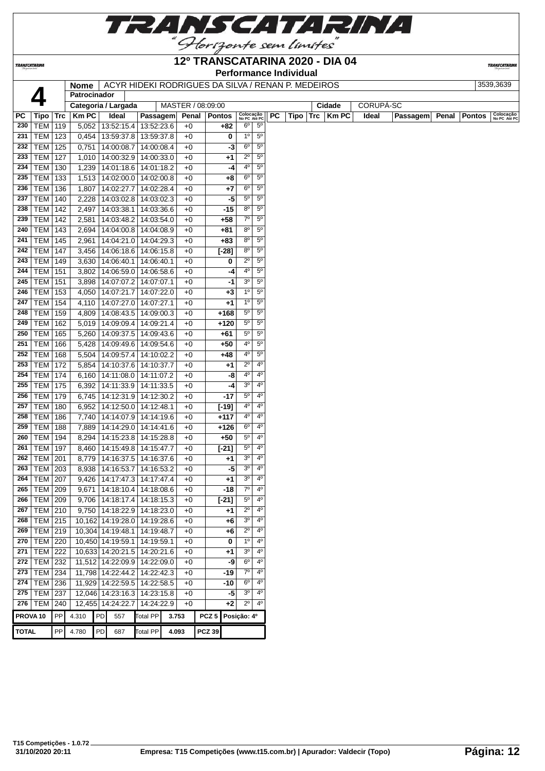

TRANSCATARINA

#### **12º TRANSCATARINA 2020 - DIA 04 Performance Individual**

**TRANSCATARIN** 

|                     |  |                                                    | Feriormance muiviqual |        |           |           |
|---------------------|--|----------------------------------------------------|-----------------------|--------|-----------|-----------|
| <b>Nome</b>         |  | ACYR HIDEKI RODRIGUES DA SILVA / RENAN P. MEDEIROS |                       |        |           | 3539.3639 |
| Patrocinador        |  |                                                    |                       |        |           |           |
| Categoria / Largada |  | MASTER / 08:09:00                                  |                       | Cidade | CORUPA-SC |           |

| РC                  | Tipo   Trc      |     | <b>Km PC</b> |    | Ideal                           | Passagem        | Penal |                  | <b>Pontos</b> | Colocação<br>No PC Até PC |                | <b>PC</b> |  | Tipo $ $ Trc $ $ Km PC | Ideal | Passagem | Penal   Pontos | Colocação<br>No PC Até PC |
|---------------------|-----------------|-----|--------------|----|---------------------------------|-----------------|-------|------------------|---------------|---------------------------|----------------|-----------|--|------------------------|-------|----------|----------------|---------------------------|
| 230                 | <b>TEM 119</b>  |     |              |    | 5,052   13:52:15.4   13:52:23.6 |                 | $+0$  |                  | $+82$         | $6^{\circ}$               | $5^{\circ}$    |           |  |                        |       |          |                |                           |
| 231                 | TEM             | 123 |              |    | 0,454   13:59:37.8              | 13:59:37.8      | $+0$  |                  | 0             | $1^{\circ}$               | $5^{\circ}$    |           |  |                        |       |          |                |                           |
| 232                 | <b>TEM</b>      | 125 | 0,751        |    | 14:00:08.7                      | 14:00:08.4      | $+0$  |                  | -3            | $6^{\circ}$               | $5^{\circ}$    |           |  |                        |       |          |                |                           |
| 233                 | <b>TEM</b>      | 127 |              |    | 1,010   14:00:32.9              | 14:00:33.0      | $+0$  |                  | $+1$          | $2^{\circ}$               | $5^{\circ}$    |           |  |                        |       |          |                |                           |
| 234                 | TEM             | 130 |              |    | 1,239   14:01:18.6              | 14:01:18.2      | $+0$  |                  | -4            | 4°                        | $5^{\circ}$    |           |  |                        |       |          |                |                           |
| 235                 | <b>TEM</b>      | 133 |              |    | 1,513   14:02:00.0              | 14:02:00.8      | $+0$  |                  | $+8$          | $6^{\circ}$               | $5^{\circ}$    |           |  |                        |       |          |                |                           |
| 236                 | <b>TEM</b>      | 136 | 1,807        |    | 14:02:27.7                      | 14:02:28.4      | $+0$  |                  | +7            | $6^{\circ}$               | $5^{\circ}$    |           |  |                        |       |          |                |                           |
| 237                 | <b>TEM</b>      | 140 | 2,228        |    | 14:03:02.8                      | 14:03:02.3      | $+0$  |                  | -5            | $5^{\circ}$               | $5^{\circ}$    |           |  |                        |       |          |                |                           |
| 238                 | TEM             | 142 |              |    | 2,497   14:03:38.1              | 14:03:36.6      | $+0$  |                  | $-15$         | $8^{\circ}$               | $5^{\circ}$    |           |  |                        |       |          |                |                           |
| 239                 | <b>TEM 142</b>  |     |              |    | 2,581   14:03:48.2              | 14:03:54.0      | $+0$  |                  | $+58$         | $7^\circ$                 | $5^{\circ}$    |           |  |                        |       |          |                |                           |
| 240                 | <b>TEM 143</b>  |     | 2,694        |    | 14:04:00.8                      | 14:04:08.9      | $+0$  |                  | $+81$         | 80                        | $5^{\circ}$    |           |  |                        |       |          |                |                           |
| 241                 | TEM             | 145 | 2,961        |    | 14:04:21.0                      | 14:04:29.3      | $+0$  |                  | +83           | $8^{\circ}$               | $5^{\circ}$    |           |  |                        |       |          |                |                           |
| 242                 | <b>TEM 147</b>  |     | 3,456        |    | 14:06:18.6                      | 14:06:15.8      | $+0$  |                  | $[-28]$       | 80                        | $5^{\circ}$    |           |  |                        |       |          |                |                           |
| 243                 | <b>TEM 149</b>  |     |              |    | 3,630   14:06:40.1              | 14:06:40.1      | $+0$  |                  | 0             | $2^{\circ}$               | $5^{\circ}$    |           |  |                        |       |          |                |                           |
| 244                 | TEM             | 151 |              |    | 3,802   14:06:59.0              | 14:06:58.6      | $+0$  |                  | -4            | 4º                        | $5^{\circ}$    |           |  |                        |       |          |                |                           |
| 245                 | <b>TEM</b>      | 151 | 3,898        |    | 14:07:07.2                      | 14:07:07.1      | $+0$  |                  | -1            | 3 <sup>o</sup>            | $5^{\circ}$    |           |  |                        |       |          |                |                           |
| 246                 | <b>TEM</b>      | 153 |              |    | 4,050 14:07:21.7                | 14:07:22.0      | $+0$  |                  | $+3$          | 1 <sup>0</sup>            | $5^{\circ}$    |           |  |                        |       |          |                |                           |
| 247                 | TEM             | 154 |              |    | 4,110   14:07:27.0              | 14:07:27.1      | $+0$  |                  | $+1$          | $1^{\circ}$               | 5 <sup>0</sup> |           |  |                        |       |          |                |                           |
| 248                 | <b>TEM 159</b>  |     |              |    | 4,809 14:08:43.5                | 14:09:00.3      | $+0$  |                  | $+168$        | $5^{\circ}$               | $5^{\circ}$    |           |  |                        |       |          |                |                           |
| 249                 | <b>TEM</b>      | 162 |              |    | 5,019   14:09:09.4              | 14:09:21.4      | $+0$  |                  | $+120$        | $5^{\circ}$               | $5^{\circ}$    |           |  |                        |       |          |                |                           |
| 250                 | <b>TEM</b>      | 165 |              |    | 5,260   14:09:37.5              | 14:09:43.6      | $+0$  |                  | +61           | $5^{\circ}$               | $5^{\circ}$    |           |  |                        |       |          |                |                           |
| 251                 | <b>TEM</b>      | 166 |              |    | 5,428   14:09:49.6              | 14:09:54.6      | $+0$  |                  | $+50$         | 40                        | $5^{\circ}$    |           |  |                        |       |          |                |                           |
| 252                 | TEM             | 168 |              |    | 5,504   14:09:57.4              | 14:10:02.2      | $+0$  |                  | +48           | 40                        | $5^{\circ}$    |           |  |                        |       |          |                |                           |
| 253                 | <b>TEM</b>      | 172 |              |    | 5,854   14:10:37.6              | 14:10:37.7      | $+0$  |                  | $+1$          | $2^{\circ}$               | $4^{\circ}$    |           |  |                        |       |          |                |                           |
| 254                 | <b>TEM</b>      | 174 |              |    | 6,160   14:11:08.0              | 14:11:07.2      | $+0$  |                  | -8            | 40                        | $4^{\circ}$    |           |  |                        |       |          |                |                           |
| 255                 | <b>TEM</b>      | 175 | 6,392        |    | 14:11:33.9                      | 14:11:33.5      | $+0$  |                  | -4            | 3 <sup>o</sup>            | 4 <sup>0</sup> |           |  |                        |       |          |                |                           |
| 256                 | <b>TEM</b>      | 179 | 6,745        |    | 14:12:31.9                      | 14:12:30.2      | $+0$  |                  | $-17$         | $5^{\circ}$               | $4^{\circ}$    |           |  |                        |       |          |                |                           |
| 257                 | TEM             | 180 |              |    | 6,952   14:12:50.0              | 14:12:48.1      | $+0$  |                  | $[-19]$       | 4 <sup>0</sup>            | $4^{\circ}$    |           |  |                        |       |          |                |                           |
| 258                 | <b>TEM</b>      | 186 |              |    | 7,740   14:14:07.9   14:14:19.6 |                 | $+0$  |                  | $+117$        | 4º                        | $4^{\circ}$    |           |  |                        |       |          |                |                           |
| 259                 | <b>TEM</b>      | 188 |              |    | 7,889   14:14:29.0              | 14:14:41.6      | $+0$  |                  | $+126$        | $6^{\circ}$               | $4^{\circ}$    |           |  |                        |       |          |                |                           |
| 260                 | <b>TEM</b>      | 194 |              |    | 8,294   14:15:23.8              | 14:15:28.8      | $+0$  |                  | $+50$         | $5^{\circ}$               | $4^{\circ}$    |           |  |                        |       |          |                |                           |
| 261                 | $TEM$ 197       |     |              |    | 8,460   14:15:49.8              | 14:15:47.7      | $+0$  |                  | $[-21]$       | $5^{\circ}$               | $4^{\circ}$    |           |  |                        |       |          |                |                           |
| 262                 | <b>TEM 201</b>  |     |              |    | 8,779   14:16:37.5              | 14:16:37.6      | $+0$  |                  | $+1$          | 3 <sup>o</sup>            | $4^{\circ}$    |           |  |                        |       |          |                |                           |
| 263                 | <b>TEM 203</b>  |     |              |    | 8,938 14:16:53.7                | 14:16:53.2      | $+0$  |                  | -5            | 3 <sup>o</sup>            | $4^{\circ}$    |           |  |                        |       |          |                |                           |
| 264                 | TEM             | 207 | 9,426        |    | 14:17:47.3                      | 14:17:47.4      | $+0$  |                  | $+1$          | 3 <sup>o</sup>            | $4^{\circ}$    |           |  |                        |       |          |                |                           |
| 265                 | <b>TEM 209</b>  |     |              |    | $9,671$   14:18:10.4            | 14:18:08.6      | $+0$  |                  | $-18$         | $7^\circ$                 | 4 <sup>0</sup> |           |  |                        |       |          |                |                           |
| 266                 | <b>TEM 209</b>  |     |              |    | $9,706$   14:18:17.4            | 14:18:15.3      | $+0$  |                  | $[-21]$       | $5^{\circ}$               | $4^{\circ}$    |           |  |                        |       |          |                |                           |
| 267                 | <b>TEM 210</b>  |     |              |    | 9,750   14:18:22.9   14:18:23.0 |                 | $+0$  |                  | $+1$          | $2^{\circ}$               | $4^{\circ}$    |           |  |                        |       |          |                |                           |
|                     | $268$ TEM 215   |     |              |    | 10,162 14:19:28.0 14:19:28.6    |                 | $+0$  |                  | $+6$          | 3 <sup>°</sup>            | $4^{\circ}$    |           |  |                        |       |          |                |                           |
| 269                 | TEM 219         |     |              |    | 10,304 14:19:48.1               | 14:19:48.7      | $+0$  |                  | $+6$          | $2^{\circ}$               | $4^{\circ}$    |           |  |                        |       |          |                |                           |
| 270                 | $TEM$ 220       |     |              |    | 10,450 14:19:59.1               | 14:19:59.1      | $+0$  |                  | 0             | $1^{\circ}$               | $4^{\circ}$    |           |  |                        |       |          |                |                           |
|                     | 271   TEM   222 |     |              |    | 10,633 14:20:21.5               | 14:20:21.6      | $+0$  |                  | $+1$          | 3 <sup>o</sup>            | $4^{\circ}$    |           |  |                        |       |          |                |                           |
| 272                 | <b>TEM 232</b>  |     |              |    | 11,512 14:22:09.9               | 14:22:09.0      | $+0$  |                  | -9            | $6^{\circ}$               | $4^{\circ}$    |           |  |                        |       |          |                |                           |
| 273                 | TEM 234         |     |              |    | 11,798 14:22:44.2               | 14:22:42.3      | $+0$  |                  | -19           | $7^{\circ}$               | $4^{\circ}$    |           |  |                        |       |          |                |                           |
|                     | 274   TEM   236 |     |              |    | 11,929 14:22:59.5               | 14:22:58.5      | $+0$  |                  | $-10$         | $6^{\circ}$               | $4^{\circ}$    |           |  |                        |       |          |                |                           |
|                     | 275   TEM   237 |     |              |    | 12,046 14:23:16.3               | 14:23:15.8      | $+0$  |                  | -5            | 3 <sup>o</sup>            | $4^{\circ}$    |           |  |                        |       |          |                |                           |
|                     | 276   TEM       | 240 |              |    | 12,455 14:24:22.7               | 14:24:22.9      | $+0$  |                  | $+2$          | $2^{\circ}$               | 4°             |           |  |                        |       |          |                |                           |
| PROVA <sub>10</sub> |                 | PP  | 4.310        | PD | 557                             | Total PP        | 3.753 | PCZ <sub>5</sub> |               | Posição: 4º               |                |           |  |                        |       |          |                |                           |
| <b>TOTAL</b>        |                 | PP  | 4.780        | PD | 687                             | <b>Total PP</b> | 4.093 | <b>PCZ 39</b>    |               |                           |                |           |  |                        |       |          |                |                           |
|                     |                 |     |              |    |                                 |                 |       |                  |               |                           |                |           |  |                        |       |          |                |                           |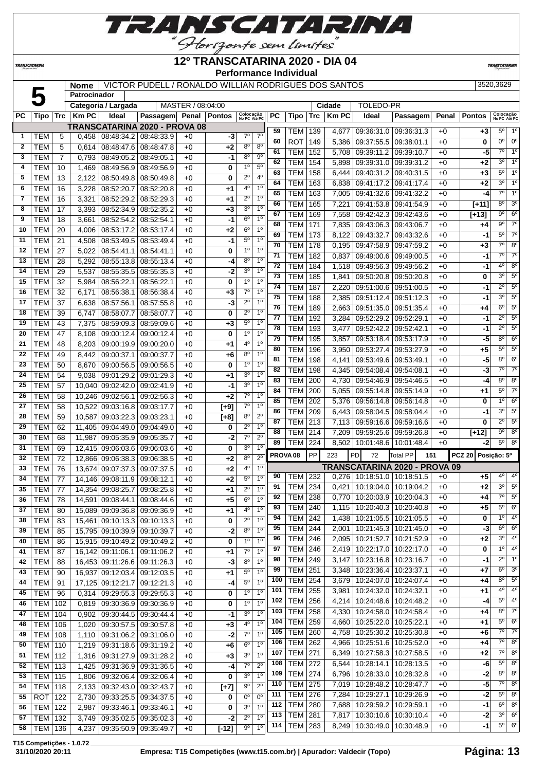

**TRANSCATARINA** 

#### **12º TRANSCATARINA 2020 - DIA 04 Performance Individual**

**TRANSCATARIN** 

#### **Nome** VICTOR PUDELL / RONALDO WILLIAN RODRIGUES DOS SANTOS 3520,3629

|              |                |     | Patrocinador |                                   |                                      |                   |               |                               |                               |                 |                                  |                 |                |                                                    |                                      |              |                              |                           |                        |
|--------------|----------------|-----|--------------|-----------------------------------|--------------------------------------|-------------------|---------------|-------------------------------|-------------------------------|-----------------|----------------------------------|-----------------|----------------|----------------------------------------------------|--------------------------------------|--------------|------------------------------|---------------------------|------------------------|
|              |                |     |              | Categoria / Largada               |                                      | MASTER / 08:04:00 |               |                               |                               |                 |                                  |                 | Cidade         | <b>TOLEDO-PR</b>                                   |                                      |              |                              |                           |                        |
| <b>PC</b>    | Tipo           | Trc | <b>Km PC</b> | Ideal                             | Passagem                             | Penal             | <b>Pontos</b> | Colocação<br>No PC Até PC     |                               | PC              | <b>Tipo</b>                      | Trc             | <b>KmPC</b>    | Ideal                                              | Passagem                             | Penal        | <b>Pontos</b>                | Colocação<br>No PC Até PC |                        |
|              |                |     |              |                                   | <b>TRANSCATARINA 2020 - PROVA 08</b> |                   |               |                               |                               | 59              | TEM                              | 139             | 4,677          | 09:36:31.0                                         | 09:36:31.3                           | $+0$         | $+3$                         | $5^{\circ}$               | $1^{\circ}$            |
| 1            | <b>TEM</b>     | 5   | 0,458        | 08:48:34.2   08:48:33.9           |                                      | $+0$              | -3            | $7^\circ$                     | $7^\circ$                     | 60              | <b>ROT</b>                       | 149             | 5,386          | 09:37:55.5 09:38:01.1                              |                                      | $+0$         | 0                            | $\overline{0^{\circ}}$    | $0^{\circ}$            |
| $\mathbf{2}$ | <b>TEM</b>     | 5   | 0,614        | 08:48:47.6                        | 08:48:47.8                           | $+0$              | $+2$          | $8^{\circ}$                   | $8^{\circ}$                   | 61              | <b>TEM</b>                       | 152             | 5,708          | 09:39:11.2 09:39:10.7                              |                                      | $+0$         | -5                           | $\overline{7^{\circ}}$    | 1 <sup>o</sup>         |
| 3            | <b>TEM</b>     | 7   | 0,793        | 08:49:05.2                        | 08:49:05.1                           | $+0$              | $-1$          | $8^{\circ}$                   | $9^{\circ}$                   | 62              | <b>TEM</b>                       | 154             | 5,898          | 09:39:31.0 09:39:31.2                              |                                      | $+0$         | $+2$                         | 3 <sup>0</sup>            | 1 <sup>0</sup>         |
| 4            | <b>TEM</b>     | 10  | 1,469        | 08:49:56.9                        | 08:49:56.9                           | $+0$              | 0             | 1 <sup>0</sup>                | $5^{\circ}$                   | 63              | <b>TEM</b>                       | 158             | 6,444          | 09:40:31.2                                         | 09:40:31.5                           | $+0$         | +3                           | 5°                        | $1^{\circ}$            |
| 5            | <b>TEM</b>     | 13  | 2,122        | 08:50:49.8                        | 08:50:49.8                           | $+0$              | 0             | $2^{\circ}$                   | 4 <sup>0</sup>                | 64              | <b>TEM</b>                       | 163             | 6,838          | 09:41:17.2                                         | 09:41:17.4                           | $+0$         | +2                           | 3 <sup>0</sup>            | 1 <sup>0</sup>         |
| 6            | <b>TEM</b>     | 16  | 3,228        | 08:52:20.7                        | 08:52:20.8                           | $+0$              | $+1$          | $4^{\circ}$                   | 1 <sup>0</sup>                | 65              | <b>TEM</b>                       | 163             |                |                                                    |                                      |              | $-4$                         | $7^\circ$                 | $1^{\circ}$            |
| 7            | <b>TEM</b>     | 16  | 3,321        | 08:52:29.2                        | 08:52:29.3                           | $+0$              | $+1$          | $2^{\circ}$                   | 1 <sup>0</sup>                | 66              | <b>TEM</b>                       | 165             | 7,005          | 09:41:32.6                                         | 09:41:32.2                           | $+0$<br>$+0$ |                              | 8 <sup>o</sup>            | 3 <sup>0</sup>         |
| 8            | <b>TEM</b>     | 17  | 3,393        | 08:52:34.9                        | 08:52:35.2                           | $+0$              | $+3$          | 3 <sup>o</sup>                | 1 <sup>0</sup>                | 67              |                                  |                 | 7,221          | 09:41:53.8                                         | 09:41:54.9                           |              | $[+11]$                      | $\overline{9^{\circ}}$    | $6^{\circ}$            |
| 9            | <b>TEM</b>     | 18  | 3,661        | 08:52:54.2                        | 08:52:54.1                           | $+0$              | $-1$          | 6 <sup>o</sup>                | 1 <sup>0</sup>                |                 | <b>TEM</b>                       | 169             | 7,558          | 09:42:42.3                                         | 09:42:43.6                           | $+0$         | [+13]                        | $9^{\circ}$               | $\overline{7^{\circ}}$ |
| 10           | <b>TEM</b>     | 20  | 4,006        | 08:53:17.2                        | 08:53:17.4                           | $+0$              | $+2$          | 6 <sup>o</sup>                | 10                            | 68              | <b>TEM</b>                       | $\frac{1}{171}$ | 7,835          | 09:43:06.3                                         | 09:43:06.7                           | $+0$         | +4                           | $5^{\circ}$               | $7^\circ$              |
| 11           | <b>TEM</b>     | 21  | 4,508        | 08:53:49.5                        | 08:53:49.4                           | $+0$              | $-1$          | $5^{\circ}$                   | 1 <sup>0</sup>                | 69              | <b>TEM</b>                       | 173             | 8,122          | 09:43:32.7                                         | 09:43:32.6                           | $+0$         | -1                           | $\overline{7^{\circ}}$    |                        |
| 12           | <b>TEM</b>     | 27  | 5,022        | 08:54:41.1                        | 08:54:41.1                           | $+0$              | 0             | 1 <sup>0</sup>                | 1 <sup>0</sup>                | 70              | <b>TEM</b>                       | 178             | 0,195          | 09:47:58.9 09:47:59.2                              |                                      | $+0$         | $+3$                         |                           | 8 <sup>o</sup>         |
| 13           | <b>TEM</b>     | 28  | 5,292        | 08:55:13.8                        | 08:55:13.4                           | $+0$              | -4            | $8^{\circ}$                   | 1 <sup>0</sup>                | 71              | <b>TEM</b>                       | 182             | 0,837          | 09:49:00.6                                         | 09:49:00.5                           | $+0$         | -1                           | $7^\circ$                 | $7^\circ$              |
| 14           | <b>TEM</b>     | 29  | 5,537        | 08:55:35.5                        | 08:55:35.3                           | $+0$              | $-2$          | 3 <sup>o</sup>                | 1 <sup>0</sup>                | 72              | <b>TEM</b>                       | 184             | 1,518          | 09:49:56.3                                         | 09:49:56.2                           | $+0$         | -1                           | 4 <sup>0</sup>            | $8^{\circ}$            |
| 15           | <b>TEM</b>     | 32  | 5,984        | 08:56:22.1                        | 08:56:22.1                           | $+0$              | 0             | 1 <sup>0</sup>                | 1 <sup>0</sup>                | $\overline{73}$ | <b>TEM</b>                       | 185             | 1,841          | 09:50:20.8                                         | 09:50:20.8                           | $+0$         | 0                            | 3 <sup>0</sup>            | $5^{\circ}$            |
| 16           | <b>TEM</b>     | 32  | 6,171        | 08:56:38.1                        | 08:56:38.4                           | $+0$              | $+3$          | $7^\circ$                     | 1 <sup>0</sup>                | 74              | <b>TEM</b>                       | 187             | 2,220          | 09:51:00.6                                         | 09:51:00.5                           | $+0$         | $-1$                         | $2^{\circ}$               | $5^{\circ}$            |
| 17           | <b>TEM</b>     | 37  | 6,638        | 08:57:56.1                        | 08:57:55.8                           | $+0$              | -3            | $2^{\circ}$                   | 1 <sup>0</sup>                | 75              | <b>TEM</b>                       | 188             | 2,385          | 09:51:12.4                                         | 09:51:12.3                           | $+0$         | $-1$                         | 3 <sup>0</sup>            | $5^\circ$              |
| 18           | <b>TEM</b>     | 39  | 6,747        | 08:58:07.7                        | 08:58:07.7                           | $+0$              | 0             | $2^{\circ}$                   | 1 <sup>0</sup>                | 76              | <b>TEM</b>                       | 189             | 2,663          | 09:51:35.0                                         | 09:51:35.4                           | $+0$         | +4                           | $6^{\circ}$               | $5^{\circ}$            |
| 19           | <b>TEM</b>     | 43  | 7,375        | 08:59:09.3                        | 08:59:09.6                           | $+0$              | $+3$          | $5^{\circ}$                   | 1 <sup>0</sup>                | 77              | <b>TEM</b>                       | 192             | 3,284          | 09:52:29.2                                         | 09:52:29.1                           | $+0$         | $-1$                         | $\overline{2^{\circ}}$    | $5^{\circ}$            |
| 20           | <b>TEM</b>     | 47  | 8,108        | 09:00:12.4                        | 09:00:12.4                           | $+0$              | 0             | 1 <sup>0</sup>                | 1 <sup>0</sup>                | 78              | <b>TEM</b>                       | 193             | 3,477          | 09:52:42.2                                         | 09:52:42.1                           | $+0$         | $-1$                         | $2^{\circ}$               | $5^{\circ}$            |
| 21           | <b>TEM</b>     | 48  | 8,203        | 09:00:19.9                        | 09:00:20.0                           | $+0$              | $+1$          | 4°                            | 1 <sup>0</sup>                | 79              | <b>TEM</b>                       | 195             | 3,857          | 09:53:18.4                                         | 09:53:17.9                           | $+0$         | -5                           | 80                        | $6^{\circ}$            |
| 22           | <b>TEM</b>     | 49  | 8,442        | 09:00:37.1                        | 09:00:37.7                           | $+0$              | $+6$          | $8^{\circ}$                   | 1 <sup>0</sup>                | 80              | <b>TEM</b>                       | 196             | 3,950          | 09:53:27.4                                         | 09:53:27.9                           | $+0$         | $+5$                         | $5^{\circ}$               | $5^{\circ}$            |
| 23           | <b>TEM</b>     | 50  | 8,670        | 09:00:56.5                        | 09:00:56.5                           | $+0$              | 0             | 1 <sup>0</sup>                | 1 <sup>0</sup>                | 81              | <b>TEM</b>                       | 198             | 4,141          | 09:53:49.6                                         | 09:53:49.1                           | $+0$         | $-5$                         | 80                        | $6^{\circ}$            |
| 24           | <b>TEM</b>     | 54  | 9,038        | 09:01:29.2                        | 09:01:29.3                           | $+0$              | $+1$          | 3 <sup>o</sup>                | 1 <sup>0</sup>                | $\overline{82}$ | <b>TEM</b>                       | 198             | 4,345          | 09:54:08.4                                         | 09:54:08.1                           | $+0$         | -3                           | $\overline{7^{\circ}}$    | $\overline{7^{\circ}}$ |
| 25           | <b>TEM</b>     | 57  | 10,040       | 09:02:42.0                        | 09:02:41.9                           | $+0$              | -1            | 3 <sup>o</sup>                | 1 <sup>0</sup>                | 83              | <b>TEM</b>                       | 200             | 4,730          | 09.54:46.9                                         | 09:54:46.5                           | $+0$         | $-4$                         | $8^{\circ}$               | 8 <sup>o</sup>         |
| 26           | <b>TEM</b>     | 58  | 10,246       | 09:02:56.1                        | 09:02:56.3                           | $+0$              | $+2$          | $7^\circ$                     | 10                            | 84              | <b>TEM</b>                       | 200             | 5,055          | 09:55:14.8                                         | 09:55:14.9                           | $+0$         | +1                           | $5^{\circ}$               | $\overline{7^{\circ}}$ |
| 27           | <b>TEM</b>     | 58  | 10,522       | 09:03:16.8                        | 09:03:17.7                           | $+0$              | $[+9]$        | $7^\circ$                     | 1 <sup>0</sup>                | 85              | <b>TEM</b>                       | 202             | 5,376          | 09:56:14.8                                         | 09:56:14.8                           | $+0$         | 0                            | 1 <sup>0</sup>            | $6^{\circ}$            |
| 28           | <b>TEM</b>     |     |              |                                   |                                      |                   |               | 8 <sup>o</sup>                | $2^{\circ}$                   | 86              | <b>TEM</b>                       | 209             | 6,443          | 09:58:04.5                                         | 09:58:04.4                           | $+0$         | $-1$                         | 3 <sup>0</sup>            | $5^{\circ}$            |
|              |                | 59  | 10,587       | 09:03:22.3                        | 09:03:23.1                           | $+0$              | $[+8]$        | $2^{\circ}$                   | 1 <sup>0</sup>                | 87              | <b>TEM</b>                       | 213             | 7,113          | 09:59:16.6                                         | 09:59:16.6                           | $+0$         | 0                            | $2^{\circ}$               | $5^\circ$              |
| 29           | <b>TEM</b>     | 62  | 11,405       | 09:04:49.0                        | 09:04:49.0                           | $+0$              | 0             |                               |                               | 88              | <b>TEM</b>                       | 214             | 7,209          | 09:59:25.6                                         | 09:59:26.8                           | $+0$         | $[+12]$                      | $\overline{9^0}$          | $8^{\circ}$            |
| 30           | <b>TEM</b>     | 68  | 11,987       | 09:05:35.9                        | 09:05:35.7                           | $+0$              | $-2$          | $7^\circ$                     | $2^{\circ}$<br>1 <sup>0</sup> | 89              | TEM                              | 224             | 8,502          | 10:01:48.6   10:01:48.4                            |                                      | $+0$         | -2                           | $5^{\circ}$               | 8 <sup>o</sup>         |
| 31           | <b>TEM</b>     | 69  | 12,415       | 09:06:03.6                        | 09:06:03.6                           | $+0$              | 0             | $3^{\circ}$<br>8 <sup>o</sup> | $2^{\circ}$                   |                 | PROVA <sub>08</sub>              | PP              | 223            | PD<br>72                                           | <b>Total PP</b><br>151               |              | Posição: 5º<br><b>PCZ 20</b> |                           |                        |
| 32           | <b>TEM</b>     | 72  | 12,866       | 09:06:38.3                        | 09:06:38.5                           | $+0$              | $+2$          | 4 <sup>0</sup>                | 1 <sup>0</sup>                |                 |                                  |                 |                |                                                    | <b>TRANSCATARINA 2020 - PROVA 09</b> |              |                              |                           |                        |
| 33           | <b>TEM</b>     | 76  |              | 13,674 09:07:37.3                 | 09:07:37.5                           | $+0$              | $+2$          |                               |                               | 90              | TEM                              | 232             | 0,276          | 10:18:51.0   10:18:51.5                            |                                      | $+0$         | $+5$                         | $4^{\circ}$               | $4^{\circ}$            |
| 34           | <b>TEM</b>     | 77  | 14,146       | 09:08:11.9                        | 09:08:12.1                           | $+0$              | $+2$          | $5^{\circ}$                   | 1 <sup>0</sup>                | 91              | TEM                              | 234             | 0,421          | 10:19:04.0                                         | 10:19:04.2                           | $+0$         | $+2$                         | 3 <sup>0</sup>            | $5^{\circ}$            |
| 35           | <b>TEM</b>     | 77  | 14,354       | 09:08:25.7                        | 09:08:25.8                           | $+0$              | $+1$          | $2^{\circ}$                   | 1 <sup>0</sup>                | 92              | TEM                              | 238             | 0,770          | 10:20:03.9   10:20:04.3                            |                                      | $+0$         | +4                           | $7^{\circ}$               | $5^{\circ}$            |
| 36           | <b>TEM</b>     | 78  |              | 14,591 09:08:44.1                 | 09:08:44.6                           | $+0$              | $+5$          | 6 <sup>o</sup>                | 1 <sup>0</sup>                | 93              | <b>TEM 240</b>                   |                 |                | 1,115   10:20:40.3   10:20:40.8                    |                                      | $+0$         | $+5$                         | $5^{\circ}$               | $6^{\circ}$            |
| 37           | <b>TEM</b>     | 80  |              | 15,089 09:09:36.8 09:09:36.9      |                                      | $+0$              | +1            | 4 <sup>0</sup>                | 1 <sup>0</sup>                | 94              | <b>TEM 242</b>                   |                 | 1,438          | 10:21:05.5   10:21:05.5                            |                                      | $+0$         | 0                            | 1 <sup>0</sup>            | $4^{\circ}$            |
| 38           | <b>TEM</b>     | 83  |              | 15,461 09:10:13.3 09:10:13.3      |                                      | $+0$              | 0             | $2^{\circ}$                   | 1 <sup>0</sup>                | 95              | <b>TEM 244</b>                   |                 | 2,001          | 10:21:45.3 10:21:45.0                              |                                      | $+0$         | $-3$                         | $6^{\circ}$               | $6^{\circ}$            |
| 39           | <b>TEM</b>     | 85  |              | 15,795 09:10:39.9 09:10:39.7      |                                      | $+0$              | $-2$          | $8^{\circ}$                   | $1^{\circ}$                   | 96              | <b>TEM 246</b>                   |                 |                | 10:21:52.7   10:21:52.9                            |                                      |              | $+2$                         | $3^{\circ}$               | 4 <sup>o</sup>         |
| 40           | <b>TEM</b>     | 86  |              | 15,915 09:10:49.2 09:10:49.2      |                                      | $+0$              | 0             | 1 <sup>0</sup>                | 1 <sup>0</sup>                | 97              | <b>TEM 246</b>                   |                 | 2,095          |                                                    |                                      | $+0$<br>$+0$ |                              | $1^{\circ}$               | $4^{\circ}$            |
| 41           | <b>TEM</b>     | 87  |              | 16,142 09:11:06.1                 | 09:11:06.2                           | $+0$              | $+1$          | $7^\circ$                     | 1 <sup>o</sup>                | 98              | <b>TEM 249</b>                   |                 | 2,419<br>3,147 | 10:22:17.0   10:22:17.0                            |                                      |              | 0                            | $2^{\circ}$               | 1 <sup>o</sup>         |
| 42           | <b>TEM</b>     | 88  |              | 16,453 09:11:26.6 09:11:26.3      |                                      | $+0$              | $-3$          | 8 <sup>o</sup>                | 1 <sup>o</sup>                | 99              |                                  |                 |                | 10:23:16.8   10:23:16.7                            |                                      | $+0$         | -1                           | $6^{\circ}$               | 3 <sup>o</sup>         |
| 43           | <b>TEM</b>     | 90  |              | 16,937 09:12:03.4 09:12:03.5      |                                      | $+0$              | $+1$          | $5^{\circ}$                   | 1 <sup>0</sup>                | 100             | <b>TEM 251</b><br><b>TEM 254</b> |                 | 3,348          | 10:23:36.4   10:23:37.1<br>10:24:07.0   10:24:07.4 |                                      | $+0$         | +7                           | $8^{\circ}$               | $5^{\circ}$            |
| 44           | <b>TEM</b>     | 91  |              | 17,125 09:12:21.7 09:12:21.3      |                                      | $+0$              | $-4$          | $5^{\rm o}$                   | $1^{\circ}$                   |                 |                                  |                 | 3,679          |                                                    |                                      | $+0$         | +4                           | $4^{\circ}$               | $4^{\circ}$            |
| 45           | <b>TEM</b>     | 96  | 0,314        | 09:29:55.3 09:29:55.3             |                                      | $+0$              | 0             | 1 <sup>o</sup>                | 1 <sup>0</sup>                | 101             | TEM                              | 255             | 3,981          | 10:24:32.0   10:24:32.1                            |                                      | $+0$         | +1                           | $5^{\circ}$               | 4 <sup>o</sup>         |
| 46           | TEM            | 102 |              | $0,819$   09:30:36.9   09:30:36.9 |                                      | $+0$              | 0             | 1 <sup>0</sup>                | 1 <sup>0</sup>                | 102             | <b>TEM</b>                       | 256             | 4,214          | 10:24:48.6   10:24:48.2                            |                                      | $+0$         | $-4$                         |                           |                        |
| 47           | TEM            | 104 | 0,902        | 09:30:44.5   09:30:44.4           |                                      | $+0$              | -1            | 3 <sup>o</sup>                | 1 <sup>0</sup>                | 103             | <b>TEM</b>                       | 258             | 4,330          | 10:24:58.0   10:24:58.4                            |                                      | $+0$         | +4                           | $8^{\circ}$               | $7^\circ$              |
| 48           | TEM            | 106 | 1,020        | $09:30:57.5$ 09:30:57.8           |                                      | $+0$              | $+3$          | $4^{\circ}$                   | 1 <sup>0</sup>                | 104             | <b>TEM 259</b>                   |                 | 4,660          | 10:25:22.0   10:25:22.1                            |                                      | $+0$         | +1                           | $5^{\circ}$               | $6^{\circ}$            |
| 49           | TEM            | 108 | 1,110        | $09:31:06.2$ 09:31:06.0           |                                      | $+0$              | $-2$          | $7^\circ$                     | 1 <sup>0</sup>                | 105             | <b>TEM</b>                       | 260             | 4,758          | 10:25:30.2   10:25:30.8                            |                                      | $+0$         | +6                           | $7^\circ$                 | $7^\circ$              |
| 50           | <b>TEM 110</b> |     | 1,219        | 09:31:18.6 09:31:19.2             |                                      | $+0$              | $+6$          | 6 <sup>o</sup>                | 1 <sup>o</sup>                | 106             | <b>TEM 262</b>                   |                 | 4,966          | 10:25:51.6   10:25:52.0                            |                                      | $+0$         | +4                           | $7^\circ$                 | $8^{\circ}$            |
| 51           | <b>TEM 112</b> |     | 1,316        | 09:31:27.9 09:31:28.2             |                                      | $+0$              | $+3$          | 3 <sup>o</sup>                | 1 <sup>0</sup>                | 107             | <b>TEM 271</b>                   |                 | 6,349          | 10:27:58.3   10:27:58.5                            |                                      | $+0$         | +2                           | $7^\circ$                 | $8^{\circ}$            |
| 52           | <b>TEM 113</b> |     | 1,425        | 09:31:36.9 09:31:36.5             |                                      | $+0$              | $-4$          | $7^\circ$                     | $2^{\circ}$                   | 108             | <b>TEM 272</b>                   |                 | 6,544          | 10:28:14.1   10:28:13.5                            |                                      | $+0$         | -6                           | $5^{\circ}$               | $8^{\circ}$            |
| 53           | TEM            | 115 | 1,806        | 09:32:06.4 09:32:06.4             |                                      | $+0$              | 0             | 3 <sup>o</sup>                | 1 <sup>0</sup>                | 109             | <b>TEM 274</b>                   |                 | 6,796          | 10:28:33.0   10:28:32.8                            |                                      | $+0$         | $-2$                         | $8^{\circ}$               | $8^{\circ}$            |
| 54           | TEM            | 118 | 2,133        | 09:32:43.0 09:32:43.7             |                                      | $+0$              | $[+7]$        | 9 <sup>o</sup>                | $2^{\circ}$                   | 110             | <b>TEM 275</b>                   |                 | 7,019          | 10:28:48.2   10:28:47.7                            |                                      | $+0$         | $-5$                         | $7^\circ$                 | $8^{\circ}$            |
| 55           | ROT            | 122 | 2,730        | 09:33:25.5 09:34:37.5             |                                      | $+0$              | 0             | 0 <sup>o</sup>                | $0^{\circ}$                   | 111             | <b>TEM 276</b>                   |                 | 7,284          | 10:29:27.1   10:29:26.9                            |                                      | $+0$         | $-2$                         | $5^{\circ}$               | $8^{\circ}$            |
| 56           | TEM            | 122 | 2,987        | 09:33:46.1 09:33:46.1             |                                      | $+0$              | 0             | 3 <sup>o</sup>                | 1 <sup>0</sup>                | 112             | <b>TEM</b>                       | 280             | 7,688          | 10:29:59.2   10:29:59.1                            |                                      | $+0$         | -1                           | $6^{\circ}$               | $8^{\circ}$            |
| 57           | TEM            | 132 | 3,749        | 09:35:02.5 09:35:02.3             |                                      | $+0$              | $-2$          | $2^{\circ}$                   | 1 <sup>0</sup>                | 113             | <b>TEM 281</b>                   |                 | 7,817          | 10:30:10.6   10:30:10.4                            |                                      | $+0$         | $-2$                         | 3 <sup>o</sup>            | $6^{\circ}$            |
| 58           | TEM            | 136 | 4,237        | 09:35:50.9 09:35:49.7             |                                      | $+0$              | $[-12]$       | 90                            | 1 <sup>0</sup>                | 114             | <b>TEM 283</b>                   |                 | 8,249          | 10:30:49.0   10:30:48.9                            |                                      | $+0$         | $-1$                         | $5^{\circ}$               | 6 <sup>o</sup>         |
|              |                |     |              |                                   |                                      |                   |               |                               |                               |                 |                                  |                 |                |                                                    |                                      |              |                              |                           |                        |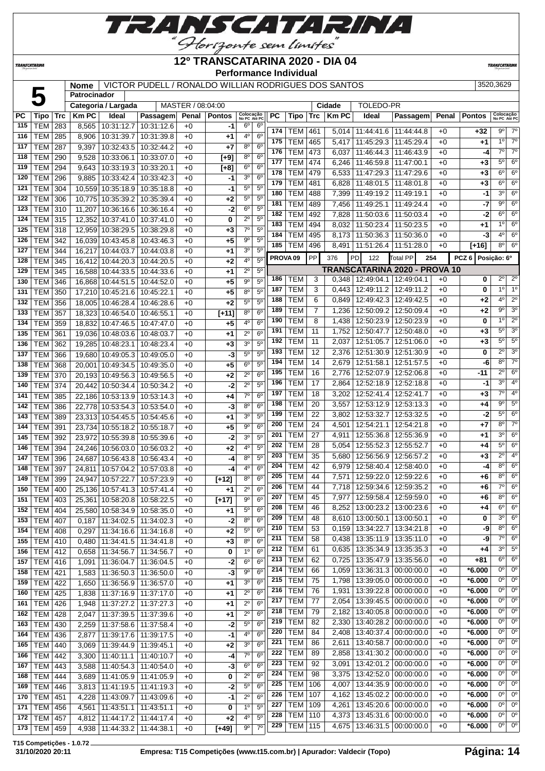

**TRANSCATARINA** 

#### **12º TRANSCATARINA 2020 - DIA 04 Performance Individual**

**TRANSCATARIN** 

#### **NOME VICTOR PUDELL / RONALDO WILLIAN RODRIGUES DOS SANTOS** 3520,3629 **Nome VIC**<br>Patrocinador

|           |                |            | <b>Nome</b>  |                                  | <u>VICTOR PUDELL / RONALDO WILLIAN RODRIGUES DOS SANTOS</u> |                   |                    |                           |                  |                     |                |                 |              |                                   |                               |       |               | ວວ∠ບ,ວ໐∠ອ                                |
|-----------|----------------|------------|--------------|----------------------------------|-------------------------------------------------------------|-------------------|--------------------|---------------------------|------------------|---------------------|----------------|-----------------|--------------|-----------------------------------|-------------------------------|-------|---------------|------------------------------------------|
|           |                |            | Patrocinador |                                  |                                                             |                   |                    |                           |                  |                     |                |                 |              |                                   |                               |       |               |                                          |
|           |                |            |              | Categoria / Largada              |                                                             | MASTER / 08:04:00 |                    |                           |                  |                     |                |                 | Cidade       | <b>TOLEDO-PR</b>                  |                               |       |               |                                          |
| <b>PC</b> | <b>Tipo</b>    | <b>Trc</b> | <b>Km PC</b> | Ideal                            | Passagem                                                    | Penal             | <b>Pontos</b>      | Colocação<br>No PC Até PC |                  | PC                  | Tipo           | Trc             | <b>Km PC</b> | Ideal                             | Passagem                      | Penal | <b>Pontos</b> | Colocação<br>No PC Até PC                |
| 115       | <b>TEM</b>     | 283        | 8,565        | 10:31:12.7                       | 10:31:12.6                                                  | $+0$              | -1                 | $6^{\circ}$               | $6^{\circ}$      | 174                 | TEM            | 461             |              | 5,014 11:44:41.6                  | 11:44:44.8                    | $+0$  | +32           | $7^\circ$<br>9º                          |
| 116       | <b>TEM</b>     | 285        | 8,906        | 10:31:39.7                       | 10:31:39.8                                                  | $+0$              | $+1$               | 4º                        | 6 <sup>o</sup>   | 175                 | <b>TEM</b>     | 465             | 5,417        | 11:45:29.3                        | 11:45:29.4                    | $+0$  | $+1$          | $1^{\circ}$<br>$7^\circ$                 |
| 117       | <b>TEM</b>     | 287        | 9,397        |                                  | 10:32:43.5   10:32:44.2                                     | $+0$              | $+7$               | 80                        | 6 <sup>o</sup>   | 176                 | <b>TEM</b>     | 473             | 6,037        | 11:46:44.3                        | 11:46:43.9                    | $+0$  | -4            | $7^{\circ}$<br>$7^\circ$                 |
| 118       | <b>TEM</b>     | 290        | 9,528        | 10:33:06.1   10:33:07.0          |                                                             | $+0$              | $[t-9]$            | 8 <sup>o</sup>            | $6^{\circ}$      | 177                 | <b>TEM</b>     | 474             |              |                                   |                               |       |               | $5^{\circ}$<br>$6^{\circ}$               |
| 119       | <b>TEM</b>     | 294        | 9,643        | 10:33:19.3 10:33:20.1            |                                                             | $+0$              | $[+8]$             | 6 <sup>o</sup>            | 6 <sup>o</sup>   |                     |                |                 | 6,246        | 11:46:59.8                        | 11:47:00.1                    | $+0$  | $+3$          | $6^{\circ}$<br>$6^{\circ}$               |
| 120       | <b>TEM</b>     | 296        | 9,885        | 10:33:42.4 10:33:42.3            |                                                             | $+0$              | -1                 | 3 <sup>o</sup>            | 6 <sup>o</sup>   | 178                 | <b>TEM</b>     | 479             | 6,533        | 11:47:29.3                        | 11:47:29.6                    | $+0$  | $+3$          |                                          |
| 121       | <b>TEM</b>     | 304        |              | 10,559 10:35:18.9 10:35:18.8     |                                                             | $+0$              | $-1$               | $5^{\circ}$               | $5^{\circ}$      | 179                 | <b>TEM</b>     | 481             | 6,828        | 11:48:01.5                        | 11:48:01.8                    | $+0$  | $+3$          | $6^{\circ}$<br>$6^{\circ}$               |
| 122       | <b>TEM</b>     | 306        |              | 10.775 10:35:39.2 10:35:39.4     |                                                             | $+0$              | $+2$               | $5^{\circ}$               | $5^{\circ}$      | 180                 | <b>TEM</b>     | 488             | 7,399        | 11:49:19.2                        | 11:49:19.1                    | $+0$  | $-1$          | 3 <sup>0</sup><br>$6^{\circ}$            |
| 123       | <b>TEM</b>     | 310        | 11,207       | 10:36:16.6   10:36:16.4          |                                                             | $+0$              | -2                 | 6 <sup>o</sup>            | 5 <sup>0</sup>   | 181                 | <b>TEM</b>     | 489             | 7,456        | 11:49:25.1                        | 11:49:24.4                    | $+0$  | $-7$          | $9^{\circ}$<br>$6^{\circ}$               |
| 124       | <b>TEM</b>     | 315        |              | 12,352 10:37:41.0 10:37:41.0     |                                                             | $+0$              | 0                  | $2^{\circ}$               | 5 <sup>0</sup>   | 182                 | <b>TEM</b>     | 492             | 7,828        | 11:50:03.6                        | 11:50:03.4                    | $+0$  | $-2$          | $6^{\circ}$<br>$6^{\circ}$               |
| 125       | <b>TEM</b>     | 318        |              | 12,959 10:38:29.5 10:38:29.8     |                                                             | $+0$              | $+3$               | $7^\circ$                 | $\overline{5^0}$ | 183                 | <b>TEM</b>     | 494             | 8,032        | 11:50:23.4                        | 11:50:23.5                    | $+0$  | +1            | 1 <sup>°</sup><br>$6^{\circ}$            |
| 126       | TEM            | 342        |              | 16,039 10:43:45.8 10:43:46.3     |                                                             | $+0$              | $+5$               | $9^{\circ}$               | 5 <sup>0</sup>   | 184                 | <b>TEM</b>     | 495             |              | 8,173   11:50:36.3                | 11:50:36.0                    | $+0$  | -3            | 4 <sup>o</sup><br>$6^{\circ}$            |
| 127       | <b>TEM</b>     | 344        | 16,217       | 10:44:03.7   10:44:03.8          |                                                             | $+0$              | +1                 | 30                        | 5 <sup>0</sup>   | 185                 | <b>TEM</b>     | 496             | 8,491        | 11:51:26.4                        | 11:51:28.0                    | $+0$  | $[+16]$       | $8^{\circ}$<br>$6^{\circ}$               |
| 128       | TEM            | 345        |              | 16,412 10:44:20.3                | 10:44:20.5                                                  | $+0$              | $+2$               | 4 <sup>0</sup>            | 5 <sup>0</sup>   | PROVA <sub>09</sub> |                | PP              | 376          | <b>PD</b><br>122                  | <b>Total PP</b><br>254        |       | PCZ6          | Posição: 6º                              |
|           |                |            |              |                                  |                                                             |                   |                    | $2^{\circ}$               | 5 <sup>0</sup>   |                     |                |                 |              |                                   | TRANSCATARINA 2020 - PROVA 10 |       |               |                                          |
| 129       | <b>TEM</b>     | 345        |              | 16.588 10:44:33.5 10:44:33.6     |                                                             | $+0$              | $+1$               |                           |                  | 186                 | <b>TEM</b>     | 3               |              | $0,348$   12:49:04.1   12:49:04.1 |                               | $+0$  | 0             | $2^{\circ}$<br>$2^{\circ}$               |
| 130       | <b>TEM</b>     | 346        |              | 16,868 10:44:51.5 10:44:52.0     |                                                             | $+0$              | $+5$               | 90                        | 5 <sup>0</sup>   | 187                 | <b>TEM</b>     | 3               | 0.443        | 12:49:11.2                        | 12:49:11.2                    | $+0$  | 0             | 1 <sup>°</sup><br>1 <sup>o</sup>         |
| 131       | <b>TEM</b>     | 350        |              | 17,210 10:45:21.6 10:45:22.1     |                                                             | $+0$              | $+5$               | $8^{\circ}$               | 5 <sup>0</sup>   | 188                 | <b>TEM</b>     | 6               |              | 12:49:42.3                        | 12:49:42.5                    | $+0$  | +2            | $4^{\circ}$<br>$\overline{2^0}$          |
| 132       | <b>TEM</b>     | 356        |              | 18.005 10:46:28.4 10:46:28.6     |                                                             | $+0$              | $+2$               | $5^{\circ}$               | 5 <sup>0</sup>   |                     |                |                 | 0,849        |                                   |                               |       |               | $9^{\circ}$<br>3 <sup>0</sup>            |
| 133       | <b>TEM</b>     | 357        |              | 18,323 10:46:54.0 10:46:55.1     |                                                             | $+0$              | $[+11]$            | 8 <sup>o</sup>            | $6^{\circ}$      | 189                 | <b>TEM</b>     | $\overline{7}$  | 1,236        | 12:50:09.2                        | 12:50:09.4                    | $+0$  | +2            |                                          |
| 134       | <b>TEM</b>     | 359        |              | 18,832 10:47:46.5 10:47:47.0     |                                                             | $+0$              | $+5$               | 40                        | 6 <sup>0</sup>   | 190                 | <b>TEM</b>     | 8               | 1,438        | 12:50:23.9                        | 12:50:23.9                    | $+0$  | 0             | 1 <sup>0</sup><br>$\overline{2^0}$       |
| 135       | <b>TEM</b>     | 361        |              | 19.036 10:48:03.6 10:48:03.7     |                                                             | $+0$              | $+1$               | $2^{\circ}$               | 6 <sup>0</sup>   | 191                 | <b>TEM</b>     | 11              | 1,752        | 12:50:47.7                        | 12:50:48.0                    | $+0$  | $+3$          | $\overline{5^0}$<br>3 <sup>0</sup>       |
| 136       | <b>TEM</b>     | 362        |              | 19,285 10:48:23.1 10:48:23.4     |                                                             | $+0$              | $+3$               | 3 <sup>o</sup>            | $5^{\circ}$      | 192                 | <b>TEM</b>     | 11              | 2,037        | 12:51:05.7                        | 12:51:06.0                    | $+0$  | $+3$          | $5^\circ$<br>$5^\circ$                   |
| 137       | <b>TEM</b>     | 366        |              | 19,680 10:49:05.3 10:49:05.0     |                                                             | $+0$              | -3                 | $5^{\circ}$               | $\overline{5^0}$ | 193                 | <b>TEM</b>     | 12              | 2,376        | 12:51:30.9                        | 12:51:30.9                    | $+0$  | 0             | $2^{\circ}$<br>3 <sup>0</sup>            |
| 138       | <b>TEM</b>     | 368        | 20,001       | 10:49:34.5   10:49:35.0          |                                                             | $+0$              | $+5$               | 6 <sup>0</sup>            | $5^{\circ}$      | 194                 | <b>TEM</b>     | 14              | 2,679        | 12:51:58.1                        | 12:51:57.5                    | $+0$  | -6            | 7 <sup>0</sup><br>$8^{\circ}$            |
| 139       | <b>TEM</b>     | 370        |              | 20,193 10:49:56.3 10:49:56.5     |                                                             | $+0$              | $+2$               | $2^{\circ}$               | $6^{\circ}$      | 195                 | <b>TEM</b>     | 16              | 2,776        | 12:52:07.9                        | 12:52:06.8                    | $+0$  | -11           | $2^{\circ}$<br>$6^{\circ}$               |
| 140       | <b>TEM</b>     | 374        |              | 20,442 10:50:34.4                | 10:50:34.2                                                  | $+0$              | $-2$               | $2^{\circ}$               | $5^{\circ}$      | 196                 | <b>TEM</b>     | 17              | 2,864        | 12:52:18.9                        | 12:52:18.8                    | $+0$  | -1            | 3 <sup>0</sup><br>4 <sup>o</sup>         |
| 141       | <b>TEM</b>     | 385        |              | 22,186 10:53:13.9 10:53:14.3     |                                                             | $+0$              | $+4$               | $7^\circ$                 | 6 <sup>0</sup>   | 197                 | <b>TEM</b>     | 18              | 3,202        | 12:52:41.4                        | 12:52:41.7                    | $+0$  | +3            | $7^\circ$<br>4 <sup>0</sup>              |
| 142       | <b>TEM</b>     | 386        |              | 22,778 10:53:54.3                | 10:53:54.0                                                  | $+0$              | -3                 | $8^{\circ}$               | $6^{\circ}$      | 198                 | <b>TEM</b>     | 20              | 3,557        | 12:53:12.9                        | 12:53:13.3                    | $+0$  | +4            | $9^{\circ}$<br>$5^{\circ}$               |
| 143       | <b>TEM</b>     | 389        |              | 23,313 10:54:45.5 10:54:45.6     |                                                             | $+0$              | $+1$               | 3 <sup>o</sup>            | $5^{\circ}$      | 199                 | TEM            | 22              | 3,802        | 12:53:32.7                        | 12:53:32.5                    | $+0$  | -2            | 5 <sup>0</sup><br>$6^{\circ}$            |
| 144       | <b>TEM</b>     | 391        |              | 23,734 10:55:18.2                | 10:55:18.7                                                  | $+0$              | $+5$               | 90                        | 6 <sup>o</sup>   | 200                 | <b>TEM</b>     | 24              | 4,501        | 12:54:21.1   12:54:21.8           |                               | $+0$  | $+7$          | $8^\circ$<br>$7^\circ$                   |
| 145       | <b>TEM</b>     | 392        | 23,972       | 10:55:39.8                       | 10:55:39.6                                                  | $+0$              | -2                 | 30                        | $5^{\circ}$      | 201                 | <b>TEM</b>     | 27              | 4,911        | 12:55:36.8                        | 12:55:36.9                    | $+0$  | $+1$          | 3 <sup>o</sup><br>6 <sup>o</sup>         |
|           | <b>TEM</b>     |            |              |                                  |                                                             |                   | $+2$               | 4°                        | 5 <sup>o</sup>   | 202                 | <b>TEM</b>     | 28              | 5,054        | 12:55:52.3                        | 12:55:52.7                    | $+0$  | +4            | $5^{\circ}$<br>$6^{\circ}$               |
| 146       |                | 394        |              | 24,246 10:56:03.0 10:56:03.2     |                                                             | $+0$              |                    | 8 <sup>0</sup>            | $5^{\circ}$      | 203                 | <b>TEM</b>     | 35              | 5,680        | 12:56:56.9                        | 12:56:57.2                    | $+0$  | $+3$          | $\overline{2^{\circ}}$<br>4 <sup>0</sup> |
| 147       | <b>TEM</b>     | 396        | 24,687       | 10:56:43.8 10:56:43.4            |                                                             | $+0$              | $-4$               |                           |                  | 204                 | <b>TEM</b>     | 42              | 6,979        | 12:58:40.4                        | 12:58:40.0                    | $+0$  | $-4$          | $8^{\circ}$<br>$6^{\circ}$               |
| 148       | <b>TEM</b>     | 397        |              | 24,811   10:57:04.2   10:57:03.8 |                                                             | $+0$              | -4                 | 40                        | $6^{\circ}$      | 205                 | <b>TEM</b>     | 44              | 7,571        | 12:59:22.0                        | 12:59:22.6                    | $+0$  | +6            | $8^{\circ}$<br>6 <sup>o</sup>            |
| 149       | <b>TEM</b>     | 399        | 24,947       | 10:57:22.7                       | 10:57:23.9                                                  | $+0$              | $[+12]$            | 80                        | $6^{\circ}$      | 206                 | <b>TEM</b>     | 44              |              | 7,718 12:59:34.6                  | 12:59:35.2                    | $+0$  | +6            | $7^\circ$<br>$6^{\circ}$                 |
| 150       | <b>TEM</b>     | 400        |              | 25,136 10:57:41.3 10:57:41.4     |                                                             | $+0$              | $+1$               | $2^{\circ}$               | 6 <sup>o</sup>   | 207                 | <b>TEM</b>     | $\overline{45}$ |              | 12:59:58.4                        |                               |       |               | $8^\circ$ 6°                             |
| 151       | TEM   403      |            |              | 25,361 10:58:20.8 10:58:22.5     |                                                             | +0                | $[+17]$            | 90                        | $6^{\circ}$      |                     |                |                 | 7,977        |                                   | 12:59:59.0                    | $+0$  | +6            | $6^{\circ}$<br>$6^{\circ}$               |
| 152       | TEM            | 404        |              | 25,580 10:58:34.9 10:58:35.0     |                                                             | $+0$              | $+1$               | $5^{\circ}$               | 6 <sup>o</sup>   | 208                 | TEM            | 46              | 8,252        | 13:00:23.2   13:00:23.6           |                               | $+0$  | +4            |                                          |
| 153       | <b>TEM</b>     | 407        | 0,187        | 11:34:02.5   11:34:02.3          |                                                             | $+0$              | $-2$               | 80                        | 6 <sup>o</sup>   | 209                 | <b>TEM</b>     | 48              |              | 8,610   13:00:50.1   13:00:50.1   |                               | $+0$  | 0             | 3 <sup>0</sup><br>$6^{\circ}$            |
| 154       | <b>TEM</b>     | 408        | 0,297        | 11:34:16.6                       | 11:34:16.8                                                  | $+0$              | $+2$               | 5°                        | 6 <sup>o</sup>   | 210                 | <b>TEM</b>     | 53              | 0,159        | 13:34:22.7                        | 13:34:21.8                    | $+0$  | -9            | $8^{\circ}$<br>$6^{\circ}$               |
| 155       | <b>TEM</b>     | 410        | 0,480        | 11:34:41.5   11:34:41.8          |                                                             | $+0$              | $+3$               | $8^{\circ}$               | 6 <sup>o</sup>   | 211                 | <b>TEM</b>     | 58              | 0,438        | 13:35:11.9                        | 13:35:11.0                    | $+0$  | -9            | $7^\circ$<br>$6^{\circ}$                 |
| 156       | <b>TEM</b>     | 412        | 0,658        | 11:34:56.7                       | 11:34:56.7                                                  | $+0$              | 0                  | $1^{\circ}$               | 6 <sup>o</sup>   | 212                 | TEM            | 61              | 0,635        | 13:35:34.9                        | 13:35:35.3                    | $+0$  | +4            | $3^{\circ}$<br>$5^\circ$                 |
| 157       | <b>TEM 416</b> |            | 1,091        | 11:36:04.7                       | 11:36:04.5                                                  | $+0$              | $-2$               | $6^{\circ}$               | 6 <sup>o</sup>   | 213                 | <b>TEM</b>     | 62              | 0,725        | 13:35:47.9                        | 13:35:56.0                    | $+0$  | +81           | $6^{\circ}$<br>$6^{\circ}$               |
| 158       | <b>TEM</b>     | 421        | 1,583        | 11:36:50.3   11:36:50.0          |                                                             | $+0$              | -3                 | 90                        | 6 <sup>o</sup>   | 214                 | TEM            | 66              | 1,059        | 13:36:31.3 00:00:00.0             |                               | $+0$  | $*6.000$      | 0 <sup>o</sup><br>$0^{\circ}$            |
| 159       | <b>TEM</b>     | 422        | 1,650        | 11:36:56.9   11:36:57.0          |                                                             | $+0$              | $+1$               | 3 <sup>o</sup>            | 6 <sup>o</sup>   | 215                 | <b>TEM</b>     | 75              | 1,798        | 13:39:05.0                        | 00:00:00.0                    | $+0$  | $*6.000$      | $0^{\circ}$<br>0 <sup>0</sup>            |
| 160       | <b>TEM</b>     | 425        | 1,838        | 11:37:16.9                       | 11:37:17.0                                                  | $+0$              | $+1$               | $2^{\circ}$               | 6 <sup>o</sup>   | 216                 | <b>TEM</b>     | 76              | 1,931        | 13:39:22.8 00:00:00.0             |                               | $+0$  | $*6.000$      | $0^{\circ}$<br>$0^{\circ}$               |
| 161       | <b>TEM</b>     | 426        | 1,948        | 11:37:27.2                       | 11:37:27.3                                                  | $+0$              | $+1$               | $2^{\circ}$               | $6^{\circ}$      | 217                 | TEM            | 77              | 2,054        | 13:39:45.5 00:00:00.0             |                               | $+0$  | $*6.000$      | $0^{\circ}$<br>$0^{\circ}$               |
| 162       | <b>TEM</b>     | 428        | 2,047        | 11:37:39.5   11:37:39.6          |                                                             | $+0$              | $+1$               | $2^{\circ}$               | 6 <sup>o</sup>   | 218                 | TEM            | 79              |              | 2,182   13:40:05.8   00:00:00.0   |                               | $+0$  | $*6.000$      | 0 <sup>o</sup><br>$0^{\circ}$            |
| 163       | <b>TEM</b>     | 430        | 2,259        | 11:37:58.6                       | 11:37:58.4                                                  | $+0$              | -2                 | $5^{\circ}$               | 6 <sup>o</sup>   | 219                 | TEM            | 82              | 2,330        | 13:40:28.2 00:00:00.0             |                               | $+0$  | $*6.000$      | $0^{\circ}$<br>0 <sup>o</sup>            |
| 164       | <b>TEM</b>     | 436        | 2,877        | 11:39:17.6                       | 11:39:17.5                                                  | $+0$              | $-1$               | 4º                        | 6 <sup>o</sup>   | 220                 | <b>TEM</b>     | 84              | 2,408        | 13:40:37.4 00:00:00.0             |                               | $+0$  | $*6.000$      | 0 <sup>o</sup><br>$0^{\circ}$            |
|           |                |            |              |                                  |                                                             |                   |                    | 3 <sup>o</sup>            | 6 <sup>o</sup>   | 221                 | TEM            | 86              | 2,611        | 13:40:58.7                        | 00:00:00.0                    | $+0$  | $*6.000$      | $0^{\circ}$<br>$0^{\circ}$               |
| 165       | <b>TEM</b>     | 440        | 3,069        | 11:39:44.9                       | 11:39:45.1                                                  | $+0$              | $+2$               |                           |                  | 222                 | TEM            | 89              | 2,858        | 13:41:30.2                        | 00:00:00.0                    | $+0$  | $*6.000$      | $0^{\circ}$<br>0 <sup>o</sup>            |
| 166       | TEM            | 442        | 3,300        | 11:40:11.1                       | 11:40:10.7                                                  | $+0$              | -4                 | $7^\circ$                 | 6 <sup>o</sup>   | 223                 | TEM            | 92              | 3,091        | 13:42:01.2 00:00:00.0             |                               | $+0$  | $*6.000$      | $0^{\circ}$<br>$0^{\circ}$               |
| 167       | <b>TEM</b>     | 443        | 3,588        | 11:40:54.3   11:40:54.0          |                                                             | $+0$              | -3                 | $6^{\circ}$               | 6 <sup>o</sup>   | 224                 | <b>TEM</b>     | 98              |              | 13:42:52.0 00:00:00.0             |                               | $+0$  | *6.000        | $0^{\circ}$<br>0 <sup>o</sup>            |
| 168       | <b>TEM</b>     | 444        | 3,689        | 11:41:05.9   11:41:05.9          |                                                             | $+0$              | 0                  | $2^{\circ}$               | $6^{\circ}$      |                     |                |                 | 3,375        |                                   |                               |       |               | 0 <sup>0</sup><br>$0^{\circ}$            |
| 169       | <b>TEM</b>     | 446        | 3,813        | 11:41:19.5                       | 11:41:19.3                                                  | $+0$              | $-2$               | $5^{\circ}$               | 6 <sup>o</sup>   | 225                 | TEM            | 106             | 4,007        | 13:44:35.9 00:00:00.0             |                               | $+0$  | $*6.000$      | 0 <sup>o</sup><br>$0^{\circ}$            |
| 170       | <b>TEM</b>     | 451        | 4,228        | 11:43:09.7                       | 11:43:09.6                                                  | $+0$              | -1                 | $2^{\circ}$               | 6 <sup>o</sup>   | 226                 | TEM            | 107             | 4,162        | 13:45:02.2 00:00:00.0             |                               | $+0$  | $*6.000$      |                                          |
| 171       | <b>TEM</b>     | 456        | 4,561        | 11:43:51.1   11:43:51.1          |                                                             | $+0$              | 0                  | $1^{\circ}$               | $5^{\circ}$      | 227                 | <b>TEM</b>     | 109             | 4,261        | 13:45:20.6 00:00:00.0             |                               | $+0$  | $*6.000$      | 0 <sup>o</sup><br>$0^{\circ}$            |
| 172       | <b>TEM</b>     | 457        | 4,812        | 11:44:17.2                       | 11:44:17.4                                                  | $+0$              | $+2$               | 40                        | 5 <sup>0</sup>   | 228                 | TEM            | 110             | 4,373        | 13:45:31.6 00:00:00.0             |                               | $+0$  | $*6.000$      | 0 <sup>o</sup><br>$0^{\circ}$            |
| 173       | <b>TEM</b>     | 459        | 4,938        | 11:44:33.2                       | 11:44:38.1                                                  | $+0$              | $\overline{[+49]}$ | $9^{\circ}$               | $7^\circ$        | 229                 | <b>TEM 115</b> |                 |              | 4,675   13:46:31.5   00:00:00.0   |                               | $+0$  | $*6.000$      | 0 <sup>o</sup><br>0 <sup>o</sup>         |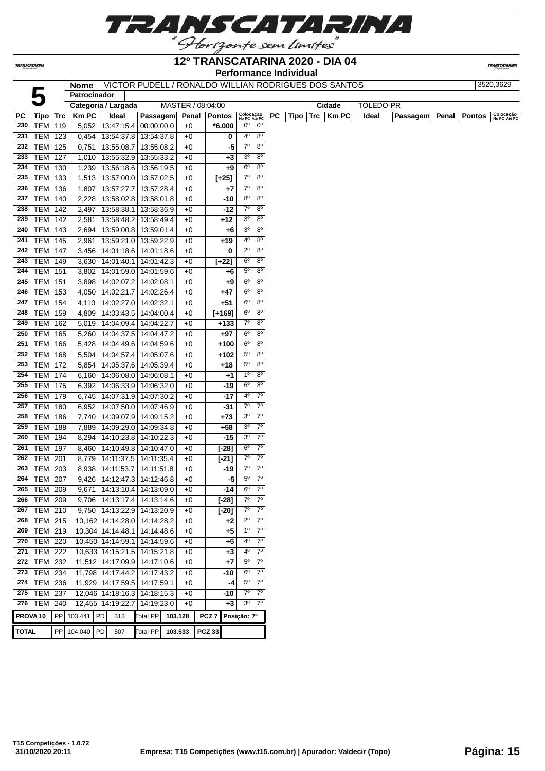

**TRANSCATARINA** 

#### **12º TRANSCATARINA 2020 - DIA 04 Performance Individual**

**TRANSCATARIN** 

**Nome** VICTOR PUDELL / RONALDO WILLIAN RODRIGUES DOS SANTOS 3520,3629

|              |                          |            | Patrocinador |    | <b>NOME</b>   VICTOR FUDELL / RONALDO WILLIAN RODRIGUES DOS SANTOS |                 |         |              |                   |             |                                 |                            |    |      |            |        |           |          |       |               | JJZU,JUZJ                 |
|--------------|--------------------------|------------|--------------|----|--------------------------------------------------------------------|-----------------|---------|--------------|-------------------|-------------|---------------------------------|----------------------------|----|------|------------|--------|-----------|----------|-------|---------------|---------------------------|
|              |                          |            |              |    |                                                                    |                 |         |              |                   |             |                                 |                            |    |      |            |        |           |          |       |               |                           |
|              |                          |            |              |    | Categoria / Largada                                                |                 |         |              | MASTER / 08:04:00 |             |                                 |                            |    |      |            | Cidade | TOLEDO-PR |          |       |               |                           |
| PC<br>230    | Tipo<br><b>TEM</b>       | Trc        | <b>KmPC</b>  |    | Ideal                                                              | Passagem        |         | Penal        | <b>Pontos</b>     |             | Colocação<br>No PC Até PC<br>0° | $0^{\circ}$                | PC | Tipo | <b>Trc</b> | Km PC  | Ideal     | Passagem | Penal | <b>Pontos</b> | Colocação<br>No PC Até PC |
| 231          | <b>TEM</b>               | 119        |              |    | 5,052   13:47:15.4   00:00:00.0                                    |                 |         | $+0$         | $*6.000$          |             | 4º                              | $8^{\circ}$                |    |      |            |        |           |          |       |               |                           |
|              |                          | 123        |              |    | 0,454   13:54:37.8   13:54:37.8                                    |                 |         | $+0$         |                   | 0           | $7^{\circ}$                     | $8^{\circ}$                |    |      |            |        |           |          |       |               |                           |
| 232<br>233   | <b>TEM</b>               | 125        | 0,751        |    | 13:55:08.7                                                         | 13:55:08.2      |         | $+0$         |                   | -5          | 3 <sup>o</sup>                  | $8^{\circ}$                |    |      |            |        |           |          |       |               |                           |
|              | <b>TEM</b>               | 127        |              |    | 1,010   13:55:32.9   13:55:33.2                                    |                 |         | $+0$         |                   | $+3$        | 6 <sup>o</sup>                  | $8^{\circ}$                |    |      |            |        |           |          |       |               |                           |
| 234<br>235   | <b>TEM</b><br>TEM   133  | 130        |              |    | 1,239   13:56:18.6   13:56:19.5                                    |                 |         | $+0$<br>$+0$ |                   | $+9$        | 70                              | $8^{\circ}$                |    |      |            |        |           |          |       |               |                           |
|              |                          |            |              |    | 1,513   13:57:00.0   13:57:02.5                                    |                 |         |              | $[+25]$           |             | $7^\circ$                       | $8^{\circ}$                |    |      |            |        |           |          |       |               |                           |
| 236<br>237   | <b>TEM</b><br><b>TEM</b> | 136        | 1,807        |    | 13:57:27.7   13:57:28.4<br>2,228   13:58:02.8   13:58:01.8         |                 |         | $+0$         |                   | +7<br>$-10$ | $8^{\circ}$                     | $8^{\circ}$                |    |      |            |        |           |          |       |               |                           |
| 238          | <b>TEM</b>               | 140<br>142 | 2,497        |    | 13:58:38.1                                                         | 13:58:36.9      |         | $+0$<br>$+0$ |                   | -12         | $7^\circ$                       | $8^{\circ}$                |    |      |            |        |           |          |       |               |                           |
| 239          | TEM                      | 142        | 2,581        |    | 13:58:48.2   13:58:49.4                                            |                 |         | $+0$         |                   | $+12$       | $3^{\circ}$                     | $8^{\circ}$                |    |      |            |        |           |          |       |               |                           |
| 240          |                          |            |              |    |                                                                    |                 |         |              |                   |             | 30                              | $8^{\circ}$                |    |      |            |        |           |          |       |               |                           |
|              | <b>TEM</b>               | 143        |              |    | 2,694   13:59:00.8   13:59:01.4                                    |                 |         | $+0$         |                   | +6          | 4º                              | $8^{\circ}$                |    |      |            |        |           |          |       |               |                           |
| 241          | <b>TEM</b>               | 145        | 2,961        |    | 13:59:21.0   13:59:22.9                                            |                 |         | $+0$         |                   | +19         | $2^{\circ}$                     | $8^{\circ}$                |    |      |            |        |           |          |       |               |                           |
| 242          | <b>TEM</b>               | 147        | 3,456        |    | 14:01:18.6   14:01:18.6                                            |                 |         | +0           |                   | 0           | 6 <sup>o</sup>                  | 8 <sup>o</sup>             |    |      |            |        |           |          |       |               |                           |
| 243<br>244   | TEM   149                |            |              |    | 3,630 14:01:40.1 14:01:42.3                                        |                 |         | $+0$         | $[+22]$           |             | $5^{\circ}$                     | 80                         |    |      |            |        |           |          |       |               |                           |
|              | <b>TEM 151</b>           |            | 3,802        |    | 14:01:59.0   14:01:59.6                                            |                 |         | $+0$         |                   | +6          | $6^{\circ}$                     | 80                         |    |      |            |        |           |          |       |               |                           |
| 245          | <b>TEM</b>               | 151        | 3,898        |    | 14:02:07.2 14:02:08.1                                              |                 |         | $+0$         |                   | $+9$        |                                 |                            |    |      |            |        |           |          |       |               |                           |
| 246          | <b>TEM</b>               | 153        |              |    | 4,050   14:02:21.7   14:02:26.4                                    |                 |         | $+0$         |                   | $+47$       | 60<br>6°                        | $8^{\circ}$                |    |      |            |        |           |          |       |               |                           |
| 247          | <b>TEM</b>               | 154        | 4,110        |    | 14:02:27.0   14:02:32.1                                            |                 |         | $+0$         |                   | $+51$       | 60                              | $8^{\circ}$<br>$8^{\circ}$ |    |      |            |        |           |          |       |               |                           |
| 248          | TEM                      | 159        | 4,809        |    | 14:03:43.5   14:04:00.4                                            |                 |         | $+0$         | $[+169]$          |             |                                 |                            |    |      |            |        |           |          |       |               |                           |
| 249          | <b>TEM</b>               | 162        |              |    | 5,019   14:04:09.4   14:04:22.7                                    |                 |         | $+0$         |                   | $+133$      | 70                              | $8^{\circ}$                |    |      |            |        |           |          |       |               |                           |
| 250          | <b>TEM</b>               | 165        | 5,260        |    | 14:04:37.5   14:04:47.2                                            |                 |         | $+0$         |                   | +97         | $6^{\circ}$                     | $8^{\circ}$                |    |      |            |        |           |          |       |               |                           |
| 251          | <b>TEM</b>               | 166        | 5,428        |    | 14:04:49.6   14:04:59.6                                            |                 |         | $+0$         |                   | $+100$      | $6^{\circ}$                     | $8^{\circ}$                |    |      |            |        |           |          |       |               |                           |
| 252          | <b>TEM</b>               | 168        |              |    | 5,504   14:04:57.4   14:05:07.6                                    |                 |         | $+0$         |                   | $+102$      | $5^{\circ}$                     | $8^{\circ}$                |    |      |            |        |           |          |       |               |                           |
| 253          | <b>TEM</b>               | 172        |              |    | 5,854   14:05:37.6   14:05:39.4                                    |                 |         | $+0$         |                   | $+18$       | $5^{\circ}$                     | $8^{\circ}$                |    |      |            |        |           |          |       |               |                           |
| 254          | <b>TEM</b>               | 174        |              |    | 6,160   14:06:08.0   14:06:08.1                                    |                 |         | $+0$         |                   | $+1$        | $1^{\circ}$                     | $8^{\circ}$                |    |      |            |        |           |          |       |               |                           |
| 255          | <b>TEM</b>               | 175        |              |    | 6,392   14:06:33.9   14:06:32.0                                    |                 |         | $+0$         |                   | $-19$       | 6°                              | $8^{\circ}$                |    |      |            |        |           |          |       |               |                           |
| 256          | <b>TEM</b>               | 179        |              |    | 6,745   14:07:31.9   14:07:30.2                                    |                 |         | $+0$         |                   | $-17$       | 4º                              | $7^{\circ}$                |    |      |            |        |           |          |       |               |                           |
| 257          | TEM                      | 180        | 6,952        |    | 14:07:50.0   14:07:46.9                                            |                 |         | $+0$         |                   | -31         | $7^{\circ}$                     | $7^{\circ}$                |    |      |            |        |           |          |       |               |                           |
| 258          | <b>TEM</b>               | 186        | 7,740        |    | 14:09:07.9   14:09:15.2                                            |                 |         | $+0$         |                   | $+73$       | 30                              | $7^\circ$                  |    |      |            |        |           |          |       |               |                           |
| 259          | TEM                      | 188        | 7,889        |    | 14:09:29.0   14:09:34.8                                            |                 |         | $+0$         |                   | +58         | 3 <sup>o</sup>                  | $7^\circ$                  |    |      |            |        |           |          |       |               |                           |
| 260          | <b>TEM</b>               | 194        | 8,294        |    | 14:10:23.8   14:10:22.3                                            |                 |         | +0           |                   | $-15$       | 30                              | $7^{\circ}$                |    |      |            |        |           |          |       |               |                           |
| 261          | <b>TEM</b>               | 197        | 8,460        |    | 14:10:49.8   14:10:47.0                                            |                 |         | $+0$         |                   | $[-28]$     | $6^{\circ}$                     | $7^{\circ}$                |    |      |            |        |           |          |       |               |                           |
| 262          | <b>TEM</b>               | 201        | 8,779        |    | 14:11:37.5   14:11:35.4                                            |                 |         | $+0$         |                   | $[-21]$     | $7^{\circ}$                     | $7^{\circ}$                |    |      |            |        |           |          |       |               |                           |
| 263          | <b>TEM</b>               | 203        | 8,938        |    | 14:11:53.7   14:11:51.8                                            |                 |         | $+0$         |                   | -19         | $7^\circ$                       | $7^\circ$                  |    |      |            |        |           |          |       |               |                           |
| 264          | TEM                      | 207        | 9,426        |    | 14:12:47.3   14:12:46.8                                            |                 |         | $+0$         |                   | -5          | $5^{\circ}$                     | $7^\circ$                  |    |      |            |        |           |          |       |               |                           |
| 265          | <b>TEM 209</b>           |            | 9,671        |    | 14:13:10.4   14:13:09.0                                            |                 |         | $+0$         |                   | -14         | $6^{\circ}$                     | $7^\circ$                  |    |      |            |        |           |          |       |               |                           |
|              | 266   TEM   209          |            |              |    | 9,706   14:13:17.4   14:13:14.6                                    |                 |         | +0           |                   | $[-28]$     | 7º                              | 7 <sup>o</sup>             |    |      |            |        |           |          |       |               |                           |
| 267          | <b>TEM 210</b>           |            |              |    | 9,750   14:13:22.9   14:13:20.9                                    |                 |         | $+0$         |                   | $[-20]$     | 70                              | $7^\circ$                  |    |      |            |        |           |          |       |               |                           |
| 268          | <b>TEM</b>               | 215        |              |    | 10,162 14:14:28.0 14:14:28.2                                       |                 |         | +0           |                   | $+2$        | $2^{\circ}$                     | $7^\circ$                  |    |      |            |        |           |          |       |               |                           |
| 269          | <b>TEM</b>               | 219        |              |    | 10,304 14:14:48.1 14:14:48.6                                       |                 |         | $+0$         |                   | $+5$        | $1^{\circ}$                     | $7^{\circ}$                |    |      |            |        |           |          |       |               |                           |
| 270          | <b>TEM 220</b>           |            |              |    | 10,450 14:14:59.1 14:14:59.6                                       |                 |         | $+0$         |                   | $+5$        | 4º                              | $7^{\circ}$                |    |      |            |        |           |          |       |               |                           |
| 271          | <b>TEM 222</b>           |            |              |    | 10,633 14:15:21.5 14:15:21.8                                       |                 |         | $+0$         |                   | $+3$        | 4º                              | $7^{\circ}$                |    |      |            |        |           |          |       |               |                           |
|              | 272 TEM 232              |            |              |    | 11,512 14:17:09.9 14:17:10.6                                       |                 |         | $+0$         |                   | $+7$        | $5^{\circ}$                     | $7^\circ$                  |    |      |            |        |           |          |       |               |                           |
|              | 273   TEM   234          |            |              |    | 11,798 14:17:44.2 14:17:43.2                                       |                 |         | $+0$         |                   | -10         | $6^{\circ}$                     | $7^\circ$                  |    |      |            |        |           |          |       |               |                           |
| 274          | <b>TEM</b>               | 236        |              |    | 11,929 14:17:59.5 14:17:59.1                                       |                 |         | $+0$         |                   | -4          | $5^{\circ}$                     | $7^\circ$                  |    |      |            |        |           |          |       |               |                           |
|              | 275   TEM   237          |            |              |    | 12,046 14:18:16.3 14:18:15.3                                       |                 |         | $+0$         |                   | -10         | $7^\circ$                       | $7^\circ$                  |    |      |            |        |           |          |       |               |                           |
|              | $276$ TEM                | 240        |              |    | 12,455 14:19:22.7                                                  | 14:19:23.0      |         | $+0$         |                   | $+3$        | 30                              | $7^\circ$                  |    |      |            |        |           |          |       |               |                           |
|              | PROVA <sub>10</sub>      |            | PP 103.441   | PD | 313                                                                | <b>Total PP</b> | 103.128 |              | PCZ <sub>7</sub>  | Posição: 7º |                                 |                            |    |      |            |        |           |          |       |               |                           |
| <b>TOTAL</b> |                          | ${\sf PP}$ | 104.040      | PD | 507                                                                | <b>Total PP</b> | 103.533 |              | <b>PCZ 33</b>     |             |                                 |                            |    |      |            |        |           |          |       |               |                           |
|              |                          |            |              |    |                                                                    |                 |         |              |                   |             |                                 |                            |    |      |            |        |           |          |       |               |                           |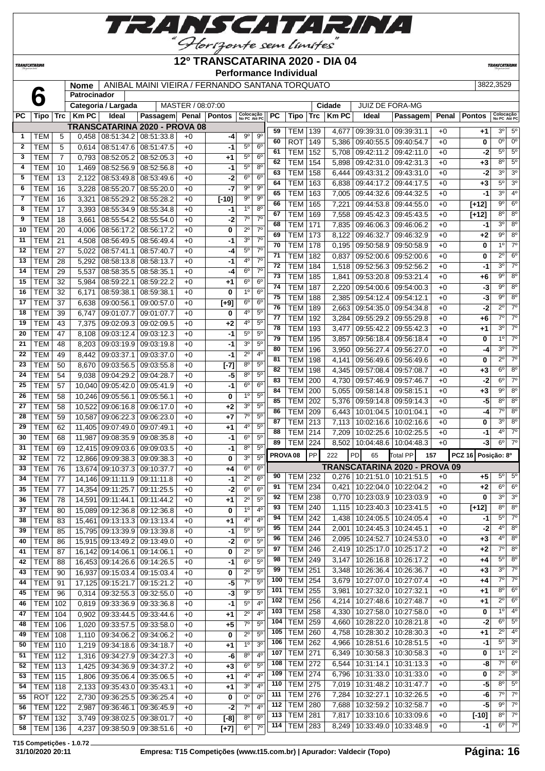

#### **12º TRANSCATARINA 2020 - DIA 04**

**Performance Individual**

**TRANSCATARI** 

|              |            |                | <b>Nome</b>         |                                     | ANIBAL MAINI VIEIRA / FERNANDO SANTANA TORQUATO |                   |               |                           |                  |                 |            |            |              |                        |            |       |               | 3822,3529                 |                        |
|--------------|------------|----------------|---------------------|-------------------------------------|-------------------------------------------------|-------------------|---------------|---------------------------|------------------|-----------------|------------|------------|--------------|------------------------|------------|-------|---------------|---------------------------|------------------------|
|              |            |                | <b>Patrocinador</b> |                                     |                                                 |                   |               |                           |                  |                 |            |            |              |                        |            |       |               |                           |                        |
|              |            |                |                     | Categoria / Largada                 |                                                 | MASTER / 08:07:00 |               |                           |                  |                 |            |            | Cidade       | <b>JUIZ DE FORA-MG</b> |            |       |               |                           |                        |
| <b>PC</b>    | Tipo       | <b>Trc</b>     | <b>Km PC</b>        | Ideal                               | <b>Passagem</b>                                 | Penal             | <b>Pontos</b> | Colocação<br>No PC Até PC |                  | <b>PC</b>       | Tipo       | <b>Trc</b> | <b>Km PC</b> | Ideal                  | Passagem   | Penal | <b>Pontos</b> | Colocação<br>No PC Até PC |                        |
|              |            |                |                     | TRANSCATARINA 2020 - PROVA 08       |                                                 |                   |               |                           |                  | 59              | <b>TEM</b> | 139        | 4.677        | 09:39:31.0             | 09:39:31.1 | $+0$  | $+1$          | $3^{\circ}$               | $5^{\circ}$            |
|              | TEM        | 5              | 0,458               |                                     | 08:51:34.2 08:51:33.8                           | $+0$              | $-4$          | $9^{\circ}$               | $9^{\circ}$      | 60              | <b>ROT</b> | 149        |              | 09:40:55.5             | 09:40:54.7 | $+0$  | 0             | 0 <sup>o</sup>            | 0 <sup>o</sup>         |
| $\mathbf{2}$ | TEM        | 5              | 0.614               | 08:51:47.6                          | 08:51:47.5                                      | $+0$              | $-1$          | 5 <sup>0</sup>            | $6^{\circ}$      | 61              |            |            | 5,386        |                        |            |       |               | 5 <sup>0</sup>            | $5^\circ$              |
| 3            | TEM        | $\overline{7}$ | 0.793               | 08:52:05.2                          | 08:52:05.3                                      | $+0$              | $+1$          | 5 <sup>0</sup>            | 6 <sup>o</sup>   |                 | <b>TEM</b> | 152        | 5,708        | 09:42:11.2             | 09:42:11.0 | $+0$  | $-2$          |                           |                        |
| 4            | <b>TEM</b> | 10             | 1.469               | 08:52:56.9                          | 08:52:56.8                                      | $+0$              | -1            | $5^{\circ}$               | 8 <sup>o</sup>   | 62              | TEM        | 154        | 5,898        | 09:42:31.0             | 09:42:31.3 | $+0$  | $+3$          | $8^{\circ}$               | $5^\circ$              |
| 5            | TEM        | 13             | 2,122               | 08:53:49.8                          | 08:53:49.6                                      | $+0$              | $-2$          | $6^{\circ}$               | $6^{\circ}$      | 63              | <b>TEM</b> | 158        | 6,444        | 09:43:31.2             | 09:43:31.0 | $+0$  | -2            | 3 <sup>o</sup>            | $\overline{3^0}$       |
| 6            | <b>TEM</b> | 16             | 3,228               | 08:55:20.7                          | 08:55:20.0                                      | $+0$              | $-7$          | $9^{\circ}$               | $9^{\circ}$      | 64              | TEM        | 163        | 6.838        | 09:44:17.2             | 09:44:17.5 | $+0$  | $+3$          | 5 <sup>o</sup>            | 3 <sup>0</sup>         |
| 7            | TEM        | 16             | 3,321               | 08:55:29.2                          | 08:55:28.2                                      | $+0$              | $[-10]$       | $9^{\circ}$               | $9^{\circ}$      | 65              | TEM        | 163        | 7,005        | 09:44:32.6             | 09:44:32.5 | $+0$  | -1            | 3 <sup>o</sup>            | 4 <sup>0</sup>         |
| 8            | TEM        | 17             | 3,393               | 08:55:34.9                          | 08:55:34.8                                      | $+0$              | -1            | 1 <sup>0</sup>            | $8^{\circ}$      | 66              | TEM        | 165        | 7,221        | 09:44:53.8             | 09:44:55.0 | $+0$  | $[+12]$       | 9 <sup>o</sup>            | $6^{\circ}$            |
| 9            | TEM        | 18             | 3,661               | 08:55:54.2                          | 08:55:54.0                                      | $+0$              | -2            | $7^\circ$                 | $7^\circ$        | 67              | <b>TEM</b> | 169        | 7,558        | 09:45:42.3             | 09:45:43.5 | $+0$  | $[+12]$       | $8^{\circ}$               | $8^\circ$              |
|              |            |                |                     |                                     |                                                 |                   |               |                           | 7 <sup>0</sup>   | 68              | TEM        | 171        | 7,835        | 09:46:06.3             | 09:46:06.2 | $+0$  | -1            | 3 <sup>o</sup>            | $8^\circ$              |
| 10           | <b>TEM</b> | 20             | 4.006               | 08:56:17.2                          | 08:56:17.2                                      | $+0$              | 0             | $2^{\circ}$               | $7^\circ$        | 69              | TEM        | 173        | 8.122        | 09:46:32.7             | 09:46:32.9 | $+0$  | $+2$          | $9^\circ$                 | $8^\circ$              |
| 11           | <b>TEM</b> | 21             | 4.508               | 08:56:49.5                          | 08:56:49.4                                      | $+0$              | -1            | 3 <sup>0</sup>            |                  | 70              | TEM        | 178        | 0.195        | 09:50:58.9             | 09:50:58.9 | $+0$  | 0             | $1^{\circ}$               | $7^\circ$              |
| 12           | <b>TEM</b> | 27             | 5,022               | 08:57:41.1                          | 08:57:40.7                                      | $+0$              | $-4$          | 5 <sup>0</sup>            | 7 <sup>0</sup>   | 71              | TEM        | 182        | 0.837        | 09:52:00.6             | 09:52:00.6 | $+0$  | 0             | $2^{\circ}$               | $6^{\circ}$            |
| 13           | <b>TEM</b> | 28             | 5,292               | 08:58:13.8                          | 08:58:13.7                                      | $+0$              | $-1$          | 4°                        | 7 <sup>0</sup>   | 72              | TEM        | 184        | 1,518        | 09:52:56.3             | 09:52:56.2 | $+0$  | -1            | 3 <sup>o</sup>            | $7^\circ$              |
| 14           | TEM        | 29             | 5,537               | 08:58:35.5                          | 08:58:35.1                                      | $+0$              | $-4$          | $6^{\circ}$               | 70               | 73              | TEM        | 185        | 1,841        | 09:53:20.8             | 09:53:21.4 | $+0$  | $+6$          | $9^{\circ}$               | $8^{\circ}$            |
| 15           | TEM        | 32             | 5,984               | 08:59:22.1                          | 08:59:22.2                                      | $+0$              | $+1$          | 6 <sup>o</sup>            | $6^{\circ}$      | 74              | <b>TEM</b> | 187        | 2,220        | 09:54:00.6             | 09:54:00.3 | $+0$  | -3            | 9 <sup>o</sup>            | $8^\circ$              |
| 16           | TEM        | 32             | 6,171               | 08:59:38.1                          | 08:59:38.1                                      | $+0$              | 0             | 1 <sup>0</sup>            | $6^{\circ}$      | $\overline{75}$ | TEM        | 188        |              | 09:54:12.4             | 09:54:12.1 | $+0$  | $-3$          | 9 <sup>o</sup>            | $8^\circ$              |
| 17           | TEM        | 37             | 6,638               | 09:00:56.1                          | 09:00:57.0                                      | $+0$              | $[+9]$        | 6 <sup>0</sup>            | 6 <sup>o</sup>   | 76              |            |            | 2,385        |                        |            |       |               | $2^{\circ}$               | $7^\circ$              |
| 18           | <b>TEM</b> | 39             | 6.747               | 09:01:07.7                          | 09:01:07.7                                      | $+0$              | 0             | 40                        | $\overline{5^0}$ | 77              | TEM        | 189        | 2.663        | 09:54:35.0             | 09:54:34.8 | $+0$  | -2            | $\overline{7^{\circ}}$    | $\overline{7^{\circ}}$ |
| 19           | <b>TEM</b> | 43             |                     | $7.375$   00.02.00 $3$   00.02.00 5 |                                                 | ⊥∩                | ر.            | 40                        | 50               |                 | <b>TEM</b> | 192        |              | $3,284$   09:55:29.2   | 09:55:29.8 | $+0$  | $+6$          |                           |                        |

*TRANSCATARINA* 

|          | <b>I CIVI</b>                    | 10  | J,OO I         | U0.00.04.Z   U0.00.04.U         |                                                | +v       | -2                |                            |                             | 68                  | TEM   171                 |     |       | 7.835 09:46:06.3 09:46:06.2                                        |                               | $+0$         | -1                 | 3 <sup>0</sup>             | $8^{\circ}$            |
|----------|----------------------------------|-----|----------------|---------------------------------|------------------------------------------------|----------|-------------------|----------------------------|-----------------------------|---------------------|---------------------------|-----|-------|--------------------------------------------------------------------|-------------------------------|--------------|--------------------|----------------------------|------------------------|
| 10       | <b>TEM</b>                       | 20  | 4,006          | 08:56:17.2 08:56:17.2           |                                                | $+0$     | 0                 | $2^{\circ}$                | $7^\circ$                   | 69                  | TEM   173                 |     | 8,122 | 09.46.32.7                                                         | 09:46:32.9                    | $+0$         | +2                 | 90                         | $8^{\circ}$            |
| 11       | <b>TEM</b>                       | 21  | 4,508          | 08:56:49.5   08:56:49.4         |                                                | $+0$     | -1                | 3 <sup>o</sup>             | 7 <sup>0</sup>              | 70                  | <b>TEM 178</b>            |     |       | $0.195 \mid 09:50:58.9$                                            | 09:50:58.9                    | $+0$         | 0                  | 1 <sup>0</sup>             | $7^\circ$              |
| 12       | <b>TEM</b>                       | 27  | 5,022          | 08:57:41.1                      | 08:57:40.7                                     | $+0$     | -4                | $5^{\circ}$                | $7^\circ$                   | 71                  | TEM   182                 |     | 0,837 | 09:52:00.6                                                         | 09:52:00.6                    | $+0$         | 0                  | $2^{\circ}$                | $6^{\circ}$            |
| 13       | <b>TEM</b>                       | 28  | 5,292          | 08:58:13.8 08:58:13.7           |                                                | $+0$     | -1                | $4^{\circ}$                | 7 <sup>0</sup>              | 72                  | <b>TEM</b>                | 184 |       | 1,518 09:52:56.3 09:52:56.2                                        |                               | $+0$         | -1                 | 3 <sup>0</sup>             | $7^\circ$              |
| 14       | TEM                              | 29  | 5,537          | 08:58:35.5                      | 08:58:35.1                                     | +0       | -4                | $6^{\circ}$                | $7^\circ$                   | 73                  | TEM                       | 185 | 1,841 | 09:53:20.8                                                         | 09:53:21.4                    | $+0$         | +6                 | $9^{\circ}$                | $8^{\circ}$            |
| 15       | <b>TEM</b>                       | 32  | 5,984          | 08:59:22.1                      | 08:59:22.2                                     | +0       | +1                | $6^{\circ}$                | $6^{\circ}$                 | 74                  | TEM                       | 187 | 2,220 | 09:54:00.6   09:54:00.3                                            |                               | $+0$         | -3                 | $9^{\circ}$                | $8^{\circ}$            |
| 16       | <b>TEM</b>                       | 32  | 6,171          | 08:59:38.1                      | 08:59:38.1                                     | $+0$     | 0                 | 1 <sup>0</sup>             | 6 <sup>o</sup>              | 75                  | TEM                       | 188 | 2,385 | 09:54:12.4                                                         | 09:54:12.1                    | $+0$         | -3                 | $9^{\circ}$                | $8^{\circ}$            |
| 17       | <b>TEM</b>                       | 37  | 6,638          |                                 | 09:00:56.1   09:00:57.0                        | +0       | $[+9]$            | $6^{\circ}$                | 6 <sup>o</sup>              | 76                  | <b>TEM</b>                | 189 | 2,663 | 09:54:35.0                                                         | 09:54:34.8                    | $+0$         | $-2$               | $2^{\circ}$                | $7^\circ$              |
| 18       | <b>TEM</b>                       | 39  | 6,747          | 09:01:07.7                      | 09:01:07.7                                     | $+0$     | 0                 | 4 <sup>o</sup>             | 5 <sup>0</sup>              | 77                  | TEM                       | 192 | 3,284 | 09:55:29.2                                                         | 09:55:29.8                    | $+0$         | +6                 | $7^\circ$                  | $7^\circ$              |
| 19       | <b>TEM</b>                       | 43  | 7,375          | 09:02:09.3 09:02:09.5           |                                                | +0       | +2                | 4º                         | 5 <sup>0</sup>              | 78                  | TEM   193                 |     | 3,477 | 09:55:42.2 09:55:42.3                                              |                               | $+0$         | +1                 | 30                         | $7^\circ$              |
| 20       | <b>TEM</b>                       | 47  | 8,108          | 09:03:12.4 09:03:12.3           |                                                | $+0$     | -1                | $5^{\circ}$                | $5^{\circ}$                 | 79                  | TEM                       | 195 | 3,857 | 09:56:18.4                                                         | 09:56:18.4                    | $+0$         | 0                  | 1 <sup>°</sup>             | $7^\circ$              |
| 21       | <b>TEM</b>                       | 48  | 8,203          | 09:03:19.9 09:03:19.8           |                                                | +0       | -1                | $3^{\circ}$                | 5 <sup>0</sup>              | 80                  | <b>TEM</b>                | 196 | 3,950 | 09:56:27.4                                                         | 09:56:27.0                    | $+0$         | -4                 | 3 <sup>0</sup>             | $7^\circ$              |
| 22       | <b>TEM</b>                       | 49  | 8,442          | 09:03:37.1                      | 09:03:37.0                                     | $+0$     | -1                | $2^{\circ}$                | $4^{\circ}$                 | 81                  | <b>TEM</b>                | 198 | 4,141 | 09:56:49.6                                                         | 09:56:49.6                    | $+0$         | 0                  | $2^{\circ}$                | $7^\circ$              |
| 23       | TEM                              | 50  | 8,670          | 09:03:56.5                      | 09:03:55.8                                     | $+0$     | $[-7]$            | $8^{\circ}$                | 5 <sup>0</sup>              | 82                  | TEM                       | 198 | 4,345 | 09:57:08.4                                                         | 09:57:08.7                    | $+0$         | +3                 | $6^{\circ}$                | $8^{\circ}$            |
| 24       | <b>TEM</b>                       | 54  | 9,038          | 09:04:29.2 09:04:28.7           |                                                | +0       | -5                | 80                         | $5^{\circ}$                 | 83                  | <b>TEM</b>                | 200 | 4,730 | 09:57:46.9 09:57:46.7                                              |                               | $+0$         | -2                 | $6^{\circ}$                | $7^\circ$              |
| 25       | <b>TEM</b>                       | 57  | 10,040         | 09:05:42.0   09:05:41.9         |                                                | $+0$     | -1                | $6^{\circ}$                | 6 <sup>o</sup>              | 84                  | TEM                       | 200 | 5,055 | 09:58:14.8                                                         | 09:58:15.1                    | $+0$         | +3                 | $9^{\circ}$                | $8^{\circ}$            |
| 26       | <b>TEM</b>                       | 58  | 10,246         | 09:05:56.1                      | 09:05:56.1                                     | +0       | 0                 | $1^{\circ}$                | 5 <sup>0</sup>              | 85                  | <b>TEM 202</b>            |     |       | 5,376   09:59:14.8                                                 | 09:59:14.3                    | $+0$         | -5                 | 80                         | $8^{\circ}$            |
| 27       | <b>TEM</b>                       | 58  |                | 10,522 09:06:16.8 09:06:17.0    |                                                | $+0$     | +2                | $3^{\circ}$                | 5 <sup>0</sup>              | 86                  | <b>TEM   209</b>          |     |       | $6,443$   10:01:04.5                                               | 10:01:04.1                    | $+0$         | $-4$               | $7^\circ$                  | $8^{\circ}$            |
| 28       | <b>TEM</b>                       | 59  | 10,587         | 09:06:22.3   09:06:23.0         |                                                | $+0$     | $+7$              | $7^\circ$                  | 5 <sup>0</sup>              | 87                  | <b>TEM 213</b>            |     |       | 7,113   10:02:16.6   10:02:16.6                                    |                               | $+0$         | 0                  | 30                         | $8^{\circ}$            |
| 29       | <b>TEM</b>                       | 62  |                | 11,405 09:07:49.0 09:07:49.1    |                                                | $+0$     | +1                | $4^{\circ}$                | $5^{\circ}$                 | 88                  | <b>TEM   214</b>          |     |       | 7.209   10:02:25.6   10:02:25.5                                    |                               | $+0$         | -1                 | $4^{\circ}$                | $7^\circ$              |
| 30       | <b>TEM</b>                       | 68  | 11.987         | 09:08:35.9 09:08:35.8           |                                                | $+0$     | -1                | $6^{\circ}$                | $5^{\circ}$                 | 89                  | <b>TEM   224</b>          |     |       | 8,502   10:04:48.6   10:04:48.3                                    |                               | $+0$         | -3                 | $6^{\circ}$                | $7^\circ$              |
| 31       | <b>TEM</b>                       | 69  |                | 12,415 09:09:03.6 09:09:03.5    |                                                | $+0$     | -1                | 80                         | $5^{\circ}$                 |                     |                           |     |       |                                                                    |                               |              |                    |                            |                        |
| 32       | TEM                              | 72  |                | 12,866 09:09:38.3 09:09:38.3    |                                                | $+0$     | 0                 | 3 <sup>0</sup>             | 5 <sup>0</sup>              | PROVA <sub>08</sub> |                           | PP  | 222   | PD<br>65                                                           | <b>Total PP</b><br>157        |              | PCZ 16 Posição: 8º |                            |                        |
| 33       | <b>TEM</b>                       | 76  |                | 13,674 09:10:37.3 09:10:37.7    |                                                | +0       | +4                | $6^{\circ}$                | 6 <sup>o</sup>              |                     |                           |     |       |                                                                    | TRANSCATARINA 2020 - PROVA 09 |              |                    |                            |                        |
|          |                                  |     |                |                                 |                                                |          |                   |                            |                             |                     |                           |     |       |                                                                    |                               |              |                    |                            |                        |
| 34       | <b>TEM</b>                       | 77  |                | 14,146 09:11:11.9               | 09:11:11.8                                     | $+0$     | -1                | $2^{\circ}$                | 6 <sup>o</sup>              | 90                  | TEM 232                   |     |       | $0.276$   10:21:51.0   10:21:51.5                                  |                               | $+0$         | +5                 | $5^{\circ}$                | $5^{\circ}$            |
| 35       | <b>TEM</b>                       | 77  |                | 14,354 09:11:25.7               | 09:11:25.5                                     | +0       | -2                | $6^{\circ}$                | 6 <sup>o</sup>              | 91                  | TEM                       | 234 | 0,421 | 10:22:04.0                                                         | 10:22:04.2                    | $+0$         | +2                 | 6 <sup>o</sup>             | $6^{\circ}$            |
| 36       | <b>TEM</b>                       | 78  | 14,591         | 09:11:44.1                      | 09:11:44.2                                     | $+0$     | +1                | $2^{\circ}$                | 5 <sup>0</sup>              | 92                  | <b>TEM</b>                | 238 |       | 0,770 10:23:03.9                                                   | 10:23:03.9                    | $+0$         | 0                  | 3 <sup>o</sup>             | 3 <sup>o</sup>         |
| 37       | <b>TEM</b>                       | 80  |                | 15,089 09:12:36.8 09:12:36.8    |                                                | $+0$     | 0                 | 1 <sup>o</sup>             | 4 <sup>0</sup>              | 93                  | TEM                       | 240 |       | $1,115$ $10:23:40.3$ 10:23:41.5                                    |                               | $+0$         | $[+12]$            | $8^{\circ}$                | $8^{\circ}$            |
| 38       | <b>TEM</b>                       | 83  |                | 15,461 09:13:13.3 09:13:13.4    |                                                | $+0$     | +1                | $4^{\circ}$                | $4^{\circ}$                 | 94                  | TEM                       | 242 |       | 1,438   10:24:05.5   10:24:05.4                                    |                               | $+0$         | -1                 | $5^{\circ}$                | $7^\circ$              |
| 39       | <b>TEM</b>                       | 85  |                | 15,795 09:13:39.9 09:13:39.8    |                                                | $+0$     | -1                | $5^{\circ}$                | 5 <sup>0</sup>              | 95                  | TEM                       | 244 | 2,001 | 10:24:45.3                                                         | 10:24:45.1                    | $+0$         | -2                 | 4°                         | $8^{\circ}$            |
| 40       | <b>TEM</b>                       | 86  |                | 15,915 09:13:49.2 09:13:49.0    |                                                | $+0$     | -2                | $6^{\circ}$                | 5 <sup>0</sup>              | 96                  | <b>TEM</b>                | 246 | 2,095 | 10:24:52.7                                                         | 10:24:53.0                    | $+0$         | +3                 | 4°                         | $8^{\circ}$            |
| 41       | <b>TEM</b>                       | 87  |                | 16,142 09:14:06.1 09:14:06.1    |                                                | $+0$     | 0                 | $2^{\circ}$                | $5^{\circ}$                 | 97                  | <b>TEM 246</b>            |     |       | 2,419   10:25:17.0                                                 | 10:25:17.2                    | $+0$         | +2                 | $7^\circ$                  | $8^\circ$              |
| 42       | <b>TEM</b>                       | 88  |                | 16,453 09:14:26.6 09:14:26.5    |                                                | +0       | -1                | $6^{\circ}$                | $5^{\circ}$                 | 98                  | TEM   249                 |     | 3,147 | 10:26:16.8                                                         | 10:26:17.2                    | $+0$         | +4                 | $5^{\circ}$                | $8^{\circ}$            |
| 43       | TEM                              | 90  | 16,937         | 09:15:03.4 09:15:03.4           |                                                | $+0$     | 0                 | $2^{\circ}$                | 5 <sup>0</sup>              | 99                  | <b>TEM</b>                | 251 | 3,348 | 10:26:36.4                                                         | 10:26:36.7                    | $+0$         | +3                 | 30                         | $7^\circ$              |
| 44       | <b>TEM</b>                       | 91  | 17,125         | 09:15:21.7                      | 09:15:21.2                                     | $+0$     | -5                | $7^\circ$                  | 5 <sup>0</sup>              | 100                 | <b>TEM   254</b>          |     | 3,679 | 10:27:07.0                                                         | 10:27:07.4                    | $+0$         | +4                 | $7^\circ$                  | $7^\circ$              |
| 45       | <b>TEM</b>                       | 96  | 0,314          | 09:32:55.3 09:32:55.0           |                                                | $+0$     | -3                | $9^{\circ}$                | 5 <sup>0</sup>              | 101                 | <b>TEM</b>                | 255 | 3,981 | 10:27:32.0                                                         | 10:27:32.1                    | $+0$         | +1                 | $8^{\circ}$                | $6^{\circ}$            |
| 46       | <b>TEM</b>                       | 102 | 0,819          | 09:33:36.9 09:33:36.8           |                                                | +0       | -1                | $5^{\circ}$                | 4 <sup>0</sup>              | 102                 | TEM                       | 256 | 4,214 | 10:27:48.6                                                         | 10:27:48.7                    | $+0$         | +1                 | $2^{\circ}$                | $6^{\circ}$            |
| 47       | <b>TEM</b>                       | 104 | 0,902          | 09:33:44.5   09:33:44.6         |                                                | $+0$     | +1                | $2^{\circ}$                | 4 <sup>0</sup>              | 103                 | TEM                       | 258 | 4,330 | 10:27:58.0                                                         | 10:27:58.0                    | $+0$         | 0                  | 1 <sup>0</sup>             | $4^{\circ}$            |
| 48       | TEM                              | 106 | 1,020          |                                 | 09:33:57.5 09:33:58.0                          | $+0$     | $+5$              | $7^\circ$                  | 5 <sup>0</sup>              | 104                 | <b>TEM</b>                | 259 |       | 4,660   10:28:22.0   10:28:21.8                                    |                               | $+0$         | -2                 | $6^{\circ}$                | $5^\circ$              |
| 49       | TEM   108                        |     |                | 1,110   09:34:06.2   09:34:06.2 |                                                | +0       | 0                 | $2^{\circ}$                | $5^{\circ}$                 | 105                 | TEM   260                 |     |       | 4,758   10:28:30.2   10:28:30.3                                    |                               | $+0$         | +1                 | $2^{\circ}$                | 4°                     |
| 50       | <b>TEM 110</b>                   |     | 1,219          | 09:34:18.6 09:34:18.7           |                                                | $+0$     | +1                | 1 <sup>o</sup>             | 3 <sup>o</sup>              | 106                 | <b>TEM 262</b>            |     |       | 4,966   10:28:51.6   10:28:51.5                                    |                               | $+0$         | -1                 | $5^{\circ}$                | $3^\circ$              |
| 51       | <b>TEM 112</b>                   |     | 1,316          | 09:34:27.9 09:34:27.3           |                                                | $+0$     | -6                | $8^{\circ}$                | 4 <sup>0</sup>              | 107                 | <b>TEM 271</b>            |     |       | $6,349$   10:30:58.3   10:30:58.3                                  |                               | $+0$         | 0                  | $1^{\circ}$                | $2^{\circ}$            |
| 52       | TEM                              | 113 | 1,425          | 09:34:36.9 09:34:37.2           |                                                | $+0$     | +3                | $6^{\circ}$                | $5^{\circ}$                 | 108                 | <b>TEM 272</b>            |     |       | $6,544$   10:31:14.1   10:31:13.3                                  |                               | $+0$         | -8                 | $7^\circ$                  | 6 <sup>o</sup>         |
| 53       | <b>TEM 115</b>                   |     | 1,806          |                                 | 09:35:06.4   09:35:06.5                        | $+0$     | +1                | 4°                         | $4^{\circ}$                 | 109                 | <b>TEM 274</b>            |     |       | 6,796   10:31:33.0   10:31:33.0                                    |                               | $+0$         | 0                  | $2^{\circ}$                | 3 <sup>o</sup>         |
| 54       | <b>TEM 118</b>                   |     | 2,133          | 09:35:43.0 09:35:43.1           |                                                | $+0$     | $+1$              | 3 <sup>o</sup>             | 4 <sup>0</sup>              | 110                 | <b>TEM 275</b>            |     |       | 7,019 10:31:48.2                                                   | 10:31:47.7                    | $+0$         | -5                 | $8^{\circ}$                | $5^{\circ}$            |
| 55       | ROT                              | 122 | 2,730          | 09:36:25.5   09:36:25.4         |                                                | $+0$     | 0                 | $0^{\circ}$                | $0^{\circ}$                 | 111                 | <b>TEM 276</b>            |     |       | 7,284 10:32:27.1                                                   | 10:32:26.5                    | $+0$         | -6                 | $7^{\circ}$                | $7^\circ$              |
| 56       | <b>TEM 122</b>                   |     | 2,987          | 09:36:46.1 09:36:45.9           |                                                | $+0$     | $-2$              | $7^\circ$                  | 4 <sup>0</sup>              | 112                 | <b>TEM 280</b>            |     |       | 7,688   10:32:59.2   10:32:58.7                                    |                               | $+0$         | -5                 | $9^{\circ}$                | $7^\circ$              |
| 57<br>58 | <b>TEM 132</b><br><b>TEM 136</b> |     | 3,749<br>4,237 |                                 | 09:38:02.5 09:38:01.7<br>09:38:50.9 09:38:51.6 | +0<br>+0 | $[-8]$<br>$[t+7]$ | $8^{\circ}$<br>$6^{\circ}$ | 6 <sup>o</sup><br>$7^\circ$ | 113<br>114          | <b>TEM 281</b><br>TEM 283 |     |       | 7,817   10:33:10.6   10:33:09.6<br>8,249   10:33:49.0   10:33:48.9 |                               | $+0$<br>$+0$ | $[-10]$<br>-1      | $8^{\circ}$<br>$6^{\circ}$ | $7^\circ$<br>$7^\circ$ |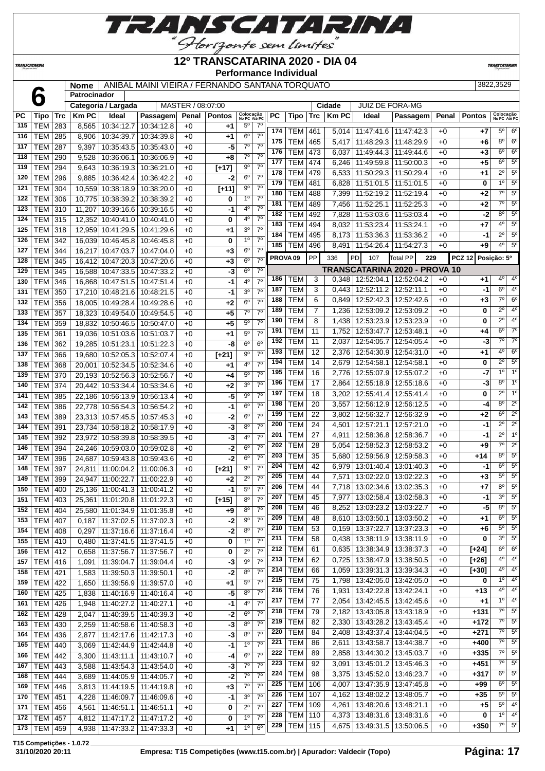

#### **12º TRANSCATARINA 2020 - DIA 04**

**Performance Individual**

**TRANSCATARIN** 

 **Patrocinador**

**TRANSCATARINA** 

## **Nome** ANIBAL MAINI VIEIRA / FERNANDO SANTANA TORQUATO 3822,3529

|     |                  |            |              | Categoria / Largada          |                                 | MASTER / 08:07:00 |                    |                           |                  |                     |                |                 | Cidade       | <b>JUIZ DE FORA-MG</b>          |                               |              |               |                           |                        |
|-----|------------------|------------|--------------|------------------------------|---------------------------------|-------------------|--------------------|---------------------------|------------------|---------------------|----------------|-----------------|--------------|---------------------------------|-------------------------------|--------------|---------------|---------------------------|------------------------|
| PC  | Tipo             | <b>Trc</b> | <b>Km PC</b> | Ideal                        | Passagem                        | Penal             | <b>Pontos</b>      | Colocação<br>No PC Até PC |                  | РC                  | Tipo           | Trc             | <b>Km PC</b> | Ideal                           | Passagem                      | <b>Penal</b> | <b>Pontos</b> | Colocação<br>No PC Até PC |                        |
| 115 | <b>TEM</b>       | 283        | 8,565        | 10:34:12.7                   | 10:34:12.8                      | $+0$              | +1                 | $5^{\circ}$               | $7^\circ$        |                     |                |                 |              |                                 |                               |              |               |                           |                        |
| 116 | <b>TEM</b>       | 285        | 8,906        | 10:34:39.7                   | 10:34:39.8                      | $+0$              | $+1$               | $6^{\circ}$               | $7^\circ$        | 174                 | <b>TEM</b>     | 461             |              | 5,014   11:47:41.6   11:47:42.3 |                               | $+0$         | $+7$          | $5^{\circ}$               | $6^{\circ}$            |
| 117 | <b>TEM</b>       | 287        | 9,397        | 10:35:43.5                   | 10:35:43.0                      | $+0$              | -5                 | $7^\circ$                 | $7^{\circ}$      | 175                 | <b>TEM</b>     | 465             | 5,417        | 11:48:29.3                      | 11:48:29.9                    | +0           | +6            | $8^{\circ}$               | $6^{\circ}$            |
| 118 | <b>TEM</b>       | 290        | 9,528        | 10:36:06.1                   | 10:36:06.9                      | $+0$              | +8                 | $7^\circ$                 | 7 <sup>0</sup>   | 176                 | <b>TEM</b>     | 473             | 6,037        | 11:49:44.3                      | 11:49:44.6                    | $+0$         | $+3$          | 6 <sup>o</sup>            | $6^{\circ}$            |
| 119 | <b>TEM</b>       | 294        | 9,643        | 10:36:19.3                   | 10:36:21.0                      | $+0$              | $[+17]$            | $9^{\circ}$               | 7 <sup>0</sup>   | 177                 | <b>TEM</b>     | 474             | 6,246        | 11:49:59.8                      | $\overline{11}$ :50:00.3      | $+0$         | $+5$          | 6 <sup>o</sup>            | $\overline{5^0}$       |
| 120 | <b>TEM</b>       | 296        | 9,885        | 10:36:42.4                   | 10:36:42.2                      | $+0$              | $-2$               | 6 <sup>o</sup>            | $7^\circ$        | 178                 | <b>TEM</b>     | 479             | 6,533        | 11:50:29.3                      | 11:50:29.4                    | $+0$         | $+1$          | $2^{\circ}$               | $5^{\circ}$            |
| 121 | <b>TEM</b>       | 304        | 10,559       | 10:38:18.9                   | 10:38:20.0                      | $+0$              | $[+11]$            | $9^{\circ}$               | $7^{\circ}$      | 179                 | <b>TEM</b>     | 481             | 6,828        | 11:51:01.5                      | 11:51:01.5                    | $+0$         | 0             | 1 <sup>0</sup>            | $\overline{5^0}$       |
| 122 | <b>TEM</b>       | 306        | 10,775       | 10:38:39.2                   | 10:38:39.2                      | $+0$              | 0                  | 1 <sup>0</sup>            | $7^{\circ}$      | 180                 | <b>TEM</b>     | 488             | 7,399        | 11:52:19.2                      | 11:52:19.4                    | $+0$         | $+2$          | $\overline{7^0}$          | $5^{\circ}$            |
| 123 | <b>TEM</b>       |            |              |                              |                                 |                   |                    | $4^{\circ}$               | 7 <sup>0</sup>   | 181                 | <b>TEM</b>     | 489             | 7,456        | 11:52:25.1                      | 11:52:25.3                    | +0           | $+2$          | $\overline{7^{\circ}}$    | $5^{\circ}$            |
|     |                  | 310        | 11,207       | 10:39:16.6                   | 10:39:16.5                      | $+0$              | $-1$               |                           | $7^\circ$        | 182                 | <b>TEM</b>     | 492             | 7,828        | 11:53:03.6                      | 11:53:03.4                    | $+0$         | -2            | $8^{\circ}$               | $5^{\circ}$            |
| 124 | TEM              | 315        | 12,352       | 10:40:41.0                   | 10:40:41.0                      | $+0$              | 0                  | 4 <sup>o</sup>            |                  | 183                 | <b>TEM</b>     | 494             | 8,032        | 11:53:23.4                      | 11:53:24.1                    | $+0$         | $+7$          | 4 <sup>0</sup>            | $\overline{5^0}$       |
| 125 | <b>TEM</b>       | 318        | 12,959       | 10:41:29.5                   | 10:41:29.6                      | $+0$              | $+1$               | 3 <sup>o</sup>            | $7^{\circ}$      | 184                 | <b>TEM</b>     | 495             | 8,173        | 11:53:36.3                      | 11:53:36.2                    | $+0$         | -1            | $2^{\circ}$               | $5^{\circ}$            |
| 126 | <b>TEM</b>       | 342        | 16,039       | 10:46:45.8                   | 10:46:45.8                      | $+0$              | 0                  | 1 <sup>0</sup>            | 7 <sup>o</sup>   | 185                 | <b>TEM</b>     | 496             | 8,491        | 11:54:26.4                      | 11:54:27.3                    | $+0$         | +9            | 4 <sup>0</sup>            | $5^{\circ}$            |
| 127 | <b>TEM</b>       | 344        | 16,217       | 10:47:03.7                   | 10:47:04.0                      | $+0$              | $+3$               | $6^{\circ}$               | 7 <sup>0</sup>   | PROVA <sub>09</sub> |                | PP              | 336          | PD<br>107                       | Total PP<br>229               |              | <b>PCZ 12</b> | Posição: 5º               |                        |
| 128 | <b>TEM</b>       | 345        | 16,412       | 10:47:20.3                   | 10:47:20.6                      | $+0$              | $+3$               | 6 <sup>o</sup>            | 7 <sup>o</sup>   |                     |                |                 |              |                                 |                               |              |               |                           |                        |
| 129 | <b>TEM</b>       | 345        | 16,588       | 10:47:33.5                   | 10:47:33.2                      | $+0$              | $-3$               | $6^{\circ}$               | $7^\circ$        |                     |                |                 |              |                                 | TRANSCATARINA 2020 - PROVA 10 |              |               |                           |                        |
| 130 | <b>TEM</b>       | 346        | 16.868       | 10:47:51.5                   | 10:47:51.4                      | $+0$              | $-1$               | 4°                        | $7^\circ$        | 186                 | TEM            | 3               |              | $0,348$   12:52:04.1            | 12:52:04.2                    | +0           | +1            | 4°                        | 4 <sup>0</sup>         |
| 131 | <b>TEM</b>       | 350        | 17,210       | 10:48:21.6                   | 10:48:21.5                      | $+0$              | $-1$               | 3 <sup>0</sup>            | 7 <sup>0</sup>   | 187                 | <b>TEM</b>     | 3               | 0,443        | 12:52:11.2                      | 12:52:11.1                    | $+0$         | -1            | 6 <sup>o</sup>            | 4 <sup>0</sup>         |
| 132 | <b>TEM</b>       | 356        | 18,005       | 10:49:28.4                   | 10:49:28.6                      | $+0$              | +2                 | 6 <sup>o</sup>            | 7 <sup>o</sup>   | 188                 | <b>TEM</b>     | 6               | 0,849        | 12:52:42.3                      | 12:52:42.6                    | $+0$         | $+3$          | $7^\circ$                 | $\overline{6}^{\circ}$ |
| 133 | <b>TEM</b>       | 357        | 18,323       | 10:49:54.0                   | 10:49:54.5                      | $+0$              | $+5$               | $7^\circ$                 | $7^\circ$        | 189                 | <b>TEM</b>     | $\overline{7}$  | 1,236        | 12:53:09.2                      | 12:53:09.2                    | $+0$         | 0             | $2^{\circ}$               | 4 <sup>0</sup>         |
| 134 | <b>TEM</b>       | 359        | 18,832       | 10:50:46.5                   | 10:50:47.0                      | $+0$              | $+5$               | $5^{\circ}$               | $7^\circ$        | 190                 | <b>TEM</b>     | 8               | 1,438        | 12:53:23.9                      | 12:53:23.9                    | $+0$         | 0             | $2^{\circ}$               | 4 <sup>0</sup>         |
| 135 | <b>TEM</b>       | 361        | 19,036       | 10:51:03.6                   | 10:51:03.7                      | $+0$              | +1                 | $5^{\circ}$               | 7 <sup>0</sup>   | 191                 | <b>TEM</b>     | 11              | 1,752        | 12:53:47.7                      | 12:53:48.1                    | $+0$         | +4            | $6^{\circ}$               | $7^\circ$              |
| 136 | <b>TEM</b>       | 362        | 19,285       | 10:51:23.1                   | 10:51:22.3                      | $+0$              | -8                 | 6 <sup>o</sup>            | $6^{\circ}$      | 192                 | <b>TEM</b>     | 11              | 2,037        | 12:54:05.7                      | 12:54:05.4                    | +0           | $-3$          | $\overline{7^0}$          | $\overline{7}^{\circ}$ |
| 137 | <b>TEM</b>       | 366        | 19,680       | 10:52:05.3                   | 10:52:07.4                      | $+0$              | $[+21]$            | $\overline{9^{\circ}}$    | $\overline{7^0}$ | 193                 | <b>TEM</b>     | 12              | 2,376        | 12:54:30.9                      | 12:54:31.0                    | $+0$         | $+1$          | 4 <sup>0</sup>            | 6 <sup>o</sup>         |
| 138 | <b>TEM</b>       | 368        | 20,001       | 10:52:34.5                   | 10:52:34.6                      | $+0$              | $+1$               | 4°                        | 7 <sup>0</sup>   | 194                 | <b>TEM</b>     | 14              | 2,679        | 12:54:58.1                      | 12:54:58.1                    | $+0$         | 0             | $2^{\circ}$               | 5 <sup>o</sup>         |
| 139 | <b>TEM</b>       | 370        | 20,193       | 10:52:56.3                   | 10:52:56.7                      | $+0$              | $+4$               | $5^{\circ}$               | 7 <sup>0</sup>   | 195                 | <b>TEM</b>     | 16              | 2,776        | 12:55:07.9                      | 12:55:07.2                    | +0           | -7            | 1 <sup>0</sup>            | 10                     |
| 140 | <b>TEM</b>       | 374        | 20,442       | 10:53:34.4                   | 10:53:34.6                      | $+0$              | $+2$               | 3 <sup>o</sup>            | $7^\circ$        | 196                 | <b>TEM</b>     | 17              | 2,864        | 12:55:18.9                      | 12:55:18.6                    | +0           | -3            | $8^{\circ}$               | 1 <sup>0</sup>         |
|     |                  |            |              |                              |                                 |                   |                    | $9^{\circ}$               | 7 <sup>0</sup>   | 197                 | <b>TEM</b>     | 18              | 3,202        | 12:55:41.4                      | 12:55:41.4                    | $+0$         | 0             | $2^{\circ}$               | 1 <sup>0</sup>         |
| 141 | <b>TEM</b>       | 385        | 22,186       | 10:56:13.9                   | 10:56:13.4                      | $+0$              | $-5$               |                           |                  | 198                 | <b>TEM</b>     | 20              | 3,557        | 12:56:12.9                      | 12:56:12.5                    | $+0$         | -4            | 8 <sup>o</sup>            | $2^{\circ}$            |
| 142 | <b>TEM</b>       | 386        | 22,778       | 10:56:54.3                   | 10:56:54.2                      | $+0$              | $-1$               | $6^{\circ}$               | 7 <sup>0</sup>   | 199                 | <b>TEM</b>     | $\overline{22}$ | 3,802        | 12:56:32.7                      | 12:56:32.9                    | $+0$         | +2            | 6 <sup>o</sup>            | $\overline{2^0}$       |
| 143 | <b>TEM</b>       | 389        | 23,313       | 10:57:45.5                   | 10:57:45.3                      | $+0$              | $-2$               | $6^{\circ}$               | $7^\circ$        | 200                 | <b>TEM</b>     | 24              | 4,501        | 12:57:21.1                      | 12:57:21.0                    | $+0$         | -1            | $2^{\circ}$               | $\overline{2^0}$       |
| 144 | <b>TEM</b>       | 391        | 23,734       | 10:58:18.2                   | 10:58:17.9                      | $+0$              | $-3$               | 8 <sup>o</sup>            | 7 <sup>o</sup>   | 201                 | <b>TEM</b>     | 27              |              |                                 |                               |              |               | $2^{\circ}$               | 1 <sup>0</sup>         |
| 145 | <b>TEM</b>       | 392        | 23,972       | 10:58:39.8                   | 10:58:39.5                      | $+0$              | $-3$               | 4°                        | 7 <sup>0</sup>   |                     |                |                 | 4,911        | 12:58:36.8                      | 12:58:36.7                    | +0           | -1            | $\overline{7^0}$          | $\overline{2^{\circ}}$ |
| 146 | <b>TEM</b>       | 394        | 24,246       | 10:59:03.0                   | 10:59:02.8                      | $+0$              | $-2$               | 6 <sup>o</sup>            | 7 <sup>0</sup>   | 202                 | <b>TEM</b>     | 28              | 5,054        | 12:58:52.3                      | 12:58:53.2                    | +0           | $+9$          |                           |                        |
| 147 | <b>TEM</b>       | 396        | 24,687       | 10:59:43.8                   | 10:59:43.6                      | $+0$              | $-2$               | 6 <sup>o</sup>            | $7^\circ$        | 203                 | <b>TEM</b>     | 35              | 5,680        | 12:59:56.9                      | 12:59:58.3                    | +0           | $+14$         | $8^{\circ}$               | 5 <sup>o</sup>         |
| 148 | <b>TEM</b>       | 397        | 24,811       | 11:00:04.2                   | 11:00:06.3                      | $+0$              | $\overline{[+21]}$ | $9^{\circ}$               | $7^\circ$        | 204                 | <b>TEM</b>     | 42              | 6,979        | 13:01:40.4                      | 13:01:40.3                    | $+0$         | -1            | $6^{\circ}$               | $5^{\circ}$            |
| 149 | <b>TEM</b>       | 399        | 24,947       | 11:00:22.7                   | 11:00:22.9                      | $+0$              | $+2$               | $2^{\circ}$               | $7^\circ$        | 205                 | <b>TEM</b>     | 44              | 7,571        | 13:02:22.0                      | 13:02:22.3                    | $+0$         | +3            | $5^{\circ}$               | 5 <sup>o</sup>         |
| 150 | <b>TEM</b>       | 400        | 25,136       | 11:00:41.3                   | 11:00:41.2                      | $+0$              | $-1$               | $5^{\circ}$               | $7^\circ$        | 206                 | <b>TEM</b>     | 44              | 7,718        | 13:02:34.6                      | 13:02:35.3                    | $+0$         | +7            | 8 <sup>o</sup>            | 5 <sup>o</sup>         |
| 151 | <b>TEM</b>       | 403        | 25,361       | 11:01:20.8                   | 11:01:22.3                      | $+0$              | $[t+15]$           | 8 <sup>o</sup>            | 7 <sup>0</sup>   | 207                 | <b>TEM</b>     | 45              | 7,977        | 13:02:58.4                      | 13:02:58.3                    | $+0$         | -1            | 3 <sup>0</sup>            | $5^{\circ}$            |
|     | 152   TEM        | 404        |              | 25,580 11:01:34.9 11:01:35.8 |                                 | $+0$              | $+9$               | $8^{\circ}$               | 70               | 208                 | <b>TEM</b>     | 46              | 8.252        |                                 | 13:03:23.2 13:03:22.7         | $+0$         | $-5$          | $8^{\circ}$               | $5^{\circ}$            |
| 153 | <b>TEM   407</b> |            | 0,187        |                              | 11:37:02.5   11:37:02.3         | +0                | -2                 | $9^{\circ}$               | $7^\circ$        | 209                 | <b>TEM</b>     | 48              |              | 8,610   13:03:50.1   13:03:50.2 |                               | $+0$         | +1            | $6^{\circ}$               | $5^{\circ}$            |
| 154 | <b>TEM 408</b>   |            | 0,297        |                              | 11:37:16.6   11:37:16.4         | +0                | $-2$               | 8 <sup>o</sup>            | $7^\circ$        | 210                 | <b>TEM</b>     | 53              | 0,159        | 13:37:22.7                      | 13:37:23.3                    | $+0$         | +6            | $5^{\circ}$               | $5^{\circ}$            |
|     | 155   TEM $ $    | 410        | 0,480        |                              | 11:37:41.5   11:37:41.5         | $+0$              | 0                  | 1 <sup>0</sup>            | 7 <sup>0</sup>   | 211                 | <b>TEM</b>     | 58              | 0,438        | 13:38:11.9                      | 13:38:11.9                    | $+0$         | 0             | 3 <sup>o</sup>            | 5 <sup>o</sup>         |
| 156 | <b>TEM 412</b>   |            | 0,658        |                              | 11:37:56.7   11:37:56.7         | $+0$              | 0                  | $2^{\circ}$               | 7 <sup>0</sup>   | 212                 | TEM            | 61              | 0,635        | 13:38:34.9                      | 13:38:37.3                    | $+0$         | $[+24]$       | $6^{\circ}$               | 6 <sup>o</sup>         |
| 157 | <b>TEM 416</b>   |            | 1,091        |                              | 11:39:04.7   11:39:04.4         | $+0$              | $-3$               | 90                        | $7^\circ$        | 213                 | <b>TEM</b>     | 62              | 0,725        |                                 | 13:38:47.9   13:38:50.5       | $+0$         | $[+26]$       | 4°                        | 4 <sup>0</sup>         |
| 158 | <b>TEM 421</b>   |            | 1,583        | 11:39:50.3   11:39:50.1      |                                 | $+0$              | $-2$               | $8^{\circ}$               | $7^{\circ}$      | 214                 | <b>TEM</b>     | 66              | 1,059        | 13:39:31.3                      | 13:39:34.3                    | $+0$         | $[+30]$       | 4°                        | 4 <sup>0</sup>         |
| 159 | <b>TEM 422</b>   |            |              |                              | 11:39:56.9   11:39:57.0         | $+0$              | $+1$               | $5^{\circ}$               | 7 <sup>o</sup>   | 215                 | <b>TEM</b>     | 75              | 1,798        | 13:42:05.0                      | 13:42:05.0                    | $+0$         | 0             | $1^{\circ}$               | 4 <sup>0</sup>         |
|     |                  |            | 1,650        |                              |                                 |                   |                    | 8 <sup>o</sup>            | $7^{\circ}$      | 216                 | <b>TEM</b>     | 76              | 1,931        |                                 | 13:42:22.8   13:42:24.1       | $+0$         | $+13$         | 4 <sup>0</sup>            | $4^{\circ}$            |
| 160 | TEM              | 425        | 1,838        |                              | 11:40:16.9   11:40:16.4         | $+0$              | $-5$               |                           |                  | 217                 | <b>TEM</b>     | 77              | 2,054        |                                 | 13:42:45.5   13:42:45.6       | $+0$         | $+1$          | $1^{\circ}$               | 4 <sup>0</sup>         |
| 161 | <b>TEM 426</b>   |            | 1,948        | 11:40:27.2   11:40:27.1      |                                 | $+0$              | $-1$               | 40                        | $7^{\circ}$      | 218                 | <b>TEM</b>     | 79              | 2,182        |                                 | 13:43:05.8   13:43:18.9       | $+0$         | $+131$        | $7^\circ$                 | $5^{\circ}$            |
| 162 | <b>TEM</b>       | 428        | 2,047        | 11:40:39.5                   | 11:40:39.3                      | $+0$              | -2                 | $6^{\circ}$               | $7^{\circ}$      | 219                 | <b>TEM</b>     |                 |              |                                 | 13:43:45.4                    |              | $+172$        | $7^\circ$                 | $5^{\circ}$            |
| 163 | TEM              | 430        | 2,259        |                              | 11:40:58.6   11:40:58.3         | +0                | $-3$               | $8^{\circ}$               | 7 <sup>0</sup>   | 220                 |                | 82              | 2,330        | 13:43:28.2                      |                               | $+0$         |               | $7^\circ$                 | $5^{\circ}$            |
| 164 | <b>TEM</b>       | 436        | 2,877        | 11:42:17.6                   | 11:42:17.3                      | $+0$              | $-3$               | 8 <sup>o</sup>            | 7 <sup>0</sup>   |                     | <b>TEM</b>     | 84              | 2,408        | 13:43:37.4                      | 13:44:04.5                    | $+0$         | $+271$        | $7^{\circ}$               | $5^{\circ}$            |
| 165 | <b>TEM 440</b>   |            | 3,069        |                              | 11:42:44.9   11:42:44.8         | $+0$              | -1                 | $1^{\circ}$               | 7 <sup>o</sup>   | 221                 | TEM            | 86              | 2,611        | 13:43:58.7                      | 13:44:38.7                    | $+0$         | +400          |                           |                        |
| 166 | <b>TEM 442</b>   |            | 3,300        |                              | 11:43:11.1   11:43:10.7         | $+0$              | -4                 | $6^{\circ}$               | $7^{\circ}$      | 222                 | <b>TEM</b>     | 89              | 2,858        |                                 | 13:44:30.2   13:45:03.7       | $+0$         | $+335$        | $7^\circ$                 | $5^{\circ}$            |
| 167 | TEM              | 443        | 3,588        |                              | 11:43:54.3   11:43:54.0         | $+0$              | $-3$               | $7^\circ$                 | $7^{\circ}$      | 223                 | <b>TEM</b>     | 92              | 3,091        |                                 | 13:45:01.2   13:45:46.3       | $+0$         | +451          | $7^\circ$                 | $5^{\circ}$            |
| 168 | <b>TEM</b>       | 444        | 3,689        | 11:44:05.9   11:44:05.7      |                                 | $+0$              | $-2$               | $7^\circ$                 | $7^{\circ}$      | 224                 | <b>TEM</b>     | 98              | 3,375        | 13:45:52.0                      | 13:46:23.7                    | $+0$         | $+317$        | $6^{\circ}$               | $5^{\circ}$            |
| 169 | <b>TEM</b>       | 446        | 3,813        | 11:44:19.5                   | 11:44:19.8                      | $+0$              | $+3$               | $7^\circ$                 | $7^\circ$        | 225                 | <b>TEM</b>     | 106             | 4,007        | 13:47:35.9                      | 13:47:45.8                    | $+0$         | $+99$         | $6^{\circ}$               | 5 <sup>o</sup>         |
| 170 | TEM              | 451        | 4,228        | 11:46:09.7                   | 11:46:09.6                      | $+0$              | -1                 | 3 <sup>o</sup>            | $7^{\circ}$      | 226                 | <b>TEM</b>     | 107             | 4,162        |                                 | 13:48:02.2   13:48:05.7       | $+0$         | $+35$         | $5^{\circ}$               | $5^{\circ}$            |
| 171 | <b>TEM</b>       | 456        | 4,561        |                              | 11:46:51.1   11:46:51.1         | $+0$              | 0                  | $2^{\circ}$               | $7^{\circ}$      | 227                 | <b>TEM</b>     | 109             | 4,261        |                                 | 13:48:20.6   13:48:21.1       | $+0$         | +5            | $5^{\circ}$               | 4 <sup>0</sup>         |
|     | 172   TEM   457  |            | 4,812        |                              | 11:47:17.2   11:47:17.2         | $+0$              | 0                  | 1 <sup>0</sup>            | $7^{\circ}$      | 228                 | <b>TEM</b>     | 110             | 4,373        | 13:48:31.6                      | 13:48:31.6                    | $+0$         | 0             | 1 <sup>0</sup>            | 4 <sup>0</sup>         |
|     | 173   TEM   459  |            |              |                              | 4,938   11:47:33.2   11:47:33.3 | $+0$              | $+1$               | 1 <sup>o</sup>            | 6 <sup>o</sup>   | 229                 | <b>TEM 115</b> |                 | 4,675        | 13:49:31.5                      | 13:50:06.5                    | $+0$         | $+350$        | $7^\circ$                 | $5^{\circ}$            |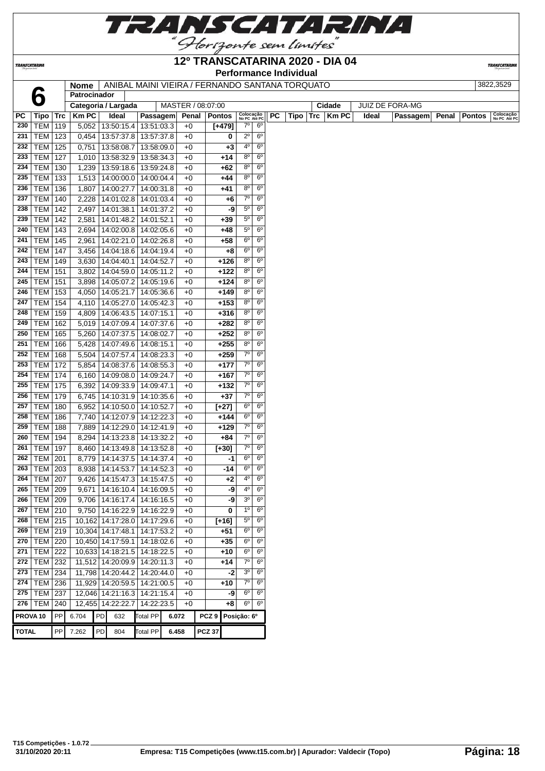

TRANSCATARINA

#### **12º TRANSCATARINA 2020 - DIA 04 Performance Individual**

**TRANSCATARIN** 

**Nome** ANIBAL MAINI VIEIRA / FERNANDO SANTANA TORQUATO 3822,3529

|              |                     |     | <b>Nome</b>         |    | AINIDAL MAINI VIEIRA / FERNANDO SANTANA TORQUATO |                 |       |      |                   |          |                           |                |    |      |     |             |       |                 |       |               | JOZZ,JJZJ                 |
|--------------|---------------------|-----|---------------------|----|--------------------------------------------------|-----------------|-------|------|-------------------|----------|---------------------------|----------------|----|------|-----|-------------|-------|-----------------|-------|---------------|---------------------------|
|              |                     |     | Patrocinador        |    |                                                  |                 |       |      |                   |          |                           |                |    |      |     |             |       |                 |       |               |                           |
|              |                     |     | Categoria / Largada |    |                                                  |                 |       |      | MASTER / 08:07:00 |          |                           |                |    |      |     | Cidade      |       | JUIZ DE FORA-MG |       |               |                           |
| <b>PC</b>    | Tipo Trc            |     | <b>Km PC</b>        |    | Ideal                                            | Passagem        |       |      | Penal   Pontos    |          | Colocação<br>No PC Até PC | 6 <sup>o</sup> | PC | Tipo | Trc | <b>KmPC</b> | Ideal | Passagem        | Penal | <b>Pontos</b> | Colocação<br>No PC Até PC |
| 230          | <b>TEM 119</b>      |     | 5,052               |    | 13:50:15.4                                       | 13:51:03.3      |       | $+0$ |                   | $[+479]$ | $7^\circ$                 |                |    |      |     |             |       |                 |       |               |                           |
| 231          | <b>TEM 123</b>      |     | 0,454               |    | 13:57:37.8                                       | 13:57:37.8      |       | $+0$ |                   | 0        | $2^{\circ}$               | 6 <sup>o</sup> |    |      |     |             |       |                 |       |               |                           |
| 232          | TEM                 | 125 | 0,751               |    | 13:58:08.7                                       | 13:58:09.0      |       | $+0$ |                   | +3       | $4^{\circ}$               | $6^{\circ}$    |    |      |     |             |       |                 |       |               |                           |
| 233          | <b>TEM 127</b>      |     |                     |    | 1,010 13:58:32.9                                 | 13:58:34.3      |       | $+0$ |                   | +14      | $8^{\circ}$               | 6 <sup>o</sup> |    |      |     |             |       |                 |       |               |                           |
| 234          | <b>TEM 130</b>      |     | 1,239               |    | 13:59:18.6                                       | 13:59:24.8      |       | $+0$ |                   | $+62$    | 8 <sup>o</sup>            | 6 <sup>o</sup> |    |      |     |             |       |                 |       |               |                           |
| 235          | <b>TEM</b> 133      |     |                     |    | 1,513 14:00:00.0                                 | 14:00:04.4      |       | $+0$ |                   | $+44$    | $8^{\circ}$               | $6^{\circ}$    |    |      |     |             |       |                 |       |               |                           |
| 236          | <b>TEM 136</b>      |     | 1,807               |    | 14:00:27.7                                       | 14:00:31.8      |       | $+0$ |                   | $+41$    | $8^{\circ}$               | 6 <sup>o</sup> |    |      |     |             |       |                 |       |               |                           |
| 237          | <b>TEM 140</b>      |     | 2,228               |    | 14:01:02.8                                       | 14:01:03.4      |       | $+0$ |                   | +6       | 7 <sup>o</sup>            | $6^{\circ}$    |    |      |     |             |       |                 |       |               |                           |
| 238          | <b>TEM 142</b>      |     | 2,497               |    | 14:01:38.1                                       | 14:01:37.2      |       | $+0$ |                   | -9       | $5^{\circ}$               | $6^{\circ}$    |    |      |     |             |       |                 |       |               |                           |
| 239          | TEM                 | 142 | 2,581               |    | 14:01:48.2                                       | 14:01:52.1      |       | $+0$ |                   | +39      | $5^{\circ}$               | $6^{\circ}$    |    |      |     |             |       |                 |       |               |                           |
| 240          | TEM                 | 143 | 2,694               |    | 14:02:00.8                                       | 14:02:05.6      |       | $+0$ |                   | +48      | $5^{\circ}$               | 6 <sup>o</sup> |    |      |     |             |       |                 |       |               |                           |
| 241          | TEM                 | 145 | 2,961               |    | 14:02:21.0                                       | 14:02:26.8      |       | $+0$ |                   | +58      | 6 <sup>o</sup>            | $6^{\circ}$    |    |      |     |             |       |                 |       |               |                           |
| 242          | <b>TEM 147</b>      |     | 3,456               |    | 14:04:18.6                                       | 14:04:19.4      |       | $+0$ |                   | +8       | 6 <sup>o</sup>            | 6 <sup>o</sup> |    |      |     |             |       |                 |       |               |                           |
| 243          | <b>TEM 149</b>      |     | 3,630               |    | 14:04:40.1                                       | 14:04:52.7      |       | $+0$ |                   | +126     | 8 <sup>o</sup>            | 6 <sup>o</sup> |    |      |     |             |       |                 |       |               |                           |
| 244          | <b>TEM 151</b>      |     | 3,802               |    | 14:04:59.0                                       | 14:05:11.2      |       | $+0$ |                   | $+122$   | 8 <sup>0</sup>            | $6^{\circ}$    |    |      |     |             |       |                 |       |               |                           |
| 245          | <b>TEM 151</b>      |     | 3,898               |    | 14:05:07.2                                       | 14:05:19.6      |       | $+0$ |                   | $+124$   | $8^{\circ}$               | $6^{\circ}$    |    |      |     |             |       |                 |       |               |                           |
| 246          | <b>TEM   153</b>    |     | 4,050               |    | 14:05:21.7                                       | 14:05:36.6      |       | $+0$ |                   | $+149$   | $8^{\circ}$               | 6 <sup>o</sup> |    |      |     |             |       |                 |       |               |                           |
| 247          | <b>TEM 154</b>      |     | 4,110               |    | 14:05:27.0                                       | 14:05:42.3      |       | $+0$ |                   | $+153$   | $8^{\circ}$               | $6^{\circ}$    |    |      |     |             |       |                 |       |               |                           |
| 248          |                     |     |                     |    |                                                  |                 |       |      |                   |          | $8^{\circ}$               | $6^{\circ}$    |    |      |     |             |       |                 |       |               |                           |
|              | TEM                 | 159 | 4,809               |    | 14:06:43.5                                       | 14:07:15.1      |       | $+0$ |                   | $+316$   |                           |                |    |      |     |             |       |                 |       |               |                           |
| 249          | TEM                 | 162 | 5,019               |    | 14:07:09.4                                       | 14:07:37.6      |       | $+0$ |                   | $+282$   | $8^{\circ}$               | $6^{\circ}$    |    |      |     |             |       |                 |       |               |                           |
| 250          | TEM                 | 165 | 5,260               |    | 14:07:37.5                                       | 14:08:02.7      |       | $+0$ |                   | $+252$   | $8^{\circ}$               | $6^{\circ}$    |    |      |     |             |       |                 |       |               |                           |
| 251          | TEM                 | 166 | 5,428               |    | 14:07:49.6                                       | 14:08:15.1      |       | $+0$ |                   | $+255$   | $8^{\circ}$               | 6 <sup>o</sup> |    |      |     |             |       |                 |       |               |                           |
| 252          | <b>TEM 168</b>      |     | 5,504               |    | 14:07:57.4                                       | 14:08:23.3      |       | $+0$ |                   | $+259$   | $7^\circ$                 | 6 <sup>o</sup> |    |      |     |             |       |                 |       |               |                           |
| 253          | <b>TEM 172</b>      |     | 5,854               |    | 14:08:37.6                                       | 14:08:55.3      |       | $+0$ |                   | $+177$   | $7^\circ$                 | $6^{\circ}$    |    |      |     |             |       |                 |       |               |                           |
| 254          | <b>TEM 174</b>      |     |                     |    | 6,160 14:09:08.0                                 | 14:09:24.7      |       | $+0$ |                   | $+167$   | 7 <sup>o</sup>            | $6^{\circ}$    |    |      |     |             |       |                 |       |               |                           |
| 255          | <b>TEM 175</b>      |     | 6,392               |    | 14:09:33.9                                       | 14:09:47.1      |       | $+0$ |                   | +132     | $7^\circ$                 | $6^{\circ}$    |    |      |     |             |       |                 |       |               |                           |
| 256          | <b>TEM 179</b>      |     | 6,745               |    | 14:10:31.9                                       | 14:10:35.6      |       | $+0$ |                   | $+37$    | $7^\circ$                 | 6 <sup>o</sup> |    |      |     |             |       |                 |       |               |                           |
| 257          | <b>TEM 180</b>      |     | 6,952               |    | 14:10:50.0                                       | 14:10:52.7      |       | $+0$ |                   | $[+27]$  | 6 <sup>o</sup>            | 6 <sup>o</sup> |    |      |     |             |       |                 |       |               |                           |
| 258          | TEM                 | 186 | 7,740               |    | 14:12:07.9                                       | 14:12:22.3      |       | $+0$ |                   | $+144$   | 6 <sup>o</sup>            | $6^{\circ}$    |    |      |     |             |       |                 |       |               |                           |
| 259          | TEM                 | 188 | 7,889               |    | 14:12:29.0                                       | 14:12:41.9      |       | $+0$ |                   | +129     | $7^\circ$                 | $6^{\circ}$    |    |      |     |             |       |                 |       |               |                           |
| 260          | TEM                 | 194 | 8,294               |    | 14:13:23.8                                       | 14:13:32.2      |       | $+0$ |                   | +84      | $7^\circ$                 | $6^{\circ}$    |    |      |     |             |       |                 |       |               |                           |
| 261          | <b>TEM 197</b>      |     | 8,460               |    | 14:13:49.8                                       | 14:13:52.8      |       | $+0$ |                   | $[+30]$  | $7^\circ$                 | $6^{\circ}$    |    |      |     |             |       |                 |       |               |                           |
| 262          | TEM                 | 201 | 8,779               |    | 14:14:37.5                                       | 14:14:37.4      |       | $+0$ |                   | -1       | 6 <sup>o</sup>            | $6^{\circ}$    |    |      |     |             |       |                 |       |               |                           |
| 263          | <b>TEM 203</b>      |     | 8,938               |    | 14:14:53.7                                       | 14:14:52.3      |       | $+0$ |                   | -14      | $6^{\circ}$               | $6^{\circ}$    |    |      |     |             |       |                 |       |               |                           |
| 264          | TEM                 | 207 | 9,426               |    | 14:15:47.3                                       | 14:15:47.5      |       | $+0$ |                   | +2       | $4^{\circ}$               | $6^{\circ}$    |    |      |     |             |       |                 |       |               |                           |
| 265          | <b>TEM 209</b>      |     | 9,671               |    | 14:16:10.4                                       | 14:16:09.5      |       | $+0$ |                   | -9       | $4^{\circ}$               | $6^{\circ}$    |    |      |     |             |       |                 |       |               |                           |
|              |                     |     |                     |    |                                                  |                 |       |      |                   |          |                           | 6 <sup>o</sup> |    |      |     |             |       |                 |       |               |                           |
|              | 266   TEM   209     |     |                     |    | 9,706   14:16:17.4   14:16:16.5                  |                 |       | $+0$ |                   | -9       | 3 <sup>o</sup>            |                |    |      |     |             |       |                 |       |               |                           |
| 267          | <b>TEM 210</b>      |     |                     |    | 9,750 14:16:22.9                                 | 14:16:22.9      |       | $+0$ |                   | 0        | 1 <sup>0</sup>            | $6^{\circ}$    |    |      |     |             |       |                 |       |               |                           |
| 268          | TEM 215             |     |                     |    | 10,162 14:17:28.0                                | 14:17:29.6      |       | $+0$ |                   | $[+16]$  | $5^{\circ}$               | $6^{\circ}$    |    |      |     |             |       |                 |       |               |                           |
|              | 269   TEM   219     |     |                     |    | 10,304 14:17:48.1                                | 14:17:53.2      |       | $+0$ |                   | +51      | $6^{\circ}$               | $6^{\circ}$    |    |      |     |             |       |                 |       |               |                           |
|              | 270   TEM   220     |     |                     |    | 10,450 14:17:59.1                                | 14:18:02.6      |       | $+0$ |                   | +35      | 6 <sup>o</sup>            | 6 <sup>o</sup> |    |      |     |             |       |                 |       |               |                           |
| 271          | <b>TEM 222</b>      |     |                     |    | 10,633 14:18:21.5                                | 14:18:22.5      |       | $+0$ |                   | +10      | $6^{\circ}$               | 6 <sup>o</sup> |    |      |     |             |       |                 |       |               |                           |
|              | 272   TEM   232     |     |                     |    | 11,512 14:20:09.9                                | 14:20:11.3      |       | $+0$ |                   | +14      | $7^\circ$                 | 6 <sup>o</sup> |    |      |     |             |       |                 |       |               |                           |
|              | 273 TEM 234         |     |                     |    | 11,798 14:20:44.2                                | 14:20:44.0      |       | $+0$ |                   | -2       | 3 <sup>o</sup>            | $6^{\circ}$    |    |      |     |             |       |                 |       |               |                           |
|              | 274 TEM 236         |     |                     |    | 11,929 14:20:59.5                                | 14:21:00.5      |       | $+0$ |                   | +10      | $7^\circ$                 | 6 <sup>o</sup> |    |      |     |             |       |                 |       |               |                           |
|              | 275 TEM 237         |     |                     |    | 12,046 14:21:16.3                                | 14:21:15.4      |       | $+0$ |                   | -9       | $6^{\circ}$               | $6^{\circ}$    |    |      |     |             |       |                 |       |               |                           |
|              | 276   TEM   240     |     |                     |    | 12,455 14:22:22.7                                | 14:22:23.5      |       | $+0$ |                   | +8       | $6^{\circ}$               | $6^{\circ}$    |    |      |     |             |       |                 |       |               |                           |
|              | PROVA <sub>10</sub> | PP  | 6.704               | PD | 632                                              | <b>Total PP</b> | 6.072 |      | PCZ 9 Posição: 6º |          |                           |                |    |      |     |             |       |                 |       |               |                           |
|              |                     |     |                     |    |                                                  |                 |       |      |                   |          |                           |                |    |      |     |             |       |                 |       |               |                           |
| <b>TOTAL</b> |                     | PP  | 7.262               | PD | 804                                              | Total PP        | 6.458 |      | <b>PCZ 37</b>     |          |                           |                |    |      |     |             |       |                 |       |               |                           |
|              |                     |     |                     |    |                                                  |                 |       |      |                   |          |                           |                |    |      |     |             |       |                 |       |               |                           |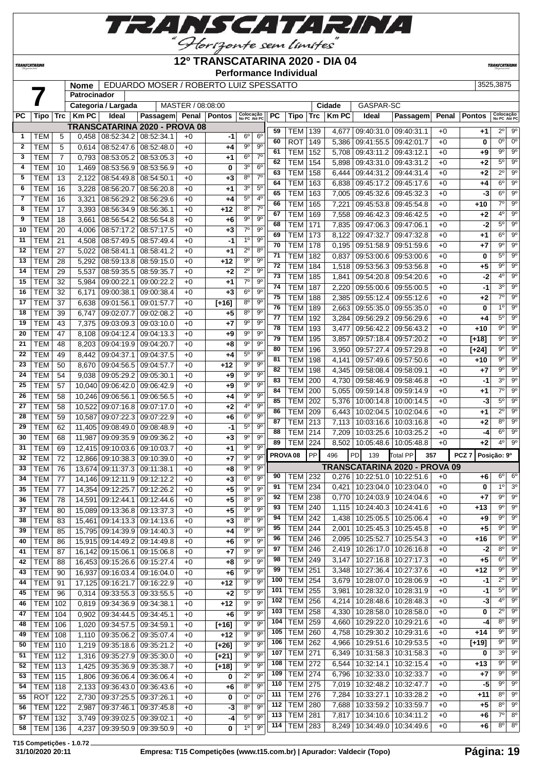

**12º TRANSCATARINA 2020 - DIA 04**

**Performance Individual**

**TRANSCATARIN** 

**TRANSCATARINA** 

# **Nome** EDUARDO MOSER / ROBERTO LUIZ SPESSATTO 3525,3875

|              |                  |                | nome         |                               | EDUARDO MOSER / ROBERTO LUIZ SPESSATTO |                   |                         |                           |                |           |                     |           |             |                                 |                               |       |                  | ມມ∠ມ,ນດ≀ນ                 |                        |
|--------------|------------------|----------------|--------------|-------------------------------|----------------------------------------|-------------------|-------------------------|---------------------------|----------------|-----------|---------------------|-----------|-------------|---------------------------------|-------------------------------|-------|------------------|---------------------------|------------------------|
|              |                  |                | Patrocinador |                               |                                        |                   |                         |                           |                |           |                     |           |             |                                 |                               |       |                  |                           |                        |
|              |                  |                |              | Categoria / Largada           |                                        | MASTER / 08:08:00 |                         |                           |                |           |                     |           | Cidade      | GASPAR-SC                       |                               |       |                  |                           |                        |
| <b>PC</b>    | Tipo             | ∣ Trc          | <b>Km PC</b> | Ideal                         | Passagem Penal Pontos                  |                   |                         | Colocação<br>No PC Até PC |                | <b>PC</b> | Tipo                | Trc       | <b>KmPC</b> | Ideal                           | Passagem                      | Penal | <b>Pontos</b>    | Colocação<br>No PC Até PC |                        |
|              |                  |                |              | TRANSCATARINA 2020 - PROVA 08 |                                        |                   |                         |                           |                | 59        | TEM                 | 139       | 4,677       | 09:40:31.0 09:40:31.1           |                               | $+0$  | $+1$             | $2^{\circ}$               | 9°                     |
| 1            | TEM              | 5              | 0,458        | 08:52:34.2 08:52:34.1         |                                        | $+0$              | -1                      | 6°                        | 6 <sup>o</sup> | 60        | <b>ROT</b>          | 149       | 5,386       | 09:41:55.5                      | 09:42:01.7                    | $+0$  | 0                | $\overline{0^{\circ}}$    | $\overline{0^{\circ}}$ |
| $\mathbf{2}$ | <b>TEM</b>       | 5              | 0,614        | 08:52:47.6                    | 08:52:48.0                             | $+0$              | $+4$                    | $9^{\circ}$               | $9^{\circ}$    | 61        | <b>TEM</b>          | 152       |             | 09:43:11.2                      |                               | $+0$  |                  | 9º                        | 9 <sup>o</sup>         |
| 3            | <b>TEM</b>       | $\overline{7}$ | 0,793        | 08:53:05.2                    | 08:53:05.3                             | $+0$              | $+1$                    | 6 <sup>o</sup>            | $7^\circ$      | 62        |                     |           | 5,708       |                                 | 09:43:12.1                    |       | +9               | $\overline{5^0}$          | $\overline{9^{\circ}}$ |
| 4            | TEM              | 10             | 1,469        | 08:53:56.9 08:53:56.9         |                                        | $+0$              | 0                       | 3 <sup>o</sup>            | 6 <sup>o</sup> |           | <b>TEM</b>          | 154       | 5,898       |                                 | 09:43:31.0 09:43:31.2         | $+0$  | $+2$             |                           |                        |
| 5            | <b>TEM</b>       | 13             | 2,122        | 08:54:49.8                    | 08:54:50.1                             | $+0$              | $+3$                    | 8 <sup>o</sup>            | $7^\circ$      | 63        | TEM                 | 158       | 6,444       |                                 | 09:44:31.2 09:44:31.4         | $+0$  | $+2$             | $\overline{2^0}$          | 9 <sup>o</sup>         |
| 6            | <b>TEM</b>       | 16             | 3,228        | 08:56:20.7                    | 08:56:20.8                             | $+0$              | $+1$                    | 30                        | $5^{\circ}$    | 64        | <b>TEM</b>          | 163       | 6,838       |                                 | 09:45:17.2 09:45:17.6         | $+0$  | $+4$             | $6^{\circ}$               | 9 <sup>o</sup>         |
| 7            | <b>TEM</b>       | 16             | 3,321        | 08:56:29.2                    | 08:56:29.6                             | $+0$              | $+4$                    | 5 <sup>0</sup>            | 4 <sup>0</sup> | 65        | <b>TEM</b>          | 163       | 7,005       |                                 | 09:45:32.6 09:45:32.3         | $+0$  | $-3$             | $6^{\circ}$               | 9 <sup>o</sup>         |
| 8            | <b>TEM</b>       | 17             | 3,393        | 08:56:34.9                    | 08:56:36.1                             | $+0$              | $+12$                   | 8 <sup>o</sup>            | $7^\circ$      | 66        | <b>TEM</b>          | 165       | 7,221       | 09:45:53.8                      | 09:45:54.8                    | $+0$  | $+10$            | $\overline{7^\circ}$      | $\overline{9^{\circ}}$ |
| 9            | <b>TEM</b>       |                |              |                               |                                        | $+0$              |                         | 9 <sup>o</sup>            | 9 <sup>o</sup> | 67        | <b>TEM</b>          | 169       | 7,558       | 09:46:42.3                      | 09:46:42.5                    | $+0$  | $+2$             | 4 <sup>0</sup>            | 9 <sup>o</sup>         |
|              |                  | 18             | 3,661        | 08:56:54.2                    | 08:56:54.8                             |                   | $+6$                    |                           |                | 68        | <b>TEM</b>          | 171       | 7,835       |                                 | 09:47:06.3 09:47:06.1         | $+0$  | $-2$             | 5°                        | $9^\circ$              |
| 10           | <b>TEM</b>       | 20             | 4,006        | 08:57:17.2                    | 08:57:17.5                             | $+0$              | $+3$                    | $7^\circ$                 | $9^{\circ}$    | 69        | <b>TEM</b>          | 173       | 8,122       | 09:47:32.7                      | 09:47:32.8                    | $+0$  | +1               | $6^{\circ}$               | 9 <sup>o</sup>         |
| 11           | <b>TEM</b>       | 21             | 4,508        | 08:57:49.5                    | 08:57:49.4                             | $+0$              | -1                      | 1 <sup>0</sup>            | $9^{\circ}$    | 70        | <b>TEM</b>          | 178       | 0,195       | 09:51:58.9                      | 09:51:59.6                    | $+0$  | $+7$             | 90                        | 9 <sup>o</sup>         |
| 12           | <b>TEM</b>       | 27             | 5,022        | 08:58:41.1                    | 08:58:41.2                             | $+0$              | $+1$                    | $2^{\circ}$               | 8 <sup>o</sup> | 71        | <b>TEM</b>          | 182       | 0,837       | 09:53:00.6                      | 09:53:00.6                    | $+0$  | 0                | $5^{\circ}$               | $\overline{9^0}$       |
| 13           | <b>TEM</b>       | 28             | 5,292        | 08:59:13.8                    | 08:59:15.0                             | $+0$              | $+12$                   | $9^{\circ}$               | $9^{\circ}$    | 72        | <b>TEM</b>          | 184       | 1,518       |                                 | 09:53:56.3 09:53:56.8         | $+0$  | $+5$             | $\overline{9^{\circ}}$    | $9^\circ$              |
| 14           | <b>TEM</b>       | 29             | 5,537        | 08:59:35.5                    | 08:59:35.7                             | $+0$              | $+2$                    | $2^{\circ}$               | $9^{\circ}$    | 73        | <b>TEM</b>          | 185       |             |                                 |                               | $+0$  | $-2$             | 4 <sup>0</sup>            | $9^\circ$              |
| 15           | <b>TEM</b>       | 32             | 5,984        | 09:00:22.1                    | 09:00:22.2                             | $+0$              | $+1$                    | $7^\circ$                 | $9^{\circ}$    |           |                     |           | 1,841       |                                 | 09:54:20.8 09:54:20.6         |       |                  |                           |                        |
| 16           | <b>TEM</b>       | 32             | 6,171        | 09:00:38.1                    | 09:00:38.4                             | $+0$              | $+3$                    | 6 <sup>o</sup>            | $9^{\circ}$    | 74        | <b>TEM</b>          | 187       | 2,220       | 09:55:00.6                      | 09:55:00.5                    | $+0$  | -1               | 3 <sup>0</sup>            | 9 <sup>o</sup>         |
| 17           | <b>TEM</b>       | 37             | 6,638        | 09:01:56.1                    | 09:01:57.7                             | $+0$              | $\overline{[+16]}$      | 8 <sup>o</sup>            | $9^{\circ}$    | 75        | <b>TEM</b>          | 188       | 2,385       | 09:55:12.4                      | 09:55:12.6                    | $+0$  | $+2$             | $\overline{7^0}$          | $9^{\circ}$            |
| 18           | <b>TEM</b>       | 39             | 6,747        | 09:02:07.7                    | 09:02:08.2                             | $+0$              | $+5$                    | 8 <sup>o</sup>            | 9 <sup>o</sup> | 76        | <b>TEM</b>          | 189       | 2,663       | 09:55:35.0                      | 09:55:35.0                    | $+0$  | 0                | 10                        | $\overline{9^0}$       |
| 19           | <b>TEM</b>       | 43             | 7,375        | 09:03:09.3                    | 09:03:10.0                             | $+0$              | $+7$                    | $9^{\circ}$               | $9^{\circ}$    | 77        | <b>TEM</b>          | 192       | 3,284       |                                 | 09:56:29.2 09:56:29.6         | $+0$  | $+4$             | 5°                        | 9 <sup>o</sup>         |
| 20           | <b>TEM</b>       | 47             | 8,108        | 09:04:12.4                    | 09:04:13.3                             | $+0$              |                         | $9^{\circ}$               | 9 <sup>o</sup> | 78        | <b>TEM</b>          | 193       | 3,477       | 09:56:42.2                      | 09:56:43.2                    | $+0$  | $+10$            | $9^{\circ}$               | $\overline{9^{\circ}}$ |
|              |                  |                |              |                               |                                        |                   | $+9$                    | $9^{\circ}$               | 9 <sup>o</sup> | 79        | <b>TEM</b>          | 195       | 3,857       | 09:57:18.4                      | 09:57:20.2                    | $+0$  | $[+18]$          | $9^{\circ}$               | $9^\circ$              |
| 21           | <b>TEM</b>       | 48             | 8,203        | 09:04:19.9                    | 09:04:20.7                             | $+0$              | $+8$                    |                           |                | 80        | <b>TEM</b>          | 196       | 3,950       |                                 | 09:57:27.4 09:57:29.8         | $+0$  | $[+24]$          | $9^{\circ}$               | $\overline{9^0}$       |
| 22           | <b>TEM</b>       | 49             | 8,442        | 09:04:37.1                    | 09:04:37.5                             | $+0$              | $+4$                    | $\overline{5^0}$          | $9^{\circ}$    | 81        | TEM                 | 198       | 4,141       | 09:57:49.6                      | 09:57:50.6                    | $+0$  | $+10$            | $9^{\circ}$               | 9 <sup>o</sup>         |
| 23           | <b>TEM</b>       | 50             | 8,670        | 09:04:56.5                    | 09:04:57.7                             | $+0$              | $+12$                   | $9^{\circ}$               | $9^{\circ}$    | 82        | <b>TEM</b>          | 198       | 4,345       | 09:58:08.4 09:58:09.1           |                               | $+0$  | $+7$             | $9^{\circ}$               | $9^{\circ}$            |
| 24           | <b>TEM</b>       | 54             | 9,038        | 09:05:29.2                    | 09:05:30.1                             | $+0$              | $+9$                    | $9^{\circ}$               | $9^{\circ}$    | 83        | <b>TEM</b>          | 200       | 4,730       | 09:58:46.9                      | 09:58:46.8                    | $+0$  | -1               | 3 <sup>0</sup>            | 9 <sup>o</sup>         |
| 25           | <b>TEM</b>       | 57             | 10,040       | 09:06:42.0                    | 09:06:42.9                             | $+0$              | $+9$                    | $9^{\circ}$               | 9 <sup>o</sup> | 84        | <b>TEM</b>          | 200       | 5,055       | 09:59:14.8                      | 09:59:14.9                    | $+0$  | $+1$             | $\overline{7^0}$          | $9^{\circ}$            |
| 26           | <b>TEM</b>       | 58             | 10,246       | 09:06:56.1                    | 09:06:56.5                             | $+0$              | $+4$                    | $9^{\circ}$               | $9^{\rm o}$    | 85        | <b>TEM</b>          |           |             |                                 |                               |       |                  | $5^{\circ}$               | 9 <sup>o</sup>         |
| 27           | <b>TEM</b>       | 58             | 10,522       | 09:07:16.8                    | 09:07:17.0                             | $+0$              | $+2$                    | 4°                        | $9^{\circ}$    |           |                     | 202       | 5,376       | 10:00:14.8                      | 10:00:14.5                    | $+0$  | -3               |                           | 9 <sup>o</sup>         |
| 28           | <b>TEM</b>       | 59             | 10,587       | 09:07:22.3                    | 09:07:22.9                             | $+0$              | $+6$                    | 6 <sup>o</sup>            | $9^{\circ}$    | 86        | <b>TEM</b>          | 209       | 6,443       | 10:02:04.5                      | 10:02:04.6                    | $+0$  | $+1$             | $2^{\circ}$               |                        |
| 29           | <b>TEM</b>       | 62             | 11,405       | 09:08:49.0                    | 09:08:48.9                             | $+0$              | -1                      | 5 <sup>o</sup>            | 9 <sup>o</sup> | 87        | <b>TEM</b>          | 213       | 7,113       | 10:03:16.6                      | 10:03:16.8                    | $+0$  | $+2$             | 8 <sup>o</sup>            | $\overline{9^0}$       |
| 30           | <b>TEM</b>       | 68             | 11,987       | 09:09:35.9                    | 09:09:36.2                             | $+0$              | $+3$                    | $9^{\circ}$               | $9^{\circ}$    | 88        | <b>TEM</b>          | 214       | 7,209       | 10:03:25.6                      | 10:03:25.2                    | $+0$  | -4               | $6^{\circ}$               | $9^\circ$              |
| 31           | <b>TEM</b>       | 69             | 12.415       | 09:10:03.6                    | 09:10:03.7                             | $+0$              | $+1$                    | $9^{\circ}$               | $9^{\circ}$    | 89        | <b>TEM</b>          | 224       | 8,502       | 10:05:48.6                      | 10:05:48.8                    | $+0$  | $+2$             | $4^{\circ}$               | $\overline{9^0}$       |
| 32           | <b>TEM</b>       | 72             |              | 12,866 09:10:38.3             | 09:10:39.0                             | $+0$              | $+7$                    | $9^{\circ}$               | 9 <sup>o</sup> |           | PROVA <sub>08</sub> | <b>PP</b> | 496         | PD<br>139                       | <b>Total PP</b>               | 357   | PCZ <sub>7</sub> | Posição: 9º               |                        |
| 33           | <b>TEM</b>       | 76             | 13,674       | 09:11:37.3                    | 09:11:38.1                             | $+0$              | $+8$                    | $9^{\circ}$               | $9^{\circ}$    |           |                     |           |             |                                 | TRANSCATARINA 2020 - PROVA 09 |       |                  |                           |                        |
| 34           |                  |                |              |                               |                                        |                   |                         | $6^{\circ}$               | $9^{\circ}$    | 90        | TEM                 | 232       |             | $0.276$   10:22:51.0            | 10:22:51.6                    | $+0$  | +6               | $6^{\circ}$               | $6^{\circ}$            |
|              | <b>TEM</b>       | 77             | 14,146       | 09:12:11.9                    | 09:12:12.2                             | $+0$              | $+3$                    |                           |                | 91        | <b>TEM 234</b>      |           |             | $0,421$   10:23:04.0            | 10:23:04.0                    | $+0$  | 0                | 1 <sup>°</sup>            | 3 <sup>o</sup>         |
| 35           | <b>TEM</b>       | 77             |              | 14,354 09:12:25.7             | 09:12:26.2                             | $+0$              | $+5$                    | $9^{\circ}$               | 9 <sup>o</sup> | 92        | <b>TEM</b> 238      |           |             |                                 | 0,770 10:24:03.9 10:24:04.6   | $+0$  | $+7$             |                           | 9° 9°                  |
| 36           | TEM              | 78             |              | 14,591 09:12:44.1 09:12:44.6  |                                        | $+0$              | +5                      | 80                        | $9^{\rm o}$    |           |                     |           |             |                                 |                               |       |                  | 90                        | $9^{\circ}$            |
| 37           | <b>TEM</b>       | 80             | 15,089       | 09:13:36.8 09:13:37.3         |                                        | $+0$              | $+5$                    | $9^{\circ}$               | $9^{\circ}$    | 93        | <b>TEM 240</b>      |           |             | 1,115   10:24:40.3   10:24:41.6 |                               | $+0$  | $+13$            |                           |                        |
| 38           | <b>TEM</b>       | 83             | 15,461       | 09:14:13.3 09:14:13.6         |                                        | $+0$              | $+3$                    | $8^{\circ}$               | $9^{\circ}$    | 94        | <b>TEM</b>          | 242       | 1,438       | 10:25:05.5                      | 10:25:06.4                    | +0    | $+9$             | 9º                        | 9 <sup>o</sup>         |
| 39           | <b>TEM</b>       | 85             |              | 15,795 09:14:39.9 09:14:40.3  |                                        | $+0$              | +4                      | $9^{\circ}$               | 9 <sup>o</sup> | 95        | TEM                 | 244       | 2,001       | 10:25:45.3                      | 10:25:45.8                    | $+0$  | $+5$             | $9^{\circ}$               | $9^{\circ}$            |
| 40           | <b>TEM</b>       | 86             |              | 15,915 09:14:49.2 09:14:49.8  |                                        | $+0$              | $+6$                    | $9^{\circ}$               | $9^{\circ}$    | 96        | <b>TEM</b>          | 246       | 2,095       | 10:25:52.7                      | 10:25:54.3                    | +0    | $+16$            | 9°                        | 9 <sup>o</sup>         |
| 41           | <b>TEM</b>       | 87             |              | 16,142 09:15:06.1 09:15:06.8  |                                        | $+0$              | $+7$                    | $9^{\circ}$               | 9 <sup>o</sup> | 97        | TEM                 | 246       | 2,419       | 10:26:17.0                      | 10:26:16.8                    | $+0$  | -2               | 80                        | 9 <sup>o</sup>         |
| 42           | <b>TEM</b>       | 88             |              | 16,453 09:15:26.6 09:15:27.4  |                                        | $+0$              | +8                      | $9^{\circ}$               | $9^{\circ}$    | 98        | TEM                 | 249       | 3,147       | 10:27:16.8                      | 10:27:17.3                    | $+0$  | $+5$             | 6°                        | 9 <sup>o</sup>         |
| 43           | <b>TEM</b>       | 90             | 16,937       | 09:16:03.4 09:16:04.0         |                                        | $+0$              | $+6$                    | 90                        | $9^{\circ}$    | 99        | TEM                 | 251       | 3,348       | 10:27:36.4                      | 10:27:37.6                    | +0    | +12              | 90                        | $9^{\circ}$            |
| 44           | <b>TEM</b>       | 91             | 17,125       | 09:16:21.7                    | 09:16:22.9                             | $+0$              | $+12$                   | $9^{\circ}$               | $9^{\circ}$    | 100       | <b>TEM</b>          | 254       | 3,679       | 10:28:07.0                      | 10:28:06.9                    | +0    | -1               | $2^{\circ}$               | $9^{\circ}$            |
| 45           | <b>TEM</b>       | 96             | 0,314        |                               | 09:33:55.3 09:33:55.5                  | $+0$              | $+2$                    | $5^{\circ}$               | $9^{\circ}$    | 101       | <b>TEM</b>          | 255       | 3,981       | 10:28:32.0                      | 10:28:31.9                    | $+0$  | -1               | $5^\circ$                 | 9 <sup>o</sup>         |
|              |                  |                |              |                               |                                        |                   |                         |                           |                | 102       | <b>TEM</b>          | 256       | 4,214       |                                 | 10:28:48.6   10:28:48.3       | $+0$  | -3               | 4°                        | $9^{\circ}$            |
| 46           | <b>TEM 102</b>   |                | 0,819        | 09:34:36.9 09:34:38.1         |                                        | $+0$              | $+12$                   | $9^{\circ}$               | $9^{\circ}$    | 103       | <b>TEM</b>          | 258       | 4,330       | 10:28:58.0                      | 10:28:58.0                    | $+0$  | 0                | $2^{\circ}$               | 9 <sup>o</sup>         |
| 47           | <b>TEM</b>       | 104            | 0,902        | 09:34:44.5   09:34:45.1       |                                        | $+0$              | +6                      | $9^{\circ}$               | $9^{\circ}$    |           |                     |           |             |                                 |                               |       |                  | 80                        | $9^{\circ}$            |
| 48           | TEM              | 106            | 1,020        | 09:34:57.5 09:34:59.1         |                                        | $+0$              | $[+16]$                 | $9^{\circ}$               | 9 <sup>o</sup> | 104       | TEM                 | 259       | 4,660       | 10:29:22.0                      | 10:29:21.6                    | $+0$  | -4               |                           | $\overline{9^0}$       |
| 49           | <b>TEM 108</b>   |                | 1,110        |                               | 09:35:06.2 09:35:07.4                  | $+0$              | $+12$                   | $9^{\circ}$               | $9^{\circ}$    | 105       | <b>TEM</b>          | 260       | 4,758       | 10:29:30.2                      | 10:29:31.6                    | $+0$  | $+14$            | 9°                        |                        |
| 50           | <b>TEM 110</b>   |                | 1,219        | 09:35:18.6 09:35:21.2         |                                        | $+0$              | $[+26]$                 | $9^{\circ}$               | 9 <sup>o</sup> | 106       | <b>TEM</b>          | 262       | 4,966       | 10:29:51.6                      | 10:29:53.5                    | $+0$  | [+19]            | 90                        | $9^{\circ}$            |
| 51           | <b>TEM</b> 112   |                | 1,316        | 09:35:27.9 09:35:30.0         |                                        | $+0$              | $[+21]$                 | $9^{\circ}$               | 90             | 107       | TEM                 | 271       | 6,349       | 10:31:58.3                      | 10:31:58.3                    | $+0$  | 0                | 30                        | 9 <sup>o</sup>         |
| 52           | TEM   113        |                | 1,425        | 09:35:36.9 09:35:38.7         |                                        | $+0$              | $[+18]$                 | 90                        | 90             | 108       | TEM                 | 272       | 6,544       | 10:32:14.1                      | 10:32:15.4                    | +0    | +13              | 90                        | $9^{\circ}$            |
| 53           | <b>TEM 115</b>   |                | 1,806        |                               | 09:36:06.4 09:36:06.4                  | $+0$              | 0                       | $2^{\circ}$               | $9^{\circ}$    | 109       | <b>TEM</b>          | 274       | 6,796       | 10:32:33.0                      | 10:32:33.7                    | +0    | +7               | 90                        | $9^{\circ}$            |
| 54           | <b>TEM   118</b> |                | 2,133        |                               | 09:36:43.0 09:36:43.6                  | $+0$              | +6                      | 8 <sup>o</sup>            | $9^{\circ}$    | 110       | <b>TEM 275</b>      |           | 7,019       | 10:32:48.2                      | 10:32:47.7                    | $+0$  | -5               | $9^{\circ}$               | 9 <sup>o</sup>         |
| 55           | $ROT$ 122        |                | 2,730        | 09:37:25.5 09:37:26.1         |                                        | $+0$              | 0                       | 0°                        | $0^{\circ}$    | 111       | <b>TEM</b>          | 276       | 7,284       | 10:33:27.1                      | 10:33:28.2                    | $+0$  | +11              | 80                        | $9^{\circ}$            |
| 56           | <b>TEM</b>       | 122            | 2,987        | 09:37:46.1                    | 09:37:45.8                             | $+0$              | -3                      | $8^{\circ}$               | $9^{\circ}$    | 112       | <b>TEM</b>          | 280       | 7,688       |                                 | 10:33:59.2   10:33:59.7       | $+0$  | $+5$             | 80                        | $9^{\circ}$            |
| 57           | TEM              | 132            | 3,749        |                               | 09:39:02.5 09:39:02.1                  | $+0$              |                         | $5^{\circ}$               | $9^{\circ}$    | 113       | <b>TEM</b>          | 281       | 7,817       | 10:34:10.6                      | 10:34:11.2                    | $+0$  | +6               | $7^\circ$                 | 8 <sup>0</sup>         |
|              |                  |                |              |                               |                                        |                   | -4                      | 10                        | 9 <sup>o</sup> | 114       | <b>TEM</b>          | 283       | 8,249       | 10:34:49.0                      | 10:34:49.6                    | $+0$  | +6               | $8^{\circ}$               | 8 <sup>o</sup>         |
| 58           | TEM   136        |                | 4,237        |                               | 09:39:50.9 09:39:50.9                  | $+0$              | $\overline{\mathbf{0}}$ |                           |                |           |                     |           |             |                                 |                               |       |                  |                           |                        |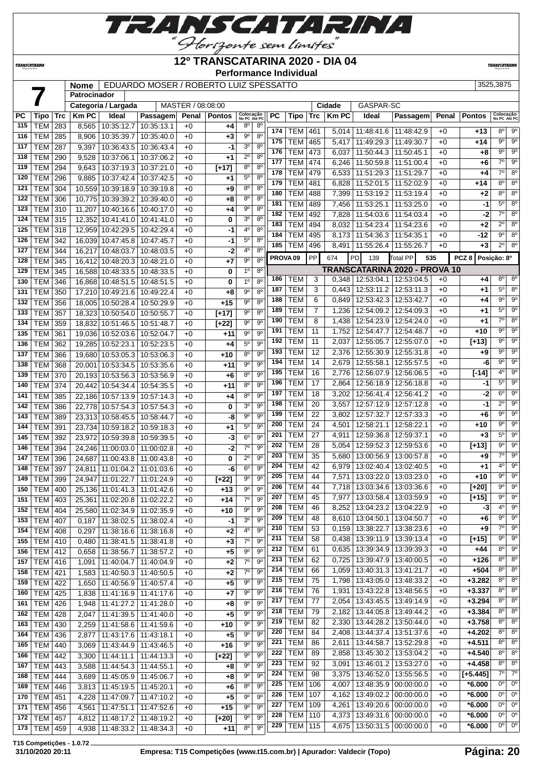

#### **12º TRANSCATARINA 2020 - DIA 04**

**TRANSCATARI** 

 TEM 86 2,611 13:44:58.7 13:52:29.8 +0 **+4.511** 8º 8º TEM 89 2,858 13:45:30.2 13:53:04.2 +0 **+4.540** 8º 8º TEM 92 3,091 13:46:01.2 13:53:27.0 +0 **+4.458** 8º 8º TEM 98 3,375 13:46:52.0 13:55:56.5 +0 **[+5.445]** 7º 7º TEM 106 4,007 13:48:35.9 00:00:00.0 +0 **\*6.000** 0º 0º TEM 107 4,162 13:49:02.2 00:00:00.0 +0 **\*6.000** 0º 0º TEM 109 4,261 13:49:20.6 00:00:00.0 +0 **\*6.000** 0º 0º TEM 110 4,373 13:49:31.6 00:00:00.0 +0 **\*6.000** 0º 0º TEM 115 4,675 13:50:31.5 00:00:00.0 +0 **\*6.000** 0º 0º

*TRANSCATARINI* 

|            |                          |            |              |                                        |                                        |                   |                |                               |                            |     | Performance Individual |                |              |                                 |                                   |       |                  |                                                  |
|------------|--------------------------|------------|--------------|----------------------------------------|----------------------------------------|-------------------|----------------|-------------------------------|----------------------------|-----|------------------------|----------------|--------------|---------------------------------|-----------------------------------|-------|------------------|--------------------------------------------------|
|            |                          |            | Nome         |                                        | EDUARDO MOSER / ROBERTO LUIZ SPESSATTO |                   |                |                               |                            |     |                        |                |              |                                 |                                   |       |                  | 3525,3875                                        |
|            |                          |            | Patrocinador |                                        |                                        |                   |                |                               |                            |     |                        |                |              |                                 |                                   |       |                  |                                                  |
|            |                          |            |              | Categoria / Largada                    |                                        | MASTER / 08:08:00 |                |                               |                            |     |                        |                | Cidade       | GASPAR-SC                       |                                   |       |                  |                                                  |
| PС         | Tipo                     | Trc        | <b>Km PC</b> | Ideal                                  | Passagem                               |                   | Penal   Pontos | Colocação<br>No PC Até PC     |                            | РC  | Tipo                   | Trc            | <b>Km PC</b> | Ideal                           | Passagem                          | Penal | <b>Pontos</b>    | Colocação<br>No PC Até PC                        |
| 115        | <b>TEM</b>               | 283        | 8,565        | 10:35:12.7                             | 10:35:13.1                             | $+0$              | +4             | $8^{\circ}$                   | $8^{\circ}$                | 174 | TEM                    | 461            |              | 5,014   11:48:41.6   11:48:42.9 |                                   | $+0$  | $+13$            | $9^\circ$<br>$8^{\circ}$                         |
| 116        | <b>TEM</b>               | 285        | 8,906        | 10:35:39.7                             | 10:35:40.0                             | $+0$              | +3             | $9^{\circ}$                   | 8 <sup>o</sup>             | 175 | <b>TEM</b>             | 465            | 5,417        | 11:49:29.3                      | 11:49:30.7                        | $+0$  | +14              | $9^\circ$<br>$9^\circ$                           |
| 117        | <b>TEM</b>               | 287        | 9,397        | 10:36:43.5                             | 10:36:43.4                             | $+0$              | -1             | 3 <sup>o</sup>                | 8 <sup>0</sup>             | 176 | TEM                    | 473            | 6,037        |                                 | 11:50:44.3 11:50:45.1             | $+0$  | +8               | $9^{\circ}$<br>$\overline{9^{\circ}}$            |
| 118        | <b>TEM</b>               | 290        | 9,528        | 10:37:06.1                             | 10:37:06.2                             | $+0$              | $+1$           | $2^{\circ}$                   | 8 <sup>0</sup>             | 177 | <b>TEM 474</b>         |                | 6,246        | $\sqrt{11:}50:59.8$             | 11:51:00.4                        | $+0$  | +6               | $7^\circ$<br>$9^{\circ}$                         |
| 119        | <b>TEM</b>               | 294        | 9,643        | 10:37:19.3                             | 10:37:21.0                             | $+0$              | $[+17]$        | $8^{\circ}$                   | $8^{\circ}$                | 178 | <b>TEM</b>             | 479            | 6,533        | 11:51:29.3 11:51:29.7           |                                   | $+0$  | +4               | 8 <sup>o</sup><br>$7^\circ$                      |
| 120        | <b>TEM</b>               | 296        | 9,885        | 10:37:42.4                             | 10:37:42.5                             | $+0$              | $+1$           | $5^{\circ}$                   | $8^{\circ}$                | 179 | <b>TEM</b>             | 481            | 6,828        |                                 | 11:52:01.5   11:52:02.9           | $+0$  | +14              | 8 <sup>o</sup><br>8 <sup>o</sup>                 |
| 121        | <b>TEM</b>               | 304        |              | 10,559 10:39:18.9                      | 10:39:19.8                             | $+0$              | +9             | $8^{\circ}$                   | 8 <sup>0</sup>             | 180 | <b>TEM</b>             | 488            | 7,399        | 11:53:19.2                      | 11:53:19.4                        | $+0$  | +2               | 8 <sup>o</sup><br>8 <sup>o</sup>                 |
| 122        | <b>TEM</b>               | 306        |              | 10,775 10:39:39.2                      | 10:39:40.0                             | $+0$              | +8             | 8 <sup>o</sup>                | $8^{\circ}$                | 181 | <b>TEM</b>             | 489            | 7,456        | 11:53:25.1                      | 11:53:25.0                        | $+0$  | -1               | $5^{\circ}$<br>8 <sup>o</sup>                    |
| 123        | <b>TEM</b>               | 310        | 11,207       |                                        | 10:40:16.6   10:40:17.0                | $+0$              | +4             | $9^{\circ}$                   | $8^{\circ}$                | 182 | <b>TEM</b>             | 492            | 7,828        | 11:54:03.6                      | 11:54:03.4                        | $+0$  | -2               | $7^\circ$<br>8 <sup>o</sup>                      |
| 124        | <b>TEM</b>               | 315        |              |                                        | 12,352 10:41:41.0 10:41:41.0           | $+0$              | 0              | 3 <sup>o</sup>                | 8 <sup>o</sup>             | 183 | <b>TEM</b>             | 494            | 8,032        | 11:54:23.4                      | 11:54:23.6                        | $+0$  | +2               | $2^{\circ}$<br>8 <sup>o</sup>                    |
| 125        | <b>TEM</b>               | 318        |              | 12,959 10:42:29.5                      | 10:42:29.4                             | $+0$              | -1             | 40                            | $8^{\circ}$                | 184 | <b>TEM</b>             | 495            | 8,173        | 11:54:36.3                      | 11:54:35.1                        | $+0$  | -12              | $\overline{9^{\circ}}$                           |
| 126        | <b>TEM</b>               | 342        |              | 16,039 10:47:45.8                      | 10:47:45.7                             | $+0$              | -1             | $5^{\circ}$                   | $8^{\circ}$                | 185 | TEM                    | 496            | 8,491        |                                 | 11:55:26.4   11:55:26.7           | $+0$  | $+3$             | $\overline{2^{\circ}}$<br>$\overline{8^{\circ}}$ |
| 127        | TEM                      | 344        |              | 16.217 10:48:03.7                      | 10:48:03.5                             | $+0$              | $-2$           | 4 <sup>0</sup>                | 8 <sup>o</sup>             |     | PROVA <sub>09</sub>    | PP             | 674          | PD<br>139                       | Total PP<br>535                   |       | PCZ <sub>8</sub> | Posição: 8º                                      |
| 128        | <b>TEM</b>               | 345        |              | 16,412 10:48:20.3                      | 10:48:21.0                             | $+0$              | $+7$           | $9^{\circ}$<br>1 <sup>0</sup> | $8^{\circ}$<br>$8^{\circ}$ |     |                        |                |              |                                 | TRANSCATARINA 2020 - PROVA 10     |       |                  |                                                  |
| 129        | <b>TEM</b>               | 345        |              | 16,588 10:48:33.5                      | 10:48:33.5                             | $+0$              | 0              | 1 <sup>0</sup>                | 8 <sup>0</sup>             | 186 | <b>TEM</b>             | 3              | 0,348        |                                 | 12:53:04.1   12:53:04.5           | $+0$  | +4               | $8^{\circ}$                                      |
| 130        | <b>TEM</b>               | 346        |              | 16,868 10:48:51.5                      | 10:48:51.5                             | $+0$              | 0              | $9^{\circ}$                   | $8^{\circ}$                | 187 | <b>TEM</b>             | 3              | 0,443        | 12:53:11.2                      | 12:53:11.3                        | $+0$  | +1               | $5^{\circ}$<br>$8^{\circ}$                       |
| 131<br>132 | <b>TEM</b><br><b>TEM</b> | 350        |              | 17,210 10:49:21.6<br>18.005 10:50:28.4 | 10:49:22.4                             | $+0$              | +8<br>$+15$    | $9^{\circ}$                   | 8 <sup>0</sup>             | 188 | <b>TEM</b>             | 6              | 0,849        |                                 | 12:53:42.3   12:53:42.7           | $+0$  | +4               | $\overline{9^{\circ}}$                           |
| 133        | <b>TEM</b>               | 356<br>357 |              |                                        | 10:50:29.9                             | $+0$              |                | 9 <sup>o</sup>                | 8 <sup>o</sup>             | 189 | <b>TEM</b>             | $\overline{7}$ | 1,236        |                                 | 12:54:09.2   12:54:09.3           | $+0$  | $+1$             | $5^{\circ}$                                      |
| 134        | <b>TEM</b>               |            |              | 18,323 10:50:54.0                      | 10:50:55.7                             | $+0$              | $[+17]$        | $9^{\circ}$                   | 9 <sup>o</sup>             | 190 | <b>TEM</b>             | 8              | 1,438        |                                 | 12:54:23.9   12:54:24.0           | $+0$  | +1               | $7^\circ$                                        |
| 135        | <b>TEM</b>               | 359<br>361 |              | 18,832 10:51:46.5<br>19,036 10:52:03.6 | 10:51:48.7                             | $+0$<br>$+0$      | $[+22]$        | $9^{\circ}$                   | $9^{\circ}$                | 191 | <b>TEM</b>             | 11             | 1,752        | 12:54:47.7                      | 12:54:48.7                        | $+0$  | +10              | 90                                               |
| 136        | <b>TEM</b>               | 362        |              | 19,285 10:52:23.1                      | 10:52:04.7<br>10:52:23.5               | $+0$              | $+11$<br>$+4$  | 5 <sup>0</sup>                | 9 <sup>o</sup>             | 192 | <b>TEM</b>             | 11             | 2,037        | 12:55:05.7                      | 12:55:07.0                        | $+0$  | $[+13]$          | $9^{\circ}$                                      |
|            | <b>TEM</b>               |            |              |                                        |                                        |                   | $+10$          | 8 <sup>o</sup>                | $\overline{9^{\circ}}$     | 193 | <b>TEM</b>             | 12             |              |                                 | 2,376   12:55:30.9   12:55:31.8   | $+0$  | +9               | $9^{\circ}$                                      |
| 137<br>138 | <b>TEM</b>               | 366<br>368 |              | 19,680 10:53:05.3<br>20,001 10:53:34.5 | 10:53:06.3<br>10:53:35.6               | $+0$<br>$+0$      | $+11$          | $9^{\circ}$                   | 9 <sup>o</sup>             | 194 | <b>TEM</b>             | 14             | 2,679        | 12:55:58.1                      | 12:55:57.5                        | $+0$  | -6               | 9°                                               |
| 139        | <b>TEM</b>               | 370        |              | 20,193 10:53:56.3                      | 10:53:56.9                             | $+0$              | +6             | $8^{\circ}$                   | $9^{\circ}$                | 195 | <b>TEM</b>             | 16             | 2,776        |                                 | 12:56:07.9   12:56:06.5           | $+0$  | $[-14]$          | 4 <sup>0</sup>                                   |
| 140        | <b>TEM</b>               | 374        |              | 20,442 10:54:34.4                      | 10:54:35.5                             | $+0$              | $+11$          | 8 <sup>o</sup>                | 9 <sup>o</sup>             | 196 | <b>TEM</b>             | 17             | 2,864        |                                 | 12:56:18.9   12:56:18.8           | $+0$  | -1               | $5^{\circ}$                                      |
| 141        | <b>TEM</b>               | 385        |              | 22,186 10:57:13.9                      | 10:57:14.3                             | $+0$              | $+4$           | 8 <sup>o</sup>                | $\overline{9^{\circ}}$     | 197 | <b>TEM</b>             | 18             | 3,202        |                                 | 12:56:41.4   12:56:41.2           | $+0$  | -2               | 6 <sup>o</sup>                                   |
| 142        | <b>TEM</b>               | 386        |              | 22,778 10:57:54.3                      | 10:57:54.3                             | $+0$              | 0              | 3 <sup>0</sup>                | $9^{\circ}$                | 198 | <b>TEM</b>             | 20             | 3,557        |                                 | 12:57:12.9   12:57:12.8           | $+0$  | -1               | $2^{\circ}$                                      |
| 143        | <b>TEM</b>               | 389        |              | 23,313 10:58:45.5                      | 10:58:44.7                             | $+0$              | -8             | $9^{\circ}$                   | $9^{\circ}$                | 199 | <b>TEM</b>             | 22             | 3,802        | 12:57:32.7                      | 12:57:33.3                        | $+0$  | +6               | $9^{\circ}$                                      |
| 144        | TEM                      | 391        |              | 23,734 10:59:18.2                      | 10:59:18.3                             | $+0$              | +1             | $5^{\circ}$                   | $9^{\circ}$                | 200 | <b>TEM</b>             | 24             | 4,501        | 12:58:21.1                      | 12:58:22.1                        | $+0$  | +10              | $9^{\circ}$                                      |
| 145        | <b>TEM</b>               | 392        |              | 23,972 10:59:39.8                      | 10:59:39.5                             | $+0$              | -3             | $6^{\circ}$                   | $\overline{9^{\circ}}$     | 201 | <b>TEM</b>             | 27             | 4,911        | 12:59:36.8                      | 12:59:37.1                        | $+0$  | +3               | $5^{\circ}$                                      |
| 146        | <b>TEM</b>               | 394        |              | 24,246 11:00:03.0                      | 11:00:02.8                             | $+0$              | $-2$           | 7 <sup>o</sup>                | 9 <sup>o</sup>             | 202 | <b>TEM</b>             | 28             | 5,054        | 12:59:52.3                      | 12:59:53.6                        | $+0$  | $[+13]$          | $9^{\circ}$                                      |
| 147        | <b>TEM</b>               | 396        |              | 24,687 11:00:43.8                      | 11:00:43.8                             | $+0$              | 0              | $2^{\circ}$                   | 90                         | 203 | <b>TEM</b>             | 35             | 5,680        | 13:00:56.9                      | 13:00:57.8                        | $+0$  | $+9$             | $7^\circ$                                        |
| 148        | <b>TEM</b>               | 397        |              | 24,811 11:01:04.2                      | 11:01:03.6                             | $+0$              | -6             | $6^{\circ}$                   | 9 <sup>o</sup>             | 204 | <b>TEM</b>             | 42             | 6,979        |                                 | 13:02:40.4   13:02:40.5           | $+0$  | +1               | $4^{\circ}$                                      |
|            | 149 TEM 399              |            |              |                                        | 24,947 11:01:22.7 11:01:24.9           | $+0$              | $\boxed{+22}$  | Q <sub>0</sub>                | 9 <sup>o</sup>             | 205 | <b>TEM</b>             | 44             | 7,571        |                                 | 13:03:22.0   13:03:23.0           | $+0$  | $+10$            | $9^{\circ}$                                      |
|            | 150   TEM   400          |            |              |                                        | 25,136 11:01:41.3 11:01:42.6           | $+0$              | $+13$          | $9^{\circ}$                   | $9^{\circ}$                | 206 | TEM                    | 44             |              |                                 | 7,718   13:03:34.6   13:03:36.6   | $+0$  | $[+20]$          | $\overline{9^0}$<br>$9^{\circ}$                  |
| 151        | TEM 403                  |            |              |                                        | 25,361 11:02:20.8 11:02:22.2           | $+0$              | $+14$          | $7^\circ$                     | $9^{\circ}$                | 207 | TEM                    | 45             |              |                                 | 7,977 13:03:58.4 13:03:59.9       | $+0$  | $[+15]$          | $-9^{\circ}$<br>$9^{\circ}$                      |
|            | 152 TEM 404              |            |              |                                        | 25,580 11:02:34.9 11:02:35.9           | $+0$              | +10            | $\overline{9}$                | $9^{\circ}$                |     | 208 TEM                | 46             |              |                                 | 8,252   13:04:23.2   13:04:22.9   | $+0$  | $-3$             | $\overline{9^{\circ}}$<br>$4^{\circ}$            |
| 153        | <b>TEM 407</b>           |            |              |                                        | $0,187$   11:38:02.5   11:38:02.4      | $+0$              | $-1$           | 3 <sup>o</sup>                | $9^{\circ}$                |     | 209 TEM                | 48             |              |                                 | 8,610   13:04:50.1   13:04:50.7   | $+0$  | +6               | 9 <sup>o</sup><br>$9^{\circ}$                    |
|            | 154   TEM   408          |            |              |                                        | $0,297$   11:38:16.6   11:38:16.8      | $+0$              | $+2$           | 4 <sup>°</sup>                | $9^{\circ}$                | 210 | TEM                    | 53             |              |                                 | $0,159$   13:38:22.7   13:38:23.6 | $+0$  | $+9$             | 9 <sup>o</sup><br>$7^{\circ}$                    |
|            | 155   TEM   410          |            |              |                                        | 0,480   11:38:41.5   11:38:41.8        | $+0$              | $+3$           | $7^\circ$                     | $9^{\circ}$                | 211 | <b>TEM</b>             | 58             |              |                                 | $0,438$   13:39:11.9   13:39:13.4 | $+0$  | $[+15]$          | $9^{\circ}$                                      |
|            | 156   TEM   412          |            |              |                                        | $0,658$   11:38:56.7   11:38:57.2      | $+0$              | $+5$           | $9^{\circ}$                   | $9^{\circ}$                |     | 212 TEM                | 61             |              |                                 | $0,635$   13:39:34.9   13:39:39.3 | $+0$  | $+44$            | $9^{\circ}$<br>$8^{\circ}$                       |
|            | 157   TEM   416          |            |              |                                        | 1,091   11:40:04.7   11:40:04.9        | $+0$              | $+2$           | $7^\circ$                     | $9^{\circ}$                |     | $213$ TEM              | 62             |              |                                 | $0,725$   13:39:47.9   13:40:00.5 | $+0$  | $+126$           | 8 <sup>o</sup><br>$8^{\circ}$                    |
|            | 158   TEM   421          |            |              |                                        | 1,583   11:40:50.3   11:40:50.5        | $+0$              | $+2$           | $7^{\circ}$                   | $9^{\circ}$                | 214 | TEM                    | 66             |              |                                 | 1,059   13:40:31.3   13:41:21.7   | $+0$  | $+504$           | $8^{\circ}$<br>$8^{\circ}$                       |
| 159        | $TEM$ 422                |            |              |                                        | 1,650   11:40:56.9   11:40:57.4        | $+0$              | $+5$           | g                             | 9 <sup>0</sup>             | 215 | <b>TEM</b>             | 75             |              |                                 | 1,798   13:43:05.0   13:48:33.2   | $+0$  | $+3.282$         | $8^\circ$ $8^\circ$                              |
| $160 \mid$ | <b>TEM 425</b>           |            |              |                                        | $1,838$   11:41:16.9   11:41:17.6      | $+0$              | $+7$           | $9^{\circ}$                   | $9^{\circ}$                | 216 | <b>TEM</b>             | 76             |              |                                 | 1,931   13:43:22.8   13:48:56.5   | $+0$  | $+3.337$         | $8^{\circ}$<br>$8^{\circ}$                       |
| 161        | TEM 426                  |            |              |                                        | 1,948   11:41:27.2   11:41:28.0        | $+0$              | +8             | $9^{\circ}$                   | $9^{\circ}$                |     | 217   TEM $ $          | -77            |              |                                 | 2,054   13:43:45.5   13:49:14.9   | $+0$  | $+3.294$         | $8^{\circ}$<br>$8^{\circ}$                       |
| 162        | <b>TEM 428</b>           |            |              |                                        | 2,047   11:41:39.5   11:41:40.0        | $+0$              | $+5$           | $9^{\circ}$                   | $9^{\circ}$                |     | $218$ TEM              | 79             |              |                                 | 2,182   13:44:05.8   13:49:44.2   | $+0$  | $+3.384$         | $8^{\circ}$<br>$8^{\circ}$                       |
|            | 163   TEM   430          |            |              |                                        | 2,259   11:41:58.6   11:41:59.6        | $+0$              | $+10$          | 9 <sup>o</sup>                | $9^{\circ}$                |     | <b>219 TEM</b>         | 82             |              |                                 | 2,330   13:44:28.2   13:50:44.0   | $+0$  | $+3.758$         | $8^{\circ}$<br>$8^{\circ}$                       |
|            | 164   TEM   436          |            |              |                                        | 2,877 11:43:17.6 11:43:18.1            | $+0$              | $+5$           | 9 <sup>o</sup>                | $9^{\circ}$                |     | 220 TEM 84             |                |              |                                 | 2,408   13:44:37.4   13:51:37.6   | $+0$  | $+4.202$         | $8^\circ$ $8^\circ$                              |

 TEM 440 3,069 11:43:44.9 11:43:46.5 +0 **+16** 9º 9º TEM 442 3,300 11:44:11.1 11:44:13.3 +0 **[+22]** 9º 9º TEM 443 3,588 11:44:54.3 11:44:55.1 +0 **+8** 9º 9º TEM 444 3,689 11:45:05.9 11:45:06.7 +0 **+8** 9º 9º TEM 446 3,813 11:45:19.5 11:45:20.1 +0 **+6** 8º 9º TEM 451 4,228 11:47:09.7 11:47:10.2 +0 **+5** 9º 9º TEM 456 4,561 11:47:51.1 11:47:52.6 +0 **+15** 9º 9º TEM 457 4,812 11:48:17.2 11:48:19.2 +0 **[+20]** 9º 9º TEM 459 4,938 11:48:33.2 11:48:34.3 +0 **+11** 8º 9º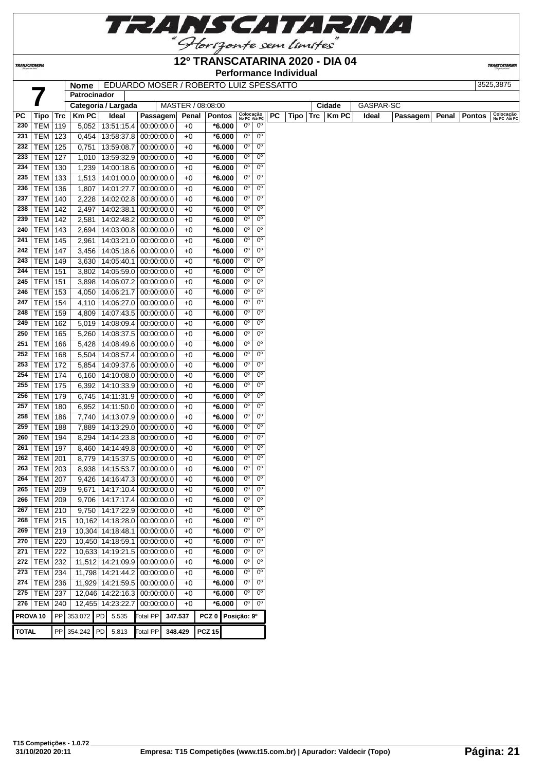

#### **12º TRANSCATARINA 2020 - DIA 04**

**Performance Individual**

**TRANSCATARIN** 

**TRANSCATARINA** 

# **Nome** EDUARDO MOSER / ROBERTO LUIZ SPESSATTO 3525,3875

|              |                     |            | <b>Nome</b> l<br>Patrocinador |                      | EDUARDO MOSER / ROBERTO LUIZ SPESSATTO |                   |                   |                           |                |    |      |             |           |          |       |               | ວວ∠ວ,ວ໐≀ ວ                |
|--------------|---------------------|------------|-------------------------------|----------------------|----------------------------------------|-------------------|-------------------|---------------------------|----------------|----|------|-------------|-----------|----------|-------|---------------|---------------------------|
|              |                     |            |                               | Categoria / Largada  |                                        | MASTER / 08:08:00 |                   |                           |                |    |      | Cidade      | GASPAR-SC |          |       |               |                           |
| PC           | Tipo                | Trc        | <b>Km PC</b>                  | Ideal                | Passagem                               | Penal             | <b>Pontos</b>     | Colocação<br>No PC Até PC |                | PC | Tipo | Trc   Km PC | Ideal     | Passagem | Penal | <b>Pontos</b> | Colocação<br>No PC Até PC |
| 230          | TEM                 | 119        | 5,052                         | 13:51:15.4           | 00:00:00.0                             | $+0$              | $*6.000$          | $0^{\circ}$               | $0^{\circ}$    |    |      |             |           |          |       |               |                           |
| 231          | <b>TEM 123</b>      |            |                               | $0,454$   13:58:37.8 | 00:00:00.0                             | $+0$              | $*6.000$          | $0^{\circ}$               | $0^{\circ}$    |    |      |             |           |          |       |               |                           |
| 232          | TEM                 | 125        | 0,751                         | 13:59:08.7           | 00:00:00.0                             | $+0$              | $*6.000$          | $0^{\circ}$               | $0^{\circ}$    |    |      |             |           |          |       |               |                           |
| 233          | TEM                 | 127        |                               | 1,010 13:59:32.9     | 00:00:00.0                             | $+0$              | $*6.000$          | $0^{\circ}$               | 0 <sup>o</sup> |    |      |             |           |          |       |               |                           |
| 234          | <b>TEM 130</b>      |            | 1,239                         |                      | 14:00:18.6 00:00:00.0                  | $+0$              | $*6.000$          | $0^{\circ}$               | $0^{\circ}$    |    |      |             |           |          |       |               |                           |
| 235          | <b>TEM</b> 133      |            |                               |                      | 1,513   14:01:00.0   00:00:00.0        | $+0$              | $*6.000$          | $0^{\circ}$               | $0^{\circ}$    |    |      |             |           |          |       |               |                           |
| 236          | <b>TEM 136</b>      |            | 1,807                         | 14:01:27.7           | 00:00:00.0                             | $+0$              | $*6.000$          | $0^{\circ}$               | $0^{\circ}$    |    |      |             |           |          |       |               |                           |
| 237          | <b>TEM 140</b>      |            | 2,228                         | 14:02:02.8           | 00:00:00.0                             | $+0$              | $*6.000$          | $0^{\circ}$               | $0^{\circ}$    |    |      |             |           |          |       |               |                           |
| 238          | <b>TEM 142</b>      |            | 2,497                         | 14:02:38.1           | 00:00:00.0                             | $+0$              | $*6.000$          | $0^{\circ}$               | 0 <sup>o</sup> |    |      |             |           |          |       |               |                           |
| 239          | <b>TEM 142</b>      |            | 2,581                         | 14:02:48.2           | 00:00:00.0                             | $+0$              | $*6.000$          | $0^{\circ}$               | 0 <sup>o</sup> |    |      |             |           |          |       |               |                           |
| 240          | <b>TEM 143</b>      |            | 2,694                         |                      | 14:03:00.8 00:00:00.0                  | $+0$              | $*6.000$          | $0^{\circ}$               | $0^{\circ}$    |    |      |             |           |          |       |               |                           |
| 241          | <b>TEM 145</b>      |            | 2,961                         | 14:03:21.0           | 00:00:00.0                             | $+0$              | $*6.000$          | $0^{\circ}$               | 0 <sup>o</sup> |    |      |             |           |          |       |               |                           |
| 242          | <b>TEM 147</b>      |            | 3,456                         |                      | 14:05:18.6 00:00:00.0                  | $+0$              | $*6.000$          | $0^{\circ}$               | 0 <sup>o</sup> |    |      |             |           |          |       |               |                           |
| 243          | TEM 149             |            | 3,630                         | 14:05:40.1           | 00:00:00.0                             | $+0$              | $*6.000$          | $0^{\circ}$               | $0^{\circ}$    |    |      |             |           |          |       |               |                           |
| 244          | <b>TEM 151</b>      |            | 3,802                         | 14:05:59.0           | 00:00:00.0                             | $+0$              | $*6.000$          | $0^{\circ}$               | $0^{\circ}$    |    |      |             |           |          |       |               |                           |
| 245          | <b>TEM 151</b>      |            | 3,898                         |                      | 14:06:07.2 00:00:00.0                  | $+0$              | $*6.000$          | $0^{\circ}$               | $0^{\circ}$    |    |      |             |           |          |       |               |                           |
| 246          | TEM                 | 153        |                               | 4,050 14:06:21.7     | 00:00:00.0                             | $+0$              | $*6.000$          | $0^{\circ}$               | $0^{\circ}$    |    |      |             |           |          |       |               |                           |
| 247          | <b>TEM</b>          | 154        | 4,110                         | 14:06:27.0           | 00:00:00.0                             | $+0$              | $*6.000$          | 0 <sup>o</sup>            | 0 <sup>o</sup> |    |      |             |           |          |       |               |                           |
| 248          | TEM                 | 159        | 4,809                         | 14:07:43.5           | 00:00:00.0                             | $+0$              | $*6.000$          | $0^{\circ}$               | $0^{\circ}$    |    |      |             |           |          |       |               |                           |
| 249          | <b>TEM</b>          | 162        |                               | 5,019 14:08:09.4     | 00:00:00.0                             | $+0$              | $*6.000$          | $0^{\circ}$               | $0^{\circ}$    |    |      |             |           |          |       |               |                           |
| 250          | TEM                 | 165        | 5,260                         | 14:08:37.5           | 00:00:00.0                             | $+0$              | $*6.000$          | $0^{\circ}$               | $0^{\circ}$    |    |      |             |           |          |       |               |                           |
| 251          | TEM                 | 166        | 5,428                         | 14:08:49.6           | 00:00:00.0                             | $+0$              | $*6.000$          | $0^{\circ}$               | 0 <sup>o</sup> |    |      |             |           |          |       |               |                           |
| 252          | TEM                 | 168        | 5,504                         | 14:08:57.4           | 00:00:00.0                             | $+0$              | $*6.000$          | $0^{\circ}$               | $0^{\rm o}$    |    |      |             |           |          |       |               |                           |
| 253          | <b>TEM 172</b>      |            | 5,854                         |                      | 14:09:37.6 00:00:00.0                  | $+0$              | $*6.000$          | $0^{\circ}$               | $0^{\circ}$    |    |      |             |           |          |       |               |                           |
| 254          | <b>TEM 174</b>      |            |                               |                      | 6,160   14:10:08.0   00:00:00.0        | $+0$              | $*6.000$          | $0^{\circ}$               | $0^{\circ}$    |    |      |             |           |          |       |               |                           |
| 255          | <b>TEM 175</b>      |            | 6,392                         |                      | 14:10:33.9 00:00:00.0                  | $+0$              | $*6.000$          | $0^{\circ}$               | $0^{\circ}$    |    |      |             |           |          |       |               |                           |
| 256          | <b>TEM</b>          | 179        | 6,745                         | 14:11:31.9           | 00:00:00.0                             | $+0$              | $*6.000$          | $0^{\circ}$               | 0 <sup>o</sup> |    |      |             |           |          |       |               |                           |
| 257          | TEM                 | 180        | 6,952                         | 14:11:50.0           | 00:00:00.0                             | $+0$              | $*6.000$          | $0^{\circ}$               | 0 <sup>o</sup> |    |      |             |           |          |       |               |                           |
| 258          | <b>TEM</b>          | 186        | 7,740                         |                      | 14:13:07.9 00:00:00.0                  | $+0$              | $*6.000$          | $0^{\circ}$               | $0^{\circ}$    |    |      |             |           |          |       |               |                           |
| 259          | TEM                 | 188        | 7,889                         | 14:13:29.0           | 00:00:00.0                             | $+0$              | $*6.000$          | $0^{\circ}$               | 0 <sup>o</sup> |    |      |             |           |          |       |               |                           |
| 260          | <b>TEM</b>          | 194        | 8,294                         | 14:14:23.8           | 00:00:00.0                             | $+0$              | $*6.000$          | $0^{\circ}$               | $0^{\circ}$    |    |      |             |           |          |       |               |                           |
| 261          | TEM                 | 197        | 8,460                         |                      | 14:14:49.8 00:00:00.0                  | $+0$              | $*6.000$          | $0^{\circ}$               | 0 <sup>o</sup> |    |      |             |           |          |       |               |                           |
| 262          | <b>TEM 201</b>      |            | 8,779                         |                      | 14:15:37.5 00:00:00.0                  | $+0$              | $*6.000$          | $0^{\circ}$               | $0^{\circ}$    |    |      |             |           |          |       |               |                           |
| 263          | <b>TEM 203</b>      |            | 8,938                         | 14:15:53.7           | 00:00:00.0                             | $+0$              | $*6.000$          | $0^{\circ}$               | $0^{\circ}$    |    |      |             |           |          |       |               |                           |
| 264          | TEM                 | 207        | 9,426                         | 14:16:47.3           | 00:00:00.0                             | $+0$              | $*6.000$          | $0^{\circ}$               | $0^{\circ}$    |    |      |             |           |          |       |               |                           |
| 265          | <b>TEM 209</b>      |            |                               | 9,671   14:17:10.4   | 00:00:00.0                             | $+0$              | $*6.000$          | $0^{\circ}$               | 0 <sup>o</sup> |    |      |             |           |          |       |               |                           |
| 266          | TEM   209           |            |                               | 9,706   14:17:17.4   | 00:00:00.0                             | $+0$              | *6.000            | 0°                        | 0 <sup>o</sup> |    |      |             |           |          |       |               |                           |
| 267          | $TEM$ 210           |            | 9,750                         | 14:17:22.9           | 00:00:00.0                             | $+0$              | $*6.000$          | $0^{\circ}$               | $0^{\circ}$    |    |      |             |           |          |       |               |                           |
| 268          | <b>TEM 215</b>      |            |                               | 10,162 14:18:28.0    | 00:00:00.0                             | $+0$              | $*6.000$          | 0°                        | 0°             |    |      |             |           |          |       |               |                           |
| 269          | $TEM$ 219           |            |                               | 10,304 14:18:48.1    | 00:00:00.0                             | $+0$              | $*6.000$          | $0^{\circ}$               | $0^{\circ}$    |    |      |             |           |          |       |               |                           |
| 270          | <b>TEM 220</b>      |            |                               | 10,450 14:18:59.1    | 00:00:00.0                             | $+0$              | $*6.000$          | $0^{\circ}$               | 0 <sup>o</sup> |    |      |             |           |          |       |               |                           |
| 271          | $TEM$ 222           |            |                               | 10,633 14:19:21.5    | 00:00:00.0                             | $+0$              | $*6.000$          | $0^{\circ}$               | $0^{\circ}$    |    |      |             |           |          |       |               |                           |
| 272          | <b>TEM 232</b>      |            |                               | 11,512 14:21:09.9    | 00:00:00.0                             | $+0$              | $*6.000$          | $0^{\circ}$               | 0°             |    |      |             |           |          |       |               |                           |
| 273          | <b>TEM 234</b>      |            |                               | 11,798 14:21:44.2    | 00:00:00.0                             | $+0$              | $*6.000$          | $0^{\circ}$               | $0^{\circ}$    |    |      |             |           |          |       |               |                           |
| 274          | <b>TEM 236</b>      |            |                               | 11,929 14:21:59.5    | 00:00:00.0                             | $+0$              | $*6.000$          | $0^{\circ}$               | $0^{\rm o}$    |    |      |             |           |          |       |               |                           |
| 275          | <b>TEM 237</b>      |            |                               | 12,046 14:22:16.3    | 00:00:00.0                             | $+0$              | $*6.000$          | $0^{\circ}$               | 0 <sup>o</sup> |    |      |             |           |          |       |               |                           |
| 276          | TEM                 | 240        |                               | 12,455 14:23:22.7    | 00:00:00.0                             | $+0$              | $*6.000$          | 0°                        | $0^{\circ}$    |    |      |             |           |          |       |               |                           |
|              | PROVA <sub>10</sub> | ${\sf PP}$ | 353.072                       | PD<br>5.535          | <b>Total PP</b>                        | 347.537           | PCZ 0 Posição: 9º |                           |                |    |      |             |           |          |       |               |                           |
| <b>TOTAL</b> |                     | ${\sf PP}$ | 354.242                       | PD<br>5.813          | <b>Total PP</b>                        | 348.429           | <b>PCZ 15</b>     |                           |                |    |      |             |           |          |       |               |                           |
|              |                     |            |                               |                      |                                        |                   |                   |                           |                |    |      |             |           |          |       |               |                           |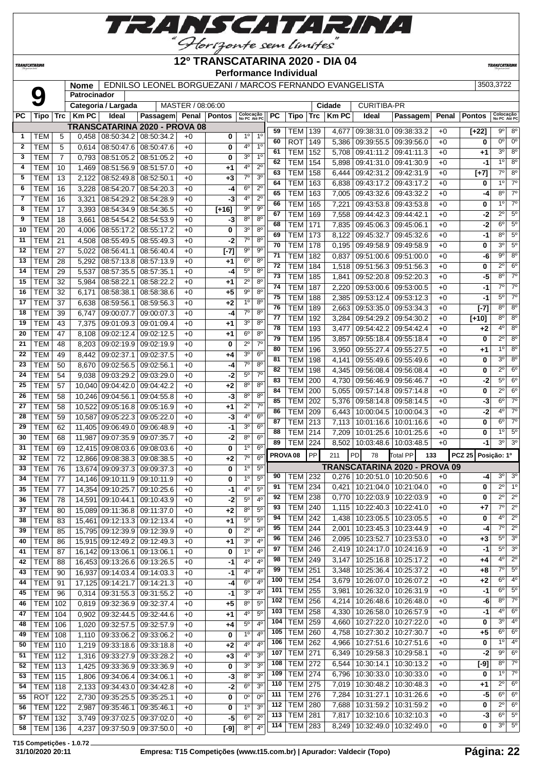

**TRANSCATARINA** 

#### **12º TRANSCATARINA 2020 - DIA 04 Performance Individual**

**TRANSCATARIN** 

**Nome** EDNILSO LEONEL BORGUEZANI / MARCOS FERNANDO EVANGELISTA 3503,3722

|              |                  |     | Patrocinador |                              |                               |                   |               |                           |                |     |                     |     |              |                         |                                      |       |                    |                           |                        |
|--------------|------------------|-----|--------------|------------------------------|-------------------------------|-------------------|---------------|---------------------------|----------------|-----|---------------------|-----|--------------|-------------------------|--------------------------------------|-------|--------------------|---------------------------|------------------------|
|              |                  |     |              | Categoria / Largada          |                               | MASTER / 08:06:00 |               |                           |                |     |                     |     | Cidade       | <b>CURITIBA-PR</b>      |                                      |       |                    |                           |                        |
| PС           | Tipo             | Trc | <b>Km PC</b> | Ideal                        | <b>Passagem</b>               | Penal             | <b>Pontos</b> | Colocação<br>No PC Até PC |                | PC  | Tipo                | Trc | <b>Km PC</b> | Ideal                   | Passagem                             | Penal | <b>Pontos</b>      | Colocação<br>No PC Até PC |                        |
|              |                  |     |              |                              | TRANSCATARINA 2020 - PROVA 08 |                   |               |                           |                | 59  | TEM                 | 139 | 4,677        | 09:38:31.0 09:38:33.2   |                                      | $+0$  | $\overline{[+22]}$ | 9°                        | 8 <sup>o</sup>         |
| 1            | TEM              | 5   | 0,458        | 08:50:34.2                   | 08:50:34.2                    | $+0$              | 0             | 1 <sup>0</sup>            | 1 <sup>0</sup> | 60  | <b>ROT</b>          | 149 |              | 09:39:55.5 09:39:56.0   |                                      | $+0$  | 0                  | 0 <sup>o</sup>            | $0^{\circ}$            |
| $\mathbf{2}$ | <b>TEM</b>       | 5   | 0,614        | 08:50:47.6                   | 08:50:47.6                    | $+0$              | 0             | 4°                        | 1 <sup>0</sup> | 61  | <b>TEM</b>          | 152 | 5,386        |                         |                                      |       |                    | $3^{\circ}$               | 8 <sup>o</sup>         |
| 3            | TEM              | 7   | 0,793        | 08:51:05.2                   | 08:51:05.2                    | $+0$              | 0             | 3 <sup>o</sup>            | 1 <sup>0</sup> |     |                     |     | 5,708        | 09:41:11.2   09:41:11.3 |                                      | $+0$  | $+1$               | 10                        | 8 <sup>o</sup>         |
| 4            | <b>TEM</b>       | 10  | 1,469        | 08:51:56.9                   | 08:51:57.0                    | $+0$              | +1            | 4°                        | $2^{\circ}$    | 62  | <b>TEM</b>          | 154 | 5,898        | 09:41:31.0              | 09:41:30.9                           | $+0$  | -1                 |                           |                        |
| 5            | тем              | 13  | 2,122        | 08:52:49.8                   | 08:52:50.1                    | $+0$              | +3            | $7^\circ$                 | 3 <sup>o</sup> | 63  | <b>TEM</b>          | 158 | 6,444        | 09:42:31.2              | 09:42:31.9                           | $+0$  | $[+7]$             | $7^\circ$                 | 8 <sup>o</sup>         |
| 6            | TEM              | 16  | 3,228        | 08:54:20.7                   | 08:54:20.3                    | $+0$              | -4            | $6^{\circ}$               | $2^{\circ}$    | 64  | <b>TEM</b>          | 163 | 6,838        | 09:43:17.2              | 09:43:17.2                           | $+0$  | 0                  | 10                        | $7^\circ$              |
| 7            | <b>TEM</b>       | 16  | 3,321        | 08:54:29.2                   | 08:54:28.9                    | $+0$              | -3            | 4°                        | $2^{\circ}$    | 65  | <b>TEM</b>          | 163 | 7,005        | 09:43:32.6 09:43:32.2   |                                      | $+0$  | -4                 | $8^{\circ}$               | $7^\circ$              |
| 8            | тем              | 17  | 3,393        | 08:54:34.9                   | 08:54:36.5                    | $+0$              | $[+16]$       | $9^{\circ}$               | $9^{\circ}$    | 66  | <b>TEM</b>          | 165 | 7,221        | 09:43:53.8              | 09:43:53.8                           | $+0$  | 0                  | 10                        | $7^\circ$              |
| 9            | <b>TEM</b>       | 18  | 3,661        | 08:54:54.2                   | 08:54:53.9                    | $+0$              | -3            | 8 <sup>o</sup>            | 8 <sup>o</sup> | 67  | <b>TEM</b>          | 169 | 7,558        | 09:44:42.3              | 09:44:42.1                           | $+0$  | -2                 | $2^{\circ}$               | 5 <sup>o</sup>         |
| 10           | <b>TEM</b>       | 20  | 4,006        | 08:55:17.2                   | 08:55:17.2                    | $+0$              | 0             | 3 <sup>0</sup>            | $8^{\circ}$    | 68  | <b>TEM</b>          | 171 | 7,835        | 09:45:06.3              | 09:45:06.1                           | $+0$  | -2                 | $6^{\circ}$               | $5^{\circ}$            |
| 11           | <b>TEM</b>       | 21  | 4,508        | 08:55:49.5                   | 08:55:49.3                    | $+0$              | $-2$          | $7^\circ$                 | 8 <sup>o</sup> | 69  | <b>TEM</b>          | 173 | 8,122        | 09:45:32.7              | 09:45:32.6                           | $+0$  | -1                 | $8^{\circ}$               | 5 <sup>o</sup>         |
| 12           | TEM              | 27  | 5,022        | 08:56:41.1                   | 08:56:40.4                    | $+0$              | $[-7]$        | 90                        | $9^{\circ}$    | 70  | <b>TEM</b>          | 178 | 0,195        | 09:49:58.9 09:49:58.9   |                                      | $+0$  | 0                  | $3^{\circ}$               | $5^{\circ}$            |
| 13           | <b>TEM</b>       | 28  | 5,292        | 08:57:13.8                   | 08:57:13.9                    | $+0$              | $+1$          | $6^{\circ}$               | $8^{\circ}$    | 71  | <b>TEM</b>          | 182 | 0,837        | 09:51:00.6              | 09:51:00.0                           | $+0$  | -6                 | $9^{\circ}$               | 8 <sup>o</sup>         |
| 14           | <b>TEM</b>       | 29  | 5,537        | 08:57:35.5                   | 08:57:35.1                    | $+0$              | $-4$          | $5^{\circ}$               | 8 <sup>o</sup> | 72  | <b>TEM</b>          | 184 | 1,518        | 09:51:56.3              | 09:51:56.3                           | $+0$  | 0                  | $2^{\circ}$               | 6 <sup>o</sup>         |
| 15           | <b>TEM</b>       | 32  | 5,984        | 08:58:22.1                   | 08:58:22.2                    | $+0$              | +1            | $2^{\circ}$               | 8 <sup>o</sup> | 73  | <b>TEM</b>          | 185 | 1,841        | 09:52:20.8              | 09:52:20.3                           | $+0$  | -5                 | $8^{\circ}$               | $\overline{7^{\circ}}$ |
| 16           | <b>TEM</b>       | 32  | 6,171        | 08:58:38.1                   | 08:58:38.6                    | $+0$              | +5            | $9^{\circ}$               | $8^{\circ}$    | 74  | <b>TEM</b>          | 187 | 2,220        | 09:53:00.6 09:53:00.5   |                                      | $+0$  | -1                 | 7º                        | $7^\circ$              |
|              | <b>TEM</b>       | 37  |              |                              |                               | $+0$              |               | 1 <sup>0</sup>            | 8 <sup>o</sup> | 75  | <b>TEM</b>          | 188 | 2,385        | 09:53:12.4              | 09:53:12.3                           | $+0$  | -1                 | $5^{\circ}$               | $7^\circ$              |
| 17           |                  |     | 6,638        | 08:59:56.1                   | 08:59:56.3                    |                   | +2            | $\overline{7^0}$          | 8 <sup>o</sup> | 76  | <b>TEM</b>          | 189 | 2,663        | 09:53:35.0              | 09:53:34.3                           | $+0$  | [-7]               | $8^{\circ}$               | 8 <sup>o</sup>         |
| 18           | <b>TEM</b>       | 39  | 6,747        | 09:00:07.7                   | 09:00:07.3                    | $+0$              | -4            |                           | 8 <sup>o</sup> | 77  | <b>TEM</b>          | 192 | 3,284        | 09:54:29.2              | 09:54:30.2                           | $+0$  | $[+10]$            | $8^{\circ}$               | $\overline{8^{\circ}}$ |
| 19           | <b>TEM</b>       | 43  | 7,375        | 09:01:09.3                   | 09:01:09.4                    | $+0$              | +1            | 3 <sup>0</sup>            |                | 78  | TEM                 | 193 | 3,477        | 09:54:42.2              | 09:54:42.4                           | $+0$  | +2                 | $4^{\circ}$               | 8 <sup>o</sup>         |
| 20           | <b>TEM</b>       | 47  | 8,108        | 09:02:12.4                   | 09:02:12.5                    | $+0$              | +1            | $6^{\circ}$               | 8 <sup>o</sup> | 79  | <b>TEM</b>          | 195 | 3,857        | 09:55:18.4              | 09:55:18.4                           | $+0$  | 0                  | $2^{\circ}$               | $8^{\circ}$            |
| 21           | <b>TEM</b>       | 48  | 8,203        | 09:02:19.9                   | 09:02:19.9                    | $+0$              | 0             | $2^{\circ}$               | $7^\circ$      | 80  | <b>TEM</b>          | 196 | 3,950        | 09:55:27.4              | 09:55:27.5                           | $+0$  | $+1$               | 10                        | 8 <sup>o</sup>         |
| 22           | <b>TEM</b>       | 49  | 8,442        | 09:02:37.1                   | 09:02:37.5                    | $+0$              | +4            | 3 <sup>o</sup>            | $6^{\circ}$    | 81  | <b>TEM</b>          | 198 | 4,141        | 09:55:49.6              | 09:55:49.6                           | $+0$  | 0                  | 3 <sup>0</sup>            | $8^{\circ}$            |
| 23           | <b>TEM</b>       | 50  | 8,670        | 09:02:56.5                   | 09:02:56.1                    | $+0$              | -4            | $7^\circ$                 | $8^{\circ}$    | 82  | <b>TEM</b>          | 198 | 4,345        | 09:56:08.4              | 09:56:08.4                           | $+0$  | 0                  | $2^{\circ}$               | 6 <sup>o</sup>         |
| 24           | <b>TEM</b>       | 54  | 9,038        | 09:03:29.2                   | 09:03:29.0                    | $+0$              | $-2$          | $5^{\circ}$               | $7^\circ$      | 83  | <b>TEM</b>          | 200 | 4,730        | 09:56:46.9              | 09:56:46.7                           | $+0$  | -2                 | $5^{\circ}$               | 6 <sup>o</sup>         |
| 25           | <b>TEM</b>       | 57  | 10,040       | 09:04:42.0                   | 09:04:42.2                    | $+0$              | +2            | $8^{\circ}$               | $8^{\circ}$    | 84  | <b>TEM</b>          | 200 | 5,055        | 09:57:14.8              | 09.57:14.8                           | $+0$  | 0                  | $2^{\circ}$               | 6 <sup>o</sup>         |
| 26           | <b>TEM</b>       | 58  | 10,246       | 09:04:56.1                   | 09:04:55.8                    | $+0$              | -3            | $8^{\circ}$               | $8^{\circ}$    | 85  | <b>TEM</b>          | 202 | 5,376        | 09:58:14.8              | 09:58:14.5                           | $+0$  | -3                 | $6^{\circ}$               | $7^\circ$              |
| 27           | <b>TEM</b>       | 58  | 10,522       | 09:05:16.8                   | 09:05:16.9                    | $+0$              | +1            | $2^{\circ}$               | $7^\circ$      | 86  | <b>TEM</b>          | 209 | 6,443        | 10:00:04.5              | 10:00:04.3                           | $+0$  | -2                 | $4^{\circ}$               | $\overline{7^{\circ}}$ |
| 28           | <b>TEM</b>       | 59  | 10,587       | 09:05:22.3                   | 09:05:22.0                    | $+0$              | -3            | 4 <sup>0</sup>            | 6 <sup>o</sup> | 87  | <b>TEM</b>          | 213 | 7,113        | 10:01:16.6              | 10:01:16.6                           | $+0$  | 0                  | $6^{\circ}$               | $7^\circ$              |
| 29           | <b>TEM</b>       | 62  | 11,405       | 09:06:49.0                   | 09:06:48.9                    | $+0$              | -1            | 3 <sup>o</sup>            | 6 <sup>o</sup> | 88  | TEM                 | 214 | 7,209        | 10:01:25.6              | 10:01:25.6                           | $+0$  | 0                  | 10                        | $5^{\circ}$            |
| 30           | <b>TEM</b>       | 68  | 11,987       | 09:07:35.9                   | 09:07:35.7                    | $+0$              | $-2$          | $8^{\circ}$               | 6 <sup>o</sup> | 89  | TEM                 | 224 | 8,502        | 10:03:48.6   10:03:48.5 |                                      | $+0$  | -1                 | $3^{\circ}$               | 3 <sup>o</sup>         |
| 31           | <b>TEM</b>       | 69  | 12,415       | 09:08:03.6                   | 09:08:03.6                    | $+0$              | 0             | 1 <sup>0</sup>            | 6 <sup>o</sup> |     |                     |     |              |                         |                                      |       |                    |                           |                        |
| 32           | <b>TEM</b>       | 72  | 12,866       | 09:08:38.3                   | 09:08:38.5                    | $+0$              | $+2$          | $7^\circ$                 | 6 <sup>o</sup> |     | PROVA <sub>08</sub> | PP  | 211          | PD<br>78                | <b>Total PP</b><br>133               |       | <b>PCZ 25</b>      | Posição: 1º               |                        |
| 33           | TEM              | 76  | 13,674       | 09:09:37.3                   | 09:09:37.3                    | $+0$              | 0             | 1 <sup>0</sup>            | 5 <sup>0</sup> |     |                     |     |              |                         | <b>TRANSCATARINA 2020 - PROVA 09</b> |       |                    |                           |                        |
| 34           | <b>TEM</b>       | 77  | 14,146       | 09:10:11.9                   | 09:10:11.9                    | $+0$              | 0             | 1 <sup>0</sup>            | $5^{\circ}$    | 90  | TEM                 | 232 | 0,276        | 10:20:51.0              | 10:20:50.6                           | $+0$  | -4                 | $3^{\circ}$               | 3 <sup>o</sup>         |
| 35           | <b>TEM</b>       | 77  | 14,354       | 09:10:25.7                   | 09:10:25.6                    | $+0$              | -1            | $4^{\circ}$               | $5^{\circ}$    | 91  | TEM                 | 234 | 0,421        | 10:21:04.0              | 10:21:04.0                           | $+0$  | 0                  | $2^{\circ}$               | $\overline{1^0}$       |
| 36           | <b>TEM</b>       | 78  |              | 14.591 09:10:44.1            | 09:10:43.9                    | $+0$              | -2            | 5 <sup>0</sup>            | 4°             | 92  | TEM                 | 238 | 0,770        | 10:22:03.9   10:22:03.9 |                                      | $+0$  | 0                  | $2^{\circ}$               | $2^{\circ}$            |
| 37           | <b>TEM</b>       | 80  |              | 15,089 09:11:36.8 09:11:37.0 |                               | $+0$              | $+2$          | 8 <sup>o</sup>            | 5 <sup>o</sup> | 93  | TEM   240           |     | 1,115        | 10:22:40.3   10:22:41.0 |                                      | $+0$  | $+7$               | 7º                        | $\overline{2^0}$       |
| 38           | <b>TEM</b>       | 83  |              | 15,461 09:12:13.3 09:12:13.4 |                               | $+0$              | $+1$          | $5^{\circ}$               | $5^{\circ}$    | 94  | <b>TEM 242</b>      |     | 1,438        | 10:23:05.5   10:23:05.5 |                                      | $+0$  | 0                  | $4^{\circ}$               | $2^{\circ}$            |
| 39           | <b>TEM</b>       | 85  |              | 15,795 09:12:39.9 09:12:39.9 |                               | $+0$              | 0             | $2^{\circ}$               | $4^{\circ}$    | 95  | <b>TEM</b>          | 244 | 2,001        | 10:23:45.3   10:23:44.9 |                                      | $+0$  | -4                 | 7º                        | $2^{\circ}$            |
| 40           | <b>TEM</b>       | 86  |              | 15,915 09:12:49.2            | 09:12:49.3                    | $+0$              | +1            | 3 <sup>o</sup>            | $4^{\circ}$    | 96  | <b>TEM</b>          | 246 | 2,095        | 10:23:52.7   10:23:53.0 |                                      | $+0$  | $+3$               | 5°                        | 3 <sup>o</sup>         |
| 41           | <b>TEM</b>       | 87  |              | 16,142 09:13:06.1            | 09:13:06.1                    | $+0$              | 0             | 1 <sup>0</sup>            | $4^{\circ}$    | 97  | TEM                 | 246 | 2,419        | 10:24:17.0   10:24:16.9 |                                      | $+0$  | -1                 | $5^{\circ}$               | 3 <sup>o</sup>         |
| 42           | <b>TEM</b>       | 88  |              | 16,453 09:13:26.6 09:13:26.5 |                               | $+0$              | $-1$          | 4 <sup>0</sup>            | $4^{\circ}$    | 98  | $TEM$ 249           |     | 3,147        | 10:25:16.8 10:25:17.2   |                                      | $+0$  | +4                 | $4^{\circ}$               | $2^{\circ}$            |
| 43           | <b>TEM</b>       | 90  |              | 16,937 09:14:03.4            | 09:14:03.3                    | $+0$              | -1            | 40                        | $4^{\circ}$    | 99  | <b>TEM</b>          | 251 | 3,348        | 10:25:36.4   10:25:37.2 |                                      | $+0$  | +8                 |                           | $7^\circ$ 5°           |
| 44           | <b>TEM</b>       | 91  |              | 17,125 09:14:21.7            | 09:14:21.3                    | $+0$              | -4            | 6 <sup>o</sup>            | $4^{\circ}$    | 100 | <b>TEM 254</b>      |     | 3,679        | 10:26:07.0   10:26:07.2 |                                      | $+0$  | $+2$               | $6^{\circ}$               | 4 <sup>o</sup>         |
| 45           | <b>TEM</b>       | 96  | 0,314        | 09:31:55.3 09:31:55.2        |                               | $+0$              | -1            | 3 <sup>o</sup>            | $4^{\circ}$    | 101 | <b>TEM</b>          | 255 | 3,981        | 10:26:32.0   10:26:31.9 |                                      | $+0$  | $-1$               | $6^{\circ}$               | $5^\circ$              |
| 46           | <b>TEM</b>       | 102 | 0,819        | 09:32:36.9 09:32:37.4        |                               | $+0$              | $+5$          | 8 <sup>o</sup>            | 5 <sup>0</sup> | 102 | TEM                 | 256 | 4,214        | 10:26:48.6   10:26:48.0 |                                      | $+0$  | -6                 | $8^{\circ}$               | $\overline{7^0}$       |
| 47           | TEM              | 104 | 0,902        | 09:32:44.5                   | 09:32:44.6                    | $+0$              | $+1$          | $4^{\rm o}$               | $5^{\rm o}$    | 103 | TEM                 | 258 | 4,330        | 10:26:58.0   10:26:57.9 |                                      | $+0$  | -1                 | 4°                        | $6^{\circ}$            |
| 48           | <b>TEM   106</b> |     | 1,020        | $09:32:57.5$ 09:32:57.9      |                               | $+0$              | +4            | $5^{\rm o}$               | $4^{\circ}$    | 104 | <b>TEM</b>          | 259 | 4,660        | 10:27:22.0   10:27:22.0 |                                      | $+0$  | 0                  | $3^{\circ}$               | $4^{\circ}$            |
| 49           | <b>TEM   108</b> |     | 1,110        | 09:33:06.2                   | 09:33:06.2                    | $+0$              | 0             | 1 <sup>0</sup>            | $4^{\circ}$    | 105 | TEM                 | 260 | 4,758        | 10:27:30.2   10:27:30.7 |                                      | $+0$  | +5                 | 6°                        | $6^{\circ}$            |
| 50           | <b>TEM   110</b> |     | 1,219        | 09:33:18.6 09:33:18.8        |                               | $+0$              | $+2$          | 4 <sup>0</sup>            | $4^{\circ}$    | 106 | <b>TEM</b>          | 262 | 4,966        | 10:27:51.6   10:27:51.6 |                                      | $+0$  | 0                  | $1^{\circ}$               | $4^{\circ}$            |
| 51           | <b>TEM 112</b>   |     | 1,316        | 09:33:27.9 09:33:28.2        |                               | $+0$              | $+3$          | $4^{\rm o}$               | 3 <sup>o</sup> | 107 | <b>TEM</b>          | 271 | 6,349        | 10:29:58.3   10:29:58.1 |                                      | $+0$  | -2                 | $9^{\circ}$               | $6^{\circ}$            |
| 52           | <b>TEM 113</b>   |     | 1,425        | 09:33:36.9 09:33:36.9        |                               | $+0$              | 0             | 3 <sup>0</sup>            | 3 <sup>o</sup> | 108 | <b>TEM 272</b>      |     | 6,544        | 10:30:14.1   10:30:13.2 |                                      | $+0$  | $[-9]$             | 8°                        | $7^\circ$              |
| 53           | <b>TEM</b>       | 115 | 1,806        | 09:34:06.4                   | 09:34:06.1                    | +0                | $-3$          | 8 <sup>o</sup>            | 3 <sup>o</sup> | 109 | <b>TEM 274</b>      |     | 6,796        | 10:30:33.0   10:30:33.0 |                                      | $+0$  | 0                  | $1^{\circ}$               | $7^\circ$              |
| 54           | <b>TEM</b>       | 118 | 2,133        | 09:34:43.0                   | 09:34:42.8                    | +0                | $-2$          | 6 <sup>o</sup>            | 3 <sup>o</sup> | 110 | <b>TEM</b>          | 275 | 7,019        | 10:30:48.2   10:30:48.3 |                                      | $+0$  | +1                 | $2^{\circ}$               | 6 <sup>o</sup>         |
|              |                  | 122 |              |                              |                               |                   |               | $0^{\rm o}$               | $0^{\rm o}$    | 111 | <b>TEM</b>          | 276 | 7,284        | 10:31:27.1   10:31:26.6 |                                      | $+0$  | $-5$               | $6^{\circ}$               | 6 <sup>o</sup>         |
| 55           | ROT              |     | 2,730        | 09:35:25.5                   | 09:35:25.1                    | $+0$              | 0             | 1 <sup>0</sup>            | 3 <sup>0</sup> | 112 | <b>TEM</b>          | 280 | 7,688        | 10:31:59.2   10:31:59.2 |                                      | $+0$  | 0                  | $2^{\circ}$               | $6^{\circ}$            |
| 56           | <b>TEM 122</b>   |     | 2,987        | 09:35:46.1 09:35:46.1        |                               | $+0$              | 0             |                           |                | 113 | <b>TEM</b>          | 281 | 7,817        | 10:32:10.6   10:32:10.3 |                                      | $+0$  | -3                 | 6°                        | $5^{\circ}$            |
| 57           | <b>TEM 132</b>   |     | 3,749        | 09:37:02.5 09:37:02.0        |                               | $+0$              | -5            | 6 <sup>o</sup>            | $2^{\circ}$    | 114 | <b>TEM</b>          | 283 | 8,249        | 10:32:49.0   10:32:49.0 |                                      | +0    | 0                  |                           | $3^0$ 5°               |
| 58           | <b>TEM 136</b>   |     | 4,237        |                              | 09:37:50.9 09:37:50.0         | $+0$              | $[-9]$        | $8^{\circ}$               | 4 <sup>0</sup> |     |                     |     |              |                         |                                      |       |                    |                           |                        |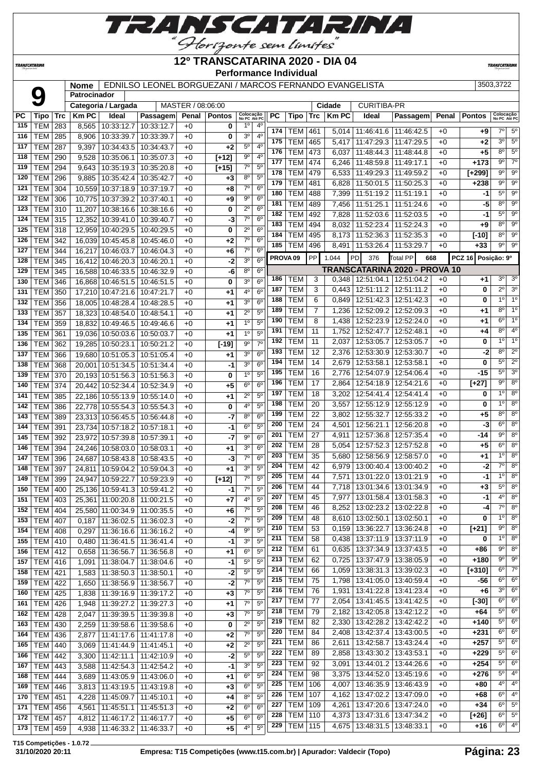

**TRANSCATARINA** 

#### **12º TRANSCATARINA 2020 - DIA 04 Performance Individual**

**TRANSCATARIN** 

Patrocinador<br>PC | Tipo | Trc | Km PC | Ideal **Nome** EDNILSO LEONEL BORGUEZANI / MARCOS FERNANDO EVANGELISTA 3503,3722 **Patrocinador Categoria / Largada** | MASTER / 08:06:00 | Cidade | CURITIBA-PR **PC Tipo Trc Km PC Ideal Passagem Penal Pontos Colocação No PC Até PC PC Tipo Trc Km PC Ideal Passagem Penal Pontos Colocação No PC Até PC** TEM 283 8,565 10:33:12.7 10:33:12.7 +0 **0 10 40**<br> **174** TEM 461 5,014 11:46:41.6 11:46:42.5 +0 **+9** <sup>70</sup> 5<sup>0</sup>

| 116 | TEM   285      |     | 8,906  | 10:33:39.7                      | 10:33:39.7 | +0   | 0       | 3 <sup>o</sup><br>$4^{\circ}$         | 175                 | .          | $\sim$    |       |                                   |                                      |      |                    | $3^{\circ}$    | $5^{\circ}$      |
|-----|----------------|-----|--------|---------------------------------|------------|------|---------|---------------------------------------|---------------------|------------|-----------|-------|-----------------------------------|--------------------------------------|------|--------------------|----------------|------------------|
| 117 | TEM            | 287 | 9,397  | 10:34:43.5                      | 10:34:43.7 | $+0$ | +2      | $5^{\circ}$<br>4 <sup>0</sup>         |                     | <b>TEM</b> | 465       |       | 5,417   11:47:29.3   11:47:29.5   |                                      | +0   | +2                 |                |                  |
| 118 | TEM            | 290 | 9,528  | 10:35:06.1                      | 10:35:07.3 | $+0$ | $[+12]$ | $9^{\circ}$<br>$4^{\circ}$            | 176                 | <b>TEM</b> | 473       |       | $6,037$   11:48:44.3   11:48:44.8 |                                      | +0   | +5                 | $8^{\circ}$    | $5^{\circ}$      |
| 119 | TEM            | 294 | 9,643  | 10:35:19.3                      | 10:35:20.8 | $+0$ | $[+15]$ | $7^\circ$<br>$5^{\circ}$              | 177                 | <b>TEM</b> | 474       |       | 6,246   11:48:59.8   11:49:17.1   |                                      | $+0$ | +173               | 9º             | $7^\circ$        |
| 120 | TEM            | 296 | 9,885  | 10:35:42.4                      | 10:35:42.7 | $+0$ | $+3$    | 8 <sup>0</sup><br>5 <sup>0</sup>      | 178                 | <b>TEM</b> | 479       |       | 6,533   11:49:29.3   11:49:59.2   |                                      | +0   | $[+299]$           | $9^{\circ}$    | $9^{\circ}$      |
|     |                |     |        |                                 |            |      |         | $7^{\circ}$<br>6 <sup>o</sup>         | 179                 | <b>TEM</b> | 481       |       | $6,828$ 11:50:01.5 11:50:25.3     |                                      | $+0$ | +238               | $9^{\circ}$    | $9^\circ$        |
| 121 | TEM            | 304 | 10,559 | 10:37:18.9                      | 10:37:19.7 | $+0$ | +8      |                                       | 180                 | <b>TEM</b> | 488       | 7,399 | 11:51:19.2   11:51:19.1           |                                      | $+0$ | -1                 | $5^{\circ}$    | $9^{\circ}$      |
| 122 | <b>TEM 306</b> |     |        | 10,775 10:37:39.2               | 10:37:40.1 | $+0$ | +9      | $9^{\circ}$<br>6 <sup>o</sup>         | 181                 | <b>TEM</b> | 489       |       | 7,456   11:51:25.1   11:51:24.6   |                                      | $+0$ | -5                 | $8^{\circ}$    | $9^{\circ}$      |
| 123 | <b>TEM 310</b> |     | 11,207 | 10:38:16.6                      | 10:38:16.6 | $+0$ | 0       | $2^{\circ}$<br>$6^{\circ}$            | 182                 | <b>TEM</b> | 492       |       | 7,828   11:52:03.6   11:52:03.5   |                                      | $+0$ | -1                 | $5^{\circ}$    | 90               |
| 124 | <b>TEM 315</b> |     | 12,352 | 10:39:41.0                      | 10:39:40.7 | $+0$ | -3      | $7^\circ$<br>$6^{\circ}$              | 183                 | <b>TEM</b> | 494       | 8,032 | 11:52:23.4 11:52:24.3             |                                      | $+0$ | +9                 | $8^{\circ}$    | $9^{\circ}$      |
| 125 | <b>TEM 318</b> |     |        | 12,959 10:40:29.5               | 10:40:29.5 | $+0$ | 0       | $2^{\circ}$<br>6 <sup>o</sup>         |                     |            |           |       |                                   |                                      |      |                    | $8^{\circ}$    | $9^{\circ}$      |
| 126 | <b>TEM 342</b> |     |        | 16,039 10:45:45.8               | 10:45:46.0 | $+0$ | +2      | $7^\circ$<br>6 <sup>o</sup>           | 184                 | <b>TEM</b> | 495       |       | 8,173   11:52:36.3   11:52:35.3   |                                      | $+0$ | [-10]              |                |                  |
| 127 | TEM            | 344 | 16,217 | 10:46:03.7                      | 10:46:04.3 | $+0$ | +6      | $7^\circ$<br>$6^{\circ}$              | 185                 | <b>TEM</b> | 496       |       | 8,491   11:53:26.4   11:53:29.7   |                                      | $+0$ | $+33$              | $9^{\circ}$    | $9^{\circ}$      |
| 128 | TEM            | 345 |        | 16,412 10:46:20.3               | 10:46:20.1 | $+0$ | -2      | 3 <sup>o</sup><br>$6^{\circ}$         | PROVA <sub>09</sub> |            | <b>PP</b> | 1.044 | PD <sup>I</sup><br>376            | <b>Total PP</b><br>668               |      | PCZ 16 Posição: 9º |                |                  |
| 129 | TEM            | 345 |        | 16,588 10:46:33.5               | 10:46:32.9 | $+0$ | -6      | 8 <sup>o</sup><br>6 <sup>o</sup>      |                     |            |           |       |                                   | <b>TRANSCATARINA 2020 - PROVA 10</b> |      |                    |                |                  |
|     |                |     |        |                                 |            |      |         | 3 <sup>o</sup><br>6 <sup>o</sup>      | 186                 | <b>TEM</b> | 3         |       | $0,348$   12:51:04.1   12:51:04.2 |                                      | $+0$ | +1                 | 3 <sup>o</sup> | 3 <sup>o</sup>   |
| 130 | TEM            | 346 |        | 16,868 10:46:51.5               | 10:46:51.5 | $+0$ | 0       |                                       | 187                 | <b>TEM</b> | 3         |       | $0,443$   12:51:11.2   12:51:11.2 |                                      | $+0$ | 0                  | $2^{\circ}$    | 3 <sup>o</sup>   |
| 131 | <b>TEM 350</b> |     |        | 17,210 10:47:21.6               | 10:47:21.7 | $+0$ | +1      | $4^{\circ}$<br>$6^{\circ}$            | 188                 | <b>TEM</b> | 6         |       | 12:51:42.3   12:51:42.3           |                                      | $+0$ | 0                  | 10             | 1 <sup>o</sup>   |
| 132 | <b>TEM</b>     | 356 |        | 18,005 10:48:28.4               | 10:48:28.5 | $+0$ | +1      | 3 <sup>o</sup><br>$6^{\circ}$         |                     |            |           | 0,849 |                                   |                                      |      |                    |                |                  |
| 133 | <b>TEM</b>     | 357 |        | 18,323 10:48:54.0               | 10:48:54.1 | $+0$ | +1      | $2^{\circ}$<br>$5^{\circ}$            | 189                 | TEM        | 7         | 1,236 | 12:52:09.2   12:52:09.3           |                                      | +0   | +1                 | $8^{\circ}$    | $1^{\circ}$      |
| 134 | TEM 359        |     |        | 18.832 10:49:46.5               | 10:49:46.6 | $+0$ | +1      | 1 <sup>0</sup><br>$5^{\circ}$         | 190                 | <b>TEM</b> | 8         | 1,438 | 12:52:23.9   12:52:24.0           |                                      | +0   | +1                 | $6^{\circ}$    | 1 <sup>o</sup>   |
| 135 | TEM            | 361 |        | 19,036 10:50:03.6               | 10:50:03.7 | $+0$ | +1      | $1^{\circ}$<br>5 <sup>0</sup>         | 191                 | <b>TEM</b> | 11        |       | 1,752 12:52:47.7   12:52:48.1     |                                      | $+0$ | +4                 | $8^{\circ}$    | $4^{\circ}$      |
| 136 | <b>TEM</b>     | 362 |        | 19,285 10:50:23.1               | 10:50:21.2 | $+0$ | $[-19]$ | $7^\circ$<br>90                       | 192                 | <b>TEM</b> | 11        |       | 2,037   12:53:05.7   12:53:05.7   |                                      | $+0$ | 0                  | $1^{\circ}$    | 1 <sup>°</sup>   |
| 137 | TEM            | 366 |        | 19,680 10:51:05.3               | 10:51:05.4 | $+0$ | +1      | 3 <sup>o</sup><br>$6^{\circ}$         | 193                 | <b>TEM</b> | 12        |       | 2,376   12:53:30.9   12:53:30.7   |                                      | $+0$ | -2                 | $8^{\circ}$    | $2^{\circ}$      |
| 138 | <b>TEM</b>     | 368 | 20.001 | 10:51:34.5                      | 10:51:34.4 | $+0$ | -1      | 3 <sup>o</sup><br>$6^{\circ}$         | 194                 | <b>TEM</b> | 14        | 2,679 | 12:53:58.1   12:53:58.1           |                                      | $+0$ | 0                  | $5^{\circ}$    | $\overline{2^0}$ |
| 139 | <b>TEM 370</b> |     |        | 20,193 10:51:56.3 10:51:56.3    |            | $+0$ | 0       | $1^{\circ}$<br>5 <sup>0</sup>         | 195                 | <b>TEM</b> | 16        | 2,776 | 12:54:07.9 12:54:06.4             |                                      | $+0$ | -15                | $5^\circ$      | 3 <sup>o</sup>   |
| 140 | <b>TEM 374</b> |     |        | 20,442 10:52:34.4               | 10:52:34.9 | $+0$ | +5      | $6^{\circ}$<br>6 <sup>o</sup>         | 196                 | <b>TEM</b> | 17        | 2,864 | 12:54:18.9   12:54:21.6           |                                      | +0   | [+27]              | $9^{\circ}$    | $8^{\circ}$      |
|     |                |     |        |                                 |            |      |         |                                       | 197                 | TEM        | 18        |       | 3,202   12:54:41.4   12:54:41.4   |                                      | $+0$ | 0                  | $1^{\circ}$    | $8^{\circ}$      |
| 141 | <b>TEM</b>     | 385 |        | 22,186 10:55:13.9               | 10:55:14.0 | $+0$ | +1      | $2^{\circ}$<br>$5^{\circ}$            | 198                 | <b>TEM</b> | 20        | 3,557 | 12:55:12.9   12:55:12.9           |                                      | +0   | 0                  | $1^{\circ}$    | $8^{\circ}$      |
| 142 | <b>TEM</b>     | 386 |        | 22,778 10:55:54.3               | 10:55:54.3 | $+0$ | 0       | 4°<br>$5^{\circ}$                     | 199                 | <b>TEM</b> |           |       |                                   |                                      |      |                    | $8^{\circ}$    | $8^{\circ}$      |
| 143 | <b>TEM 389</b> |     |        | 23,313 10:56:45.5               | 10:56:44.8 | $+0$ | -7      | $8^{\circ}$<br>6 <sup>o</sup>         |                     |            | 22        | 3,802 | 12:55:32.7   12:55:33.2           |                                      | +0   | +5                 | $6^{\circ}$    | $8^{\circ}$      |
| 144 | TEM            | 391 |        | 23,734 10:57:18.2               | 10:57:18.1 | $+0$ | -1      | $6^{\circ}$<br>$5^{\circ}$            | 200                 | <b>TEM</b> | 24        |       | 4,501   12:56:21.1   12:56:20.8   |                                      | $+0$ | -3                 |                |                  |
| 145 | <b>TEM</b>     | 392 |        | 23,972 10:57:39.8               | 10:57:39.1 | $+0$ | -7      | $9^{\circ}$<br>6 <sup>o</sup>         | 201                 | <b>TEM</b> | 27        |       | 4,911   12:57:36.8   12:57:35.4   |                                      | $+0$ | -14                | $9^{\circ}$    | $8^{\circ}$      |
| 146 | TEM            | 394 |        | 24,246 10:58:03.0               | 10:58:03.1 | $+0$ | +1      | 3 <sup>o</sup><br>$6^{\circ}$         | 202                 | <b>TEM</b> | 28        | 5,054 | 12:57:52.3 12:57:52.8             |                                      | $+0$ | $+5$               | $6^{\circ}$    | $8^{\circ}$      |
| 147 | TEM            | 396 |        | 24,687 10:58:43.8               | 10:58:43.5 | $+0$ | -3      | $7^\circ$<br>6 <sup>o</sup>           | 203                 | <b>TEM</b> | 35        | 5,680 | 12:58:56.9   12:58:57.0           |                                      | $+0$ | +1                 | $1^{\circ}$    | 8 <sup>0</sup>   |
| 148 | TEM            | 397 |        | 24,811 10:59:04.2               | 10:59:04.3 | $+0$ | $+1$    | 3 <sup>o</sup><br>5 <sup>0</sup>      | 204                 | <b>TEM</b> | 42        | 6,979 | 13:00:40.4   13:00:40.2           |                                      | $+0$ | -2                 | $7^\circ$      | $8^{\circ}$      |
| 149 | TEM            | 399 |        | 24,947 10:59:22.7               | 10:59:23.9 | $+0$ | $[+12]$ | $7^\circ$<br>$5^{\circ}$              | 205                 | <b>TEM</b> | 44        | 7,571 | 13:01:22.0   13:01:21.9           |                                      | $+0$ | -1                 | $1^{\circ}$    | $8^{\circ}$      |
| 150 | TEM            | 400 |        | 25,136 10:59:41.3               | 10:59:41.2 | $+0$ | -1      | $7^\circ$<br>$5^{\circ}$              | 206                 | TEM        | 44        |       | 7,718   13:01:34.6   13:01:34.9   |                                      | $+0$ | +3                 | $5^{\circ}$    | $8^{\circ}$      |
| 151 | <b>TEM</b>     | 403 |        | 25,361 11:00:20.8               | 11:00:21.5 | $+0$ | +7      | 4º<br>$5^{\circ}$                     | 207                 | TEM        | 45        | 7,977 | 13:01:58.4   13:01:58.3           |                                      | $+0$ | -1                 | $4^{\circ}$    | $8^{\circ}$      |
| 152 | <b>TEM 404</b> |     |        | 11:00:34.9                      | 11:00:35.5 |      | $+6$    | $7^\circ$<br>5 <sup>0</sup>           | 208                 | <b>TEM</b> | 46        | 8,252 | 13:02:23.2 13:02:22.8             |                                      | $+0$ | -4                 | $7^\circ$      | 8 <sup>o</sup>   |
|     |                |     | 25,580 |                                 |            | $+0$ |         | 5 <sup>0</sup>                        | 209                 | <b>TEM</b> | 48        |       | 8,610 13:02:50.1 13:02:50.1       |                                      | $+0$ | 0                  | $1^{\circ}$    | 8 <sup>o</sup>   |
| 153 | TEM            | 407 | 0,187  | 11:36:02.5                      | 11:36:02.3 | $+0$ | -2      | $7^\circ$                             | 210                 | <b>TEM</b> | 53        | 0,159 | 13:36:22.7                        | 13:36:24.8                           | $+0$ | $\overline{[+21]}$ | $9^{\circ}$    | $8^{\circ}$      |
| 154 | <b>TEM</b>     | 408 | 0,297  | 11:36:16.6                      | 11:36:16.2 | $+0$ | -4      | 90<br>$5^{\circ}$                     | 211                 | <b>TEM</b> | 58        |       | 13:37:11.9   13:37:11.9           |                                      | $+0$ | 0                  | 1 <sup>0</sup> | $8^{\circ}$      |
| 155 | <b>TEM 410</b> |     |        | 0,480   11:36:41.5   11:36:41.4 |            | $+0$ | $-1$    | 30<br>5 <sup>0</sup>                  |                     |            |           | 0,438 |                                   |                                      |      |                    | 90             | $8^{\circ}$      |
| 156 | TEM 412        |     | 0,658  | 11:36:56.7   11:36:56.8         |            | $+0$ | +1      | $6^{\circ}$<br>$5^{\circ}$            | 212                 | TEM        | 61        |       | $0,635$   13:37:34.9   13:37:43.5 |                                      | $+0$ | +86                |                |                  |
| 157 | $TEM$ 416      |     | 1,091  | 11:38:04.7                      | 11:38:04.6 | $+0$ | -1      | $5^{\circ}$<br>5 <sup>o</sup>         | 213                 | <b>TEM</b> | 62        |       | $0,725$   13:37:47.9   13:38:05.9 |                                      | +0   | $+180$             | $9^{\circ}$    | 9 <sup>o</sup>   |
| 158 | <b>TEM 421</b> |     | 1,583  | 11:38:50.3   11:38:50.1         |            | $+0$ | $-2$    | $5^{\circ}$<br>$5^{\circ}$            | 214                 | <b>TEM</b> | 66        | 1,059 | 13:38:31.3   13:39:02.3           |                                      | $+0$ | $[+310]$           | $6^{\circ}$    | $7^\circ$        |
| 159 | $TEM$ 422      |     | 1,650  | 11:38:56.9   11:38:56.7         |            | $+0$ | $-2$    | $7^\circ$<br>$5^{\circ}$              | 215                 | <b>TEM</b> | 75        |       | 1,798   13:41:05.0   13:40:59.4   |                                      | $+0$ | -56                | $6^{\circ}$    | $6^{\circ}$      |
| 160 | <b>TEM 425</b> |     | 1,838  | 11:39:16.9                      | 11:39:17.2 | $+0$ | $+3$    | $7^\circ$<br>$5^{\circ}$              | 216                 | <b>TEM</b> | 76        |       | 1,931   13:41:22.8   13:41:23.4   |                                      | $+0$ | +6                 | $3^{\circ}$    | 6 <sup>o</sup>   |
| 161 | <b>TEM 426</b> |     | 1,948  | 11:39:27.2                      | 11:39:27.3 | $+0$ | $+1$    | $7^{\circ}$<br>5 <sup>o</sup>         | 217                 | <b>TEM</b> | 77        |       | 2,054   13:41:45.5   13:41:42.5   |                                      | $+0$ | $[-30]$            | $6^{\circ}$    | $6^{\circ}$      |
| 162 | <b>TEM 428</b> |     | 2,047  | 11:39:39.5                      | 11:39:39.8 | $+0$ | $+3$    | $\overline{7}^{\circ}$<br>$5^{\circ}$ | 218                 | <b>TEM</b> | 79        |       | 2,182 13:42:05.8 13:42:12.2       |                                      | $+0$ | +64                | $5^{\circ}$    | $6^{\circ}$      |
| 163 | <b>TEM 430</b> |     | 2,259  | 11:39:58.6   11:39:58.6         |            | $+0$ | 0       | $2^{\circ}$<br>$5^{\circ}$            | 219                 | <b>TEM</b> | 82        |       | 2,330   13:42:28.2   13:42:42.2   |                                      | $+0$ | +140               | $5^{\circ}$    | $6^{\circ}$      |
| 164 | <b>TEM 436</b> |     |        | 11:41:17.6                      | 11:41:17.8 |      |         | $7^\circ$<br>$5^{\circ}$              | 220                 | <b>TEM</b> | 84        |       | 2,408   13:42:37.4   13:43:00.5   |                                      | $+0$ | +231               | $6^{\circ}$    | 6 <sup>o</sup>   |
|     |                |     | 2,877  |                                 |            | $+0$ | $+2$    |                                       | 221                 | <b>TEM</b> | 86        | 2,611 | 13:42:58.7   13:43:24.4           |                                      | $+0$ | $+257$             | $5^{\circ}$    | 6 <sup>o</sup>   |
| 165 | <b>TEM 440</b> |     | 3,069  | 11:41:44.9                      | 11:41:45.1 | $+0$ | $+2$    | $2^{\circ}$<br>5 <sup>o</sup>         | 222                 | <b>TEM</b> | 89        |       | 2,858   13:43:30.2   13:43:53.1   |                                      | $+0$ | $+229$             | $5^{\circ}$    | $6^{\circ}$      |
| 166 | <b>TEM 442</b> |     | 3,300  | 11:42:11.1                      | 11:42:10.9 | $+0$ | $-2$    | $5^{\circ}$<br>5 <sup>o</sup>         | 223                 | <b>TEM</b> |           |       |                                   |                                      |      |                    | $5^{\circ}$    | $6^{\circ}$      |
| 167 | <b>TEM 443</b> |     | 3,588  | 11:42:54.3                      | 11:42:54.2 | $+0$ | $-1$    | 3 <sup>o</sup><br>$5^{\circ}$         |                     |            | 92        | 3,091 | 13:44:01.2   13:44:26.6           |                                      | $+0$ | $+254$             |                |                  |
| 168 | <b>TEM 444</b> |     | 3,689  | 11:43:05.9                      | 11:43:06.0 | $+0$ | +1      | $6^{\circ}$<br>$5^{\circ}$            | 224                 | <b>TEM</b> | 98        |       | 3,375   13:44:52.0   13:45:19.6   |                                      | $+0$ | +276               | $5^{\circ}$    | $4^{\circ}$      |
| 169 | <b>TEM 446</b> |     | 3,813  | 11:43:19.5                      | 11:43:19.8 | $+0$ | $+3$    | $6^{\circ}$<br>$5^{\circ}$            | 225                 | <b>TEM</b> | 106       |       | 4,007   13:46:35.9   13:46:43.9   |                                      | $+0$ | +80                | $4^{\circ}$    | $4^{\circ}$      |
| 170 | $TEM$ 451      |     | 4,228  | 11:45:09.7                      | 11:45:10.1 | $+0$ | $+4$    | 8 <sup>o</sup><br>$5^{\circ}$         | 226                 | <b>TEM</b> | 107       |       | 4,162   13:47:02.2   13:47:09.0   |                                      | $+0$ | +68                | $6^{\circ}$    | $4^{\circ}$      |
| 171 | <b>TEM 456</b> |     | 4,561  | 11:45:51.1                      | 11:45:51.3 | $+0$ | $+2$    | 6 <sup>o</sup><br>6 <sup>o</sup>      | 227                 | <b>TEM</b> | 109       |       | 4,261   13:47:20.6   13:47:24.0   |                                      | $+0$ | $+34$              |                | $6^{\circ}$ 5°   |
| 172 | <b>TEM 457</b> |     | 4,812  | 11:46:17.2 11:46:17.7           |            | $+0$ | $+5$    | $6^{\circ}$<br>6 <sup>o</sup>         | 228                 | <b>TEM</b> | 110       |       | 4,373 13:47:31.6 13:47:34.2       |                                      | $+0$ | $[+26]$            | $6^{\circ}$    | $5^{\circ}$      |
| 173 | <b>TEM 459</b> |     | 4,938  | 11:46:33.2                      | 11:46:33.7 | $+0$ | $+5$    | $5^{\circ}$<br>$4^{\circ}$            | 229                 | <b>TEM</b> | 115       |       | 4,675   13:48:31.5   13:48:33.1   |                                      | $+0$ | +16                | $6^{\circ}$    | $4^{\circ}$      |
|     |                |     |        |                                 |            |      |         |                                       |                     |            |           |       |                                   |                                      |      |                    |                |                  |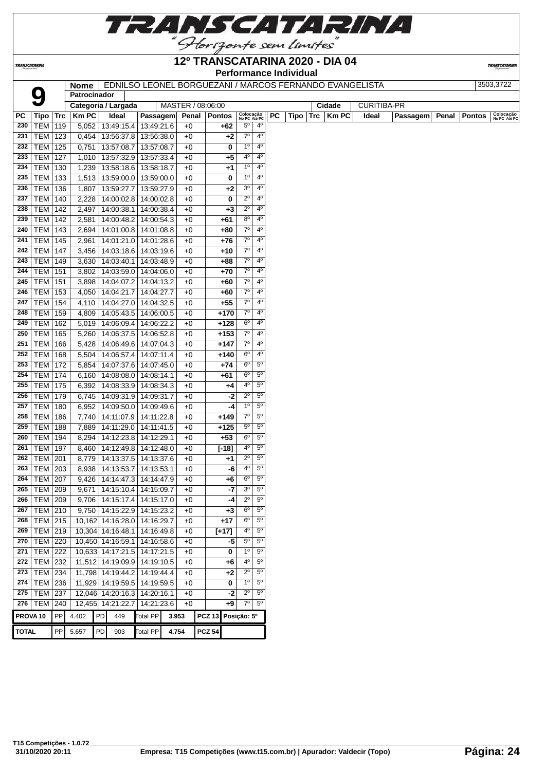

**TRANSCATARINA** 

# **12º TRANSCATARINA 2020 - DIA 04**

**TRANSCATARIN** 

|     |                     |     |              |                                 |                         |                   | <b>Performance Individual</b> |                        |                           |                                                         |              |                    |                 |                        |
|-----|---------------------|-----|--------------|---------------------------------|-------------------------|-------------------|-------------------------------|------------------------|---------------------------|---------------------------------------------------------|--------------|--------------------|-----------------|------------------------|
|     |                     |     | <b>Nome</b>  |                                 |                         |                   |                               |                        |                           | EDNILSO LEONEL BORGUEZANI / MARCOS FERNANDO EVANGELISTA |              |                    |                 |                        |
|     | 9                   |     | Patrocinador |                                 |                         |                   |                               |                        |                           |                                                         |              |                    |                 |                        |
|     |                     |     |              | Categoria / Largada             |                         | MASTER / 08:06:00 |                               |                        |                           |                                                         | Cidade       | <b>CURITIBA-PR</b> |                 |                        |
| PC  | Tipo                | Trc | <b>KmPC</b>  | Ideal                           | Passagem                | Penal             | <b>Pontos</b>                 |                        | Colocação<br>No PC Até PC | PC<br>Tipo<br><b>Trc</b>                                | <b>Km PC</b> | Ideal              | <b>Passagem</b> | Penal<br><b>Pontos</b> |
| 230 | TEM                 | 119 | 5,052        |                                 | 13:49:15.4   13:49:21.6 | $+0$              | +62                           | $5^{\circ}$            | 4 <sup>0</sup>            |                                                         |              |                    |                 |                        |
| 231 | TEM                 | 123 | 0,454        |                                 | 13:56:37.8   13:56:38.0 | $+0$              | $+2$                          | $7^\circ$              | $4^{\circ}$               |                                                         |              |                    |                 |                        |
| 232 | <b>TEM</b>          | 125 | 0,751        | 13:57:08.7                      | 13:57:08.7              | $+0$              | 0                             | 1 <sup>0</sup>         | 4 <sup>0</sup>            |                                                         |              |                    |                 |                        |
| 233 | TEM                 | 127 | 1,010        | 13:57:32.9                      | 13:57:33.4              | $+0$              | $+5$                          | 4 <sup>0</sup>         | 4 <sup>0</sup>            |                                                         |              |                    |                 |                        |
| 234 | TEM                 | 130 | 1,239        |                                 | 13:58:18.6 13:58:18.7   | $+0$              | $+1$                          | $1^{\circ}$            | $4^{\circ}$               |                                                         |              |                    |                 |                        |
| 235 | <b>TEM</b>          | 133 | 1,513        |                                 | 13:59:00.0   13:59:00.0 | $+0$              | 0                             | $1^{\circ}$            | $4^{\circ}$               |                                                         |              |                    |                 |                        |
| 236 | TEM                 | 136 | 1,807        | 13:59:27.7                      | 13:59:27.9              | $+0$              | $+2$                          | 3 <sup>o</sup>         | $4^{\circ}$               |                                                         |              |                    |                 |                        |
| 237 | <b>TEM</b>          | 140 | 2,228        | 14:00:02.8                      | 14:00:02.8              | $+0$              | 0                             | $2^{\circ}$            | 4 <sup>0</sup>            |                                                         |              |                    |                 |                        |
| 238 | TEM                 | 142 | 2,497        | 14:00:38.1                      | 14:00:38.4              | $+0$              | $+3$                          | $2^{\circ}$            | $4^{\circ}$               |                                                         |              |                    |                 |                        |
| 239 | TEM                 | 142 | 2,581        |                                 | 14:00:48.2   14:00:54.3 | $+0$              | +61                           | $8^{\circ}$            | $4^{\circ}$               |                                                         |              |                    |                 |                        |
| 240 | TEM                 | 143 | 2,694        | 14:01:00.8                      | 14:01:08.8              | $+0$              | +80                           | $7^\circ$              | $4^{\circ}$               |                                                         |              |                    |                 |                        |
| 241 | TEM                 | 145 | 2,961        | 14:01:21.0                      | 14:01:28.6              | $+0$              | $+76$                         | $7^{\circ}$            | 4 <sup>0</sup>            |                                                         |              |                    |                 |                        |
| 242 | <b>TEM 147</b>      |     | 3,456        |                                 | 14:03:18.6   14:03:19.6 | $+0$              | +10                           | $7^{\circ}$            | 4 <sup>0</sup>            |                                                         |              |                    |                 |                        |
| 243 | <b>TEM 149</b>      |     |              | 3,630   14:03:40.1   14:03:48.9 |                         | $+0$              | +88                           | 70                     | $4^{\circ}$               |                                                         |              |                    |                 |                        |
| 244 | TEM                 | 151 | 3,802        |                                 | 14:03:59.0   14:04:06.0 | $+0$              | $+70$                         | $7^\circ$              | $4^{\circ}$               |                                                         |              |                    |                 |                        |
| 245 | TEM                 |     |              |                                 |                         |                   |                               | $7^\circ$              | $4^{\circ}$               |                                                         |              |                    |                 |                        |
|     |                     | 151 | 3,898        | 14:04:07.2                      | 14:04:13.2              | $+0$              | +60                           | $7^{\circ}$            | 4 <sup>0</sup>            |                                                         |              |                    |                 |                        |
| 246 | TEM                 | 153 | 4,050        | 14:04:21.7                      | 14:04:27.7              | $+0$              | +60                           |                        |                           |                                                         |              |                    |                 |                        |
| 247 | TEM                 | 154 | 4,110        |                                 | 14:04:27.0   14:04:32.5 | $+0$              | $+55$                         | 70                     | $4^{\circ}$               |                                                         |              |                    |                 |                        |
| 248 | TEM                 | 159 | 4,809        |                                 | 14:05:43.5   14:06:00.5 | $+0$              | +170                          | $7^\circ$              | $4^{\circ}$               |                                                         |              |                    |                 |                        |
| 249 | <b>TEM</b>          | 162 | 5,019        | 14:06:09.4                      | 14:06:22.2              | $+0$              | +128                          | $6^{\circ}$            | $4^{\circ}$               |                                                         |              |                    |                 |                        |
| 250 | TEM                 | 165 | 5,260        | 14:06:37.5                      | 14:06:52.8              | $+0$              | +153                          | 7 <sup>o</sup>         | 4 <sup>0</sup>            |                                                         |              |                    |                 |                        |
| 251 | TEM                 | 166 | 5,428        |                                 | 14:06:49.6   14:07:04.3 | $+0$              | +147                          | $7^\circ$              | 4 <sup>0</sup>            |                                                         |              |                    |                 |                        |
| 252 | <b>TEM</b>          | 168 | 5,504        | 14:06:57.4                      | 14:07:11.4              | $+0$              | +140                          | $6^{\circ}$            | $4^{\circ}$               |                                                         |              |                    |                 |                        |
| 253 | TEM                 | 172 | 5,854        |                                 | 14:07:37.6   14:07:45.0 | $+0$              | $+74$                         | $6^{\circ}$            | $5^{\circ}$               |                                                         |              |                    |                 |                        |
| 254 | <b>TEM 174</b>      |     | 6,160        |                                 | 14:08:08.0   14:08:14.1 | $+0$              | +61                           | $6^{\circ}$            | $5^{\circ}$               |                                                         |              |                    |                 |                        |
| 255 | TEM                 | 175 | 6,392        |                                 | 14:08:33.9 14:08:34.3   | $+0$              | +4                            | 4°                     | $5^{\circ}$               |                                                         |              |                    |                 |                        |
| 256 | TEM                 | 179 | 6,745        |                                 | 14:09:31.9   14:09:31.7 | $+0$              |                               | $2^{\circ}$<br>-2      | 5 <sup>0</sup>            |                                                         |              |                    |                 |                        |
| 257 | TEM                 | 180 | 6,952        |                                 | 14:09:50.0   14:09:49.6 | $+0$              |                               | 1 <sup>0</sup><br>-4   | $5^{\circ}$               |                                                         |              |                    |                 |                        |
| 258 | <b>TEM</b>          | 186 | 7,740        | 14:11:07.9                      | 14:11:22.8              | $+0$              | +149                          | $7^\circ$              | 5 <sup>0</sup>            |                                                         |              |                    |                 |                        |
| 259 | TEM                 | 188 | 7,889        | 14:11:29.0                      | 14:11:41.5              | $+0$              | $+125$                        | $5^{\circ}$            | 5 <sup>o</sup>            |                                                         |              |                    |                 |                        |
| 260 | TEM                 | 194 | 8,294        | 14:12:23.8                      | 14:12:29.1              | $+0$              | $+53$                         | 6 <sup>o</sup>         | $5^{\circ}$               |                                                         |              |                    |                 |                        |
| 261 | TEM                 | 197 | 8,460        | 14:12:49.8                      | 14:12:48.0              | $+0$              | $[-18]$                       | 4º                     | 5 <sup>0</sup>            |                                                         |              |                    |                 |                        |
| 262 | TEM                 | 201 | 8,779        |                                 | 14:13:37.5   14:13:37.6 | $+0$              | $+1$                          | $2^{\circ}$            | 5 <sup>0</sup>            |                                                         |              |                    |                 |                        |
| 263 | TEM 203             |     | 8,938        |                                 | 14:13:53.7   14:13:53.1 | $+0$              |                               | 40<br>-6               | 5 <sup>o</sup>            |                                                         |              |                    |                 |                        |
|     | 264 TEM 207         |     |              | 9,426 14:14:47.3 14:14:47.9     |                         | $+0$              | $+6$                          | $6^{\circ}$            | 5 <sup>0</sup>            |                                                         |              |                    |                 |                        |
|     | 265   TEM   209     |     |              | 9,671   14:15:10.4   14:15:09.7 |                         | $+0$              |                               | 3 <sup>o</sup><br>$-7$ | $5^{\circ}$               |                                                         |              |                    |                 |                        |
| 266 | <b>TEM 209</b>      |     |              | 9,706   14:15:17.4   14:15:17.0 |                         | $+0$              |                               | $2^{\circ}$<br>-4      | $5^{\circ}$               |                                                         |              |                    |                 |                        |
| 267 | $TEM$ 210           |     |              | 9,750   14:15:22.9   14:15:23.2 |                         | $+0$              | $+3$                          | $6^{\circ}$            | 5 <sup>o</sup>            |                                                         |              |                    |                 |                        |
| 268 | $TEM$ 215           |     |              | 10,162 14:16:28.0 14:16:29.7    |                         | $+0$              | $+17$                         | $6^{\circ}$            | $5^{\circ}$               |                                                         |              |                    |                 |                        |
|     | 269   TEM   219     |     |              | 10,304 14:16:48.1 14:16:49.8    |                         | $+0$              | $[+17]$                       | 4 <sup>0</sup>         | 5 <sup>o</sup>            |                                                         |              |                    |                 |                        |
|     | 270   TEM   220     |     |              | 10,450 14:16:59.1 14:16:58.6    |                         | $+0$              |                               | $5^{\circ}$<br>-5      | $5^{\circ}$               |                                                         |              |                    |                 |                        |
|     | 271 TEM 222         |     |              | 10,633 14:17:21.5 14:17:21.5    |                         | $+0$              | 0                             | 1 <sup>0</sup>         | $5^{\circ}$               |                                                         |              |                    |                 |                        |
|     | 272   TEM   232     |     |              | 11,512 14:19:09.9 14:19:10.5    |                         | $+0$              | $+6$                          | 4 <sup>0</sup>         | $5^{\circ}$               |                                                         |              |                    |                 |                        |
| 273 | <b>TEM</b> 234      |     |              | 11,798 14:19:44.2 14:19:44.4    |                         | $+0$              | $+2$                          | $2^{\circ}$            | 5 <sup>o</sup>            |                                                         |              |                    |                 |                        |
| 274 | <b>TEM 236</b>      |     |              | 11,929 14:19:59.5 14:19:59.5    |                         | $+0$              |                               | 1 <sup>o</sup>         | 5 <sup>o</sup>            |                                                         |              |                    |                 |                        |
|     | 275   TEM   237     |     |              | 12,046 14:20:16.3 14:20:16.1    |                         | $+0$              |                               | 0<br>$2^{\circ}$<br>-2 | $5^{\circ}$               |                                                         |              |                    |                 |                        |
|     | 276 TEM 240         |     |              |                                 |                         | $+0$              |                               | $7^\circ$              | $5^{\circ}$               |                                                         |              |                    |                 |                        |
|     |                     |     |              | 12,455 14:21:22.7 14:21:23.6    |                         |                   |                               | +9                     |                           |                                                         |              |                    |                 |                        |
|     | PROVA <sub>10</sub> | PP  | 4.402        | PD<br>449                       | <b>Total PP</b>         | 3.953             | PCZ 13 Posição: 5º            |                        |                           |                                                         |              |                    |                 |                        |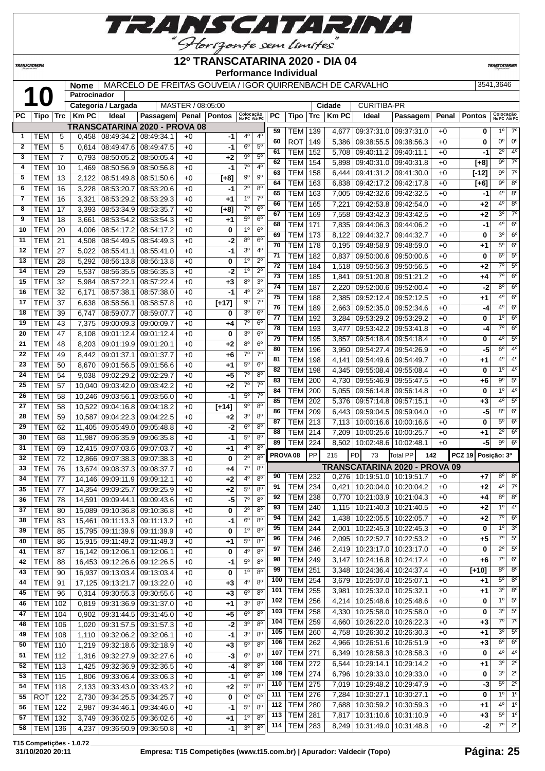

#### TRANSCATARINA

#### **12º TRANSCATARINA 2020 - DIA 04 Performance Individual**

**TRANSCATARIN** 

**Nome** MARCELO DE FREITAS GOUVEIA / IGOR QUIRRENBACH DE CARVALHO 3541,3646

|              |                             |                | Patrocinador   |                              |                                      |                   |               |                                  |                               |                     |                                  |                 |                |                                                    |                               |              |               |                            |                |
|--------------|-----------------------------|----------------|----------------|------------------------------|--------------------------------------|-------------------|---------------|----------------------------------|-------------------------------|---------------------|----------------------------------|-----------------|----------------|----------------------------------------------------|-------------------------------|--------------|---------------|----------------------------|----------------|
|              |                             |                |                | Categoria / Largada          |                                      | MASTER / 08:05:00 |               |                                  |                               |                     |                                  |                 | Cidade         | <b>CURITIBA-PR</b>                                 |                               |              |               |                            |                |
| РC           | Tipo                        | <b>Trc</b>     | <b>Km PC</b>   | Ideal                        | Passagem                             | Penal             | <b>Pontos</b> | Colocação<br>No PC Até PC        |                               | PC                  | <b>Tipo</b>                      | Trc             | <b>Km PC</b>   | Ideal                                              | Passagem                      | Penal        | <b>Pontos</b> | Colocação<br>No PC Até PC  |                |
|              |                             |                |                |                              | <b>TRANSCATARINA 2020 - PROVA 08</b> |                   |               |                                  |                               | 59                  | TEM                              | 139             | 4,677          | 09:37:31.0                                         | 09:37:31.0                    | $+0$         | 0             | $1^{\circ}$                | $7^\circ$      |
| 1            | TEM                         | 5              | 0,458          | 08:49:34.2                   | 08:49:34.1                           | $+0$              | -1            | 4°                               | 4 <sup>0</sup>                | 60                  | <b>ROT</b>                       | 149             | 5,386          | 09:38:55.5                                         | 09:38:56.3                    | $+0$         | 0             | $0^{\circ}$                | $0^{\circ}$    |
| $\mathbf{2}$ | <b>TEM</b>                  | 5              | 0,614          | 08:49:47.6                   | 08:49:47.5                           | $+0$              | $-1$          | $6^{\circ}$                      | $5^{\circ}$                   | 61                  | <b>TEM</b>                       | 152             | 5,708          | 09:40:11.2                                         | 09:40:11.1                    | $+0$         | -1            | $2^{\circ}$                | $4^{\circ}$    |
| 3            | <b>TEM</b>                  | $\overline{7}$ | 0,793          | 08:50:05.2                   | 08:50:05.4                           | $+0$              | $+2$          | 90                               | $5^{\circ}$                   | 62                  | <b>TEM</b>                       | 154             | 5,898          | 09:40:31.0                                         | 09:40:31.8                    | $+0$         | $[+8]$        | $9^{\circ}$                | $7^\circ$      |
| 4            | <b>TEM</b>                  | 10             | 1,469          | 08:50:56.9                   | 08:50:56.8                           | $+0$              | -1            | $7^\circ$                        | $4^{\circ}$                   | 63                  | <b>TEM</b>                       | 158             | 6,444          | 09:41:31.2                                         | 09:41:30.0                    | $+0$         | $[-12]$       | 9°                         | $7^\circ$      |
| 5            | <b>TEM</b>                  | 13             | 2,122          | 08:51:49.8                   | 08:51:50.6                           | $+0$              | $[+8]$        | $9^{\circ}$                      | 9 <sup>o</sup>                | 64                  | <b>TEM</b>                       | 163             | 6,838          | 09:42:17.2                                         | 09:42:17.8                    | $+0$         | $[+6]$        | $\overline{9^{\circ}}$     | $8^{\circ}$    |
| 6            | <b>TEM</b>                  | 16             | 3,228          | 08:53:20.7                   | 08:53:20.6                           | $+0$              | -1            | $2^{\circ}$                      | 8 <sup>o</sup>                | 65                  | <b>TEM</b>                       | 163             |                |                                                    |                               |              | -1            | $4^{\circ}$                | $8^{\circ}$    |
| 7            | <b>TEM</b>                  | 16             | 3,321          | 08:53:29.2                   | 08:53:29.3                           | $+0$              | $+1$          | 1 <sup>0</sup>                   | $7^{\circ}$                   | 66                  | <b>TEM</b>                       | 165             | 7,005          | 09:42:32.6                                         | 09:42:32.5<br>09:42:54.0      | $+0$         |               | $4^{\circ}$                | $8^{\circ}$    |
| 8            | <b>TEM</b>                  | 17             | 3,393          | 08:53:34.9                   | 08:53:35.7                           | $+0$              | $[+8]$        | $7^\circ$                        | 6 <sup>o</sup>                |                     |                                  |                 | 7,221          | 09:42:53.8                                         |                               | $+0$         | +2            | 30                         | $7^\circ$      |
| 9            | <b>TEM</b>                  | 18             | 3,661          | 08:53:54.2                   | 08:53:54.3                           | $+0$              | $+1$          | $5^{\circ}$                      | 6 <sup>o</sup>                | 67                  | <b>TEM</b>                       | 169             | 7,558          | 09:43:42.3                                         | 09:43:42.5                    | $+0$         | +2            | $4^{\circ}$                | $6^{\circ}$    |
| 10           | <b>TEM</b>                  | 20             | 4,006          | 08:54:17.2                   | 08:54:17.2                           | $+0$              | 0             | 1 <sup>0</sup>                   | 6 <sup>o</sup>                | 68                  | <b>TEM</b>                       | $\frac{1}{171}$ | 7,835          | 09:44:06.3                                         | 09:44:06.2                    | $+0$         | $-1$          | 3 <sup>0</sup>             | $6^{\circ}$    |
| 11           | <b>TEM</b>                  | 21             | 4,508          | 08:54:49.5                   | 08:54:49.3                           | $+0$              | -2            | 8 <sup>o</sup>                   | 6 <sup>o</sup>                | 69                  | <b>TEM</b>                       | 173             | 8,122          | 09:44:32.7                                         | 09:44:32.7                    | $+0$         | 0             | $5^{\circ}$                |                |
| 12           | <b>TEM</b>                  | 27             | 5,022          | 08:55:41.1                   | 08:55:41.0                           | $+0$              | $-1$          | $3^{\circ}$                      | $4^{\circ}$                   | 70                  | <b>TEM</b>                       | 178             | 0,195          | 09:48:58.9                                         | 09:48:59.0                    | $+0$         | +1            |                            | $6^{\circ}$    |
| 13           | <b>TEM</b>                  | 28             | 5,292          | 08:56:13.8                   | 08:56:13.8                           | $+0$              | 0             | 1 <sup>0</sup>                   | $2^{\circ}$                   | 71                  | <b>TEM</b>                       | 182             | 0,837          | 09:50:00.6                                         | 09:50:00.6                    | $+0$         | 0             | $6^{\circ}$                | $5^\circ$      |
| 14           | <b>TEM</b>                  | 29             | 5,537          | 08:56:35.5                   | 08:56:35.3                           | $+0$              | -2            | 1 <sup>0</sup>                   | $2^{\circ}$                   | 72                  | <b>TEM</b>                       | 184             | 1,518          | 09:50:56.3                                         | 09:50:56.5                    | $+0$         | +2            | $7^\circ$                  | $5^{\circ}$    |
| 15           | <b>TEM</b>                  | 32             | 5,984          | 08:57:22.1                   | 08:57:22.4                           | $+0$              | $+3$          | 8 <sup>o</sup>                   | 3 <sup>o</sup>                | $\overline{73}$     | <b>TEM</b>                       | 185             | 1,841          | 09:51:20.8                                         | 09:51:21.2                    | $+0$         | $+4$          | $\overline{7^{\circ}}$     | $6^{\circ}$    |
| 16           | <b>TEM</b>                  | 32             | 6,171          | 08:57:38.1                   | 08:57:38.0                           | $+0$              | -1            | 4 <sup>0</sup>                   | 2 <sup>0</sup>                | 74                  | <b>TEM</b>                       | 187             | 2,220          | 09:52:00.6                                         | 09:52:00.4                    | $+0$         | $-2$          | $8^{\circ}$                | $6^{\circ}$    |
| 17           | <b>TEM</b>                  | 37             | 6,638          | 08:58:56.1                   | 08:58:57.8                           | $+0$              | $[+17]$       | $9^{\circ}$                      | 7 <sup>0</sup>                | 75                  | <b>TEM</b>                       | 188             | 2,385          | 09:52:12.4                                         | 09:52:12.5                    | $+0$         | +1            | $4^{\circ}$                | $6^{\circ}$    |
| 18           | <b>TEM</b>                  | 39             | 6,747          | 08:59:07.7                   | 08:59:07.7                           | $+0$              | 0             | 3 <sup>o</sup>                   | 6 <sup>o</sup>                | 76                  | <b>TEM</b>                       | 189             | 2,663          | 09:52:35.0                                         | 09:52:34.6                    | $+0$         | -4            | $4^{\circ}$                | $6^{\circ}$    |
| 19           | <b>TEM</b>                  | 43             | 7,375          | 09:00:09.3                   | 09:00:09.7                           | $+0$              | +4            | $7^\circ$                        | 6 <sup>o</sup>                | 77                  | <b>TEM</b>                       | 192             | 3,284          | 09:53:29.2                                         | 09:53:29.2                    | $+0$         | 0             | 10                         | $6^{\circ}$    |
| 20           | <b>TEM</b>                  | 47             | 8,108          | 09:01:12.4                   | 09:01:12.4                           | $+0$              | 0             | 3 <sup>o</sup>                   | 6 <sup>o</sup>                | 78                  | <b>TEM</b>                       | 193             | 3,477          | 09:53:42.2                                         | 09:53:41.8                    | $+0$         | $-4$          | $7^\circ$                  | $6^{\circ}$    |
| 21           | <b>TEM</b>                  | 48             | 8,203          | 09:01:19.9                   | 09:01:20.1                           | $+0$              | $+2$          | $8^{\circ}$                      | 6 <sup>o</sup>                | 79                  | <b>TEM</b>                       | 195             | 3,857          | 09:54:18.4                                         | 09:54:18.4                    | $+0$         | 0             | 4 <sup>0</sup>             | $5^{\circ}$    |
| 22           | <b>TEM</b>                  | 49             | 8,442          | 09:01:37.1                   | 09:01:37.7                           | $+0$              | $+6$          | $7^\circ$                        | $7^{\circ}$                   | 80                  | <b>TEM</b>                       | 196             | 3,950          | 09:54:27.4                                         | 09:54:26.9                    | $+0$         | -5            | $6^{\circ}$                | $4^{\circ}$    |
| 23           | <b>TEM</b>                  | 50             | 8,670          | 09:01:56.5                   | 09:01:56.6                           | $+0$              | $+1$          | $5^{\circ}$                      | 6 <sup>o</sup>                | 81                  | <b>TEM</b>                       | 198             | 4,141          | 09:54:49.6                                         | 09:54:49.7                    | $+0$         | +1            | 4°                         | $4^{\circ}$    |
| 24           | <b>TEM</b>                  | 54             |                |                              |                                      |                   |               | $7^\circ$                        | $8^{\circ}$                   | 82                  | <b>TEM</b>                       | 198             | 4,345          | 09:55:08.4                                         | 09:55:08.4                    | $+0$         | 0             | 10                         | $4^{\circ}$    |
|              |                             |                | 9,038          | 09:02:29.2                   | 09:02:29.7                           | $+0$              | $+5$          | $7^\circ$                        | 7 <sup>o</sup>                | 83                  | <b>TEM</b>                       | 200             | 4,730          | 09:55:46.9                                         | 09:55:47.5                    | $+0$         | +6            | $9^{\circ}$                | $5^{\circ}$    |
| 25           | <b>TEM</b>                  | 57             | 10,040         | 09:03:42.0                   | 09:03:42.2                           | $+0$              | $+2$          |                                  |                               | 84                  | <b>TEM</b>                       | 200             | 5,055          | 09:56:14.8                                         | 09:56:14.8                    | $+0$         | 0             | 1 <sup>°</sup>             | $4^{\circ}$    |
| 26           | <b>TEM</b>                  | 58             | 10,246         | 09:03:56.1                   | 09:03:56.0                           | $+0$              | $-1$          | $5^{\circ}$                      | $7^{\circ}$                   | 85                  | <b>TEM</b>                       | 202             | 5,376          | 09:57:14.8                                         | 09:57:15.1                    | $+0$         | +3            | $4^{\circ}$                | $5^\circ$      |
| 27           | <b>TEM</b>                  | 58             | 10,522         | 09:04:16.8                   | 09:04:18.2                           | $+0$              | $[+14]$       | $9^{\circ}$                      | $8^{\circ}$                   | 86                  | <b>TEM</b>                       | 209             | 6,443          | 09:59:04.5                                         | 09:59:04.0                    | $+0$         | -5            | $8^{\circ}$                | $6^{\circ}$    |
| 28           | <b>TEM</b>                  | 59             | 10,587         | 09:04:22.3                   | 09:04:22.5                           | $+0$              | $+2$          | 3 <sup>o</sup>                   | 8 <sup>o</sup>                | 87                  | <b>TEM</b>                       | 213             | 7,113          | 10:00:16.6                                         | 10:00:16.6                    | $+0$         | 0             | $5^{\circ}$                | $6^{\circ}$    |
| 29           | <b>TEM</b>                  | 62             | 11,405         | 09:05:49.0                   | 09:05:48.8                           | $+0$              | -2            | 6 <sup>o</sup>                   | 8 <sup>o</sup>                | 88                  | <b>TEM</b>                       | 214             | 7,209          | 10:00:25.6                                         | 10:00:25.7                    | $+0$         | +1            | $2^{\circ}$                | $6^{\circ}$    |
| 30           | <b>TEM</b>                  | 68             | 11,987         | 09:06:35.9                   | 09:06:35.8                           | $+0$              | -1            | 5°                               | $8^{\circ}$                   | 89                  | TEM                              | 224             | 8,502          | 10:02:48.6                                         | 10:02:48.1                    | $+0$         | -5            | $9^{\circ}$                | $6^{\circ}$    |
| 31           | <b>TEM</b>                  | 69             | 12,415         | 09:07:03.6                   | 09:07:03.7                           | $+0$              | $+1$          | 4º                               | $8^{\circ}$                   | PROVA <sub>08</sub> |                                  | PP              | 215            | PD<br>73                                           | Total PP<br>142               |              | <b>PCZ 19</b> | Posição: 3º                |                |
| 32           | <b>TEM</b>                  | 72             | 12,866         | 09:07:38.3                   | 09:07:38.3                           | $+0$              | 0             | $2^{\circ}$                      | $8^{\circ}$                   |                     |                                  |                 |                |                                                    |                               |              |               |                            |                |
| 33           | <b>TEM</b>                  | 76             | 13,674         | 09:08:37.3                   | 09:08:37.7                           | $+0$              | +4            | $7^\circ$                        | 8 <sup>o</sup>                |                     |                                  |                 |                |                                                    | TRANSCATARINA 2020 - PROVA 09 |              |               |                            |                |
| 34           | <b>TEM</b>                  | 77             | 14.146         | 09:09:11.9                   | 09:09:12.1                           | $+0$              | $+2$          | 4°                               | $8^{\circ}$                   | 90                  | TEM                              | 232             | 0,276          | 10:19:51.0   10:19:51.7                            |                               | $+0$         | +7            | $8^{\circ}$<br>$4^{\circ}$ | $8^{\circ}$    |
| 35           | <b>TEM</b>                  | 77             | 14,354         | 09:09:25.7                   | 09:09:25.9                           | $+0$              | $+2$          | $5^{\circ}$                      | $8^{\circ}$                   | 91                  | TEM                              | 234             | 0,421          | 10:20:04.0                                         | 10:20:04.2                    | $+0$         | +2            |                            | $7^\circ$      |
| 36           | <b>TEM</b>                  | 78             |                | 14,591 09:09:44.1            | 09:09:43.6                           | $+0$              | -5            | 70                               | 8 <sup>0</sup>                | 92                  | TEM                              | 238             | 0,770          | 10:21:03.9   10:21:04.3                            |                               | $+0$         | +4            | $8^{\circ}$                | $8^{\circ}$    |
| 37           | <b>TEM</b>                  | 80             |                | 15,089 09:10:36.8 09:10:36.8 |                                      | $+0$              | 0             | $2^{\circ}$                      | 8 <sup>o</sup>                | 93                  | <b>TEM 240</b>                   |                 |                | 1,115   10:21:40.3   10:21:40.5                    |                               | $+0$         | +2            | $1^{\overline{0}}$         | 4 <sup>0</sup> |
| 38           | <b>TEM</b>                  | 83             |                | 15,461 09:11:13.3 09:11:13.2 |                                      | $+0$              | -1            | $6^{\circ}$                      | 8 <sup>o</sup>                | 94                  | <b>TEM 242</b>                   |                 | 1,438          | 10:22:05.5 10:22:05.7                              |                               | $+0$         | $+2$          | $7^\circ$                  | 6 <sup>o</sup> |
| 39           | <b>TEM</b>                  | 85             |                | 15,795 09:11:39.9 09:11:39.9 |                                      | $+0$              | 0             | $1^{\circ}$                      | $8^{\circ}$                   | 95                  | <b>TEM 244</b>                   |                 | 2,001          | 10:22:45.3   10:22:45.3                            |                               | $+0$         | 0             | 1 <sup>0</sup>             | $3^{\circ}$    |
| 40           | <b>TEM</b>                  | 86             |                | 15,915 09:11:49.2            | 09:11:49.3                           | $+0$              | +1            | $5^{\circ}$                      | $8^{\circ}$                   | 96                  | <b>TEM 246</b>                   |                 | 2,095          | 10:22:52.7   10:22:53.2                            |                               | $+0$         | +5            | $7^\circ$                  | $5^\circ$      |
| 41           | <b>TEM</b>                  | 87             |                | 16,142 09:12:06.1            | 09:12:06.1                           | $+0$              | 0             | 4°                               | $8^{\circ}$                   | 97                  | <b>TEM 246</b>                   |                 | 2,419          | 10:23:17.0   10:23:17.0                            |                               | $+0$         | 0             | $2^{\circ}$                | $5^{\circ}$    |
| 42           | <b>TEM</b>                  | 88             |                | 16,453 09:12:26.6            | 09:12:26.5                           | $+0$              | -1            | $5^{\circ}$                      | 8 <sup>o</sup>                | 98                  | <b>TEM 249</b>                   |                 | 3,147          | 10:24:16.8 10:24:17.4                              |                               | $+0$         | +6            | $7^\circ$                  | 6 <sup>o</sup> |
| 43           | <b>TEM</b>                  | 90             |                |                              | 16,937 09:13:03.4 09:13:03.4         | $+0$              | 0             | 1 <sup>0</sup>                   | 8 <sup>o</sup>                | 99                  | <b>TEM 251</b>                   |                 | 3,348          | 10:24:36.4   10:24:37.4                            |                               | $+0$         | $[+10]$       | $8^{\circ}$                | $8^{\circ}$    |
| 44           | <b>TEM</b>                  | 91             |                | 17,125 09:13:21.7            | 09:13:22.0                           | $+0$              | $+3$          | 4°                               | $8^{\circ}$                   | 100                 | $TEM$ 254                        |                 | 3,679          | $10:25:07.0$ 10:25:07.1                            |                               | $+0$         | +1            | $5^{\circ}$                | $8^{\circ}$    |
| 45           | <b>TEM</b>                  | 96             | 0,314          |                              | 09:30:55.3 09:30:55.6                | $+0$              | $+3$          | $6^{\circ}$                      | 8 <sup>o</sup>                | 101                 | <b>TEM</b>                       | 255             | 3,981          | 10:25:32.0   10:25:32.1                            |                               | $+0$         | +1            | $3^{\circ}$                | $8^{\circ}$    |
| 46           | <b>TEM</b>                  | 102            | 0,819          |                              | 09:31:36.9 09:31:37.0                | $+0$              | $+1$          | 3 <sup>o</sup>                   | 8 <sup>o</sup>                | 102                 | <b>TEM</b>                       | 256             | 4,214          | 10:25:48.6   10:25:48.6                            |                               | $+0$         | 0             | 10                         | $5^\circ$      |
| 47           | TEM                         | 104            | 0,902          |                              | 09:31:44.5 09:31:45.0                | $+0$              | $+5$          | 6 <sup>o</sup>                   | $8^{\circ}$                   | 103                 | <b>TEM</b>                       | 258             | 4,330          | 10:25:58.0                                         | 10:25:58.0                    | $+0$         | 0             | $3^{\circ}$                | $5^\circ$      |
| 48           | <b>TEM   106</b>            |                | 1,020          | 09:31:57.5 09:31:57.3        |                                      | $+0$              | $-2$          | 3 <sup>0</sup>                   | $8^{\circ}$                   | 104                 | <b>TEM 259</b>                   |                 | 4,660          | 10:26:22.0   10:26:22.3                            |                               | $+0$         | $+3$          | $7^\circ$                  | $7^\circ$      |
| 49           | <b>TEM   108</b>            |                | 1,110          | 09:32:06.2 09:32:06.1        |                                      | $+0$              | -1            | 3 <sup>o</sup>                   | 8 <sup>o</sup>                | 105                 | <b>TEM 260</b>                   |                 | 4,758          | $\sqrt{10:26:30.2}$                                | 10:26:30.3                    | $+0$         | +1            | $3^{\circ}$                | $5^{\circ}$    |
| 50           | <b>TEM 110</b>              |                | 1,219          |                              | 09:32:18.6 09:32:18.9                | $+0$              | $+3$          | $5^{\circ}$                      | 8 <sup>o</sup>                | 106                 | <b>TEM 262</b>                   |                 | 4,966          | 10:26:51.6   10:26:51.9                            |                               | $+0$         | +3            | $6^{\circ}$                | $6^{\circ}$    |
| 51           | <b>TEM 112</b>              |                | 1,316          | 09:32:27.9 09:32:27.6        |                                      | $+0$              | $-3$          | 6 <sup>o</sup>                   | 8 <sup>o</sup>                | 107                 | <b>TEM 271</b>                   |                 | 6,349          | 10:28:58.3   10:28:58.3                            |                               | $+0$         | 0             | $4^{\circ}$                | 4 <sup>o</sup> |
| 52           | <b>TEM 113</b>              |                | 1,425          |                              | 09:32:36.9 09:32:36.5                | $+0$              | -4            | 8 <sup>o</sup>                   | 8 <sup>o</sup>                | 108                 | <b>TEM 272</b>                   |                 | 6,544          | 10:29:14.1   10:29:14.2                            |                               | $+0$         | +1            | $3^{\circ}$                | $2^{\circ}$    |
| 53           | <b>TEM 115</b>              |                | 1,806          |                              | 09:33:06.4   09:33:06.3              | $+0$              | -1            | $6^{\circ}$                      | $8^{\circ}$                   | 109                 | <b>TEM 274</b>                   |                 | 6,796          | 10:29:33.0   10:29:33.0                            |                               | $+0$         | 0             | $3^{\circ}$                | $2^{\circ}$    |
| 54           | <b>TEM 118</b>              |                | 2,133          |                              | 09:33:43.0 09:33:43.2                | $+0$              | $+2$          | $5^{\circ}$                      | $8^{\circ}$                   | 110                 | <b>TEM 275</b>                   |                 | 7,019          | 10:29:48.2 10:29:47.9                              |                               | $+0$         | -3            | $5^{\circ}$                | $2^{\circ}$    |
| 55           | ROT                         | 122            | 2,730          | 09:34:25.5                   | 09:34:25.7                           | $+0$              |               | $0^{\rm o}$                      | $0^{\circ}$                   | 111                 | <b>TEM</b>                       | 276             | 7,284          | 10:30:27.1   10:30:27.1                            |                               | $+0$         | 0             | 1 <sup>0</sup>             | $1^{\circ}$    |
|              |                             |                |                | 09:34:46.1                   | 09:34:46.0                           |                   | 0<br>$-1$     | $5^{\rm o}$                      | $8^{\circ}$                   | 112                 | <b>TEM 280</b>                   |                 | 7,688          | 10:30:59.2   10:30:59.3                            |                               | $+0$         | +1            | $4^{\circ}$                | 1 <sup>°</sup> |
| 56           | <b>TEM 122</b>              |                | 2,987          |                              |                                      | $+0$              |               |                                  |                               |                     |                                  |                 |                |                                                    |                               |              |               |                            |                |
|              |                             |                |                |                              |                                      |                   |               |                                  |                               |                     |                                  |                 |                |                                                    |                               |              |               | $5^{\circ}$                | $1^{\circ}$    |
| 57<br>58     | <b>TEM 132</b><br>TEM   136 |                | 3,749<br>4,237 | 09:36:50.9                   | 09:36:02.5 09:36:02.6<br>09:36:50.8  | $+0$<br>$+0$      | +1<br>$-1$    | 1 <sup>0</sup><br>3 <sup>o</sup> | $8^{\circ}$<br>8 <sup>o</sup> | 113<br>114          | <b>TEM 281</b><br><b>TEM 283</b> |                 | 7,817<br>8,249 | 10:31:10.6   10:31:10.9<br>10:31:49.0   10:31:48.8 |                               | $+0$<br>$+0$ | +3<br>$-2$    | $7^\circ$                  | $2^{\circ}$    |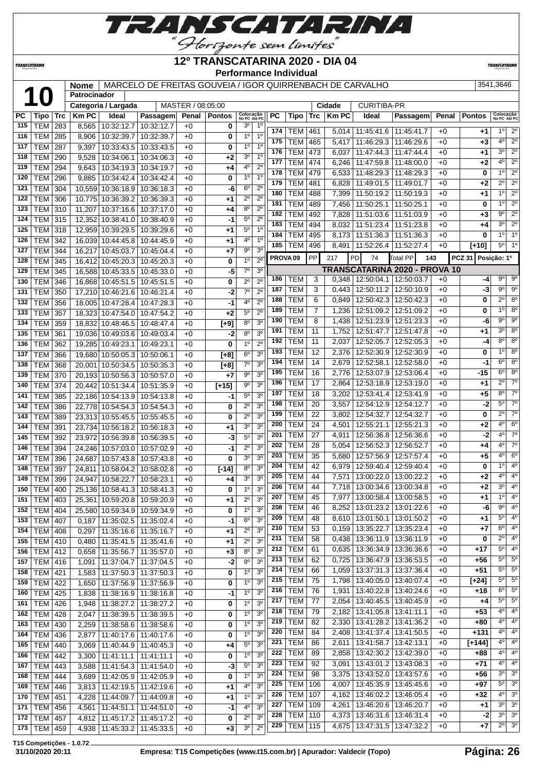

TRANSCATARINA

#### **12º TRANSCATARINA 2020 - DIA 04 Performance Individual**

**TRANSCATARIN** 

**Nome** MARCELO DE FREITAS GOUVEIA / IGOR QUIRRENBACH DE CARVALHO 3541,3646

|     |                  |     | Patrocinador |                     |                              |                   |               |                           |                  |     |                     |                |              |                                      |                         |       |                    |                           |                        |
|-----|------------------|-----|--------------|---------------------|------------------------------|-------------------|---------------|---------------------------|------------------|-----|---------------------|----------------|--------------|--------------------------------------|-------------------------|-------|--------------------|---------------------------|------------------------|
|     |                  |     |              | Categoria / Largada |                              | MASTER / 08:05:00 |               |                           |                  |     |                     |                | Cidade       | <b>CURITIBA-PR</b>                   |                         |       |                    |                           |                        |
| РC  | Tipo             | Trc | <b>Km PC</b> | Ideal               | Passagem                     | Penal             | <b>Pontos</b> | Colocação<br>No PC Até PC |                  | PC  | Tipo                | <b>Trc</b>     | <b>Km PC</b> | Ideal                                | Passagem                | Penal | Pontos             | Colocação<br>No PC Até PC |                        |
| 115 | <b>TEM</b>       | 283 | 8,565        | 10:32:12.7          | 10:32:12.7                   | $+0$              | 0             | $3^{\circ}$               | $1^{\circ}$      | 174 | TEM                 | 461            | 5,014        | 11:45:41.6                           | 11:45:41.7              | $+0$  | $+1$               | $1^{\circ}$               | $\overline{2^{\circ}}$ |
| 116 | <b>TEM</b>       | 285 | 8,906        | 10:32:39.7          | 10:32:39.7                   | $+0$              | 0             | 1 <sup>0</sup>            | 1 <sup>0</sup>   | 175 | TEM                 | 465            | 5,417        | 11:46:29.3                           | 11:46:29.6              | $+0$  | $+3$               | 4 <sup>o</sup>            | $\overline{2^{\circ}}$ |
| 117 | <b>TEM</b>       | 287 | 9,397        | 10:33:43.5          | 10:33:43.5                   | $+0$              | 0             | 1 <sup>0</sup>            | 1 <sup>0</sup>   | 176 | <b>TEM</b>          | 473            | 6,037        | 11:47:44.3                           | 11:47:44.4              | $+0$  | $+1$               | 3 <sup>0</sup>            | $2^{\circ}$            |
| 118 | <b>TEM</b>       | 290 | 9,528        | 10:34:06.1          | 10:34:06.3                   | $+0$              | +2            | 3 <sup>o</sup>            | 1 <sup>0</sup>   | 177 | <b>TEM</b>          | 474            | 6,246        | 11:47:59.8                           | 11:48:00.0              | $+0$  | $+2$               | 4 <sup>0</sup>            | $2^{\circ}$            |
| 119 | <b>TEM</b>       | 294 | 9,643        | 10:34:19.3          | 10:34:19.7                   | $+0$              | +4            | 4 <sup>o</sup>            | $2^{\circ}$      | 178 |                     |                |              |                                      |                         |       |                    | 10                        | $\overline{2^0}$       |
| 120 | <b>TEM</b>       | 296 | 9,885        | 10:34:42.4          | 10:34:42.4                   | $+0$              | 0             | 1 <sup>o</sup>            | 1 <sup>0</sup>   |     | <b>TEM</b>          | 479            | 6,533        | 11:48:29.3                           | 11:48:29.3              | $+0$  | 0                  |                           |                        |
| 121 | <b>TEM</b>       | 304 |              | 10,559 10:36:18.9   | 10:36:18.3                   | $+0$              | -6            | 6 <sup>o</sup>            | $\overline{2^0}$ | 179 | <b>TEM</b>          | 481            | 6,828        | 11:49:01.5                           | 11:49:01.7              | $+0$  | $+2$               | $\overline{2^{\circ}}$    | $\overline{2^0}$       |
| 122 | <b>TEM</b>       | 306 |              | 10,775 10:36:39.2   | 10:36:39.3                   | $+0$              | +1            | $2^{\circ}$               | $2^{\circ}$      | 180 | <b>TEM</b>          | 488            | 7,399        | 11:50:19.2                           | 11:50:19.3              | $+0$  | $+1$               | 1 <sup>0</sup>            | $2^{\circ}$            |
| 123 | <b>TEM</b>       | 310 | 11,207       | 10:37:16.6          | 10:37:17.0                   | $+0$              | $+4$          | $8^{\circ}$               | $2^{\circ}$      | 181 | <b>TEM</b>          | 489            | 7,456        | 11:50:25.1                           | 11:50:25.1              | $+0$  | 0                  | 1 <sup>0</sup>            | $2^{\circ}$            |
| 124 | <b>TEM</b>       | 315 | 12.352       | 10:38:41.0          | 10:38:40.9                   | $+0$              | -1            | $5^{\circ}$               | $\overline{2^0}$ | 182 | <b>TEM</b>          | 492            | 7,828        | 11:51:03.6                           | 11:51:03.9              | $+0$  | $+3$               | $9^{\circ}$               | $2^{\circ}$            |
| 125 | <b>TEM</b>       | 318 |              | 12,959 10:39:29.5   | 10:39:29.6                   | $+0$              | $+1$          | $5^{\circ}$               | 1 <sup>0</sup>   | 183 | <b>TEM</b>          | 494            | 8,032        | 11:51:23.4                           | 11:51:23.8              | $+0$  | $+4$               | 3 <sup>0</sup>            | $\overline{2^0}$       |
| 126 | <b>TEM</b>       | 342 |              | 16,039 10:44:45.8   | 10:44:45.9                   | $+0$              | $+1$          | 4°                        | 1 <sup>0</sup>   | 184 | <b>TEM</b>          | 495            | 8,173        | 11:51:36.3                           | 11:51:36.3              | $+0$  | 0                  | 1 <sup>0</sup>            | 1 <sup>0</sup>         |
|     |                  |     |              |                     |                              |                   |               | $9^{\circ}$               | 3 <sup>o</sup>   | 185 | <b>TEM</b>          | 496            | 8,491        | 11:52:26.4                           | 11:52:27.4              | $+0$  | $[+10]$            | $5^{\circ}$               | 1 <sup>0</sup>         |
| 127 | <b>TEM</b>       | 344 | 16,217       | 10:45:03.7          | 10:45:04.4                   | $+0$              | $+7$          |                           |                  |     | PROVA <sub>09</sub> | PP             | 217          | PD<br>74                             | Total PP                | 143   | <b>PCZ 31</b>      | Posição: 1º               |                        |
| 128 | <b>TEM</b>       | 345 | 16,412       | 10:45:20.3          | 10:45:20.3                   | $+0$              | 0             | 1 <sup>0</sup>            | $2^{\circ}$      |     |                     |                |              | <b>TRANSCATARINA 2020 - PROVA 10</b> |                         |       |                    |                           |                        |
| 129 | <b>TEM</b>       | 345 | 16.588       | 10:45:33.5          | 10:45:33.0                   | $+0$              | -5            | $7^\circ$                 | 3 <sup>o</sup>   | 186 |                     |                |              |                                      |                         |       |                    | $9^{\circ}$               | $9^{\circ}$            |
| 130 | <b>TEM</b>       | 346 |              | 16,868 10:45:51.5   | 10:45:51.5                   | $+0$              | 0             | $2^{\circ}$               | $2^{\circ}$      |     | TEM                 | 3              | 0,348        | 12:50:04.1                           | 12:50:03.7              | $+0$  | $-4$               | $9^{\circ}$               | $9^{\circ}$            |
| 131 | <b>TEM</b>       | 350 |              | 17,210 10:46:21.6   | 10:46:21.4                   | $+0$              | -2            | $7^\circ$                 | $2^{\circ}$      | 187 | TEM                 | 3              | 0,443        | 12:50:11.2                           | 12:50:10.9              | $+0$  | -3                 |                           |                        |
| 132 | <b>TEM</b>       | 356 | 18,005       | 10:47:28.4          | 10:47:28.3                   | $+0$              | -1            | 4 <sup>0</sup>            | $2^{\circ}$      | 188 | <b>TEM</b>          | 6              | 0,849        | 12:50:42.3                           | 12:50:42.3              | $+0$  | 0                  | $\overline{2^0}$          | 8 <sup>o</sup>         |
| 133 | <b>TEM</b>       | 357 | 18,323       | 10:47:54.0          | 10:47:54.2                   | $+0$              | $+2$          | 5 <sup>o</sup>            | $2^{\circ}$      | 189 | <b>TEM</b>          | $\overline{7}$ | 1,236        | 12:51:09.2                           | 12:51:09.2              | $+0$  | 0                  | 1 <sup>0</sup>            | 8 <sup>o</sup>         |
| 134 | <b>TEM</b>       | 359 | 18,832       | 10:48:46.5          | 10:48:47.4                   | $+0$              | $[+9]$        | 8 <sup>o</sup>            | 3 <sup>0</sup>   | 190 | TEM                 | 8              | 1,438        | 12:51:23.9                           | 12:51:23.3              | $+0$  | -6                 | $\overline{9^{\circ}}$    | $9^{\circ}$            |
| 135 | <b>TEM</b>       | 361 |              | 19,036 10:49:03.6   | 10:49:03.4                   | $+0$              | -2            | $8^{\circ}$               | 3 <sup>o</sup>   | 191 | TEM                 | 11             | 1,752        | 12:51:47.7                           | 12:51:47.8              | $+0$  | $+1$               | 3 <sup>0</sup>            | 8 <sup>o</sup>         |
| 136 | <b>TEM</b>       | 362 | 19,285       | 10:49:23.1          | 10:49:23.1                   | $+0$              | 0             | 1 <sup>0</sup>            | $2^{\circ}$      | 192 | <b>TEM</b>          | 11             | 2,037        | 12:52:05.7                           | 12:52:05.3              | $+0$  | -4                 | 8 <sup>o</sup>            | $8^{\circ}$            |
| 137 | <b>TEM</b>       | 366 | 19,680       | 10:50:05.3          | 10:50:06.1                   | $+0$              | $[+8]$        | 6 <sup>o</sup>            | 3 <sup>0</sup>   | 193 | <b>TEM</b>          | 12             | 2,376        | 12:52:30.9                           | 12:52:30.9              | $+0$  | 0                  | 1 <sup>0</sup>            | 8 <sup>o</sup>         |
| 138 | <b>TEM</b>       | 368 | 20,001       | 10:50:34.5          | 10:50:35.3                   | $+0$              | $[+8]$        | $7^\circ$                 | 3 <sup>o</sup>   | 194 | <b>TEM</b>          | 14             | 2,679        | 12:52:58.1                           | 12:52:58.0              | $+0$  | -1                 | $6^{\circ}$               | 8 <sup>o</sup>         |
| 139 | <b>TEM</b>       | 370 |              | 20,193 10:50:56.3   | 10:50:57.0                   | $+0$              | $+7$          | $9^{\circ}$               | 3 <sup>0</sup>   | 195 | <b>TEM</b>          | 16             | 2,776        | 12:53:07.9                           | 12:53:06.4              | $+0$  | $-15$              | $6^{\circ}$               | $8^{\circ}$            |
| 140 | <b>TEM</b>       | 374 |              | 20,442 10:51:34.4   | 10:51:35.9                   | $+0$              | $[+15]$       | $9^{\circ}$               | 3 <sup>o</sup>   | 196 | TEM                 | 17             | 2,864        | 12:53:18.9                           | 12:53:19.0              | $+0$  | +1                 | $\overline{2^0}$          | $7^\circ$              |
|     |                  |     |              |                     |                              |                   |               | $5^{\circ}$               | 3 <sup>o</sup>   | 197 | <b>TEM</b>          | 18             | 3,202        | 12:53:41.4                           | 12:53:41.9              | $+0$  | $+5$               | 8 <sup>o</sup>            | 7 <sup>o</sup>         |
| 141 | <b>TEM</b>       | 385 | 22,186       | 10:54:13.9          | 10:54:13.8                   | $+0$              | -1            |                           |                  | 198 | <b>TEM</b>          | 20             | 3,557        | 12:54:12.9                           | 12:54:12.7              | $+0$  | $-2$               | $5^{\circ}$               | $7^\circ$              |
| 142 | <b>TEM</b>       | 386 | 22,778       | 10:54:54.3          | 10:54:54.3                   | $+0$              | 0             | $2^{\circ}$               | 3 <sup>0</sup>   | 199 | TEM                 | 22             | 3,802        | 12:54:32.7                           | 12:54:32.7              | $+0$  | 0                  | $2^{\circ}$               | $\overline{7^0}$       |
| 143 | <b>TEM</b>       | 389 |              | 23,313 10:55:45.5   | 10:55:45.5                   | $+0$              | 0             | $2^{\circ}$               | 3 <sup>o</sup>   | 200 | <b>TEM</b>          | 24             |              |                                      |                         |       | $+2$               | 4 <sup>0</sup>            | $6^{\circ}$            |
| 144 | TEM              | 391 | 23,734       | 10:56:18.2          | 10:56:18.3                   | $+0$              | +1            | 3 <sup>o</sup>            | 3 <sup>o</sup>   |     |                     |                | 4,501        | 12:55:21.1                           | 12:55:21.3              | $+0$  |                    | 4 <sup>0</sup>            | $7^\circ$              |
| 145 | <b>TEM</b>       | 392 | 23,972       | 10:56:39.8          | 10:56:39.5                   | $+0$              | -3            | $5^{\circ}$               | 3 <sup>0</sup>   | 201 | <b>TEM</b>          | 27             | 4,911        | 12:56:36.8                           | 12:56:36.6              | $+0$  | $-2$               |                           |                        |
| 146 | <b>TEM</b>       | 394 |              | 24,246 10:57:03.0   | 10:57:02.9                   | $+0$              | -1            | $2^{\circ}$               | 3 <sup>o</sup>   | 202 | TEM                 | 28             | 5,054        | 12:56:52.3                           | 12:56:52.7              | $+0$  | $+4$               | 4 <sup>o</sup>            | $\overline{7^0}$       |
| 147 | <b>TEM</b>       | 396 | 24.687       | 10:57:43.8          | 10:57:43.8                   | $+0$              | 0             | 3 <sup>o</sup>            | 3 <sup>o</sup>   | 203 | <b>TEM</b>          | 35             | 5,680        | 12:57:56.9                           | 12:57:57.4              | $+0$  | $+5$               | 40                        | $6^{\circ}$            |
| 148 | <b>TEM</b>       | 397 | 24.811       | 10:58:04.2          | 10:58:02.8                   | $+0$              | $[-14]$       | 8 <sup>o</sup>            | 3 <sup>o</sup>   | 204 | <b>TEM</b>          | 42             | 6,979        | 12:59:40.4                           | 12:59:40.4              | $+0$  | 0                  | 10                        | 4 <sup>0</sup>         |
| 149 | <b>TEM</b>       | 399 | 24,947       | 10:58:22.7          | 10:58:23.1                   | $+0$              | $+4$          | 3 <sup>o</sup>            | 3 <sup>o</sup>   | 205 | TEM                 | 44             | 7,571        | 13:00:22.0                           | 13:00:22.2              | $+0$  | $+2$               | 4 <sup>0</sup>            | 4 <sup>0</sup>         |
| 150 | <b>TEM</b>       | 400 | 25,136       | 10:58:41.3          | 10:58:41.3                   | $+0$              | 0             | $1^{\circ}$               | 3 <sup>0</sup>   | 206 | TEM                 | 44             | 7,718        | 13:00:34.6                           | 13:00:34.8              | $+0$  | $+2$               | 3 <sup>o</sup>            | 4°                     |
| 151 | <b>TEM</b>       | 403 |              |                     | 25,361 10:59:20.8 10:59:20.9 | $+0$              | $+1$          | $2^{\circ}$               | 3 <sup>o</sup>   | 207 | <b>TEM</b>          | 45             | 7,977        | 13:00:58.4                           | 13:00:58.5              | $+0$  | $+1$               | 1 <sup>0</sup>            | 4 <sup>o</sup>         |
| 152 | <b>TEM 404</b>   |     |              |                     | 25,580 10:59:34.9 10:59:34.9 | $+0$              | 0             | 1 <sup>0</sup>            | 3 <sup>0</sup>   | 208 | TEM                 | 46             |              | 8,252   13:01:23.2   13:01:22.6      |                         | $+0$  | $-6$               | 90                        | $4^{\circ}$            |
| 153 | <b>TEM   407</b> |     | 0,187        | 11:35:02.5          | 11:35:02.4                   | $+0$              | -1            | 6 <sup>o</sup>            | 3 <sup>o</sup>   | 209 | <b>TEM</b>          | 48             | 8,610        | 13:01:50.1                           | 13:01:50.2              | $+0$  | +1                 | $5^{\circ}$               | 4 <sup>0</sup>         |
| 154 | <b>TEM 408</b>   |     | 0,297        |                     | 11:35:16.6 11:35:16.7        | $+0$              | $+1$          | $2^{\circ}$               | 3 <sup>o</sup>   | 210 | <b>TEM</b>          | 53             | 0,159        | 13:35:22.7                           | 13:35:23.4              | $+0$  | +7                 | 6 <sup>o</sup>            | $4^{\circ}$            |
| 155 | <b>TEM 410</b>   |     | 0,480        |                     | 11:35:41.5   11:35:41.6      | $+0$              | +1            | $2^{\circ}$               | 3 <sup>o</sup>   | 211 | <b>TEM</b>          | 58             | 0,438        | 13:36:11.9                           | 13:36:11.9              | $+0$  | 0                  | $2^{\circ}$               | $4^{\circ}$            |
| 156 | <b>TEM 412</b>   |     |              |                     |                              | $+0$              |               | $8^{\circ}$               | 3 <sup>o</sup>   | 212 | <b>TEM</b>          | 61             | 0,635        | 13:36:34.9                           | 13:36:36.6              | $+0$  | +17                | $5^{\circ}$               | $4^{\circ}$            |
|     |                  |     | 0,658        | 11:35:56.7          | 11:35:57.0                   |                   | $+3$          | $8^{\circ}$               | 3 <sup>o</sup>   | 213 | <b>TEM</b>          | 62             | 0,725        | 13:36:47.9                           | 13:36:53.5              | $+0$  | +56                | $5^{\circ}$               | $5^{\circ}$            |
| 157 | $TEM$ 416        |     | 1,091        | 11:37:04.7          | 11:37:04.5                   | $+0$              | $-2$          |                           |                  | 214 | <b>TEM</b>          | 66             | 1,059        | 13:37:31.3                           | 13:37:36.4              | $+0$  | +51                | $5^{\circ}$               | $5^{\circ}$            |
| 158 | <b>TEM</b>       | 421 | 1,583        | 11:37:50.3          | 11:37:50.3                   | $+0$              | 0             | $1^{\circ}$               | 3 <sup>o</sup>   | 215 | <b>TEM</b>          | 75             | 1,798        | 13:40:05.0                           | 13:40:07.4              | $+0$  | $\overline{[+24]}$ | $5^{\circ}$               | $5^{\circ}$            |
| 159 | <b>TEM</b>       | 422 | 1,650        | 11:37:56.9          | 11:37:56.9                   | $+0$              | 0             | $1^{\circ}$               | 3 <sup>o</sup>   | 216 | <b>TEM</b>          | 76             | 1,931        | 13:40:22.8                           | 13:40:24.6              | $+0$  | +18                | 6 <sup>o</sup>            | $5^{\circ}$            |
| 160 | <b>TEM</b>       | 425 | 1,838        | 11:38:16.9          | 11:38:16.8                   | $+0$              | -1            | $1^{\circ}$               | 3 <sup>o</sup>   |     |                     |                |              |                                      |                         |       |                    | $5^{\circ}$               | $5^{\circ}$            |
| 161 | <b>TEM</b>       | 426 | 1,948        | 11:38:27.2          | 11:38:27.2                   | $+0$              | 0             | 1 <sup>0</sup>            | 3 <sup>0</sup>   | 217 | <b>TEM</b>          | 77             | 2,054        | 13:40:45.5                           | 13:40:45.9              | $+0$  | $+4$               |                           | 4 <sup>0</sup>         |
| 162 | <b>TEM</b>       | 428 | 2,047        | 11:38:39.5          | 11:38:39.5                   | $+0$              | 0             | 1 <sup>0</sup>            | 3 <sup>o</sup>   | 218 | <b>TEM</b>          | 79             | 2,182        | 13:41:05.8                           | 13:41:11.1              | $+0$  | $+53$              | 40                        |                        |
| 163 | TEM 430          |     | 2,259        |                     | 11:38:58.6   11:38:58.6      | $+0$              | 0             | 1 <sup>0</sup>            | 3 <sup>o</sup>   | 219 | <b>TEM</b>          | 82             | 2,330        | 13:41:28.2                           | 13:41:36.2              | $+0$  | +80                | 40                        | $4^{\circ}$            |
| 164 | <b>TEM</b>       | 436 | 2,877        | 11:40:17.6          | 11:40:17.6                   | $+0$              | 0             | 1 <sup>0</sup>            | 3 <sup>o</sup>   | 220 | <b>TEM</b>          | 84             | 2,408        | 13:41:37.4                           | 13:41:50.5              | $+0$  | $+131$             | 4º                        | $4^{\circ}$            |
| 165 | <b>TEM</b>       | 440 | 3,069        | 11:40:44.9          | 11:40:45.3                   | $+0$              | +4            | $5^{\circ}$               | 3 <sup>o</sup>   | 221 | <b>TEM</b>          | 86             | 2,611        | 13:41:58.7                           | 13:42:13.1              | $+0$  | $[+144]$           | 4º                        | 4°                     |
| 166 | $TEM$ 442        |     | 3,300        | 11:41:11.1          | 11:41:11.1                   | $+0$              | 0             | 1 <sup>0</sup>            | 3 <sup>o</sup>   | 222 | <b>TEM</b>          | 89             | 2,858        | 13:42:30.2                           | 13:42:39.0              | $+0$  | +88                | $4^{\circ}$               | 4 <sup>0</sup>         |
| 167 | TEM              | 443 | 3,588        | 11:41:54.3          | 11:41:54.0                   | $+0$              | -3            | $5^{\circ}$               | 3 <sup>o</sup>   | 223 | <b>TEM</b>          | 92             | 3,091        |                                      | 13:43:01.2 13:43:08.3   | $+0$  | +71                | 40                        | 4°                     |
| 168 | <b>TEM</b>       | 444 | 3,689        | 11:42:05.9          | 11:42:05.9                   | $+0$              | 0             | 1 <sup>0</sup>            | 3 <sup>o</sup>   | 224 | <b>TEM</b>          | 98             | 3,375        | 13:43:52.0   13:43:57.6              |                         | $+0$  | +56                | 3 <sup>o</sup>            | 3 <sup>o</sup>         |
| 169 | <b>TEM</b>       | 446 | 3,813        |                     | 11:42:19.5   11:42:19.6      | $+0$              | +1            | 4°                        | 3 <sup>o</sup>   | 225 | <b>TEM 106</b>      |                | 4,007        | 13:45:35.9 13:45:45.6                |                         | $+0$  | +97                | $5^{\circ}$               | 3 <sup>0</sup>         |
| 170 | <b>TEM</b>       | 451 | 4,228        | 11:44:09.7          | 11:44:09.8                   | $+0$              |               | 1 <sup>0</sup>            | 3 <sup>o</sup>   | 226 | <b>TEM 107</b>      |                | 4,162        | 13:46:02.2                           | 13:46:05.4              | $+0$  | $+32$              | 40                        | 3 <sup>o</sup>         |
|     |                  |     |              |                     |                              |                   | +1            | 4°                        | 3 <sup>0</sup>   | 227 | <b>TEM 109</b>      |                | 4,261        | 13:46:20.6                           | 13:46:20.7              | $+0$  | +1                 | 30                        | 3 <sup>o</sup>         |
| 171 | <b>TEM 456</b>   |     | 4,561        | 11:44:51.1          | 11:44:51.0                   | $+0$              | -1            |                           |                  | 228 | <b>TEM 110</b>      |                | 4,373        |                                      | 13:46:31.6   13:46:31.4 | $+0$  | $-2$               | 30                        | 3 <sup>o</sup>         |
| 172 | <b>TEM 457</b>   |     |              |                     | 4,812 11:45:17.2 11:45:17.2  | $+0$              | 0             | $2^{\circ}$               | 3 <sup>o</sup>   | 229 | <b>TEM 115</b>      |                | 4,675        | 13:47:31.5                           | 13:47:32.2              | $+0$  | $+7$               | $2^{\circ}$               | 3 <sup>0</sup>         |
| 173 | TEM   459        |     | 4,938        |                     | 11:45:33.2   11:45:33.5      | $+0$              | $+3$          | $3^{\circ}$               | $2^{\circ}$      |     |                     |                |              |                                      |                         |       |                    |                           |                        |